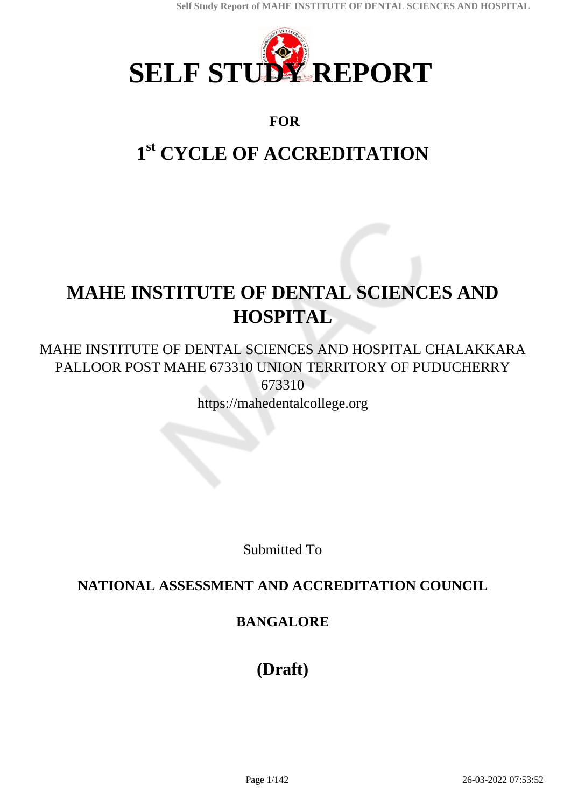

### **FOR**

# **1 st CYCLE OF ACCREDITATION**

## **MAHE INSTITUTE OF DENTAL SCIENCES AND HOSPITAL**

MAHE INSTITUTE OF DENTAL SCIENCES AND HOSPITAL CHALAKKARA PALLOOR POST MAHE 673310 UNION TERRITORY OF PUDUCHERRY 673310 https://mahedentalcollege.org

Submitted To

### **NATIONAL ASSESSMENT AND ACCREDITATION COUNCIL**

### **BANGALORE**

## **(Draft)**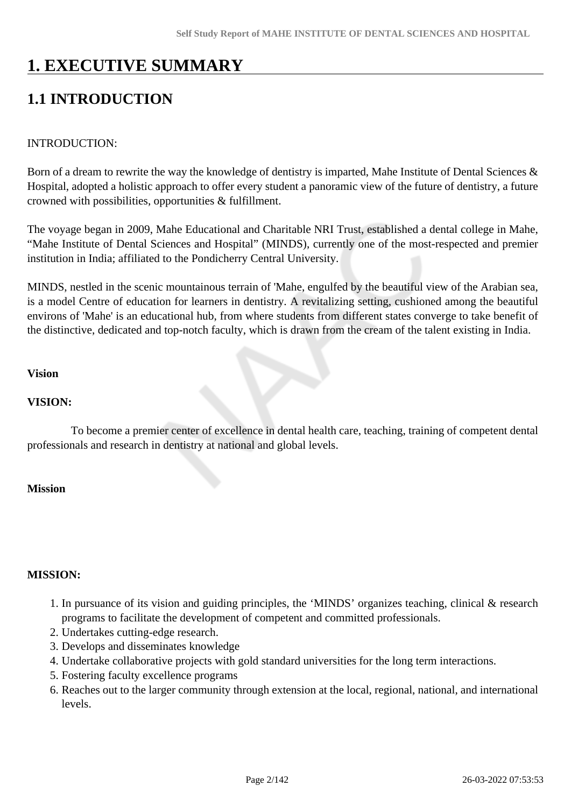## **1. EXECUTIVE SUMMARY**

## **1.1 INTRODUCTION**

#### INTRODUCTION:

Born of a dream to rewrite the way the knowledge of dentistry is imparted, Mahe Institute of Dental Sciences & Hospital, adopted a holistic approach to offer every student a panoramic view of the future of dentistry, a future crowned with possibilities, opportunities & fulfillment.

The voyage began in 2009, Mahe Educational and Charitable NRI Trust, established a dental college in Mahe, "Mahe Institute of Dental Sciences and Hospital" (MINDS), currently one of the most-respected and premier institution in India; affiliated to the Pondicherry Central University.

MINDS, nestled in the scenic mountainous terrain of 'Mahe, engulfed by the beautiful view of the Arabian sea, is a model Centre of education for learners in dentistry. A revitalizing setting, cushioned among the beautiful environs of 'Mahe' is an educational hub, from where students from different states converge to take benefit of the distinctive, dedicated and top-notch faculty, which is drawn from the cream of the talent existing in India.

#### **Vision**

#### **VISION:**

 To become a premier center of excellence in dental health care, teaching, training of competent dental professionals and research in dentistry at national and global levels.

#### **Mission**

#### **MISSION:**

- 1. In pursuance of its vision and guiding principles, the 'MINDS' organizes teaching, clinical & research programs to facilitate the development of competent and committed professionals.
- 2. Undertakes cutting-edge research.
- 3. Develops and disseminates knowledge
- 4. Undertake collaborative projects with gold standard universities for the long term interactions.
- 5. Fostering faculty excellence programs
- 6. Reaches out to the larger community through extension at the local, regional, national, and international levels.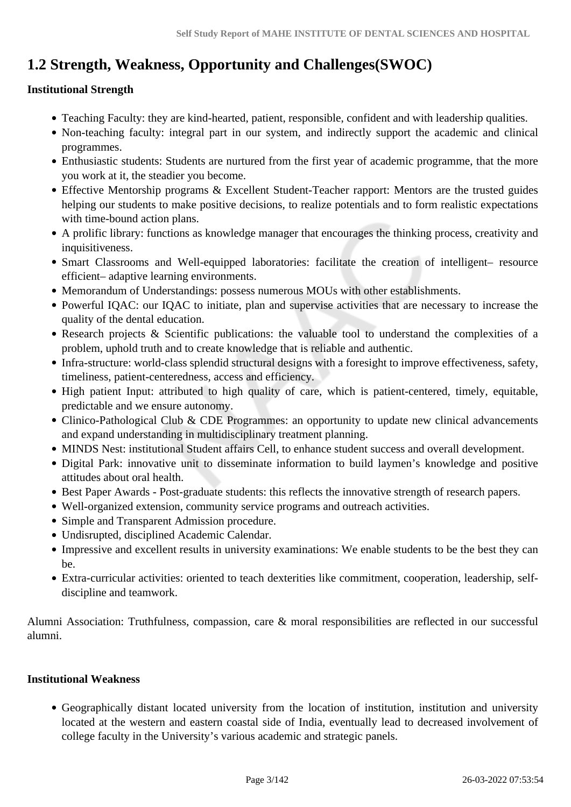## **1.2 Strength, Weakness, Opportunity and Challenges(SWOC)**

#### **Institutional Strength**

- Teaching Faculty: they are kind-hearted, patient, responsible, confident and with leadership qualities.
- Non-teaching faculty: integral part in our system, and indirectly support the academic and clinical programmes.
- Enthusiastic students: Students are nurtured from the first year of academic programme, that the more you work at it, the steadier you become.
- Effective Mentorship programs & Excellent Student-Teacher rapport: Mentors are the trusted guides helping our students to make positive decisions, to realize potentials and to form realistic expectations with time-bound action plans.
- A prolific library: functions as knowledge manager that encourages the thinking process, creativity and inquisitiveness.
- Smart Classrooms and Well-equipped laboratories: facilitate the creation of intelligent– resource efficient– adaptive learning environments.
- Memorandum of Understandings: possess numerous MOUs with other establishments.
- Powerful IQAC: our IQAC to initiate, plan and supervise activities that are necessary to increase the quality of the dental education.
- Research projects & Scientific publications: the valuable tool to understand the complexities of a problem, uphold truth and to create knowledge that is reliable and authentic.
- Infra-structure: world-class splendid structural designs with a foresight to improve effectiveness, safety, timeliness, patient-centeredness, access and efficiency.
- High patient Input: attributed to high quality of care, which is patient-centered, timely, equitable, predictable and we ensure autonomy.
- Clinico-Pathological Club & CDE Programmes: an opportunity to update new clinical advancements and expand understanding in multidisciplinary treatment planning.
- MINDS Nest: institutional Student affairs Cell, to enhance student success and overall development.
- Digital Park: innovative unit to disseminate information to build laymen's knowledge and positive attitudes about oral health.
- Best Paper Awards Post-graduate students: this reflects the innovative strength of research papers.
- Well-organized extension, community service programs and outreach activities.
- Simple and Transparent Admission procedure.
- Undisrupted, disciplined Academic Calendar.
- Impressive and excellent results in university examinations: We enable students to be the best they can be.
- Extra-curricular activities: oriented to teach dexterities like commitment, cooperation, leadership, selfdiscipline and teamwork.

Alumni Association: Truthfulness, compassion, care & moral responsibilities are reflected in our successful alumni.

#### **Institutional Weakness**

Geographically distant located university from the location of institution, institution and university located at the western and eastern coastal side of India, eventually lead to decreased involvement of college faculty in the University's various academic and strategic panels.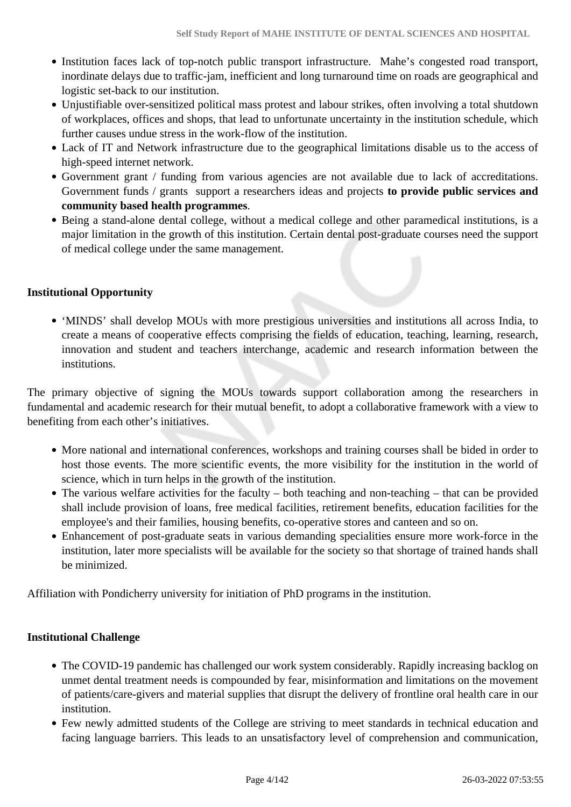- Institution faces lack of top-notch public transport infrastructure. Mahe's congested road transport, inordinate delays due to traffic-jam, inefficient and long turnaround time on roads are geographical and logistic set-back to our institution.
- Unjustifiable over-sensitized political mass protest and labour strikes, often involving a total shutdown of workplaces, offices and shops, that lead to unfortunate uncertainty in the institution schedule, which further causes undue stress in the work-flow of the institution.
- Lack of IT and Network infrastructure due to the geographical limitations disable us to the access of high-speed internet network.
- Government grant / funding from various agencies are not available due to lack of accreditations. Government funds / grants support a researchers ideas and projects **to provide public services and community based health programmes**.
- Being a stand-alone dental college, without a medical college and other paramedical institutions, is a major limitation in the growth of this institution. Certain dental post-graduate courses need the support of medical college under the same management.

#### **Institutional Opportunity**

'MINDS' shall develop MOUs with more prestigious universities and institutions all across India, to create a means of cooperative effects comprising the fields of education, teaching, learning, research, innovation and student and teachers interchange, academic and research information between the **institutions** 

The primary objective of signing the MOUs towards support collaboration among the researchers in fundamental and academic research for their mutual benefit, to adopt a collaborative framework with a view to benefiting from each other's initiatives.

- More national and international conferences, workshops and training courses shall be bided in order to host those events. The more scientific events, the more visibility for the institution in the world of science, which in turn helps in the growth of the institution.
- The various welfare activities for the faculty both teaching and non-teaching that can be provided shall include provision of loans, free medical facilities, retirement benefits, education facilities for the employee's and their families, housing benefits, co-operative stores and canteen and so on.
- Enhancement of post-graduate seats in various demanding specialities ensure more work-force in the institution, later more specialists will be available for the society so that shortage of trained hands shall be minimized.

Affiliation with Pondicherry university for initiation of PhD programs in the institution.

#### **Institutional Challenge**

- The COVID-19 pandemic has challenged our work system considerably. Rapidly increasing backlog on unmet dental treatment needs is compounded by fear, misinformation and limitations on the movement of patients/care-givers and material supplies that disrupt the delivery of frontline oral health care in our institution.
- Few newly admitted students of the College are striving to meet standards in technical education and facing language barriers. This leads to an unsatisfactory level of comprehension and communication,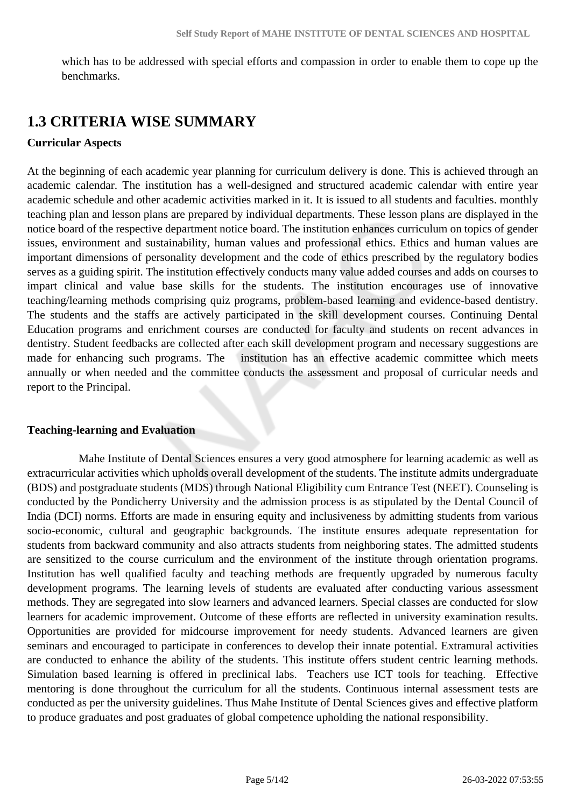which has to be addressed with special efforts and compassion in order to enable them to cope up the benchmarks.

### **1.3 CRITERIA WISE SUMMARY**

#### **Curricular Aspects**

At the beginning of each academic year planning for curriculum delivery is done. This is achieved through an academic calendar. The institution has a well-designed and structured academic calendar with entire year academic schedule and other academic activities marked in it. It is issued to all students and faculties. monthly teaching plan and lesson plans are prepared by individual departments. These lesson plans are displayed in the notice board of the respective department notice board. The institution enhances curriculum on topics of gender issues, environment and sustainability, human values and professional ethics. Ethics and human values are important dimensions of personality development and the code of ethics prescribed by the regulatory bodies serves as a guiding spirit. The institution effectively conducts many value added courses and adds on courses to impart clinical and value base skills for the students. The institution encourages use of innovative teaching/learning methods comprising quiz programs, problem-based learning and evidence-based dentistry. The students and the staffs are actively participated in the skill development courses. Continuing Dental Education programs and enrichment courses are conducted for faculty and students on recent advances in dentistry. Student feedbacks are collected after each skill development program and necessary suggestions are made for enhancing such programs. The institution has an effective academic committee which meets annually or when needed and the committee conducts the assessment and proposal of curricular needs and report to the Principal.

#### **Teaching-learning and Evaluation**

 Mahe Institute of Dental Sciences ensures a very good atmosphere for learning academic as well as extracurricular activities which upholds overall development of the students. The institute admits undergraduate (BDS) and postgraduate students (MDS) through National Eligibility cum Entrance Test (NEET). Counseling is conducted by the Pondicherry University and the admission process is as stipulated by the Dental Council of India (DCI) norms. Efforts are made in ensuring equity and inclusiveness by admitting students from various socio-economic, cultural and geographic backgrounds. The institute ensures adequate representation for students from backward community and also attracts students from neighboring states. The admitted students are sensitized to the course curriculum and the environment of the institute through orientation programs. Institution has well qualified faculty and teaching methods are frequently upgraded by numerous faculty development programs. The learning levels of students are evaluated after conducting various assessment methods. They are segregated into slow learners and advanced learners. Special classes are conducted for slow learners for academic improvement. Outcome of these efforts are reflected in university examination results. Opportunities are provided for midcourse improvement for needy students. Advanced learners are given seminars and encouraged to participate in conferences to develop their innate potential. Extramural activities are conducted to enhance the ability of the students. This institute offers student centric learning methods. Simulation based learning is offered in preclinical labs. Teachers use ICT tools for teaching. Effective mentoring is done throughout the curriculum for all the students. Continuous internal assessment tests are conducted as per the university guidelines. Thus Mahe Institute of Dental Sciences gives and effective platform to produce graduates and post graduates of global competence upholding the national responsibility.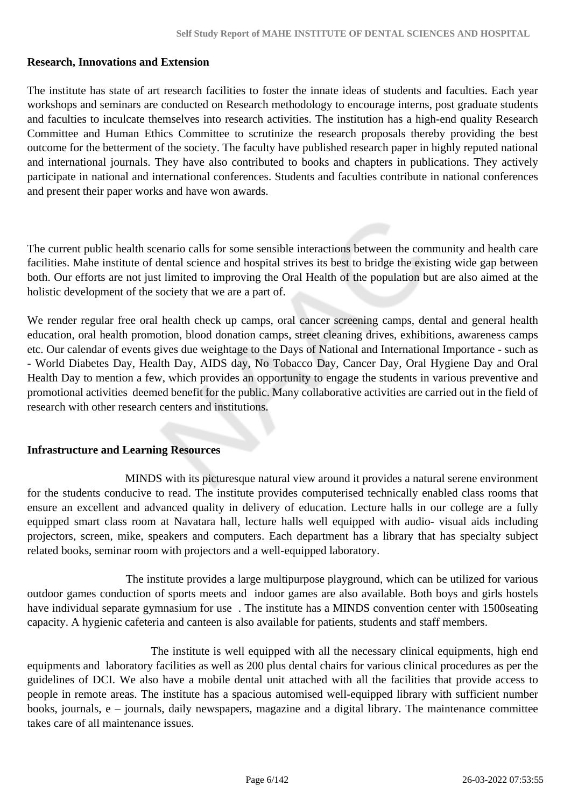#### **Research, Innovations and Extension**

The institute has state of art research facilities to foster the innate ideas of students and faculties. Each year workshops and seminars are conducted on Research methodology to encourage interns, post graduate students and faculties to inculcate themselves into research activities. The institution has a high-end quality Research Committee and Human Ethics Committee to scrutinize the research proposals thereby providing the best outcome for the betterment of the society. The faculty have published research paper in highly reputed national and international journals. They have also contributed to books and chapters in publications. They actively participate in national and international conferences. Students and faculties contribute in national conferences and present their paper works and have won awards.

The current public health scenario calls for some sensible interactions between the community and health care facilities. Mahe institute of dental science and hospital strives its best to bridge the existing wide gap between both. Our efforts are not just limited to improving the Oral Health of the population but are also aimed at the holistic development of the society that we are a part of.

We render regular free oral health check up camps, oral cancer screening camps, dental and general health education, oral health promotion, blood donation camps, street cleaning drives, exhibitions, awareness camps etc. Our calendar of events gives due weightage to the Days of National and International Importance - such as - World Diabetes Day, Health Day, AIDS day, No Tobacco Day, Cancer Day, Oral Hygiene Day and Oral Health Day to mention a few, which provides an opportunity to engage the students in various preventive and promotional activities deemed benefit for the public. Many collaborative activities are carried out in the field of research with other research centers and institutions.

#### **Infrastructure and Learning Resources**

 MINDS with its picturesque natural view around it provides a natural serene environment for the students conducive to read. The institute provides computerised technically enabled class rooms that ensure an excellent and advanced quality in delivery of education. Lecture halls in our college are a fully equipped smart class room at Navatara hall, lecture halls well equipped with audio- visual aids including projectors, screen, mike, speakers and computers. Each department has a library that has specialty subject related books, seminar room with projectors and a well-equipped laboratory.

 The institute provides a large multipurpose playground, which can be utilized for various outdoor games conduction of sports meets and indoor games are also available. Both boys and girls hostels have individual separate gymnasium for use. The institute has a MINDS convention center with 1500 seating capacity. A hygienic cafeteria and canteen is also available for patients, students and staff members.

 The institute is well equipped with all the necessary clinical equipments, high end equipments and laboratory facilities as well as 200 plus dental chairs for various clinical procedures as per the guidelines of DCI. We also have a mobile dental unit attached with all the facilities that provide access to people in remote areas. The institute has a spacious automised well-equipped library with sufficient number books, journals, e – journals, daily newspapers, magazine and a digital library. The maintenance committee takes care of all maintenance issues.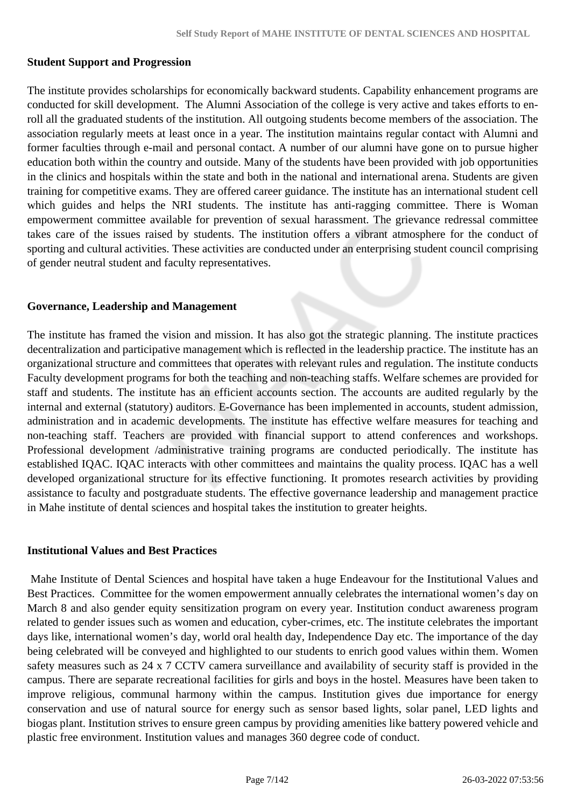#### **Student Support and Progression**

The institute provides scholarships for economically backward students. Capability enhancement programs are conducted for skill development. The Alumni Association of the college is very active and takes efforts to enroll all the graduated students of the institution. All outgoing students become members of the association. The association regularly meets at least once in a year. The institution maintains regular contact with Alumni and former faculties through e-mail and personal contact. A number of our alumni have gone on to pursue higher education both within the country and outside. Many of the students have been provided with job opportunities in the clinics and hospitals within the state and both in the national and international arena. Students are given training for competitive exams. They are offered career guidance. The institute has an international student cell which guides and helps the NRI students. The institute has anti-ragging committee. There is Woman empowerment committee available for prevention of sexual harassment. The grievance redressal committee takes care of the issues raised by students. The institution offers a vibrant atmosphere for the conduct of sporting and cultural activities. These activities are conducted under an enterprising student council comprising of gender neutral student and faculty representatives.

#### **Governance, Leadership and Management**

The institute has framed the vision and mission. It has also got the strategic planning. The institute practices decentralization and participative management which is reflected in the leadership practice. The institute has an organizational structure and committees that operates with relevant rules and regulation. The institute conducts Faculty development programs for both the teaching and non-teaching staffs. Welfare schemes are provided for staff and students. The institute has an efficient accounts section. The accounts are audited regularly by the internal and external (statutory) auditors. E-Governance has been implemented in accounts, student admission, administration and in academic developments. The institute has effective welfare measures for teaching and non-teaching staff. Teachers are provided with financial support to attend conferences and workshops. Professional development /administrative training programs are conducted periodically. The institute has established IQAC. IQAC interacts with other committees and maintains the quality process. IQAC has a well developed organizational structure for its effective functioning. It promotes research activities by providing assistance to faculty and postgraduate students. The effective governance leadership and management practice in Mahe institute of dental sciences and hospital takes the institution to greater heights.

#### **Institutional Values and Best Practices**

 Mahe Institute of Dental Sciences and hospital have taken a huge Endeavour for the Institutional Values and Best Practices. Committee for the women empowerment annually celebrates the international women's day on March 8 and also gender equity sensitization program on every year. Institution conduct awareness program related to gender issues such as women and education, cyber-crimes, etc. The institute celebrates the important days like, international women's day, world oral health day, Independence Day etc. The importance of the day being celebrated will be conveyed and highlighted to our students to enrich good values within them. Women safety measures such as 24 x 7 CCTV camera surveillance and availability of security staff is provided in the campus. There are separate recreational facilities for girls and boys in the hostel. Measures have been taken to improve religious, communal harmony within the campus. Institution gives due importance for energy conservation and use of natural source for energy such as sensor based lights, solar panel, LED lights and biogas plant. Institution strives to ensure green campus by providing amenities like battery powered vehicle and plastic free environment. Institution values and manages 360 degree code of conduct.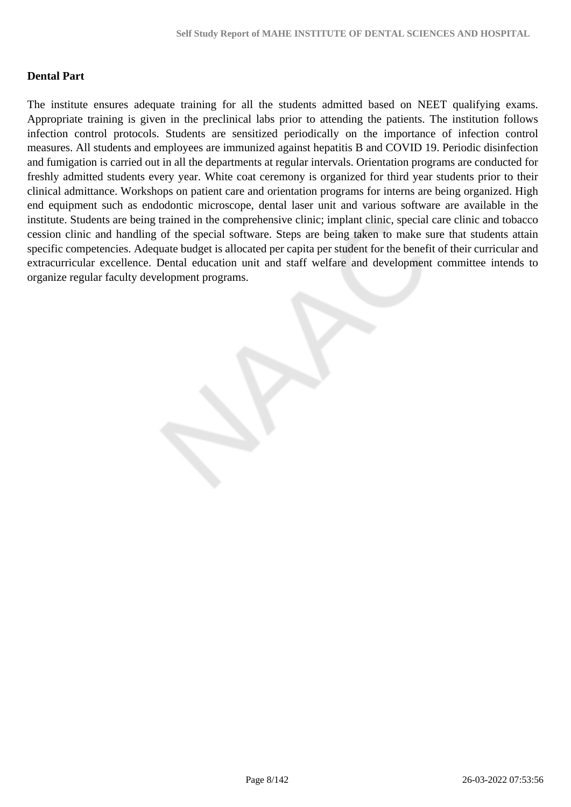#### **Dental Part**

The institute ensures adequate training for all the students admitted based on NEET qualifying exams. Appropriate training is given in the preclinical labs prior to attending the patients. The institution follows infection control protocols. Students are sensitized periodically on the importance of infection control measures. All students and employees are immunized against hepatitis B and COVID 19. Periodic disinfection and fumigation is carried out in all the departments at regular intervals. Orientation programs are conducted for freshly admitted students every year. White coat ceremony is organized for third year students prior to their clinical admittance. Workshops on patient care and orientation programs for interns are being organized. High end equipment such as endodontic microscope, dental laser unit and various software are available in the institute. Students are being trained in the comprehensive clinic; implant clinic, special care clinic and tobacco cession clinic and handling of the special software. Steps are being taken to make sure that students attain specific competencies. Adequate budget is allocated per capita per student for the benefit of their curricular and extracurricular excellence. Dental education unit and staff welfare and development committee intends to organize regular faculty development programs.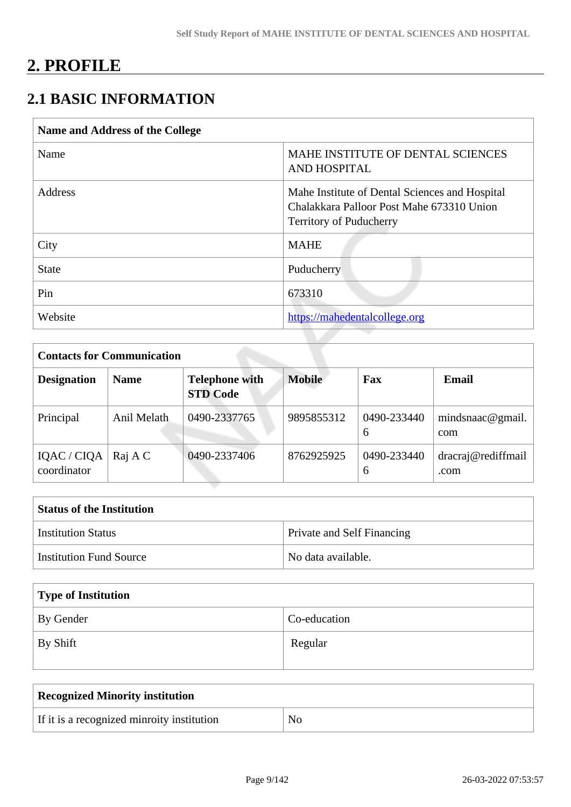## **2. PROFILE**

## **2.1 BASIC INFORMATION**

| Name and Address of the College |                                                                                                                               |  |  |  |  |
|---------------------------------|-------------------------------------------------------------------------------------------------------------------------------|--|--|--|--|
| Name                            | MAHE INSTITUTE OF DENTAL SCIENCES<br><b>AND HOSPITAL</b>                                                                      |  |  |  |  |
| <b>Address</b>                  | Mahe Institute of Dental Sciences and Hospital<br>Chalakkara Palloor Post Mahe 673310 Union<br><b>Territory of Puducherry</b> |  |  |  |  |
| City                            | <b>MAHE</b>                                                                                                                   |  |  |  |  |
| <b>State</b>                    | Puducherry                                                                                                                    |  |  |  |  |
| Pin                             | 673310                                                                                                                        |  |  |  |  |
| Website                         | https://mahedentalcollege.org                                                                                                 |  |  |  |  |

| <b>Contacts for Communication</b> |             |                                          |               |                  |                             |  |  |
|-----------------------------------|-------------|------------------------------------------|---------------|------------------|-----------------------------|--|--|
| <b>Designation</b>                | <b>Name</b> | <b>Telephone with</b><br><b>STD Code</b> | <b>Mobile</b> | Fax              | <b>Email</b>                |  |  |
| Principal                         | Anil Melath | 0490-2337765                             | 9895855312    | 0490-233440<br>6 | mindsnaac $@$ gmail.<br>com |  |  |
| IQAC / CIQA<br>coordinator        | Raj A C     | 0490-2337406                             | 8762925925    | 0490-233440<br>6 | dracraj@rediffmail<br>.com  |  |  |

| <b>Status of the Institution</b> |                                   |  |  |  |
|----------------------------------|-----------------------------------|--|--|--|
| <b>Institution Status</b>        | <b>Private and Self Financing</b> |  |  |  |
| <b>Institution Fund Source</b>   | No data available.                |  |  |  |

| Type of Institution |              |  |  |  |
|---------------------|--------------|--|--|--|
| By Gender           | Co-education |  |  |  |
| $\vert$ By Shift    | Regular      |  |  |  |

| Recognized Minority institution            |                |  |  |  |
|--------------------------------------------|----------------|--|--|--|
| If it is a recognized minroity institution | N <sub>o</sub> |  |  |  |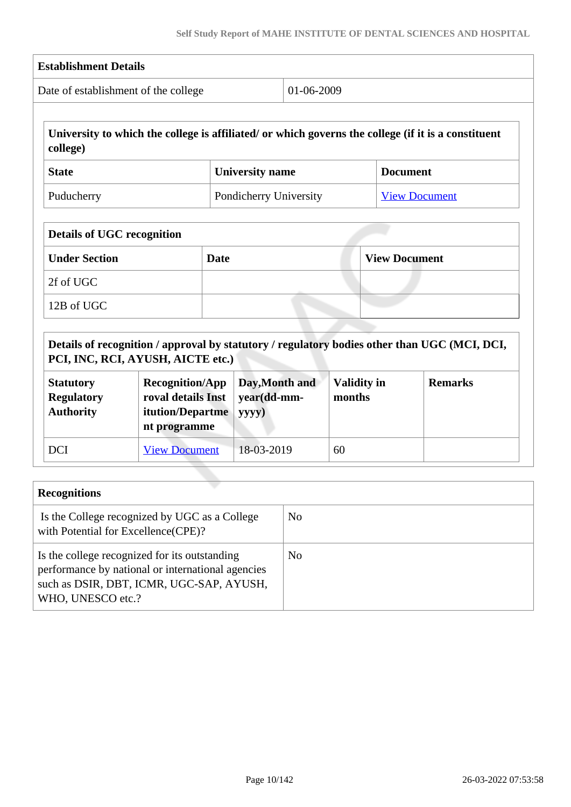| <b>Establishment Details</b>                                                                                                                  |                                      |  |                                                  |                      |                    |                                                                                                     |
|-----------------------------------------------------------------------------------------------------------------------------------------------|--------------------------------------|--|--------------------------------------------------|----------------------|--------------------|-----------------------------------------------------------------------------------------------------|
|                                                                                                                                               | Date of establishment of the college |  |                                                  | 01-06-2009           |                    |                                                                                                     |
| college)                                                                                                                                      |                                      |  |                                                  |                      |                    | University to which the college is affiliated/ or which governs the college (if it is a constituent |
| <b>State</b>                                                                                                                                  |                                      |  | <b>University name</b>                           |                      | <b>Document</b>    |                                                                                                     |
| Puducherry                                                                                                                                    |                                      |  | Pondicherry University                           |                      |                    | <b>View Document</b>                                                                                |
| <b>Under Section</b><br><b>Date</b><br>2f of UGC                                                                                              |                                      |  |                                                  | <b>View Document</b> |                    |                                                                                                     |
|                                                                                                                                               |                                      |  |                                                  |                      |                    |                                                                                                     |
| 12B of UGC                                                                                                                                    |                                      |  |                                                  |                      |                    |                                                                                                     |
| PCI, INC, RCI, AYUSH, AICTE etc.)                                                                                                             |                                      |  |                                                  |                      |                    | Details of recognition / approval by statutory / regulatory bodies other than UGC (MCI, DCI,        |
| <b>Statutory</b><br><b>Recognition/App</b><br>roval details Inst<br><b>Regulatory</b><br><b>Authority</b><br>itution/Departme<br>nt programme |                                      |  | Day, Month and<br>year(dd-mm-<br>months<br>yyyy) |                      | <b>Validity in</b> | <b>Remarks</b>                                                                                      |
|                                                                                                                                               |                                      |  |                                                  |                      |                    |                                                                                                     |

| <b>Recognitions</b>                                                                                                                                                 |                |  |  |  |  |
|---------------------------------------------------------------------------------------------------------------------------------------------------------------------|----------------|--|--|--|--|
| Is the College recognized by UGC as a College<br>with Potential for Excellence(CPE)?                                                                                | N <sub>0</sub> |  |  |  |  |
| Is the college recognized for its outstanding<br>performance by national or international agencies<br>such as DSIR, DBT, ICMR, UGC-SAP, AYUSH,<br>WHO, UNESCO etc.? | N <sub>0</sub> |  |  |  |  |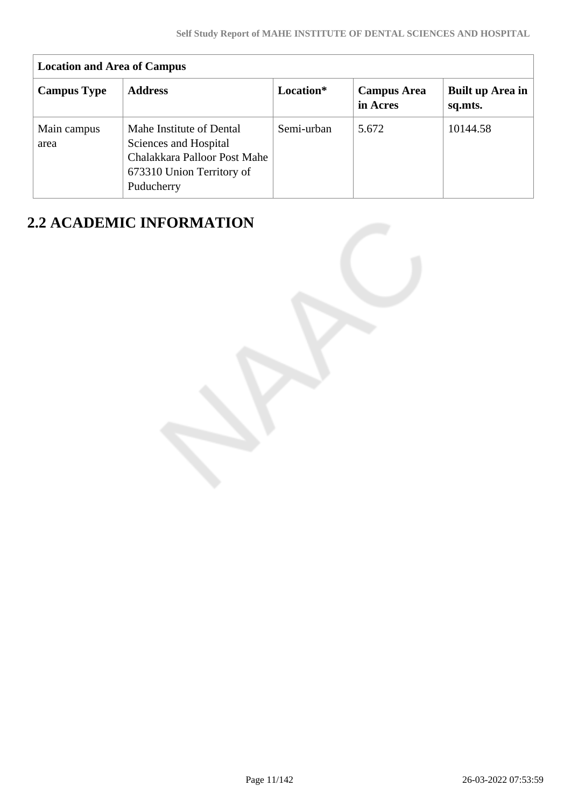| <b>Location and Area of Campus</b> |                                                                                                                              |            |                                |                             |  |  |  |
|------------------------------------|------------------------------------------------------------------------------------------------------------------------------|------------|--------------------------------|-----------------------------|--|--|--|
| <b>Campus Type</b>                 | <b>Address</b>                                                                                                               | Location*  | <b>Campus Area</b><br>in Acres | Built up Area in<br>sq.mts. |  |  |  |
| Main campus<br>area                | Mahe Institute of Dental<br>Sciences and Hospital<br>Chalakkara Palloor Post Mahe<br>673310 Union Territory of<br>Puducherry | Semi-urban | 5.672                          | 10144.58                    |  |  |  |

## **2.2 ACADEMIC INFORMATION**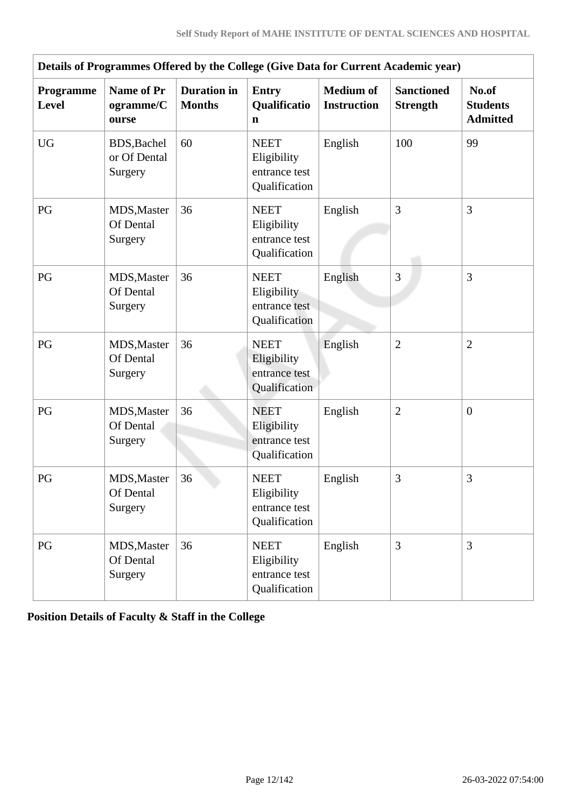| Details of Programmes Offered by the College (Give Data for Current Academic year) |                                         |                                     |                                                              |                                        |                                      |                                             |
|------------------------------------------------------------------------------------|-----------------------------------------|-------------------------------------|--------------------------------------------------------------|----------------------------------------|--------------------------------------|---------------------------------------------|
| Programme<br><b>Level</b>                                                          | <b>Name of Pr</b><br>ogramme/C<br>ourse | <b>Duration</b> in<br><b>Months</b> | <b>Entry</b><br>Qualificatio<br>n                            | <b>Medium of</b><br><b>Instruction</b> | <b>Sanctioned</b><br><b>Strength</b> | No.of<br><b>Students</b><br><b>Admitted</b> |
| <b>UG</b>                                                                          | BDS, Bachel<br>or Of Dental<br>Surgery  | 60                                  | <b>NEET</b><br>Eligibility<br>entrance test<br>Qualification | English                                | 100                                  | 99                                          |
| PG                                                                                 | MDS, Master<br>Of Dental<br>Surgery     | 36                                  | <b>NEET</b><br>Eligibility<br>entrance test<br>Qualification | English                                | 3                                    | 3                                           |
| PG                                                                                 | MDS, Master<br>Of Dental<br>Surgery     | 36                                  | <b>NEET</b><br>Eligibility<br>entrance test<br>Qualification | English                                | 3                                    | 3                                           |
| PG                                                                                 | MDS, Master<br>Of Dental<br>Surgery     | 36                                  | <b>NEET</b><br>Eligibility<br>entrance test<br>Qualification | English                                | $\overline{2}$                       | $\overline{2}$                              |
| PG                                                                                 | MDS, Master<br>Of Dental<br>Surgery     | 36                                  | <b>NEET</b><br>Eligibility<br>entrance test<br>Qualification | English                                | $\overline{2}$                       | $\overline{0}$                              |
| PG                                                                                 | MDS, Master<br>Of Dental<br>Surgery     | 36                                  | <b>NEET</b><br>Eligibility<br>entrance test<br>Qualification | English                                | 3                                    | 3                                           |
| PG                                                                                 | MDS, Master<br>Of Dental<br>Surgery     | 36                                  | <b>NEET</b><br>Eligibility<br>entrance test<br>Qualification | English                                | 3                                    | 3                                           |

**Position Details of Faculty & Staff in the College**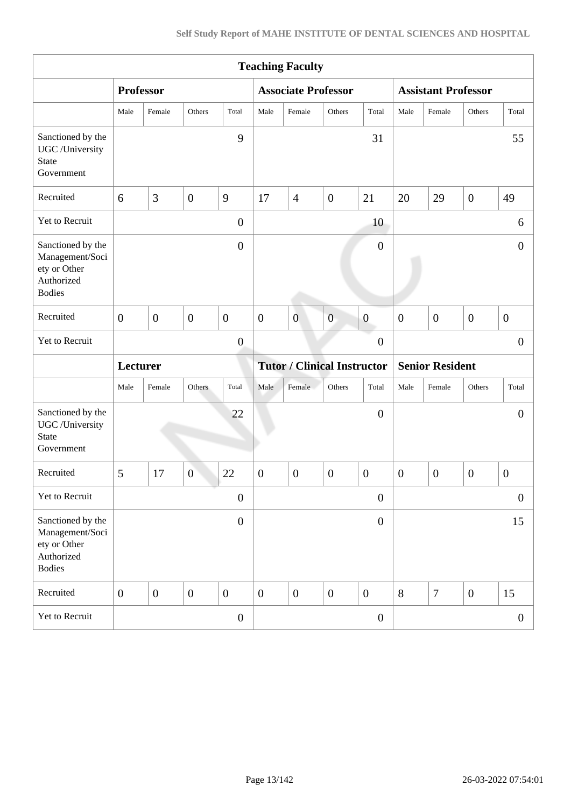| <b>Teaching Faculty</b>                                                             |                  |                  |                  |                  |                                    |                  |                  |                            |                  |                  |                  |                  |
|-------------------------------------------------------------------------------------|------------------|------------------|------------------|------------------|------------------------------------|------------------|------------------|----------------------------|------------------|------------------|------------------|------------------|
|                                                                                     | <b>Professor</b> |                  |                  |                  | <b>Associate Professor</b>         |                  |                  | <b>Assistant Professor</b> |                  |                  |                  |                  |
|                                                                                     | Male             | Female           | Others           | Total            | Male                               | Female           | Others           | Total                      | Male             | Female           | Others           | Total            |
| Sanctioned by the<br>UGC / University<br><b>State</b><br>Government                 |                  |                  |                  | 9                |                                    |                  |                  | 31                         |                  |                  |                  | 55               |
| Recruited                                                                           | 6                | 3                | $\boldsymbol{0}$ | 9                | 17                                 | $\overline{4}$   | $\boldsymbol{0}$ | 21                         | 20               | 29               | $\boldsymbol{0}$ | 49               |
| Yet to Recruit                                                                      |                  |                  |                  | $\overline{0}$   |                                    |                  |                  | 10                         |                  |                  |                  | 6                |
| Sanctioned by the<br>Management/Soci<br>ety or Other<br>Authorized<br><b>Bodies</b> |                  |                  |                  | $\boldsymbol{0}$ |                                    |                  |                  | $\boldsymbol{0}$           |                  |                  |                  | $\overline{0}$   |
| Recruited                                                                           | $\boldsymbol{0}$ | $\overline{0}$   | $\theta$         | $\overline{0}$   | $\boldsymbol{0}$                   | $\overline{0}$   | $\boldsymbol{0}$ | $\boldsymbol{0}$           | $\boldsymbol{0}$ | $\boldsymbol{0}$ | $\boldsymbol{0}$ | $\boldsymbol{0}$ |
| Yet to Recruit                                                                      |                  |                  |                  | $\overline{0}$   |                                    |                  |                  | $\overline{0}$             |                  |                  |                  | $\overline{0}$   |
|                                                                                     | Lecturer         |                  |                  |                  | <b>Tutor / Clinical Instructor</b> |                  |                  | <b>Senior Resident</b>     |                  |                  |                  |                  |
|                                                                                     | Male             | Female           | Others           | Total            | Male                               | Female           | Others           | Total                      | Male             | Female           | Others           | Total            |
| Sanctioned by the<br>UGC / University<br><b>State</b><br>Government                 |                  |                  |                  | 22               |                                    |                  |                  | $\mathbf{0}$               |                  |                  |                  | $\overline{0}$   |
| Recruited                                                                           | 5                | 17               | $\boldsymbol{0}$ | 22               | $\boldsymbol{0}$                   | $\boldsymbol{0}$ | $\overline{0}$   | $\boldsymbol{0}$           | $\mathbf{0}$     | $\mathbf{0}$     | $\overline{0}$   | $\boldsymbol{0}$ |
| Yet to Recruit                                                                      |                  |                  |                  | $\boldsymbol{0}$ |                                    |                  |                  | $\boldsymbol{0}$           |                  |                  |                  | $\overline{0}$   |
| Sanctioned by the<br>Management/Soci<br>ety or Other<br>Authorized<br><b>Bodies</b> |                  |                  |                  | $\boldsymbol{0}$ |                                    |                  |                  | $\boldsymbol{0}$           |                  |                  |                  | 15               |
| Recruited                                                                           | $\overline{0}$   | $\boldsymbol{0}$ | $\boldsymbol{0}$ | $\boldsymbol{0}$ | $\boldsymbol{0}$                   | $\boldsymbol{0}$ | $\boldsymbol{0}$ | $\boldsymbol{0}$           | 8                | $\overline{7}$   | $\boldsymbol{0}$ | 15               |
| Yet to Recruit                                                                      |                  |                  |                  | $\boldsymbol{0}$ |                                    |                  |                  | $\boldsymbol{0}$           |                  |                  |                  | $\overline{0}$   |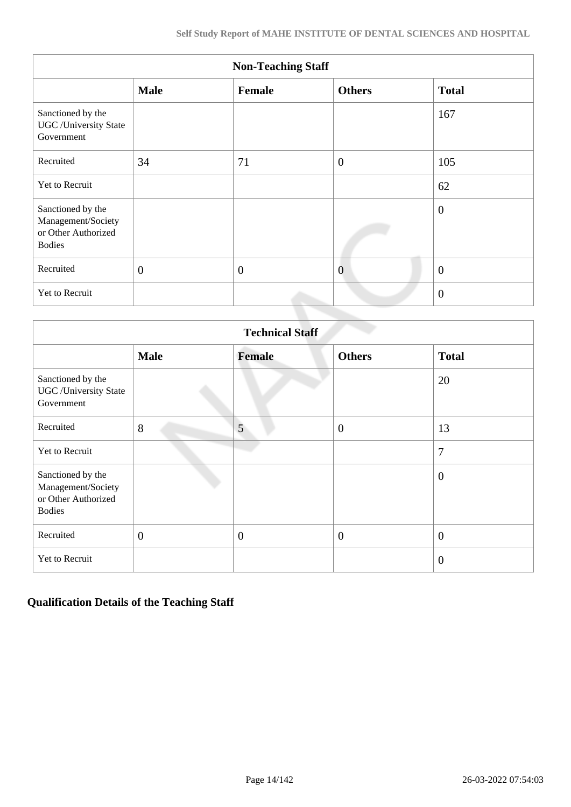| <b>Non-Teaching Staff</b>                                                       |              |                |                |                |  |
|---------------------------------------------------------------------------------|--------------|----------------|----------------|----------------|--|
|                                                                                 | <b>Male</b>  | <b>Female</b>  | <b>Others</b>  | <b>Total</b>   |  |
| Sanctioned by the<br><b>UGC</b> / University State<br>Government                |              |                |                | 167            |  |
| Recruited                                                                       | 34           | 71             | $\overline{0}$ | 105            |  |
| Yet to Recruit                                                                  |              |                |                | 62             |  |
| Sanctioned by the<br>Management/Society<br>or Other Authorized<br><b>Bodies</b> |              |                |                | $\overline{0}$ |  |
| Recruited                                                                       | $\mathbf{0}$ | $\overline{0}$ | $\overline{0}$ | $\theta$       |  |
| Yet to Recruit                                                                  |              |                |                | $\mathbf{0}$   |  |

| <b>Technical Staff</b>                                                          |                |                |                  |                |  |
|---------------------------------------------------------------------------------|----------------|----------------|------------------|----------------|--|
|                                                                                 | <b>Male</b>    | <b>Female</b>  | <b>Others</b>    | <b>Total</b>   |  |
| Sanctioned by the<br><b>UGC</b> / University State<br>Government                |                |                |                  | 20             |  |
| Recruited                                                                       | 8              | 5              | $\overline{0}$   | 13             |  |
| Yet to Recruit                                                                  |                |                |                  | $\overline{7}$ |  |
| Sanctioned by the<br>Management/Society<br>or Other Authorized<br><b>Bodies</b> |                |                |                  | $\overline{0}$ |  |
| Recruited                                                                       | $\overline{0}$ | $\overline{0}$ | $\boldsymbol{0}$ | $\overline{0}$ |  |
| Yet to Recruit                                                                  |                |                |                  | $\overline{0}$ |  |

#### **Qualification Details of the Teaching Staff**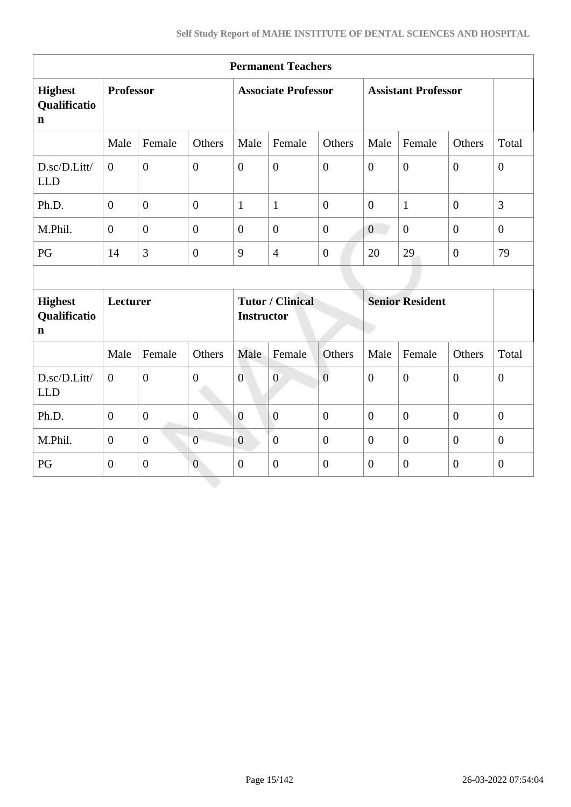| <b>Permanent Teachers</b>                     |                |                  |                                              |                |                            |                  |                            |                |                  |                  |
|-----------------------------------------------|----------------|------------------|----------------------------------------------|----------------|----------------------------|------------------|----------------------------|----------------|------------------|------------------|
| <b>Highest</b><br>Qualificatio<br>$\mathbf n$ |                | <b>Professor</b> |                                              |                | <b>Associate Professor</b> |                  | <b>Assistant Professor</b> |                |                  |                  |
|                                               | Male           | Female           | Others                                       | Male           | Female                     | Others           | Male                       | Female         | Others           | Total            |
| D.sc/D.Litt/<br><b>LLD</b>                    | $\overline{0}$ | $\boldsymbol{0}$ | $\overline{0}$                               | $\overline{0}$ | $\overline{0}$             | $\overline{0}$   | $\overline{0}$             | $\mathbf{0}$   | $\overline{0}$   | $\boldsymbol{0}$ |
| Ph.D.                                         | $\theta$       | $\mathbf{0}$     | $\boldsymbol{0}$                             | $\mathbf{1}$   | $\mathbf{1}$               | $\boldsymbol{0}$ | $\overline{0}$             | $\mathbf{1}$   | $\boldsymbol{0}$ | $\overline{3}$   |
| M.Phil.                                       | $\mathbf{0}$   | $\overline{0}$   | $\overline{0}$                               | $\overline{0}$ | $\overline{0}$             | $\overline{0}$   | $\overline{0}$             | $\overline{0}$ | $\boldsymbol{0}$ | $\overline{0}$   |
| PG                                            | 14             | 3                | $\boldsymbol{0}$                             | 9              | $\overline{4}$             | $\boldsymbol{0}$ | 20                         | 29             | $\boldsymbol{0}$ | 79               |
|                                               |                |                  |                                              |                |                            |                  |                            |                |                  |                  |
| <b>Highest</b><br>Qualificatio<br>$\mathbf n$ | Lecturer       |                  | <b>Tutor / Clinical</b><br><b>Instructor</b> |                | <b>Senior Resident</b>     |                  |                            |                |                  |                  |
|                                               | Male           | Female           | Others                                       | Male           | Female                     | Others           | Male                       | Female         | Others           | Total            |
| D.sc/D.Litt/<br><b>LLD</b>                    | $\overline{0}$ | $\overline{0}$   | $\overline{0}$                               | $\overline{0}$ | $\overline{0}$             | $\overline{0}$   | $\overline{0}$             | $\overline{0}$ | $\boldsymbol{0}$ | $\overline{0}$   |
| Ph.D.                                         | $\overline{0}$ | $\mathbf{0}$     | $\overline{0}$                               | $\overline{0}$ | $\overline{0}$             | $\overline{0}$   | $\overline{0}$             | $\overline{0}$ | $\overline{0}$   | $\theta$         |
| M.Phil.                                       | $\mathbf{0}$   | $\overline{0}$   | $\overline{0}$                               | $\overline{0}$ | $\boldsymbol{0}$           | $\overline{0}$   | $\overline{0}$             | $\overline{0}$ | $\boldsymbol{0}$ | $\overline{0}$   |
| PG                                            | $\overline{0}$ | $\mathbf{0}$     | $\overline{0}$                               | $\overline{0}$ | $\overline{0}$             | $\overline{0}$   | $\overline{0}$             | $\overline{0}$ | $\boldsymbol{0}$ | $\overline{0}$   |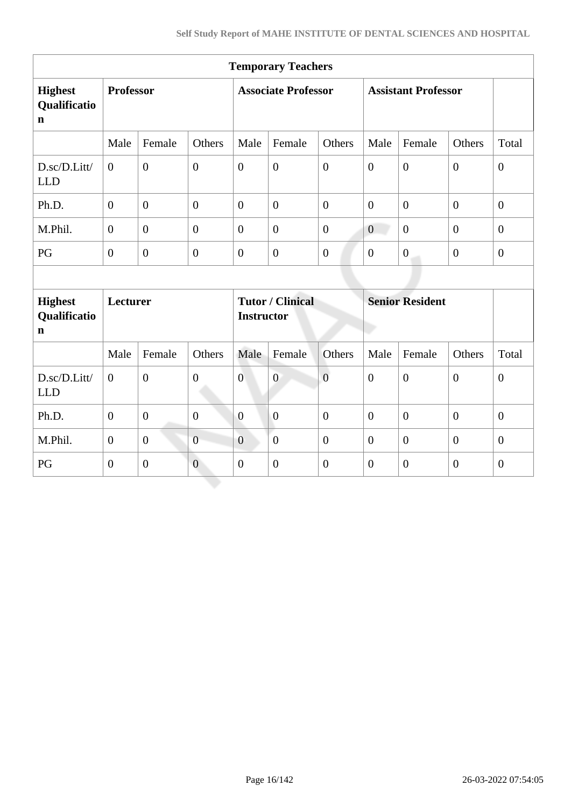| <b>Temporary Teachers</b>                     |                  |                  |                                              |                  |                            |                  |                  |                  |                  |                  |
|-----------------------------------------------|------------------|------------------|----------------------------------------------|------------------|----------------------------|------------------|------------------|------------------|------------------|------------------|
| <b>Highest</b><br>Qualificatio<br>$\mathbf n$ | <b>Professor</b> |                  | <b>Associate Professor</b>                   |                  | <b>Assistant Professor</b> |                  |                  |                  |                  |                  |
|                                               | Male             | Female           | Others                                       | Male             | Female                     | Others           | Male             | Female           | Others           | Total            |
| D.sc/D.Litt/<br><b>LLD</b>                    | $\overline{0}$   | $\overline{0}$   | $\boldsymbol{0}$                             | $\boldsymbol{0}$ | $\boldsymbol{0}$           | $\boldsymbol{0}$ | $\overline{0}$   | $\boldsymbol{0}$ | $\boldsymbol{0}$ | $\overline{0}$   |
| Ph.D.                                         | $\boldsymbol{0}$ | $\overline{0}$   | $\boldsymbol{0}$                             | $\overline{0}$   | $\boldsymbol{0}$           | $\overline{0}$   | $\overline{0}$   | $\overline{0}$   | $\overline{0}$   | $\overline{0}$   |
| M.Phil.                                       | $\theta$         | $\overline{0}$   | $\overline{0}$                               | $\theta$         | $\boldsymbol{0}$           | $\overline{0}$   | $\overline{0}$   | $\overline{0}$   | $\overline{0}$   | $\overline{0}$   |
| PG                                            | $\theta$         | $\boldsymbol{0}$ | $\overline{0}$                               | $\overline{0}$   | $\theta$                   | $\mathbf{0}$     | $\overline{0}$   | $\boldsymbol{0}$ | $\overline{0}$   | $\overline{0}$   |
|                                               |                  |                  |                                              |                  |                            |                  |                  |                  |                  |                  |
| <b>Highest</b><br>Qualificatio<br>$\mathbf n$ | Lecturer         |                  | <b>Tutor / Clinical</b><br><b>Instructor</b> |                  | <b>Senior Resident</b>     |                  |                  |                  |                  |                  |
|                                               | Male             | Female           | Others                                       | Male             | Female                     | Others           | Male             | Female           | Others           | Total            |
| D.sc/D.Litt/<br><b>LLD</b>                    | $\boldsymbol{0}$ | $\boldsymbol{0}$ | $\boldsymbol{0}$                             | $\mathbf{0}$     | $\overline{0}$             | $\overline{0}$   | $\boldsymbol{0}$ | $\boldsymbol{0}$ | $\boldsymbol{0}$ | $\boldsymbol{0}$ |
| Ph.D.                                         | $\overline{0}$   | $\overline{0}$   | $\mathbf{0}$                                 | $\overline{0}$   | $\overline{0}$             | $\mathbf{0}$     | $\overline{0}$   | $\overline{0}$   | $\overline{0}$   | $\overline{0}$   |
| M.Phil.                                       | $\overline{0}$   | $\overline{0}$   | $\overline{0}$                               | $\mathbf{0}$     | $\boldsymbol{0}$           | $\mathbf{0}$     | $\overline{0}$   | $\boldsymbol{0}$ | $\overline{0}$   | $\overline{0}$   |
| PG                                            | $\overline{0}$   | $\boldsymbol{0}$ | $\boldsymbol{0}$                             | $\boldsymbol{0}$ | $\boldsymbol{0}$           | $\boldsymbol{0}$ | $\boldsymbol{0}$ | $\boldsymbol{0}$ | $\boldsymbol{0}$ | $\boldsymbol{0}$ |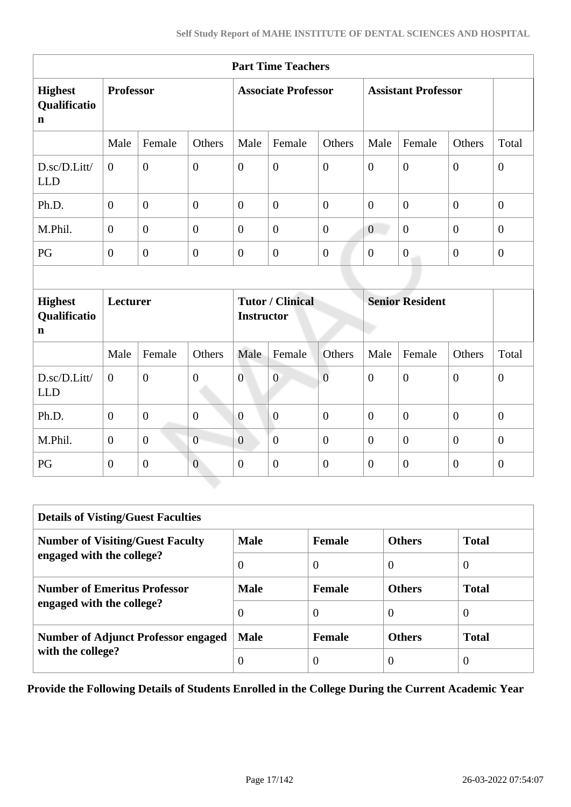| <b>Part Time Teachers</b>                     |                  |                  |                                              |                |                            |                  |                  |                  |                  |                  |
|-----------------------------------------------|------------------|------------------|----------------------------------------------|----------------|----------------------------|------------------|------------------|------------------|------------------|------------------|
| <b>Highest</b><br>Qualificatio<br>$\mathbf n$ | <b>Professor</b> |                  | <b>Associate Professor</b>                   |                | <b>Assistant Professor</b> |                  |                  |                  |                  |                  |
|                                               | Male             | Female           | Others                                       | Male           | Female                     | Others           | Male             | Female           | Others           | Total            |
| D.sc/D.Litt/<br><b>LLD</b>                    | $\theta$         | $\overline{0}$   | $\overline{0}$                               | $\overline{0}$ | $\overline{0}$             | $\boldsymbol{0}$ | $\boldsymbol{0}$ | $\boldsymbol{0}$ | $\boldsymbol{0}$ | $\mathbf{0}$     |
| Ph.D.                                         | $\mathbf{0}$     | $\boldsymbol{0}$ | $\boldsymbol{0}$                             | $\overline{0}$ | $\boldsymbol{0}$           | $\overline{0}$   | $\boldsymbol{0}$ | $\mathbf{0}$     | $\overline{0}$   | $\boldsymbol{0}$ |
| M.Phil.                                       | $\theta$         | $\overline{0}$   | $\boldsymbol{0}$                             | $\overline{0}$ | $\boldsymbol{0}$           | $\boldsymbol{0}$ | $\overline{0}$   | $\boldsymbol{0}$ | $\overline{0}$   | $\theta$         |
| PG                                            | $\mathbf{0}$     | $\mathbf{0}$     | $\boldsymbol{0}$                             | $\overline{0}$ | $\boldsymbol{0}$           | $\overline{0}$   | $\overline{0}$   | $\overline{0}$   | $\boldsymbol{0}$ | $\overline{0}$   |
|                                               |                  |                  |                                              |                |                            |                  |                  |                  |                  |                  |
| <b>Highest</b><br>Qualificatio<br>$\mathbf n$ | Lecturer         |                  | <b>Tutor / Clinical</b><br><b>Instructor</b> |                | <b>Senior Resident</b>     |                  |                  |                  |                  |                  |
|                                               | Male             | Female           | Others                                       | Male           | Female                     | Others           | Male             | Female           | Others           | Total            |
| D.sc/D.Litt/<br><b>LLD</b>                    | $\overline{0}$   | $\mathbf{0}$     | $\boldsymbol{0}$                             | $\overline{0}$ | $\overline{0}$             | $\overline{0}$   | $\boldsymbol{0}$ | $\boldsymbol{0}$ | $\boldsymbol{0}$ | $\overline{0}$   |
| Ph.D.                                         | $\mathbf{0}$     | $\overline{0}$   | $\overline{0}$                               | $\theta$       | $\overline{0}$             | $\overline{0}$   | $\theta$         | $\overline{0}$   | $\overline{0}$   | $\theta$         |
| M.Phil.                                       | $\theta$         | $\overline{0}$   | $\overline{0}$                               | $\overline{0}$ | $\overline{0}$             | $\overline{0}$   | $\boldsymbol{0}$ | $\overline{0}$   | $\overline{0}$   | $\overline{0}$   |
| PG                                            | $\theta$         | $\overline{0}$   | $\overline{0}$                               | $\theta$       | $\overline{0}$             | $\overline{0}$   | $\theta$         | $\overline{0}$   | $\overline{0}$   | $\theta$         |
|                                               |                  |                  |                                              |                |                            |                  |                  |                  |                  |                  |

| <b>Details of Visting/Guest Faculties</b>                            |             |               |               |                |
|----------------------------------------------------------------------|-------------|---------------|---------------|----------------|
| <b>Number of Visiting/Guest Faculty</b><br>engaged with the college? | <b>Male</b> | <b>Female</b> | <b>Others</b> | <b>Total</b>   |
|                                                                      | $\theta$    | $\theta$      | $\theta$      | 0              |
| <b>Number of Emeritus Professor</b>                                  | <b>Male</b> | <b>Female</b> | <b>Others</b> | <b>Total</b>   |
| engaged with the college?                                            | $\Omega$    | $\theta$      | $\theta$      | $\overline{0}$ |
| <b>Number of Adjunct Professor engaged</b>                           | <b>Male</b> | <b>Female</b> | <b>Others</b> | <b>Total</b>   |
| with the college?                                                    | $\theta$    | $\theta$      | $\theta$      | $\theta$       |

**Provide the Following Details of Students Enrolled in the College During the Current Academic Year**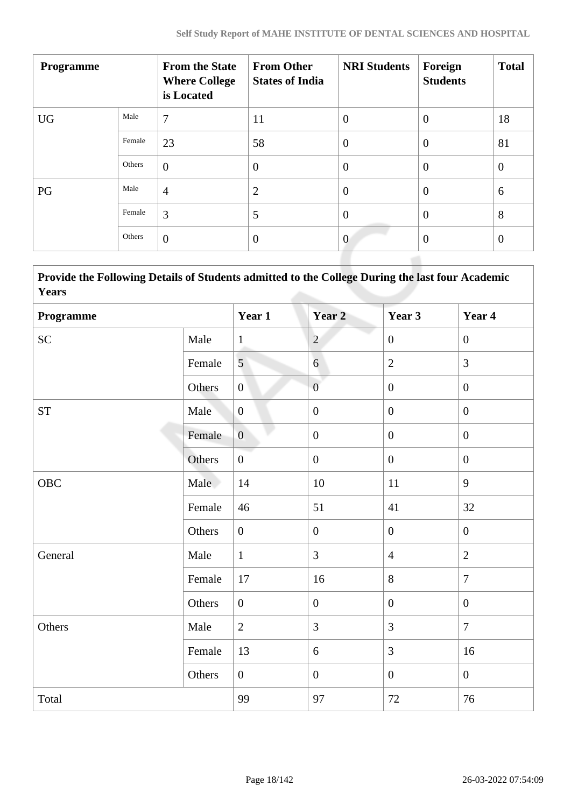| <b>Programme</b> |        | <b>From the State</b><br><b>Where College</b><br>is Located | <b>From Other</b><br><b>States of India</b> | <b>NRI Students</b> | Foreign<br><b>Students</b> | <b>Total</b>   |
|------------------|--------|-------------------------------------------------------------|---------------------------------------------|---------------------|----------------------------|----------------|
| <b>UG</b>        | Male   | 7                                                           | 11                                          | $\overline{0}$      | $\overline{0}$             | 18             |
|                  | Female | 23                                                          | 58                                          | $\overline{0}$      | $\overline{0}$             | 81             |
|                  | Others | $\overline{0}$                                              | $\theta$                                    | $\overline{0}$      | $\theta$                   | $\overline{0}$ |
| PG               | Male   | $\overline{4}$                                              | $\overline{2}$                              | $\overline{0}$      | $\theta$                   | 6              |
|                  | Female | 3                                                           | 5                                           | $\overline{0}$      | $\overline{0}$             | 8              |
|                  | Others | $\overline{0}$                                              | $\overline{0}$                              | $\overline{0}$      | $\theta$                   | $\overline{0}$ |

 **Provide the Following Details of Students admitted to the College During the last four Academic Years**

| Programme          |        | Year 1         | Year 2           | Year 3           | Year 4           |
|--------------------|--------|----------------|------------------|------------------|------------------|
| <b>SC</b>          | Male   | $\mathbf{1}$   | $\overline{2}$   | $\overline{0}$   | $\overline{0}$   |
|                    | Female | 5 <sup>5</sup> | 6                | $\overline{2}$   | 3                |
|                    | Others | $\overline{0}$ | $\boldsymbol{0}$ | $\boldsymbol{0}$ | $\boldsymbol{0}$ |
| ${\cal S}{\cal T}$ | Male   | $\overline{0}$ | $\boldsymbol{0}$ | $\boldsymbol{0}$ | $\boldsymbol{0}$ |
|                    | Female | $\overline{0}$ | $\boldsymbol{0}$ | $\boldsymbol{0}$ | $\overline{0}$   |
|                    | Others | $\overline{0}$ | $\boldsymbol{0}$ | $\boldsymbol{0}$ | $\overline{0}$   |
| OBC                | Male   | 14             | 10               | $11\,$           | 9                |
|                    | Female | 46             | 51               | 41               | 32               |
|                    | Others | $\overline{0}$ | $\boldsymbol{0}$ | $\boldsymbol{0}$ | $\boldsymbol{0}$ |
| General            | Male   | $\mathbf{1}$   | 3                | $\overline{4}$   | $\overline{2}$   |
|                    | Female | 17             | 16               | 8                | $\overline{7}$   |
|                    | Others | $\overline{0}$ | $\boldsymbol{0}$ | $\boldsymbol{0}$ | $\overline{0}$   |
| Others             | Male   | $\overline{2}$ | $\overline{3}$   | $\overline{3}$   | $\overline{7}$   |
|                    | Female | 13             | 6                | $\overline{3}$   | 16               |
|                    | Others | $\overline{0}$ | $\boldsymbol{0}$ | $\overline{0}$   | $\overline{0}$   |
| Total              |        | 99             | 97               | 72               | 76               |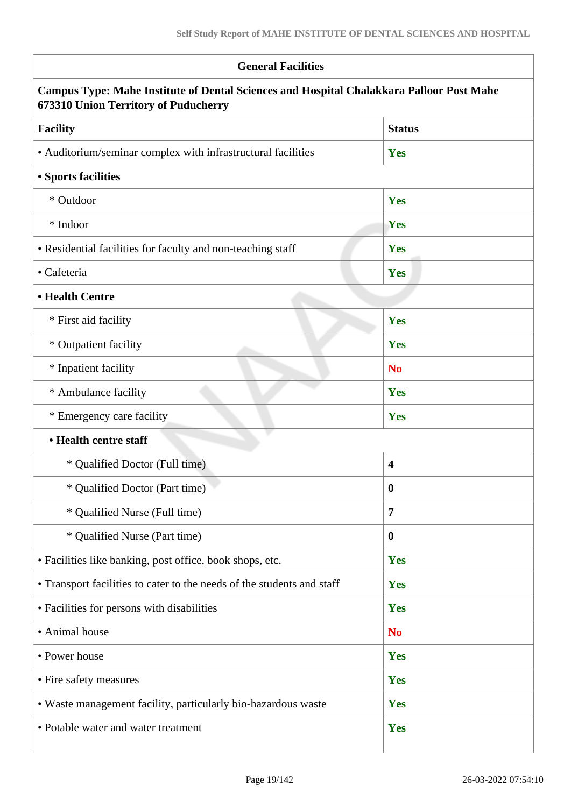| <b>General Facilities</b>                                                                                                        |                         |  |  |  |
|----------------------------------------------------------------------------------------------------------------------------------|-------------------------|--|--|--|
| Campus Type: Mahe Institute of Dental Sciences and Hospital Chalakkara Palloor Post Mahe<br>673310 Union Territory of Puducherry |                         |  |  |  |
| <b>Facility</b>                                                                                                                  | <b>Status</b>           |  |  |  |
| • Auditorium/seminar complex with infrastructural facilities                                                                     | Yes                     |  |  |  |
| <b>• Sports facilities</b>                                                                                                       |                         |  |  |  |
| * Outdoor                                                                                                                        | Yes                     |  |  |  |
| * Indoor                                                                                                                         | Yes                     |  |  |  |
| • Residential facilities for faculty and non-teaching staff                                                                      | Yes                     |  |  |  |
| • Cafeteria                                                                                                                      | Yes                     |  |  |  |
| • Health Centre                                                                                                                  |                         |  |  |  |
| * First aid facility                                                                                                             | Yes                     |  |  |  |
| * Outpatient facility                                                                                                            | Yes                     |  |  |  |
| * Inpatient facility                                                                                                             | N <sub>0</sub>          |  |  |  |
| * Ambulance facility                                                                                                             | Yes                     |  |  |  |
| * Emergency care facility                                                                                                        | Yes                     |  |  |  |
| • Health centre staff                                                                                                            |                         |  |  |  |
| * Qualified Doctor (Full time)                                                                                                   | $\overline{\mathbf{4}}$ |  |  |  |
| * Qualified Doctor (Part time)                                                                                                   | $\boldsymbol{0}$        |  |  |  |
| * Qualified Nurse (Full time)                                                                                                    | $\overline{7}$          |  |  |  |
| * Qualified Nurse (Part time)                                                                                                    | $\bf{0}$                |  |  |  |
| • Facilities like banking, post office, book shops, etc.                                                                         | Yes                     |  |  |  |
| • Transport facilities to cater to the needs of the students and staff                                                           | Yes                     |  |  |  |
| • Facilities for persons with disabilities                                                                                       | Yes                     |  |  |  |
| • Animal house                                                                                                                   | <b>No</b>               |  |  |  |
| • Power house                                                                                                                    | Yes                     |  |  |  |
| • Fire safety measures                                                                                                           | Yes                     |  |  |  |
| • Waste management facility, particularly bio-hazardous waste                                                                    | Yes                     |  |  |  |
| • Potable water and water treatment                                                                                              | Yes                     |  |  |  |

Ī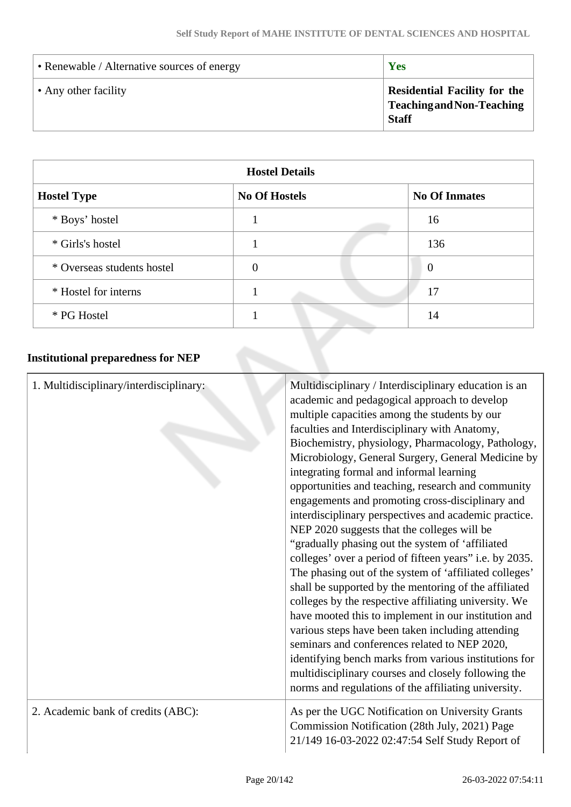| • Renewable / Alternative sources of energy | Yes                                                                              |
|---------------------------------------------|----------------------------------------------------------------------------------|
| • Any other facility                        | <b>Residential Facility for the</b><br>Teaching and Non-Teaching<br><b>Staff</b> |

| <b>Hostel Details</b>      |                      |                      |  |  |
|----------------------------|----------------------|----------------------|--|--|
| <b>Hostel Type</b>         | <b>No Of Hostels</b> | <b>No Of Inmates</b> |  |  |
| * Boys' hostel             |                      | 16                   |  |  |
| * Girls's hostel           |                      | 136                  |  |  |
| * Overseas students hostel | $\theta$             | $\overline{0}$       |  |  |
| * Hostel for interns       |                      | 17                   |  |  |
| * PG Hostel                |                      | 14                   |  |  |

### **Institutional preparedness for NEP**

| 1. Multidisciplinary/interdisciplinary: | Multidisciplinary / Interdisciplinary education is an   |
|-----------------------------------------|---------------------------------------------------------|
|                                         | academic and pedagogical approach to develop            |
|                                         | multiple capacities among the students by our           |
|                                         | faculties and Interdisciplinary with Anatomy,           |
|                                         | Biochemistry, physiology, Pharmacology, Pathology,      |
|                                         | Microbiology, General Surgery, General Medicine by      |
|                                         | integrating formal and informal learning                |
|                                         | opportunities and teaching, research and community      |
|                                         | engagements and promoting cross-disciplinary and        |
|                                         | interdisciplinary perspectives and academic practice.   |
|                                         | NEP 2020 suggests that the colleges will be             |
|                                         | "gradually phasing out the system of 'affiliated        |
|                                         | colleges' over a period of fifteen years" i.e. by 2035. |
|                                         | The phasing out of the system of 'affiliated colleges'  |
|                                         | shall be supported by the mentoring of the affiliated   |
|                                         | colleges by the respective affiliating university. We   |
|                                         | have mooted this to implement in our institution and    |
|                                         | various steps have been taken including attending       |
|                                         | seminars and conferences related to NEP 2020,           |
|                                         | identifying bench marks from various institutions for   |
|                                         | multidisciplinary courses and closely following the     |
|                                         | norms and regulations of the affiliating university.    |
|                                         |                                                         |
| 2. Academic bank of credits (ABC):      | As per the UGC Notification on University Grants        |
|                                         | Commission Notification (28th July, 2021) Page          |
|                                         | 21/149 16-03-2022 02:47:54 Self Study Report of         |
|                                         |                                                         |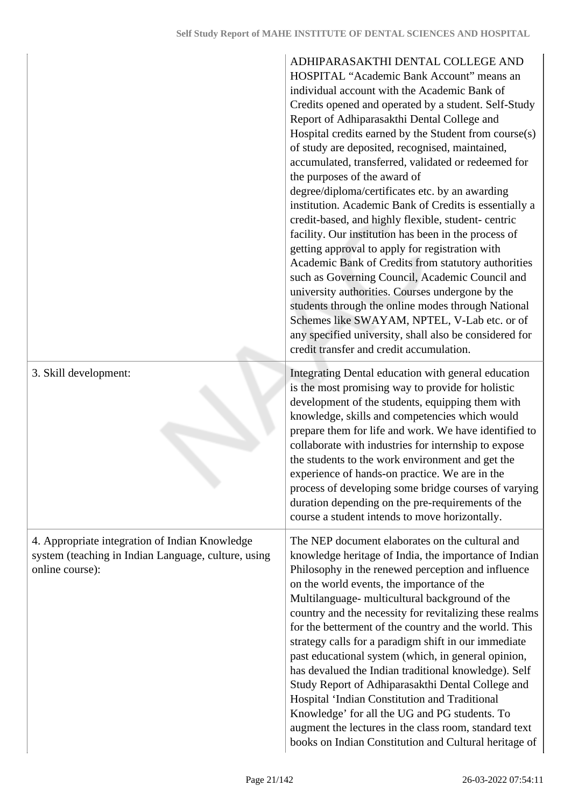|                                                                                                                          | ADHIPARASAKTHI DENTAL COLLEGE AND<br>HOSPITAL "Academic Bank Account" means an<br>individual account with the Academic Bank of<br>Credits opened and operated by a student. Self-Study<br>Report of Adhiparasakthi Dental College and<br>Hospital credits earned by the Student from course(s)<br>of study are deposited, recognised, maintained,<br>accumulated, transferred, validated or redeemed for<br>the purposes of the award of<br>degree/diploma/certificates etc. by an awarding<br>institution. Academic Bank of Credits is essentially a<br>credit-based, and highly flexible, student-centric<br>facility. Our institution has been in the process of<br>getting approval to apply for registration with<br>Academic Bank of Credits from statutory authorities<br>such as Governing Council, Academic Council and<br>university authorities. Courses undergone by the<br>students through the online modes through National<br>Schemes like SWAYAM, NPTEL, V-Lab etc. or of<br>any specified university, shall also be considered for<br>credit transfer and credit accumulation. |
|--------------------------------------------------------------------------------------------------------------------------|--------------------------------------------------------------------------------------------------------------------------------------------------------------------------------------------------------------------------------------------------------------------------------------------------------------------------------------------------------------------------------------------------------------------------------------------------------------------------------------------------------------------------------------------------------------------------------------------------------------------------------------------------------------------------------------------------------------------------------------------------------------------------------------------------------------------------------------------------------------------------------------------------------------------------------------------------------------------------------------------------------------------------------------------------------------------------------------------------|
| 3. Skill development:                                                                                                    | Integrating Dental education with general education<br>is the most promising way to provide for holistic<br>development of the students, equipping them with<br>knowledge, skills and competencies which would<br>prepare them for life and work. We have identified to<br>collaborate with industries for internship to expose<br>the students to the work environment and get the<br>experience of hands-on practice. We are in the<br>process of developing some bridge courses of varying<br>duration depending on the pre-requirements of the<br>course a student intends to move horizontally.                                                                                                                                                                                                                                                                                                                                                                                                                                                                                             |
| 4. Appropriate integration of Indian Knowledge<br>system (teaching in Indian Language, culture, using<br>online course): | The NEP document elaborates on the cultural and<br>knowledge heritage of India, the importance of Indian<br>Philosophy in the renewed perception and influence<br>on the world events, the importance of the<br>Multilanguage- multicultural background of the<br>country and the necessity for revitalizing these realms<br>for the betterment of the country and the world. This<br>strategy calls for a paradigm shift in our immediate<br>past educational system (which, in general opinion,<br>has devalued the Indian traditional knowledge). Self<br>Study Report of Adhiparasakthi Dental College and<br>Hospital 'Indian Constitution and Traditional<br>Knowledge' for all the UG and PG students. To<br>augment the lectures in the class room, standard text<br>books on Indian Constitution and Cultural heritage of                                                                                                                                                                                                                                                               |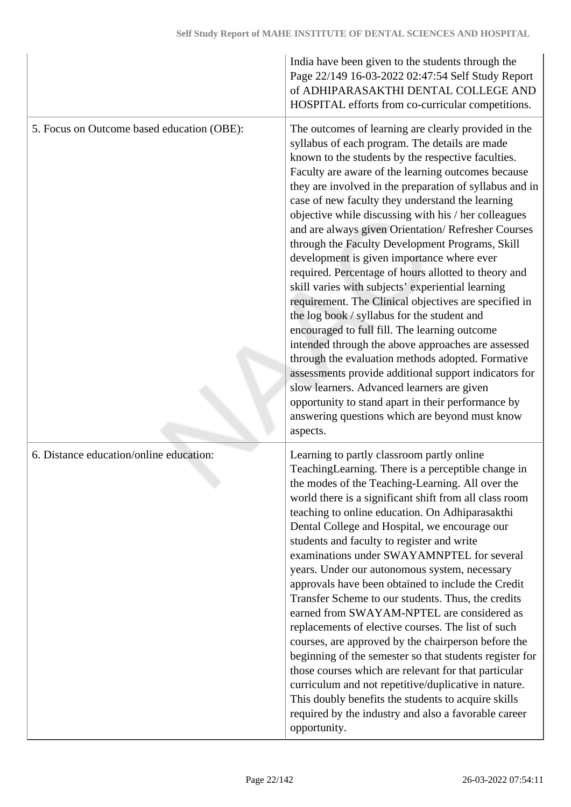|                                            | India have been given to the students through the<br>Page 22/149 16-03-2022 02:47:54 Self Study Report<br>of ADHIPARASAKTHI DENTAL COLLEGE AND<br>HOSPITAL efforts from co-curricular competitions.                                                                                                                                                                                                                                                                                                                                                                                                                                                                                                                                                                                                                                                                                                                                                                                                                                                                                                                                                          |
|--------------------------------------------|--------------------------------------------------------------------------------------------------------------------------------------------------------------------------------------------------------------------------------------------------------------------------------------------------------------------------------------------------------------------------------------------------------------------------------------------------------------------------------------------------------------------------------------------------------------------------------------------------------------------------------------------------------------------------------------------------------------------------------------------------------------------------------------------------------------------------------------------------------------------------------------------------------------------------------------------------------------------------------------------------------------------------------------------------------------------------------------------------------------------------------------------------------------|
| 5. Focus on Outcome based education (OBE): | The outcomes of learning are clearly provided in the<br>syllabus of each program. The details are made<br>known to the students by the respective faculties.<br>Faculty are aware of the learning outcomes because<br>they are involved in the preparation of syllabus and in<br>case of new faculty they understand the learning<br>objective while discussing with his / her colleagues<br>and are always given Orientation/Refresher Courses<br>through the Faculty Development Programs, Skill<br>development is given importance where ever<br>required. Percentage of hours allotted to theory and<br>skill varies with subjects' experiential learning<br>requirement. The Clinical objectives are specified in<br>the log book / syllabus for the student and<br>encouraged to full fill. The learning outcome<br>intended through the above approaches are assessed<br>through the evaluation methods adopted. Formative<br>assessments provide additional support indicators for<br>slow learners. Advanced learners are given<br>opportunity to stand apart in their performance by<br>answering questions which are beyond must know<br>aspects. |
| 6. Distance education/online education:    | Learning to partly classroom partly online<br>TeachingLearning. There is a perceptible change in<br>the modes of the Teaching-Learning. All over the<br>world there is a significant shift from all class room<br>teaching to online education. On Adhiparasakthi<br>Dental College and Hospital, we encourage our<br>students and faculty to register and write<br>examinations under SWAYAMNPTEL for several<br>years. Under our autonomous system, necessary<br>approvals have been obtained to include the Credit<br>Transfer Scheme to our students. Thus, the credits<br>earned from SWAYAM-NPTEL are considered as<br>replacements of elective courses. The list of such<br>courses, are approved by the chairperson before the<br>beginning of the semester so that students register for<br>those courses which are relevant for that particular<br>curriculum and not repetitive/duplicative in nature.<br>This doubly benefits the students to acquire skills<br>required by the industry and also a favorable career<br>opportunity.                                                                                                             |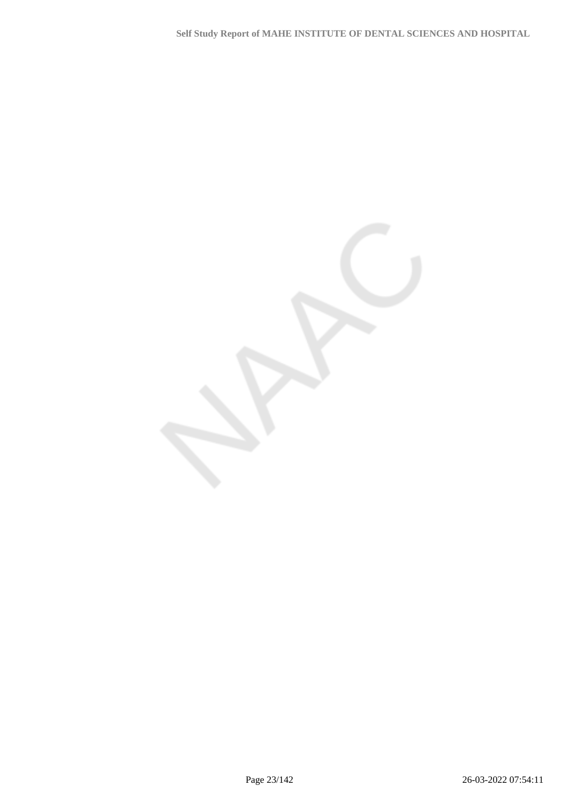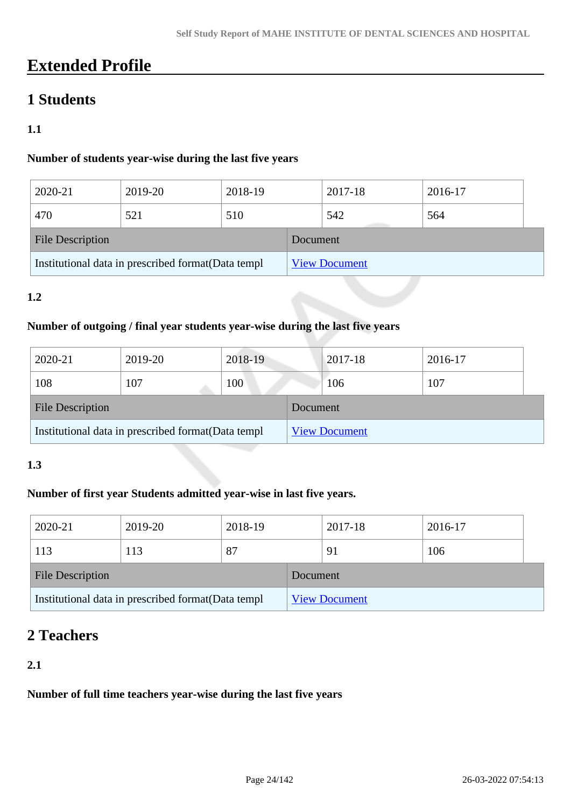## **Extended Profile**

### **1 Students**

#### **1.1**

#### **Number of students year-wise during the last five years**

| 2020-21<br>2019-20<br>2018-19                       |     |     |                      | 2017-18    | 2016-17 |  |  |
|-----------------------------------------------------|-----|-----|----------------------|------------|---------|--|--|
| 470                                                 | 521 | 510 |                      | 542<br>564 |         |  |  |
| File Description                                    |     |     | Document             |            |         |  |  |
| Institutional data in prescribed format (Data templ |     |     | <b>View Document</b> |            |         |  |  |

#### **1.2**

#### **Number of outgoing / final year students year-wise during the last five years**

| 2020-21<br>2019-20<br>2018-19                       |     |     |  | 2017-18              | 2016-17 |  |  |
|-----------------------------------------------------|-----|-----|--|----------------------|---------|--|--|
| 108                                                 | 107 | 100 |  | 106                  | 107     |  |  |
| <b>File Description</b>                             |     |     |  | Document             |         |  |  |
| Institutional data in prescribed format (Data templ |     |     |  | <b>View Document</b> |         |  |  |

#### **1.3**

#### **Number of first year Students admitted year-wise in last five years.**

| 2019-20<br>2020-21<br>2018-19                       |  |  | 2017-18              |  | 2016-17 |  |  |
|-----------------------------------------------------|--|--|----------------------|--|---------|--|--|
| 113<br>113<br>87                                    |  |  | 91                   |  | 106     |  |  |
| <b>File Description</b>                             |  |  | Document             |  |         |  |  |
| Institutional data in prescribed format (Data templ |  |  | <b>View Document</b> |  |         |  |  |

### **2 Teachers**

#### **2.1**

#### **Number of full time teachers year-wise during the last five years**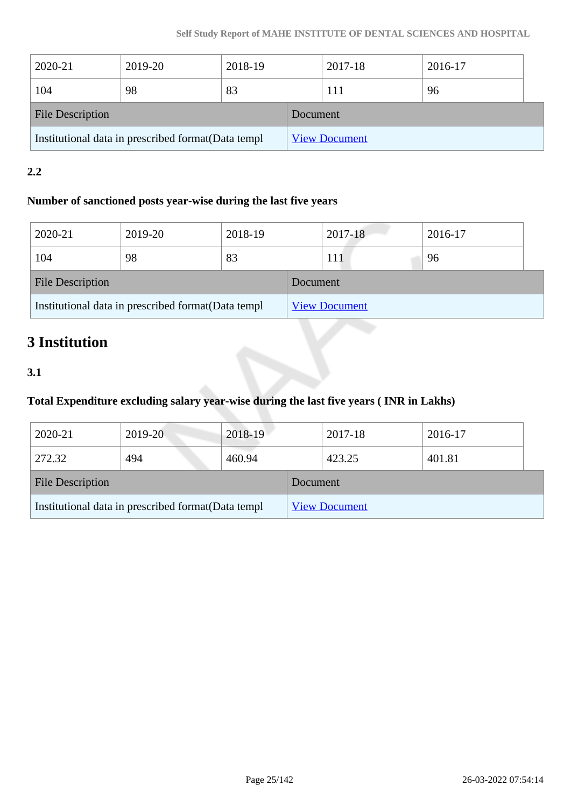| 2020-21                                             | 2019-20 | 2018-19 |                      | 2017-18<br>2016-17 |  |  |  |
|-----------------------------------------------------|---------|---------|----------------------|--------------------|--|--|--|
| 104                                                 | 98      | 83      |                      | 96<br>111          |  |  |  |
| <b>File Description</b>                             |         |         | Document             |                    |  |  |  |
| Institutional data in prescribed format (Data templ |         |         | <b>View Document</b> |                    |  |  |  |

#### **2.2**

#### **Number of sanctioned posts year-wise during the last five years**

| 2020-21<br>2019-20<br>2018-19                       |    | 2017-18<br>2016-17 |                      |     |    |  |  |
|-----------------------------------------------------|----|--------------------|----------------------|-----|----|--|--|
| 104                                                 | 98 | 83                 |                      | 111 | 96 |  |  |
| <b>File Description</b>                             |    |                    | Document             |     |    |  |  |
| Institutional data in prescribed format (Data templ |    |                    | <b>View Document</b> |     |    |  |  |

## **3 Institution**

#### **3.1**

#### **Total Expenditure excluding salary year-wise during the last five years ( INR in Lakhs)**

| 2019-20<br>2018-19<br>2020-21                       |     | 2017-18<br>2016-17 |                      |        |        |  |
|-----------------------------------------------------|-----|--------------------|----------------------|--------|--------|--|
| 272.32                                              | 494 | 460.94             |                      | 423.25 | 401.81 |  |
| <b>File Description</b>                             |     |                    | Document             |        |        |  |
| Institutional data in prescribed format (Data templ |     |                    | <b>View Document</b> |        |        |  |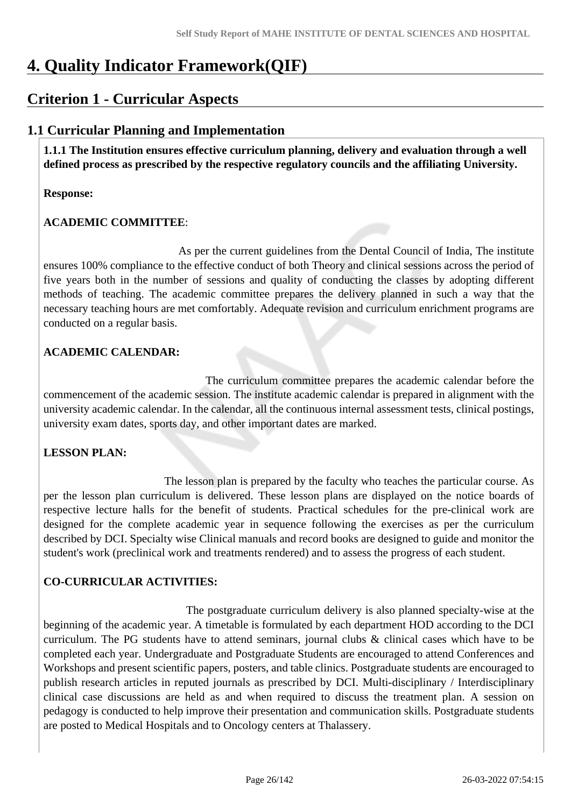## **4. Quality Indicator Framework(QIF)**

### **Criterion 1 - Curricular Aspects**

#### **1.1 Curricular Planning and Implementation**

 **1.1.1 The Institution ensures effective curriculum planning, delivery and evaluation through a well defined process as prescribed by the respective regulatory councils and the affiliating University.**

**Response:** 

#### **ACADEMIC COMMITTEE**:

 As per the current guidelines from the Dental Council of India, The institute ensures 100% compliance to the effective conduct of both Theory and clinical sessions across the period of five years both in the number of sessions and quality of conducting the classes by adopting different methods of teaching. The academic committee prepares the delivery planned in such a way that the necessary teaching hours are met comfortably. Adequate revision and curriculum enrichment programs are conducted on a regular basis.

#### **ACADEMIC CALENDAR:**

 The curriculum committee prepares the academic calendar before the commencement of the academic session. The institute academic calendar is prepared in alignment with the university academic calendar. In the calendar, all the continuous internal assessment tests, clinical postings, university exam dates, sports day, and other important dates are marked.

#### **LESSON PLAN:**

 The lesson plan is prepared by the faculty who teaches the particular course. As per the lesson plan curriculum is delivered. These lesson plans are displayed on the notice boards of respective lecture halls for the benefit of students. Practical schedules for the pre-clinical work are designed for the complete academic year in sequence following the exercises as per the curriculum described by DCI. Specialty wise Clinical manuals and record books are designed to guide and monitor the student's work (preclinical work and treatments rendered) and to assess the progress of each student.

#### **CO-CURRICULAR ACTIVITIES:**

 The postgraduate curriculum delivery is also planned specialty-wise at the beginning of the academic year. A timetable is formulated by each department HOD according to the DCI curriculum. The PG students have to attend seminars, journal clubs & clinical cases which have to be completed each year. Undergraduate and Postgraduate Students are encouraged to attend Conferences and Workshops and present scientific papers, posters, and table clinics. Postgraduate students are encouraged to publish research articles in reputed journals as prescribed by DCI. Multi-disciplinary / Interdisciplinary clinical case discussions are held as and when required to discuss the treatment plan. A session on pedagogy is conducted to help improve their presentation and communication skills. Postgraduate students are posted to Medical Hospitals and to Oncology centers at Thalassery.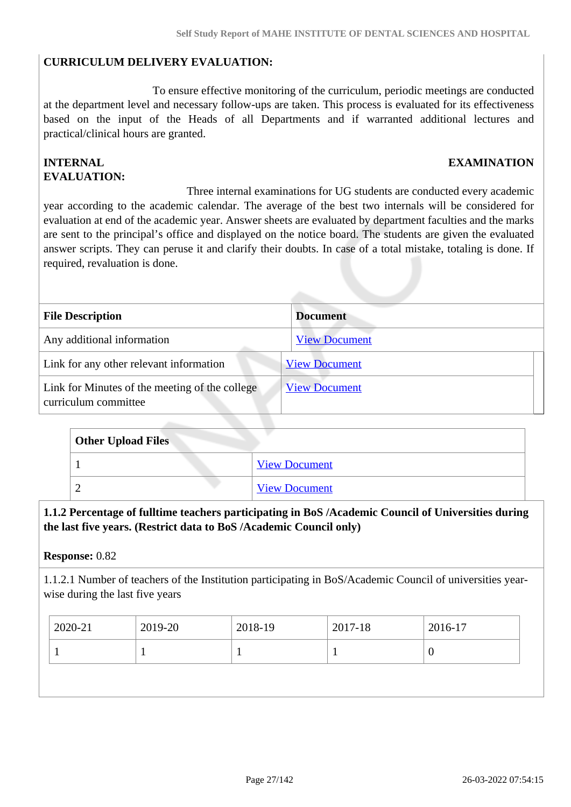#### **CURRICULUM DELIVERY EVALUATION:**

 To ensure effective monitoring of the curriculum, periodic meetings are conducted at the department level and necessary follow-ups are taken. This process is evaluated for its effectiveness based on the input of the Heads of all Departments and if warranted additional lectures and practical/clinical hours are granted.

# **EVALUATION:**

#### **INTERNAL EXAMINATION**

 Three internal examinations for UG students are conducted every academic year according to the academic calendar. The average of the best two internals will be considered for evaluation at end of the academic year. Answer sheets are evaluated by department faculties and the marks are sent to the principal's office and displayed on the notice board. The students are given the evaluated answer scripts. They can peruse it and clarify their doubts. In case of a total mistake, totaling is done. If required, revaluation is done.

| <b>File Description</b>                                                | <b>Document</b>      |
|------------------------------------------------------------------------|----------------------|
| Any additional information                                             | <b>View Document</b> |
| Link for any other relevant information                                | <b>View Document</b> |
| Link for Minutes of the meeting of the college<br>curriculum committee | <b>View Document</b> |

| <b>Other Upload Files</b> |                      |
|---------------------------|----------------------|
|                           | <b>View Document</b> |
|                           | <b>View Document</b> |

 **1.1.2 Percentage of fulltime teachers participating in BoS /Academic Council of Universities during the last five years. (Restrict data to BoS /Academic Council only)**

#### **Response:** 0.82

1.1.2.1 Number of teachers of the Institution participating in BoS/Academic Council of universities yearwise during the last five years

| $2020 - 21$ | 2019-20 | 2018-19 | 2017-18 | 2016-17 |
|-------------|---------|---------|---------|---------|
|             |         |         |         | ν       |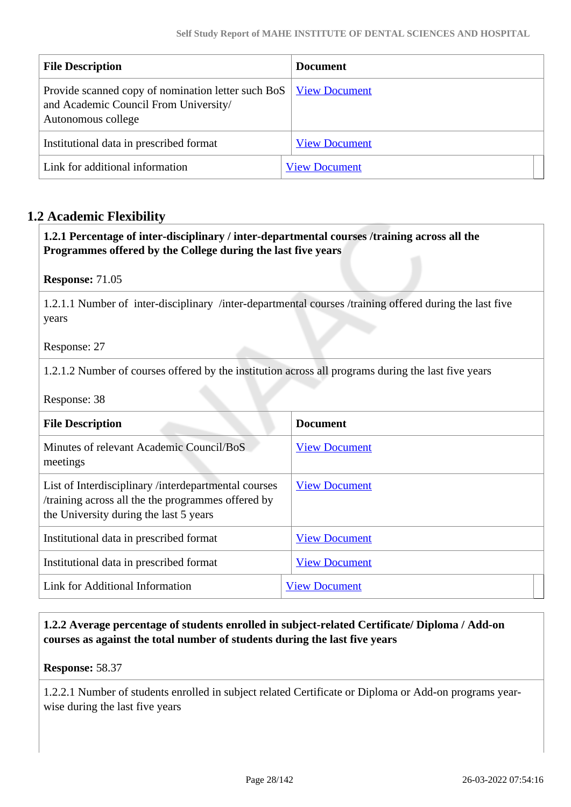| <b>File Description</b>                                                                                           | <b>Document</b>      |
|-------------------------------------------------------------------------------------------------------------------|----------------------|
| Provide scanned copy of nomination letter such BoS<br>and Academic Council From University/<br>Autonomous college | <b>View Document</b> |
| Institutional data in prescribed format                                                                           | <b>View Document</b> |
| Link for additional information                                                                                   | <b>View Document</b> |

#### **1.2 Academic Flexibility**

 **1.2.1 Percentage of inter-disciplinary / inter-departmental courses /training across all the Programmes offered by the College during the last five years** 

**Response:** 71.05

1.2.1.1 Number of inter-disciplinary /inter-departmental courses /training offered during the last five years

Response: 27

1.2.1.2 Number of courses offered by the institution across all programs during the last five years

Response: 38

| <b>File Description</b>                                                                                                                              | <b>Document</b>      |
|------------------------------------------------------------------------------------------------------------------------------------------------------|----------------------|
| Minutes of relevant Academic Council/BoS<br>meetings                                                                                                 | <b>View Document</b> |
| List of Interdisciplinary /interdepartmental courses<br>/training across all the the programmes offered by<br>the University during the last 5 years | <b>View Document</b> |
| Institutional data in prescribed format                                                                                                              | <b>View Document</b> |
| Institutional data in prescribed format                                                                                                              | <b>View Document</b> |
| Link for Additional Information                                                                                                                      | <b>View Document</b> |

#### **1.2.2 Average percentage of students enrolled in subject-related Certificate/ Diploma / Add-on courses as against the total number of students during the last five years**

**Response:** 58.37

1.2.2.1 Number of students enrolled in subject related Certificate or Diploma or Add-on programs yearwise during the last five years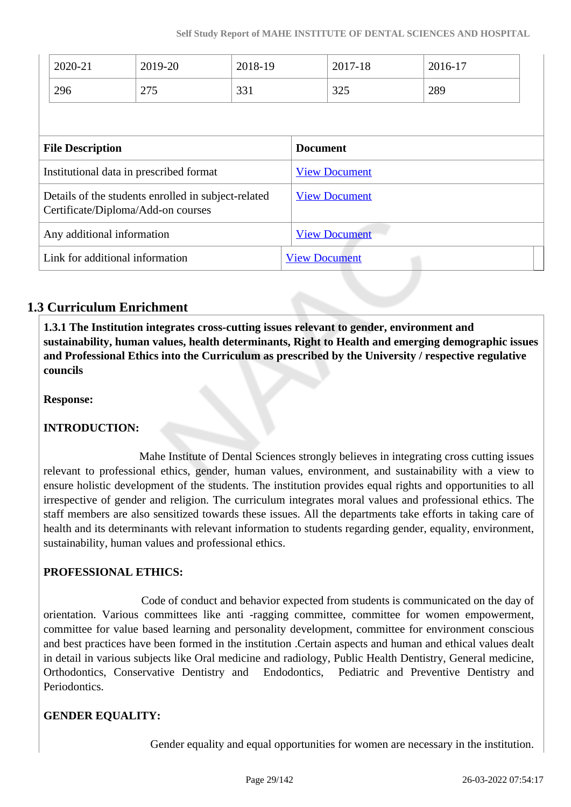| 2020-21<br>2019-20<br>2018-19                                                             |                         |     |                      | 2017-18         | 2016-17              |     |  |
|-------------------------------------------------------------------------------------------|-------------------------|-----|----------------------|-----------------|----------------------|-----|--|
|                                                                                           | 296                     | 275 | 331                  |                 | 325                  | 289 |  |
|                                                                                           |                         |     |                      |                 |                      |     |  |
|                                                                                           |                         |     |                      |                 |                      |     |  |
|                                                                                           | <b>File Description</b> |     |                      | <b>Document</b> |                      |     |  |
| Institutional data in prescribed format                                                   |                         |     |                      |                 | <b>View Document</b> |     |  |
| Details of the students enrolled in subject-related<br>Certificate/Diploma/Add-on courses |                         |     |                      |                 | <b>View Document</b> |     |  |
| Any additional information                                                                |                         |     | <b>View Document</b> |                 |                      |     |  |
| Link for additional information                                                           |                         |     | <b>View Document</b> |                 |                      |     |  |
|                                                                                           |                         |     |                      |                 |                      |     |  |

#### **1.3 Curriculum Enrichment**

 **1.3.1 The Institution integrates cross-cutting issues relevant to gender, environment and sustainability, human values, health determinants, Right to Health and emerging demographic issues and Professional Ethics into the Curriculum as prescribed by the University / respective regulative councils**

**Response:** 

**INTRODUCTION:**

 Mahe Institute of Dental Sciences strongly believes in integrating cross cutting issues relevant to professional ethics, gender, human values, environment, and sustainability with a view to ensure holistic development of the students. The institution provides equal rights and opportunities to all irrespective of gender and religion. The curriculum integrates moral values and professional ethics. The staff members are also sensitized towards these issues. All the departments take efforts in taking care of health and its determinants with relevant information to students regarding gender, equality, environment, sustainability, human values and professional ethics.

#### **PROFESSIONAL ETHICS:**

 Code of conduct and behavior expected from students is communicated on the day of orientation. Various committees like anti -ragging committee, committee for women empowerment, committee for value based learning and personality development, committee for environment conscious and best practices have been formed in the institution .Certain aspects and human and ethical values dealt in detail in various subjects like Oral medicine and radiology, Public Health Dentistry, General medicine, Orthodontics, Conservative Dentistry and Endodontics, Pediatric and Preventive Dentistry and Periodontics.

#### **GENDER EQUALITY:**

Gender equality and equal opportunities for women are necessary in the institution.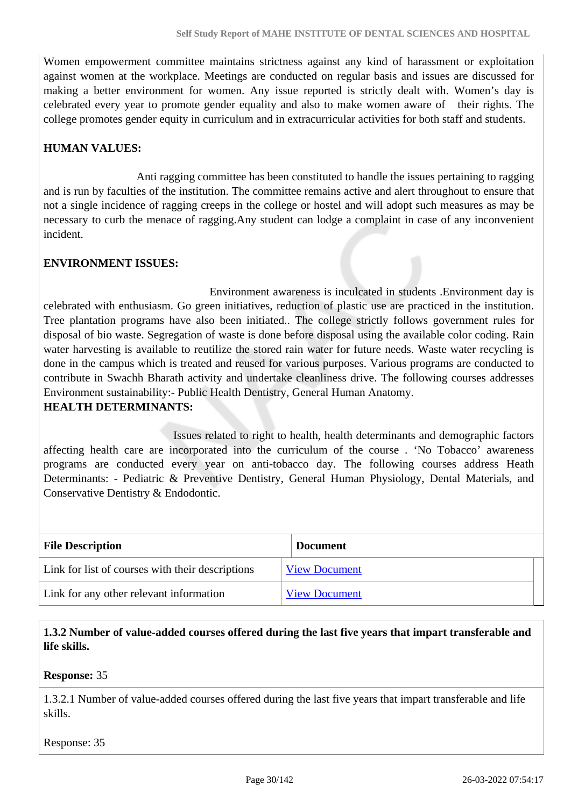Women empowerment committee maintains strictness against any kind of harassment or exploitation against women at the workplace. Meetings are conducted on regular basis and issues are discussed for making a better environment for women. Any issue reported is strictly dealt with. Women's day is celebrated every year to promote gender equality and also to make women aware of their rights. The college promotes gender equity in curriculum and in extracurricular activities for both staff and students.

#### **HUMAN VALUES:**

 Anti ragging committee has been constituted to handle the issues pertaining to ragging and is run by faculties of the institution. The committee remains active and alert throughout to ensure that not a single incidence of ragging creeps in the college or hostel and will adopt such measures as may be necessary to curb the menace of ragging.Any student can lodge a complaint in case of any inconvenient incident.

#### **ENVIRONMENT ISSUES:**

 Environment awareness is inculcated in students .Environment day is celebrated with enthusiasm. Go green initiatives, reduction of plastic use are practiced in the institution. Tree plantation programs have also been initiated.. The college strictly follows government rules for disposal of bio waste. Segregation of waste is done before disposal using the available color coding. Rain water harvesting is available to reutilize the stored rain water for future needs. Waste water recycling is done in the campus which is treated and reused for various purposes. Various programs are conducted to contribute in Swachh Bharath activity and undertake cleanliness drive. The following courses addresses Environment sustainability:- Public Health Dentistry, General Human Anatomy.

#### **HEALTH DETERMINANTS:**

 Issues related to right to health, health determinants and demographic factors affecting health care are incorporated into the curriculum of the course . 'No Tobacco' awareness programs are conducted every year on anti-tobacco day. The following courses address Heath Determinants: - Pediatric & Preventive Dentistry, General Human Physiology, Dental Materials, and Conservative Dentistry & Endodontic.

| <b>File Description</b>                          | <b>Document</b>      |
|--------------------------------------------------|----------------------|
| Link for list of courses with their descriptions | <b>View Document</b> |
| Link for any other relevant information          | <b>View Document</b> |

#### **1.3.2 Number of value-added courses offered during the last five years that impart transferable and life skills.**

#### **Response:** 35

1.3.2.1 Number of value-added courses offered during the last five years that impart transferable and life skills.

Response: 35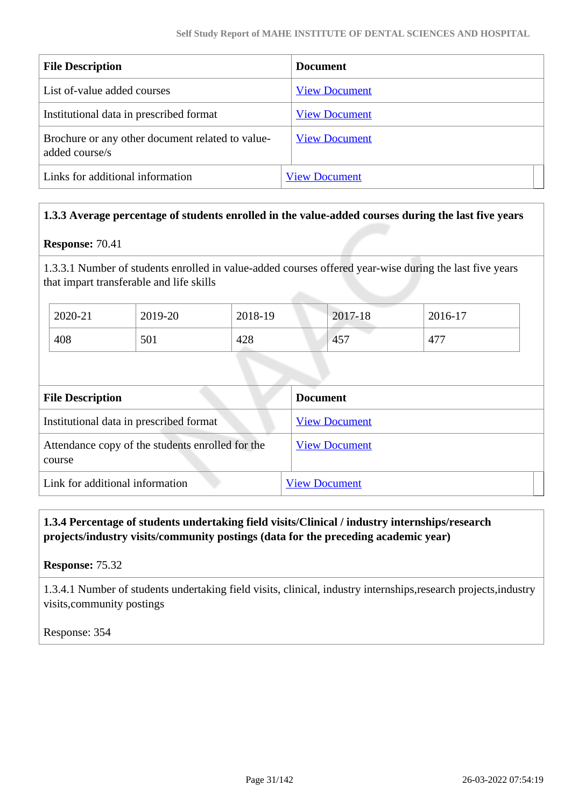| <b>File Description</b>                                            | <b>Document</b>      |
|--------------------------------------------------------------------|----------------------|
| List of-value added courses                                        | <b>View Document</b> |
| Institutional data in prescribed format                            | <b>View Document</b> |
| Brochure or any other document related to value-<br>added course/s | <b>View Document</b> |
| Links for additional information                                   | <b>View Document</b> |

#### **1.3.3 Average percentage of students enrolled in the value-added courses during the last five years**

#### **Response:** 70.41

1.3.3.1 Number of students enrolled in value-added courses offered year-wise during the last five years that impart transferable and life skills

| 2020-21 | 2019-20 | 2018-19 | 2017-18         | 2016-17 |
|---------|---------|---------|-----------------|---------|
| 408     | 501     | 428     | 45 <sup>7</sup> | $47-$   |

| <b>File Description</b>                                    | <b>Document</b>      |
|------------------------------------------------------------|----------------------|
| Institutional data in prescribed format                    | <b>View Document</b> |
| Attendance copy of the students enrolled for the<br>course | <b>View Document</b> |
| Link for additional information                            | <b>View Document</b> |

 **1.3.4 Percentage of students undertaking field visits/Clinical / industry internships/research projects/industry visits/community postings (data for the preceding academic year)**

**Response:** 75.32

1.3.4.1 Number of students undertaking field visits, clinical, industry internships,research projects,industry visits,community postings

Response: 354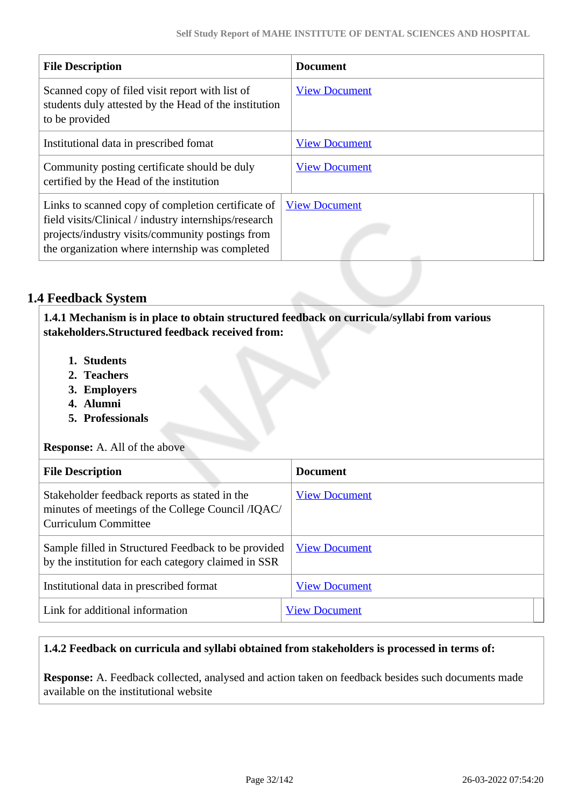| <b>File Description</b>                                                                                                                                                                                            | <b>Document</b>      |
|--------------------------------------------------------------------------------------------------------------------------------------------------------------------------------------------------------------------|----------------------|
| Scanned copy of filed visit report with list of<br>students duly attested by the Head of the institution<br>to be provided                                                                                         | <b>View Document</b> |
| Institutional data in prescribed fomat                                                                                                                                                                             | <b>View Document</b> |
| Community posting certificate should be duly<br>certified by the Head of the institution                                                                                                                           | <b>View Document</b> |
| Links to scanned copy of completion certificate of<br>field visits/Clinical / industry internships/research<br>projects/industry visits/community postings from<br>the organization where internship was completed | <b>View Document</b> |

#### **1.4 Feedback System**

 **1.4.1 Mechanism is in place to obtain structured feedback on curricula/syllabi from various stakeholders.Structured feedback received from:**

- **1. Students**
- **2. Teachers**
- **3. Employers**
- **4. Alumni**
- **5. Professionals**

**Response:** A. All of the above

| <b>File Description</b>                                                                                                           | <b>Document</b>      |
|-----------------------------------------------------------------------------------------------------------------------------------|----------------------|
| Stakeholder feedback reports as stated in the<br>minutes of meetings of the College Council /IQAC/<br><b>Curriculum Committee</b> | <b>View Document</b> |
| Sample filled in Structured Feedback to be provided<br>by the institution for each category claimed in SSR                        | <b>View Document</b> |
| Institutional data in prescribed format                                                                                           | <b>View Document</b> |
| Link for additional information                                                                                                   | <b>View Document</b> |

#### **1.4.2 Feedback on curricula and syllabi obtained from stakeholders is processed in terms of:**

**Response:** A. Feedback collected, analysed and action taken on feedback besides such documents made available on the institutional website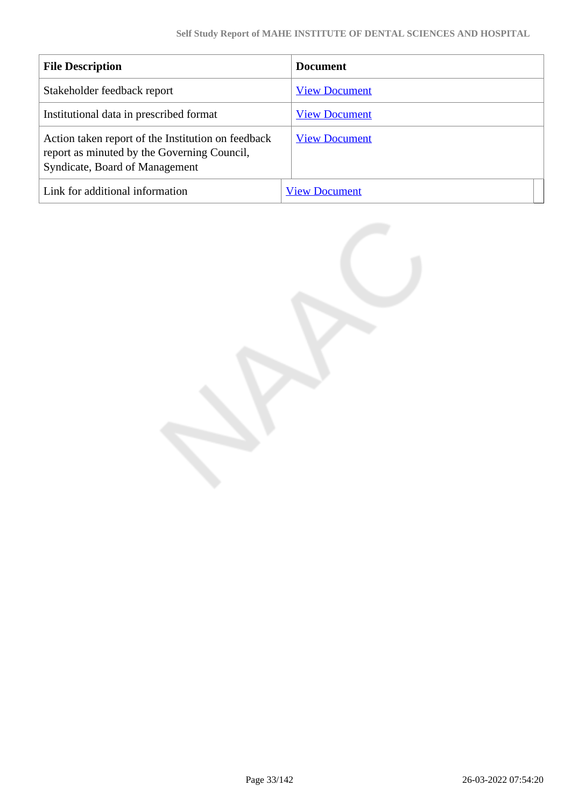| <b>File Description</b>                                                                                                             | <b>Document</b>      |
|-------------------------------------------------------------------------------------------------------------------------------------|----------------------|
| Stakeholder feedback report                                                                                                         | <b>View Document</b> |
| Institutional data in prescribed format                                                                                             | <b>View Document</b> |
| Action taken report of the Institution on feedback<br>report as minuted by the Governing Council,<br>Syndicate, Board of Management | <b>View Document</b> |
| Link for additional information                                                                                                     | <b>View Document</b> |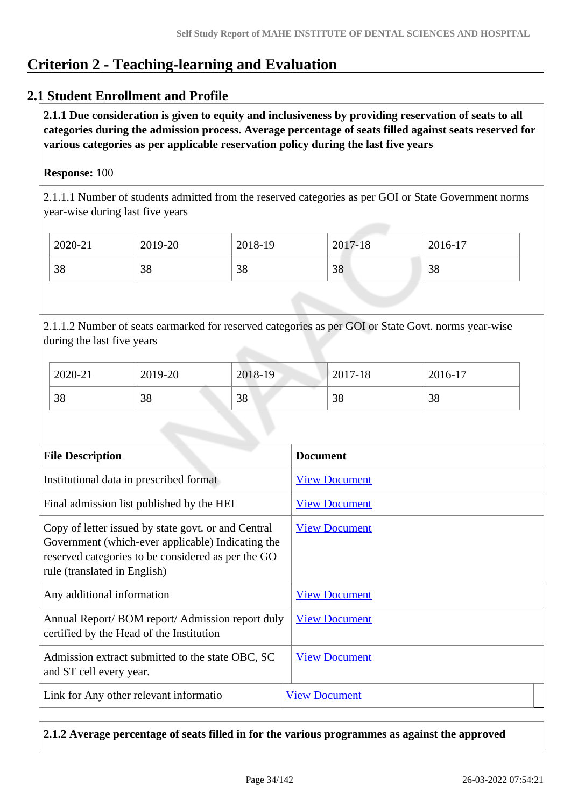### **Criterion 2 - Teaching-learning and Evaluation**

#### **2.1 Student Enrollment and Profile**

 **2.1.1 Due consideration is given to equity and inclusiveness by providing reservation of seats to all categories during the admission process. Average percentage of seats filled against seats reserved for various categories as per applicable reservation policy during the last five years**

#### **Response:** 100

2.1.1.1 Number of students admitted from the reserved categories as per GOI or State Government norms year-wise during last five years

| 2020-21 | 2019-20 | 2018-19 | 2017-18 | 2016-17 |
|---------|---------|---------|---------|---------|
| 38      | 38      | 38      | 38      | 38      |

2.1.1.2 Number of seats earmarked for reserved categories as per GOI or State Govt. norms year-wise during the last five years

| 2020-21 | 2019-20 | 2018-19 | $2017 - 18$    | 2016-17 |
|---------|---------|---------|----------------|---------|
| 38      | 38      | 38      | $\gamma$<br>эo | 38      |

| <b>File Description</b>                                                                                                                                                                        | <b>Document</b>      |
|------------------------------------------------------------------------------------------------------------------------------------------------------------------------------------------------|----------------------|
| Institutional data in prescribed format                                                                                                                                                        | <b>View Document</b> |
| Final admission list published by the HEI                                                                                                                                                      | <b>View Document</b> |
| Copy of letter issued by state govt. or and Central<br>Government (which-ever applicable) Indicating the<br>reserved categories to be considered as per the GO<br>rule (translated in English) | <b>View Document</b> |
| Any additional information                                                                                                                                                                     | <b>View Document</b> |
| Annual Report/BOM report/Admission report duly<br>certified by the Head of the Institution                                                                                                     | <b>View Document</b> |
| Admission extract submitted to the state OBC, SC<br>and ST cell every year.                                                                                                                    | <b>View Document</b> |
| Link for Any other relevant informatio                                                                                                                                                         | <b>View Document</b> |

#### **2.1.2 Average percentage of seats filled in for the various programmes as against the approved**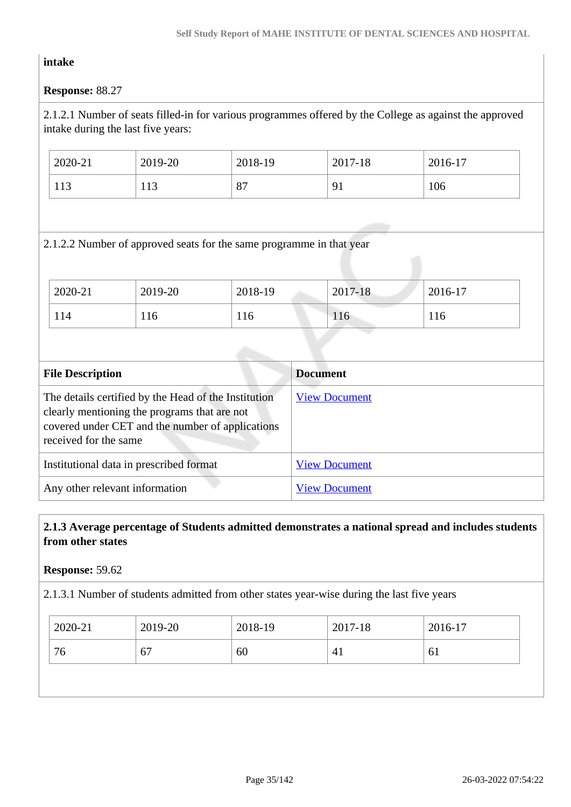#### **intake**

#### **Response:** 88.27

2.1.2.1 Number of seats filled-in for various programmes offered by the College as against the approved intake during the last five years:

| 2020-21 | 2019-20 | 2018-19 | 2017-18             | $2016-17$ |
|---------|---------|---------|---------------------|-----------|
| 113     | 113     | 87      | Q <sub>1</sub><br>╯ | 106       |

#### 2.1.2.2 Number of approved seats for the same programme in that year

| 2020-21 | 2019-20 | 2018-19 | 2017-18 | 2016-17 |
|---------|---------|---------|---------|---------|
| 114     | 116     | 116     | 116     | 116     |

| <b>File Description</b>                                                                                                                                                           | <b>Document</b>      |  |
|-----------------------------------------------------------------------------------------------------------------------------------------------------------------------------------|----------------------|--|
| The details certified by the Head of the Institution<br>clearly mentioning the programs that are not<br>covered under CET and the number of applications<br>received for the same | <b>View Document</b> |  |
| Institutional data in prescribed format                                                                                                                                           | <b>View Document</b> |  |
| Any other relevant information                                                                                                                                                    | <b>View Document</b> |  |

#### **2.1.3 Average percentage of Students admitted demonstrates a national spread and includes students from other states**

#### **Response:** 59.62

2.1.3.1 Number of students admitted from other states year-wise during the last five years

| $2020 - 21$ | 2019-20 | 2018-19 | 2017-18     | 2016-17 |
|-------------|---------|---------|-------------|---------|
| 76<br>67    |         | 60      | $4_{\star}$ | 61      |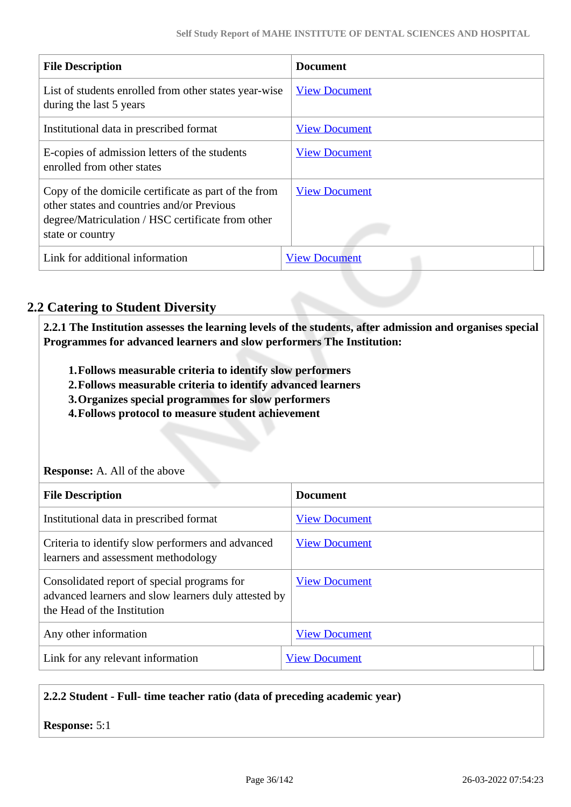| <b>File Description</b>                                                                                                                                                     | <b>Document</b>      |
|-----------------------------------------------------------------------------------------------------------------------------------------------------------------------------|----------------------|
| List of students enrolled from other states year-wise<br>during the last 5 years                                                                                            | <b>View Document</b> |
| Institutional data in prescribed format                                                                                                                                     | <b>View Document</b> |
| E-copies of admission letters of the students<br>enrolled from other states                                                                                                 | <b>View Document</b> |
| Copy of the domicile certificate as part of the from<br>other states and countries and/or Previous<br>degree/Matriculation / HSC certificate from other<br>state or country | <b>View Document</b> |
| Link for additional information                                                                                                                                             | <b>View Document</b> |

#### **2.2 Catering to Student Diversity**

 **2.2.1 The Institution assesses the learning levels of the students, after admission and organises special Programmes for advanced learners and slow performers The Institution:**

- **1.Follows measurable criteria to identify slow performers**
- **2.Follows measurable criteria to identify advanced learners**
- **3.Organizes special programmes for slow performers**
- **4.Follows protocol to measure student achievement**

#### **Response:** A. All of the above

| <b>File Description</b>                                                                                                            | <b>Document</b>      |
|------------------------------------------------------------------------------------------------------------------------------------|----------------------|
| Institutional data in prescribed format                                                                                            | <b>View Document</b> |
| Criteria to identify slow performers and advanced<br>learners and assessment methodology                                           | <b>View Document</b> |
| Consolidated report of special programs for<br>advanced learners and slow learners duly attested by<br>the Head of the Institution | <b>View Document</b> |
| Any other information                                                                                                              | <b>View Document</b> |
| Link for any relevant information                                                                                                  | <b>View Document</b> |

#### **2.2.2 Student - Full- time teacher ratio (data of preceding academic year)**

**Response:** 5:1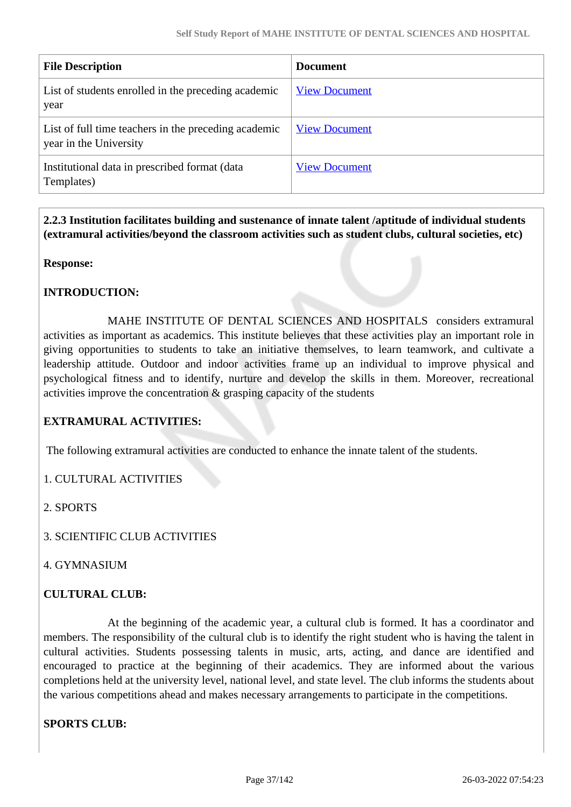| <b>File Description</b>                                                        | <b>Document</b>      |
|--------------------------------------------------------------------------------|----------------------|
| List of students enrolled in the preceding academic<br>year                    | <b>View Document</b> |
| List of full time teachers in the preceding academic<br>year in the University | <b>View Document</b> |
| Institutional data in prescribed format (data<br>Templates)                    | <b>View Document</b> |

 **2.2.3 Institution facilitates building and sustenance of innate talent /aptitude of individual students (extramural activities/beyond the classroom activities such as student clubs, cultural societies, etc)**

**Response:** 

### **INTRODUCTION:**

 MAHE INSTITUTE OF DENTAL SCIENCES AND HOSPITALS considers extramural activities as important as academics. This institute believes that these activities play an important role in giving opportunities to students to take an initiative themselves, to learn teamwork, and cultivate a leadership attitude. Outdoor and indoor activities frame up an individual to improve physical and psychological fitness and to identify, nurture and develop the skills in them. Moreover, recreational activities improve the concentration & grasping capacity of the students

## **EXTRAMURAL ACTIVITIES:**

The following extramural activities are conducted to enhance the innate talent of the students.

- 1. CULTURAL ACTIVITIES
- 2. SPORTS
- 3. SCIENTIFIC CLUB ACTIVITIES
- 4. GYMNASIUM

#### **CULTURAL CLUB:**

 At the beginning of the academic year, a cultural club is formed. It has a coordinator and members. The responsibility of the cultural club is to identify the right student who is having the talent in cultural activities. Students possessing talents in music, arts, acting, and dance are identified and encouraged to practice at the beginning of their academics. They are informed about the various completions held at the university level, national level, and state level. The club informs the students about the various competitions ahead and makes necessary arrangements to participate in the competitions.

**SPORTS CLUB:**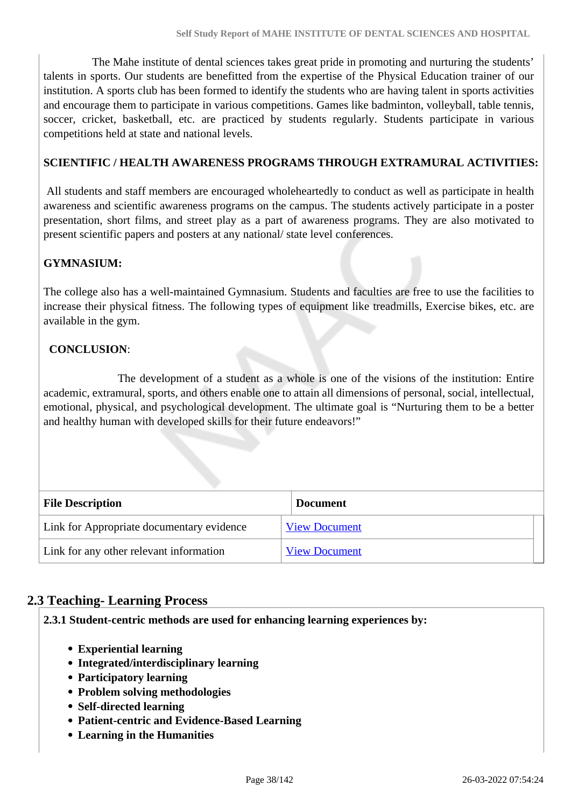The Mahe institute of dental sciences takes great pride in promoting and nurturing the students' talents in sports. Our students are benefitted from the expertise of the Physical Education trainer of our institution. A sports club has been formed to identify the students who are having talent in sports activities and encourage them to participate in various competitions. Games like badminton, volleyball, table tennis, soccer, cricket, basketball, etc. are practiced by students regularly. Students participate in various competitions held at state and national levels.

## **SCIENTIFIC / HEALTH AWARENESS PROGRAMS THROUGH EXTRAMURAL ACTIVITIES:**

 All students and staff members are encouraged wholeheartedly to conduct as well as participate in health awareness and scientific awareness programs on the campus. The students actively participate in a poster presentation, short films, and street play as a part of awareness programs. They are also motivated to present scientific papers and posters at any national/ state level conferences.

## **GYMNASIUM:**

The college also has a well-maintained Gymnasium. Students and faculties are free to use the facilities to increase their physical fitness. The following types of equipment like treadmills, Exercise bikes, etc. are available in the gym.

## **CONCLUSION**:

 The development of a student as a whole is one of the visions of the institution: Entire academic, extramural, sports, and others enable one to attain all dimensions of personal, social, intellectual, emotional, physical, and psychological development. The ultimate goal is "Nurturing them to be a better and healthy human with developed skills for their future endeavors!"

| <b>File Description</b>                   | <b>Document</b>      |
|-------------------------------------------|----------------------|
| Link for Appropriate documentary evidence | <b>View Document</b> |
| Link for any other relevant information   | <b>View Document</b> |

# **2.3 Teaching- Learning Process**

**2.3.1 Student-centric methods are used for enhancing learning experiences by:**

- **Experiential learning**
- **Integrated/interdisciplinary learning**
- **Participatory learning**
- **Problem solving methodologies**
- **Self-directed learning**
- **Patient-centric and Evidence-Based Learning**
- **Learning in the Humanities**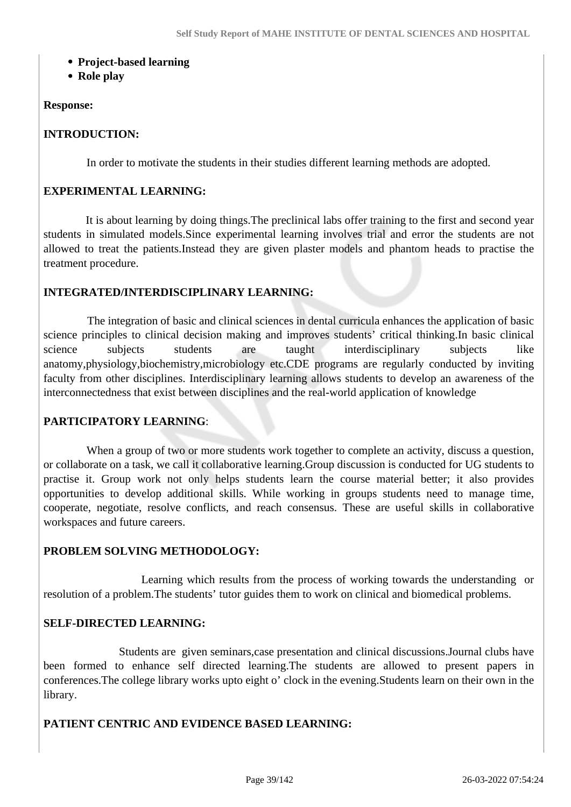- **Project-based learning**
- **Role play**

#### **Response:**

### **INTRODUCTION:**

In order to motivate the students in their studies different learning methods are adopted.

#### **EXPERIMENTAL LEARNING:**

 It is about learning by doing things.The preclinical labs offer training to the first and second year students in simulated models.Since experimental learning involves trial and error the students are not allowed to treat the patients.Instead they are given plaster models and phantom heads to practise the treatment procedure.

#### **INTEGRATED/INTERDISCIPLINARY LEARNING:**

 The integration of basic and clinical sciences in dental curricula enhances the application of basic science principles to clinical decision making and improves students' critical thinking.In basic clinical science subjects students are taught interdisciplinary subjects like anatomy,physiology,biochemistry,microbiology etc.CDE programs are regularly conducted by inviting faculty from other disciplines. Interdisciplinary learning allows students to develop an awareness of the interconnectedness that exist between disciplines and the real-world application of knowledge

#### **PARTICIPATORY LEARNING**:

 When a group of two or more students work together to complete an activity, discuss a question, or collaborate on a task, we call it collaborative learning.Group discussion is conducted for UG students to practise it. Group work not only helps students learn the course material better; it also provides opportunities to develop additional skills. While working in groups students need to manage time, cooperate, negotiate, resolve conflicts, and reach consensus. These are useful skills in collaborative workspaces and future careers.

#### **PROBLEM SOLVING METHODOLOGY:**

 Learning which results from the process of working towards the understanding or resolution of a problem.The students' tutor guides them to work on clinical and biomedical problems.

#### **SELF-DIRECTED LEARNING:**

 Students are given seminars,case presentation and clinical discussions.Journal clubs have been formed to enhance self directed learning.The students are allowed to present papers in conferences.The college library works upto eight o' clock in the evening.Students learn on their own in the library.

#### **PATIENT CENTRIC AND EVIDENCE BASED LEARNING:**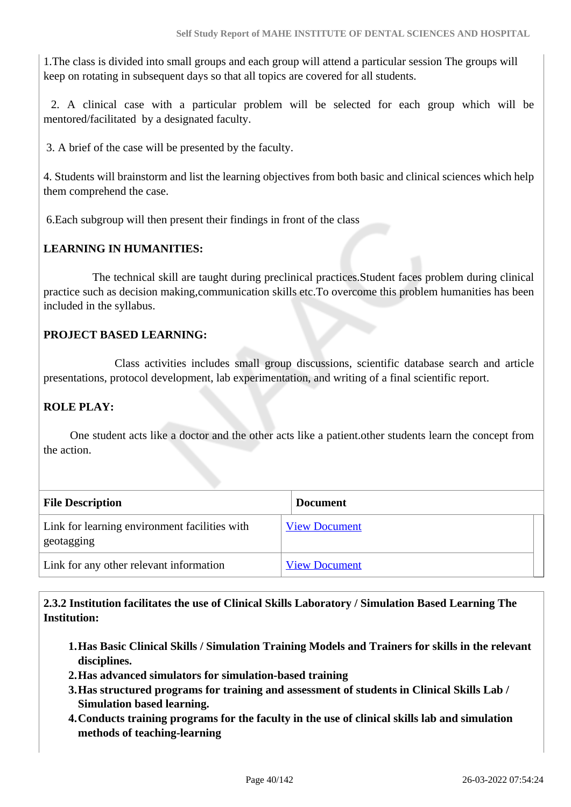1.The class is divided into small groups and each group will attend a particular session The groups will keep on rotating in subsequent days so that all topics are covered for all students.

 2. A clinical case with a particular problem will be selected for each group which will be mentored/facilitated by a designated faculty.

3. A brief of the case will be presented by the faculty.

4. Students will brainstorm and list the learning objectives from both basic and clinical sciences which help them comprehend the case.

6.Each subgroup will then present their findings in front of the class

## **LEARNING IN HUMANITIES:**

 The technical skill are taught during preclinical practices.Student faces problem during clinical practice such as decision making,communication skills etc.To overcome this problem humanities has been included in the syllabus.

### **PROJECT BASED LEARNING:**

 Class activities includes small group discussions, scientific database search and article presentations, protocol development, lab experimentation, and writing of a final scientific report.

## **ROLE PLAY:**

 One student acts like a doctor and the other acts like a patient.other students learn the concept from the action.

| <b>File Description</b>                                     | <b>Document</b>      |
|-------------------------------------------------------------|----------------------|
| Link for learning environment facilities with<br>geotagging | <b>View Document</b> |
| Link for any other relevant information                     | <b>View Document</b> |

 **2.3.2 Institution facilitates the use of Clinical Skills Laboratory / Simulation Based Learning The Institution:**

- **1.Has Basic Clinical Skills / Simulation Training Models and Trainers for skills in the relevant disciplines.**
- **2.Has advanced simulators for simulation-based training**
- **3.Has structured programs for training and assessment of students in Clinical Skills Lab / Simulation based learning.**
- **4.Conducts training programs for the faculty in the use of clinical skills lab and simulation methods of teaching-learning**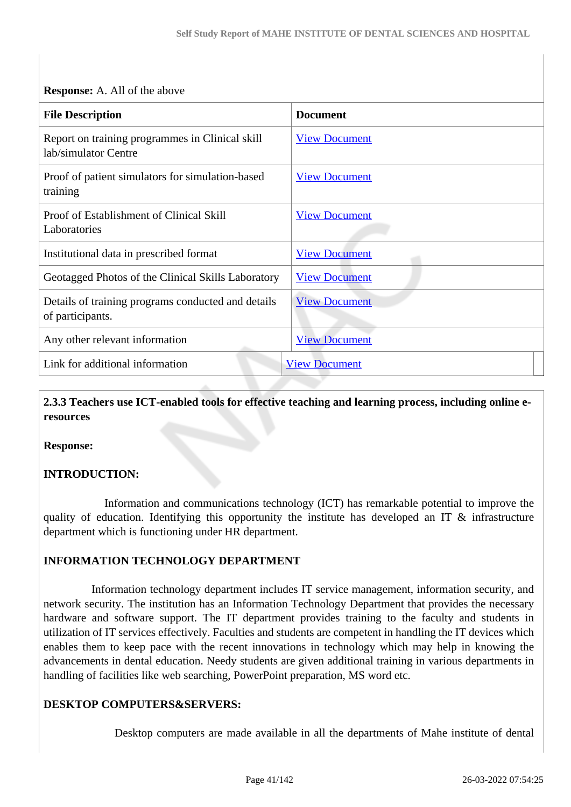| <b>Response:</b> A. All of the above                                    |                      |
|-------------------------------------------------------------------------|----------------------|
| <b>File Description</b>                                                 | <b>Document</b>      |
| Report on training programmes in Clinical skill<br>lab/simulator Centre | <b>View Document</b> |
| Proof of patient simulators for simulation-based<br>training            | <b>View Document</b> |
| Proof of Establishment of Clinical Skill<br>Laboratories                | <b>View Document</b> |
| Institutional data in prescribed format                                 | <b>View Document</b> |
| Geotagged Photos of the Clinical Skills Laboratory                      | <b>View Document</b> |
| Details of training programs conducted and details<br>of participants.  | <b>View Document</b> |
| Any other relevant information                                          | <b>View Document</b> |
| Link for additional information                                         | <b>View Document</b> |
|                                                                         |                      |

## **Response:** A. All of the above

 **2.3.3 Teachers use ICT-enabled tools for effective teaching and learning process, including online eresources**

#### **Response:**

#### **INTRODUCTION:**

 Information and communications technology (ICT) has remarkable potential to improve the quality of education. Identifying this opportunity the institute has developed an IT  $\&$  infrastructure department which is functioning under HR department.

#### **INFORMATION TECHNOLOGY DEPARTMENT**

 Information technology department includes IT service management, information security, and network security. The institution has an Information Technology Department that provides the necessary hardware and software support. The IT department provides training to the faculty and students in utilization of IT services effectively. Faculties and students are competent in handling the IT devices which enables them to keep pace with the recent innovations in technology which may help in knowing the advancements in dental education. Needy students are given additional training in various departments in handling of facilities like web searching, PowerPoint preparation, MS word etc.

#### **DESKTOP COMPUTERS&SERVERS:**

Desktop computers are made available in all the departments of Mahe institute of dental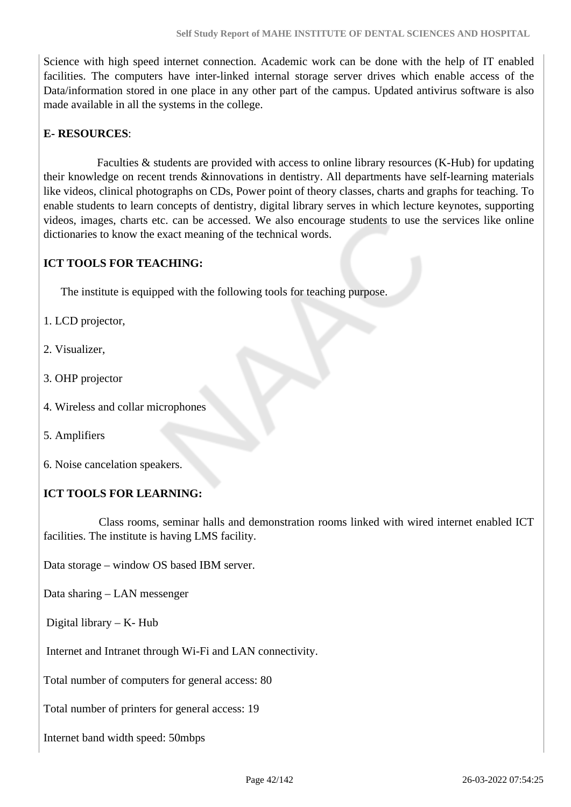Science with high speed internet connection. Academic work can be done with the help of IT enabled facilities. The computers have inter-linked internal storage server drives which enable access of the Data/information stored in one place in any other part of the campus. Updated antivirus software is also made available in all the systems in the college.

# **E- RESOURCES**:

 Faculties & students are provided with access to online library resources (K-Hub) for updating their knowledge on recent trends &innovations in dentistry. All departments have self-learning materials like videos, clinical photographs on CDs, Power point of theory classes, charts and graphs for teaching. To enable students to learn concepts of dentistry, digital library serves in which lecture keynotes, supporting videos, images, charts etc. can be accessed. We also encourage students to use the services like online dictionaries to know the exact meaning of the technical words.

## **ICT TOOLS FOR TEACHING:**

The institute is equipped with the following tools for teaching purpose.

- 1. LCD projector,
- 2. Visualizer,
- 3. OHP projector
- 4. Wireless and collar microphones
- 5. Amplifiers
- 6. Noise cancelation speakers.

# **ICT TOOLS FOR LEARNING:**

 Class rooms, seminar halls and demonstration rooms linked with wired internet enabled ICT facilities. The institute is having LMS facility.

Data storage – window OS based IBM server.

Data sharing – LAN messenger

Digital library – K- Hub

Internet and Intranet through Wi-Fi and LAN connectivity.

Total number of computers for general access: 80

Total number of printers for general access: 19

Internet band width speed: 50mbps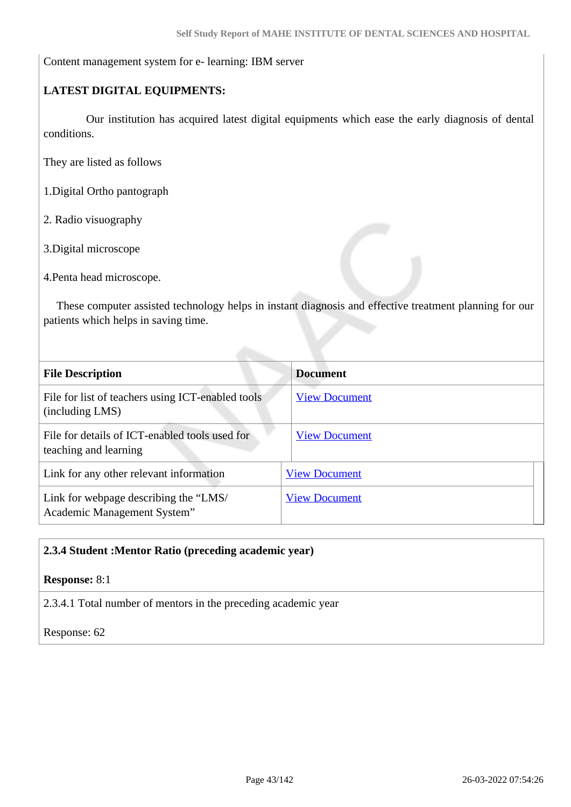Content management system for e- learning: IBM server

## **LATEST DIGITAL EQUIPMENTS:**

 Our institution has acquired latest digital equipments which ease the early diagnosis of dental conditions.

They are listed as follows

- 1.Digital Ortho pantograph
- 2. Radio visuography
- 3.Digital microscope

4.Penta head microscope.

 These computer assisted technology helps in instant diagnosis and effective treatment planning for our patients which helps in saving time.

| <b>File Description</b>                                                 | <b>Document</b>      |
|-------------------------------------------------------------------------|----------------------|
| File for list of teachers using ICT-enabled tools<br>(including LMS)    | <b>View Document</b> |
| File for details of ICT-enabled tools used for<br>teaching and learning | <b>View Document</b> |
| Link for any other relevant information                                 | <b>View Document</b> |
| Link for webpage describing the "LMS/<br>Academic Management System"    | <b>View Document</b> |

#### **2.3.4 Student :Mentor Ratio (preceding academic year)**

#### **Response:** 8:1

2.3.4.1 Total number of mentors in the preceding academic year

#### Response: 62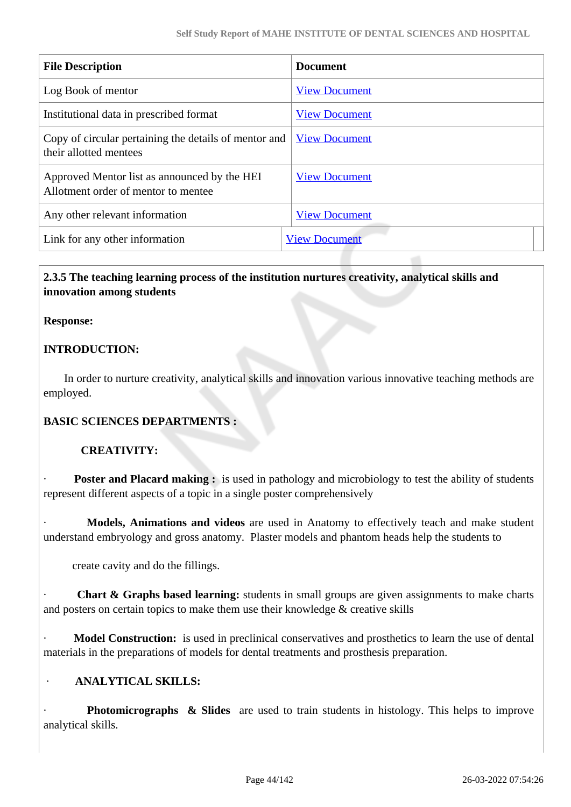| <b>File Description</b>                                                             | <b>Document</b>      |
|-------------------------------------------------------------------------------------|----------------------|
| Log Book of mentor                                                                  | <b>View Document</b> |
| Institutional data in prescribed format                                             | <b>View Document</b> |
| Copy of circular pertaining the details of mentor and<br>their allotted mentees     | <b>View Document</b> |
| Approved Mentor list as announced by the HEI<br>Allotment order of mentor to mentee | <b>View Document</b> |
| Any other relevant information                                                      | <b>View Document</b> |
| Link for any other information                                                      | <b>View Document</b> |

## **2.3.5 The teaching learning process of the institution nurtures creativity, analytical skills and innovation among students**

#### **Response:**

## **INTRODUCTION:**

In order to nurture creativity, analytical skills and innovation various innovative teaching methods are employed.

## **BASIC SCIENCES DEPARTMENTS :**

#### **CREATIVITY:**

**Poster and Placard making :** is used in pathology and microbiology to test the ability of students represent different aspects of a topic in a single poster comprehensively

· **Models, Animations and videos** are used in Anatomy to effectively teach and make student understand embryology and gross anatomy. Plaster models and phantom heads help the students to

create cavity and do the fillings.

**Chart & Graphs based learning:** students in small groups are given assignments to make charts and posters on certain topics to make them use their knowledge & creative skills

**Model Construction:** is used in preclinical conservatives and prosthetics to learn the use of dental materials in the preparations of models for dental treatments and prosthesis preparation.

## · **ANALYTICAL SKILLS:**

**Photomicrographs & Slides** are used to train students in histology. This helps to improve analytical skills.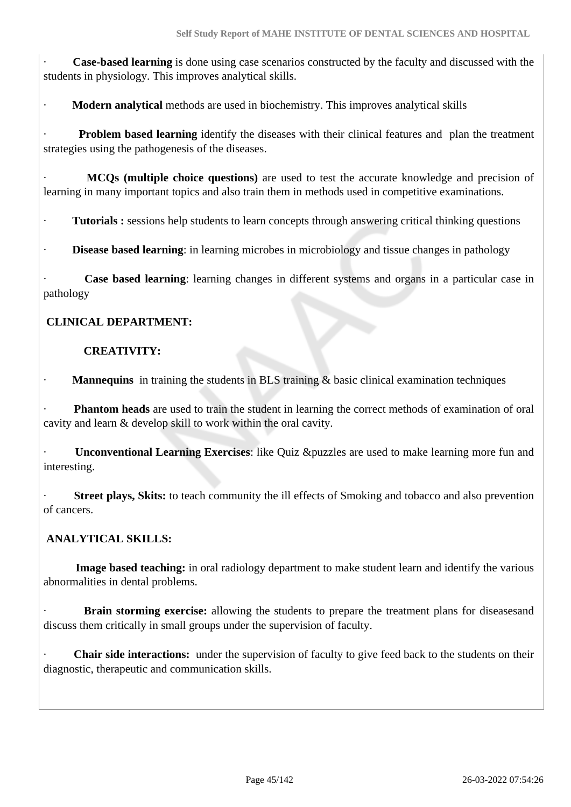**Case-based learning** is done using case scenarios constructed by the faculty and discussed with the students in physiology. This improves analytical skills.

· **Modern analytical** methods are used in biochemistry. This improves analytical skills

**Problem based learning** identify the diseases with their clinical features and plan the treatment strategies using the pathogenesis of the diseases.

· **MCQs (multiple choice questions)** are used to test the accurate knowledge and precision of learning in many important topics and also train them in methods used in competitive examinations.

· **Tutorials :** sessions help students to learn concepts through answering critical thinking questions

· **Disease based learning**: in learning microbes in microbiology and tissue changes in pathology

· **Case based learning**: learning changes in different systems and organs in a particular case in pathology

#### **CLINICAL DEPARTMENT:**

### **CREATIVITY:**

· **Mannequins** in training the students in BLS training & basic clinical examination techniques

**Phantom heads** are used to train the student in learning the correct methods of examination of oral cavity and learn & develop skill to work within the oral cavity.

· **Unconventional Learning Exercises**: like Quiz &puzzles are used to make learning more fun and interesting.

**Street plays, Skits:** to teach community the ill effects of Smoking and tobacco and also prevention of cancers.

#### **ANALYTICAL SKILLS:**

 **Image based teaching:** in oral radiology department to make student learn and identify the various abnormalities in dental problems.

**Brain storming exercise:** allowing the students to prepare the treatment plans for diseases and discuss them critically in small groups under the supervision of faculty.

**Chair side interactions:** under the supervision of faculty to give feed back to the students on their diagnostic, therapeutic and communication skills.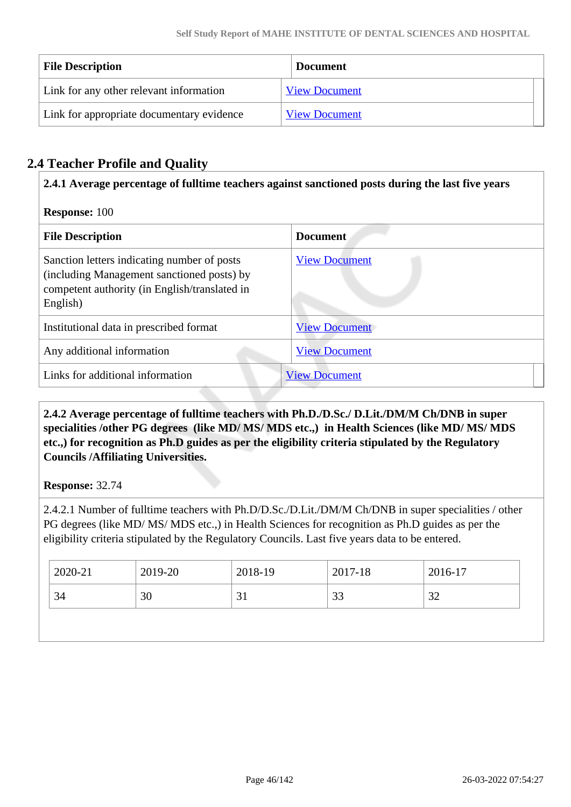| <b>File Description</b>                   | <b>Document</b>      |
|-------------------------------------------|----------------------|
| Link for any other relevant information   | <b>View Document</b> |
| Link for appropriate documentary evidence | <b>View Document</b> |

# **2.4 Teacher Profile and Quality**

 **2.4.1 Average percentage of fulltime teachers against sanctioned posts during the last five years Response:** 100 **File Description Document** Sanction letters indicating number of posts (including Management sanctioned posts) by competent authority (in English/translated in English) [View Document](https://assessmentonline.naac.gov.in/storage/app/hei/SSR/111478/2.4.1_1648197111_7828.pdf) Institutional data in prescribed format [View Document](https://assessmentonline.naac.gov.in/storage/app/hei/SSR/111478/2.4.1_1648024417_7828.xlsx) Any additional information [View Document](https://assessmentonline.naac.gov.in/storage/app/hei/SSR/111478/2.4.1_1647840291_7828.pdf) Links for additional information [View Document](https://mahedentalcollege.org/faculties)

 **2.4.2 Average percentage of fulltime teachers with Ph.D./D.Sc./ D.Lit./DM/M Ch/DNB in super specialities /other PG degrees (like MD/ MS/ MDS etc.,) in Health Sciences (like MD/ MS/ MDS etc.,) for recognition as Ph.D guides as per the eligibility criteria stipulated by the Regulatory Councils /Affiliating Universities.**

**Response:** 32.74

2.4.2.1 Number of fulltime teachers with Ph.D/D.Sc./D.Lit./DM/M Ch/DNB in super specialities / other PG degrees (like MD/ MS/ MDS etc.,) in Health Sciences for recognition as Ph.D guides as per the eligibility criteria stipulated by the Regulatory Councils. Last five years data to be entered.

| $12020 - 21$ | 2019-20 | 2018-19 | 2017-18 | 2016-17 |
|--------------|---------|---------|---------|---------|
| 34           | 30      | ЭI      | 33      | 32      |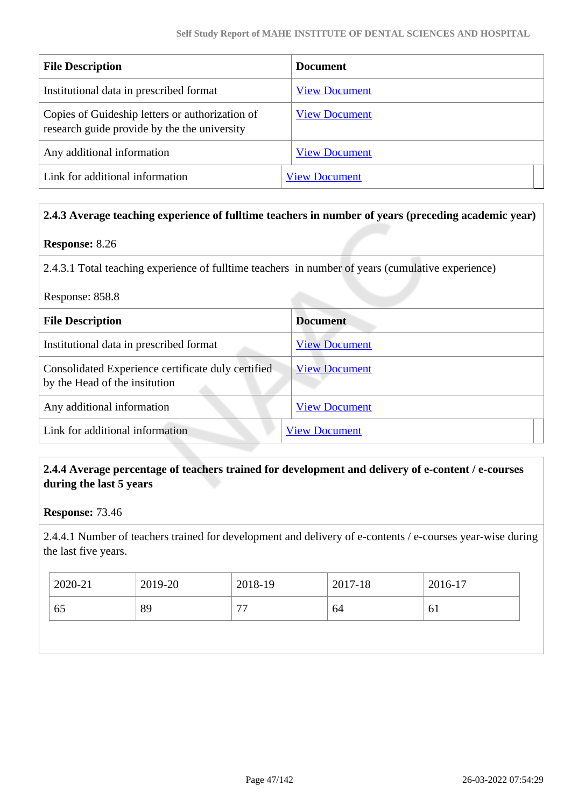| <b>File Description</b>                                                                         | <b>Document</b>      |
|-------------------------------------------------------------------------------------------------|----------------------|
| Institutional data in prescribed format                                                         | <b>View Document</b> |
| Copies of Guideship letters or authorization of<br>research guide provide by the the university | <b>View Document</b> |
| Any additional information                                                                      | <b>View Document</b> |
| Link for additional information                                                                 | <b>View Document</b> |

### **2.4.3 Average teaching experience of fulltime teachers in number of years (preceding academic year)**

#### **Response:** 8.26

2.4.3.1 Total teaching experience of fulltime teachers in number of years (cumulative experience)

#### Response: 858.8

| <b>File Description</b>                                                             | <b>Document</b>      |
|-------------------------------------------------------------------------------------|----------------------|
| Institutional data in prescribed format                                             | <b>View Document</b> |
| Consolidated Experience certificate duly certified<br>by the Head of the insitution | <b>View Document</b> |
| Any additional information                                                          | <b>View Document</b> |
| Link for additional information                                                     | <b>View Document</b> |

### **2.4.4 Average percentage of teachers trained for development and delivery of e-content / e-courses during the last 5 years**

#### **Response:** 73.46

2.4.4.1 Number of teachers trained for development and delivery of e-contents / e-courses year-wise during the last five years.

| 2020-21 | 2019-20 | 2018-19 | 2017-18 | 2016-17        |
|---------|---------|---------|---------|----------------|
| 65      | 89      | 77      | 64      | 0 <sup>1</sup> |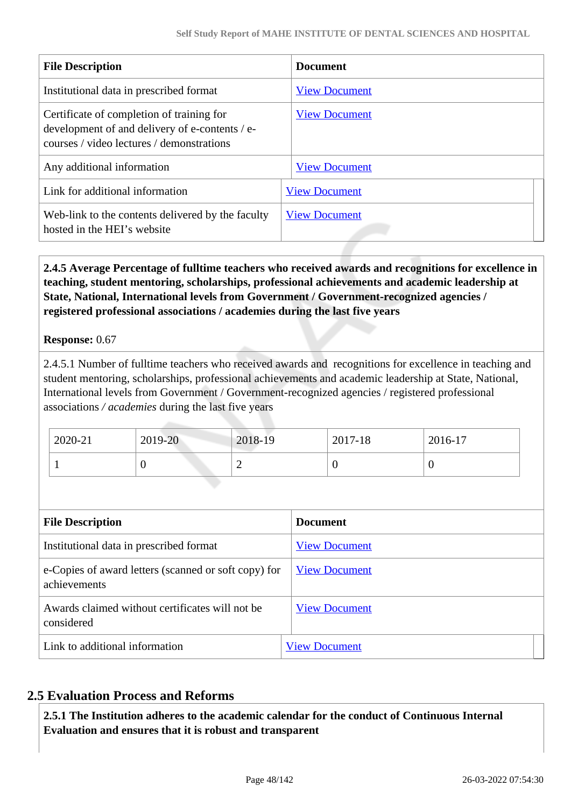| <b>File Description</b>                                                                                                                  | <b>Document</b>      |
|------------------------------------------------------------------------------------------------------------------------------------------|----------------------|
| Institutional data in prescribed format                                                                                                  | <b>View Document</b> |
| Certificate of completion of training for<br>development of and delivery of e-contents / e-<br>courses / video lectures / demonstrations | <b>View Document</b> |
| Any additional information                                                                                                               | <b>View Document</b> |
| Link for additional information                                                                                                          | <b>View Document</b> |
| Web-link to the contents delivered by the faculty<br>hosted in the HEI's website                                                         | <b>View Document</b> |

## **2.4.5 Average Percentage of fulltime teachers who received awards and recognitions for excellence in teaching, student mentoring, scholarships, professional achievements and academic leadership at State, National, International levels from Government / Government-recognized agencies / registered professional associations / academies during the last five years**

#### **Response:** 0.67

2.4.5.1 Number of fulltime teachers who received awards and recognitions for excellence in teaching and student mentoring, scholarships, professional achievements and academic leadership at State, National, International levels from Government / Government-recognized agencies / registered professional associations */ academies* during the last five years

| 2020-21 | 2019-20 | 2018-19 | 2017-18 | 2016-17 |
|---------|---------|---------|---------|---------|
|         |         | ∼       |         |         |

| <b>File Description</b>                                              | <b>Document</b>      |
|----------------------------------------------------------------------|----------------------|
| Institutional data in prescribed format                              | <b>View Document</b> |
| e-Copies of award letters (scanned or soft copy) for<br>achievements | <b>View Document</b> |
| Awards claimed without certificates will not be<br>considered        | <b>View Document</b> |
| Link to additional information                                       | <b>View Document</b> |

# **2.5 Evaluation Process and Reforms**

 **2.5.1 The Institution adheres to the academic calendar for the conduct of Continuous Internal Evaluation and ensures that it is robust and transparent**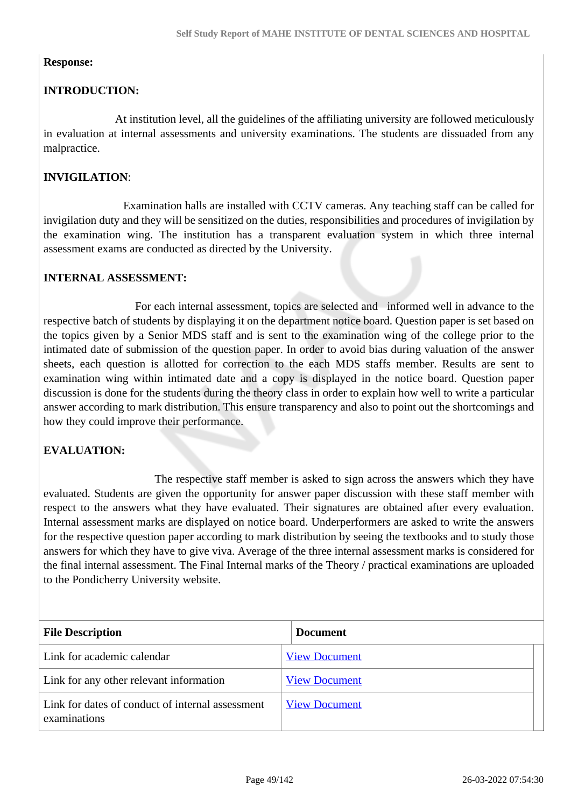### **Response:**

## **INTRODUCTION:**

 At institution level, all the guidelines of the affiliating university are followed meticulously in evaluation at internal assessments and university examinations. The students are dissuaded from any malpractice.

## **INVIGILATION**:

 Examination halls are installed with CCTV cameras. Any teaching staff can be called for invigilation duty and they will be sensitized on the duties, responsibilities and procedures of invigilation by the examination wing. The institution has a transparent evaluation system in which three internal assessment exams are conducted as directed by the University.

#### **INTERNAL ASSESSMENT:**

 For each internal assessment, topics are selected and informed well in advance to the respective batch of students by displaying it on the department notice board. Question paper is set based on the topics given by a Senior MDS staff and is sent to the examination wing of the college prior to the intimated date of submission of the question paper. In order to avoid bias during valuation of the answer sheets, each question is allotted for correction to the each MDS staffs member. Results are sent to examination wing within intimated date and a copy is displayed in the notice board. Question paper discussion is done for the students during the theory class in order to explain how well to write a particular answer according to mark distribution. This ensure transparency and also to point out the shortcomings and how they could improve their performance.

## **EVALUATION:**

 The respective staff member is asked to sign across the answers which they have evaluated. Students are given the opportunity for answer paper discussion with these staff member with respect to the answers what they have evaluated. Their signatures are obtained after every evaluation. Internal assessment marks are displayed on notice board. Underperformers are asked to write the answers for the respective question paper according to mark distribution by seeing the textbooks and to study those answers for which they have to give viva. Average of the three internal assessment marks is considered for the final internal assessment. The Final Internal marks of the Theory / practical examinations are uploaded to the Pondicherry University website.

| <b>File Description</b>                                          | <b>Document</b>      |
|------------------------------------------------------------------|----------------------|
| Link for academic calendar                                       | <b>View Document</b> |
| Link for any other relevant information                          | <b>View Document</b> |
| Link for dates of conduct of internal assessment<br>examinations | <b>View Document</b> |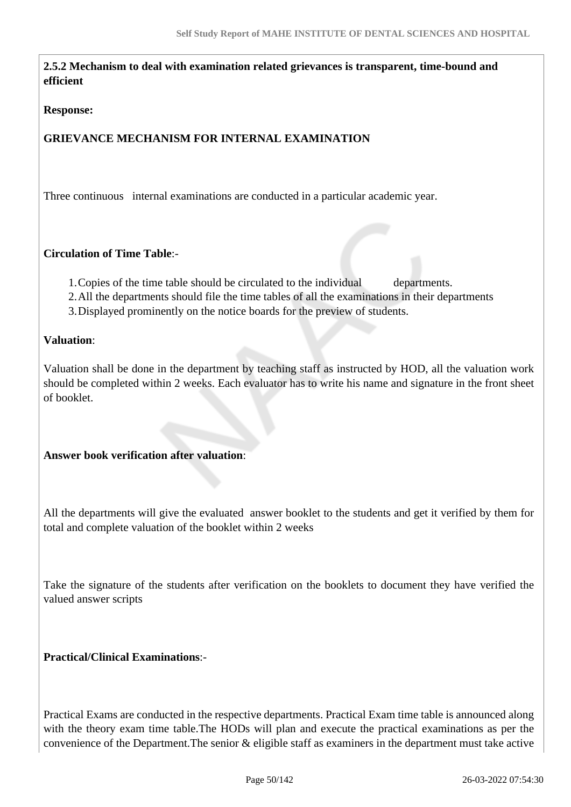### **2.5.2 Mechanism to deal with examination related grievances is transparent, time-bound and efficient**

### **Response:**

# **GRIEVANCE MECHANISM FOR INTERNAL EXAMINATION**

Three continuous internal examinations are conducted in a particular academic year.

#### **Circulation of Time Table**:-

- 1.Copies of the time table should be circulated to the individual departments.
- 2.All the departments should file the time tables of all the examinations in their departments
- 3.Displayed prominently on the notice boards for the preview of students.

#### **Valuation**:

Valuation shall be done in the department by teaching staff as instructed by HOD, all the valuation work should be completed within 2 weeks. Each evaluator has to write his name and signature in the front sheet of booklet.

#### **Answer book verification after valuation**:

All the departments will give the evaluated answer booklet to the students and get it verified by them for total and complete valuation of the booklet within 2 weeks

Take the signature of the students after verification on the booklets to document they have verified the valued answer scripts

#### **Practical/Clinical Examinations**:-

Practical Exams are conducted in the respective departments. Practical Exam time table is announced along with the theory exam time table.The HODs will plan and execute the practical examinations as per the convenience of the Department.The senior & eligible staff as examiners in the department must take active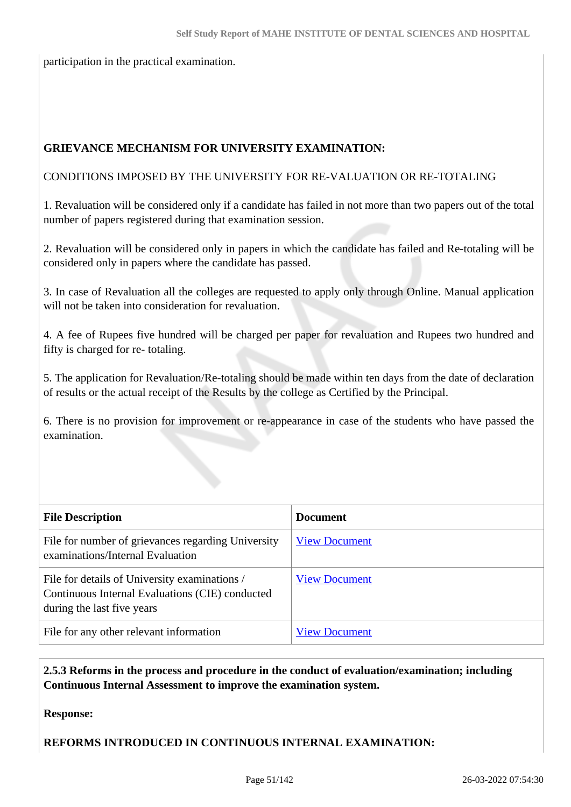participation in the practical examination.

## **GRIEVANCE MECHANISM FOR UNIVERSITY EXAMINATION:**

## CONDITIONS IMPOSED BY THE UNIVERSITY FOR RE-VALUATION OR RE-TOTALING

1. Revaluation will be considered only if a candidate has failed in not more than two papers out of the total number of papers registered during that examination session.

2. Revaluation will be considered only in papers in which the candidate has failed and Re-totaling will be considered only in papers where the candidate has passed.

3. In case of Revaluation all the colleges are requested to apply only through Online. Manual application will not be taken into consideration for revaluation.

4. A fee of Rupees five hundred will be charged per paper for revaluation and Rupees two hundred and fifty is charged for re- totaling.

5. The application for Revaluation/Re-totaling should be made within ten days from the date of declaration of results or the actual receipt of the Results by the college as Certified by the Principal.

6. There is no provision for improvement or re-appearance in case of the students who have passed the examination.

| <b>File Description</b>                                                                                                        | <b>Document</b>      |
|--------------------------------------------------------------------------------------------------------------------------------|----------------------|
| File for number of grievances regarding University<br>examinations/Internal Evaluation                                         | <b>View Document</b> |
| File for details of University examinations /<br>Continuous Internal Evaluations (CIE) conducted<br>during the last five years | <b>View Document</b> |
| File for any other relevant information                                                                                        | <b>View Document</b> |

### **2.5.3 Reforms in the process and procedure in the conduct of evaluation/examination; including Continuous Internal Assessment to improve the examination system.**

**Response:** 

**REFORMS INTRODUCED IN CONTINUOUS INTERNAL EXAMINATION:**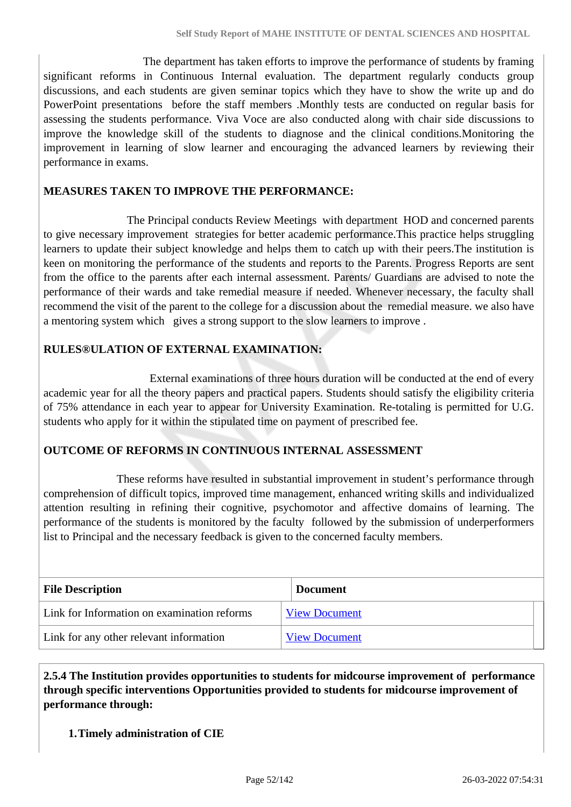The department has taken efforts to improve the performance of students by framing significant reforms in Continuous Internal evaluation. The department regularly conducts group discussions, and each students are given seminar topics which they have to show the write up and do PowerPoint presentations before the staff members .Monthly tests are conducted on regular basis for assessing the students performance. Viva Voce are also conducted along with chair side discussions to improve the knowledge skill of the students to diagnose and the clinical conditions.Monitoring the improvement in learning of slow learner and encouraging the advanced learners by reviewing their performance in exams.

### **MEASURES TAKEN TO IMPROVE THE PERFORMANCE:**

The Principal conducts Review Meetings with department HOD and concerned parents to give necessary improvement strategies for better academic performance.This practice helps struggling learners to update their subject knowledge and helps them to catch up with their peers.The institution is keen on monitoring the performance of the students and reports to the Parents. Progress Reports are sent from the office to the parents after each internal assessment. Parents/ Guardians are advised to note the performance of their wards and take remedial measure if needed. Whenever necessary, the faculty shall recommend the visit of the parent to the college for a discussion about the remedial measure. we also have a mentoring system which gives a strong support to the slow learners to improve .

## **RULES®ULATION OF EXTERNAL EXAMINATION:**

 External examinations of three hours duration will be conducted at the end of every academic year for all the theory papers and practical papers. Students should satisfy the eligibility criteria of 75% attendance in each year to appear for University Examination. Re-totaling is permitted for U.G. students who apply for it within the stipulated time on payment of prescribed fee.

#### **OUTCOME OF REFORMS IN CONTINUOUS INTERNAL ASSESSMENT**

 These reforms have resulted in substantial improvement in student's performance through comprehension of difficult topics, improved time management, enhanced writing skills and individualized attention resulting in refining their cognitive, psychomotor and affective domains of learning. The performance of the students is monitored by the faculty followed by the submission of underperformers list to Principal and the necessary feedback is given to the concerned faculty members.

| <b>File Description</b>                     | <b>Document</b>      |
|---------------------------------------------|----------------------|
| Link for Information on examination reforms | <b>View Document</b> |
| Link for any other relevant information     | <b>View Document</b> |

 **2.5.4 The Institution provides opportunities to students for midcourse improvement of performance through specific interventions Opportunities provided to students for midcourse improvement of performance through:**

#### **1.Timely administration of CIE**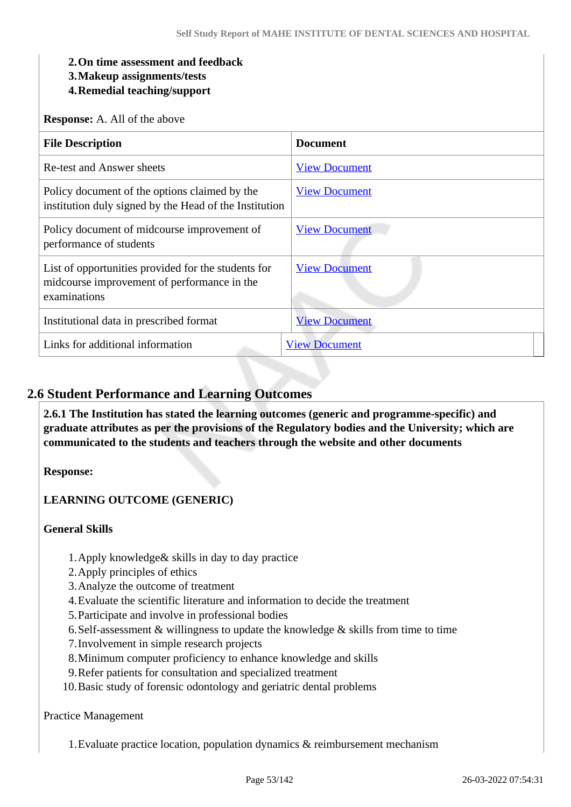#### **2.On time assessment and feedback**

**3.Makeup assignments/tests**

#### **4.Remedial teaching/support**

**Response:** A. All of the above

| <b>File Description</b>                                                                                            | <b>Document</b>      |  |
|--------------------------------------------------------------------------------------------------------------------|----------------------|--|
| <b>Re-test and Answer sheets</b>                                                                                   | <b>View Document</b> |  |
| Policy document of the options claimed by the<br>institution duly signed by the Head of the Institution            | <b>View Document</b> |  |
| Policy document of midcourse improvement of<br>performance of students                                             | <b>View Document</b> |  |
| List of opportunities provided for the students for<br>midcourse improvement of performance in the<br>examinations | <b>View Document</b> |  |
| Institutional data in prescribed format                                                                            | <b>View Document</b> |  |
| Links for additional information                                                                                   | <b>View Document</b> |  |

## **2.6 Student Performance and Learning Outcomes**

 **2.6.1 The Institution has stated the learning outcomes (generic and programme-specific) and graduate attributes as per the provisions of the Regulatory bodies and the University; which are communicated to the students and teachers through the website and other documents**

**Response:** 

## **LEARNING OUTCOME (GENERIC)**

#### **General Skills**

- 1.Apply knowledge& skills in day to day practice
- 2.Apply principles of ethics
- 3.Analyze the outcome of treatment
- 4.Evaluate the scientific literature and information to decide the treatment
- 5.Participate and involve in professional bodies
- 6. Self-assessment  $&$  willingness to update the knowledge  $&$  skills from time to time
- 7.Involvement in simple research projects
- 8.Minimum computer proficiency to enhance knowledge and skills
- 9.Refer patients for consultation and specialized treatment
- 10.Basic study of forensic odontology and geriatric dental problems

# Practice Management

1.Evaluate practice location, population dynamics & reimbursement mechanism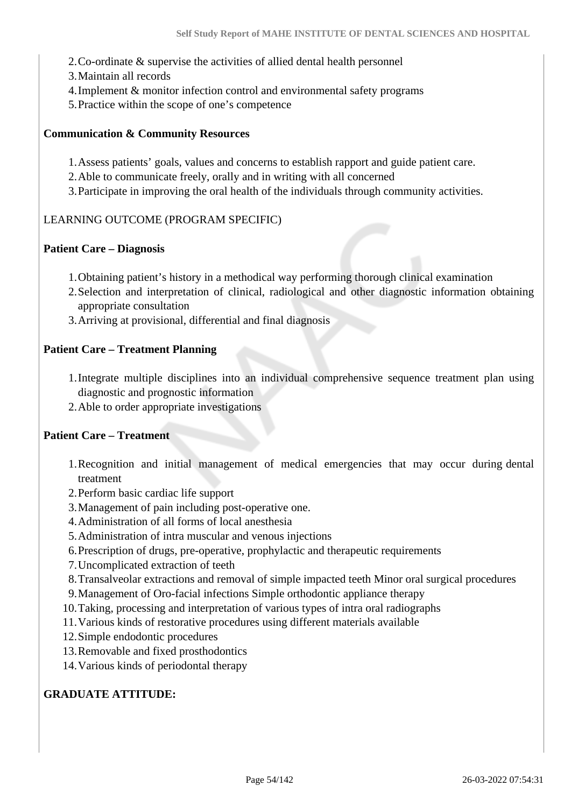- 2.Co-ordinate & supervise the activities of allied dental health personnel
- 3.Maintain all records
- 4.Implement & monitor infection control and environmental safety programs
- 5.Practice within the scope of one's competence

### **Communication & Community Resources**

- 1.Assess patients' goals, values and concerns to establish rapport and guide patient care.
- 2.Able to communicate freely, orally and in writing with all concerned
- 3.Participate in improving the oral health of the individuals through community activities.

## LEARNING OUTCOME (PROGRAM SPECIFIC)

### **Patient Care – Diagnosis**

- 1.Obtaining patient's history in a methodical way performing thorough clinical examination
- 2.Selection and interpretation of clinical, radiological and other diagnostic information obtaining appropriate consultation
- 3.Arriving at provisional, differential and final diagnosis

## **Patient Care – Treatment Planning**

- 1.Integrate multiple disciplines into an individual comprehensive sequence treatment plan using diagnostic and prognostic information
- 2.Able to order appropriate investigations

## **Patient Care – Treatment**

- 1.Recognition and initial management of medical emergencies that may occur during dental treatment
- 2.Perform basic cardiac life support
- 3.Management of pain including post-operative one.
- 4.Administration of all forms of local anesthesia
- 5.Administration of intra muscular and venous injections
- 6.Prescription of drugs, pre-operative, prophylactic and therapeutic requirements
- 7.Uncomplicated extraction of teeth
- 8.Transalveolar extractions and removal of simple impacted teeth Minor oral surgical procedures
- 9.Management of Oro-facial infections Simple orthodontic appliance therapy
- 10.Taking, processing and interpretation of various types of intra oral radiographs
- 11.Various kinds of restorative procedures using different materials available
- 12.Simple endodontic procedures
- 13.Removable and fixed prosthodontics
- 14.Various kinds of periodontal therapy

# **GRADUATE ATTITUDE:**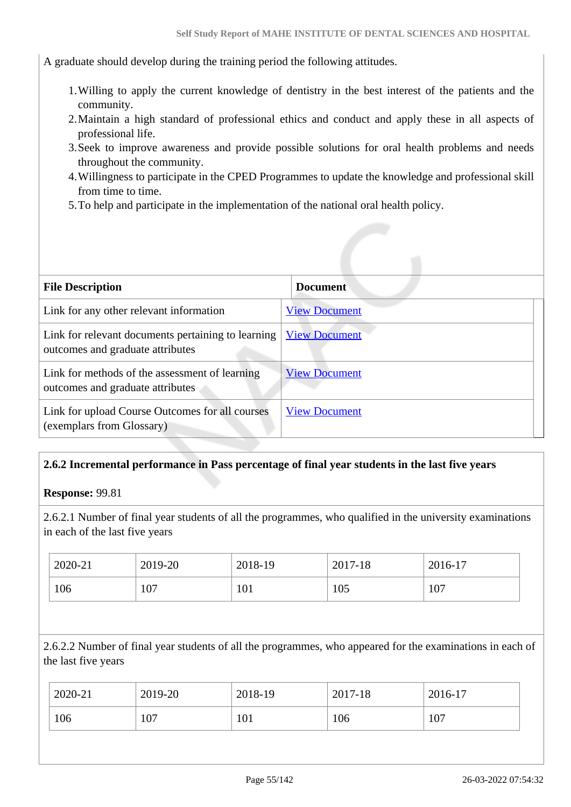A graduate should develop during the training period the following attitudes.

- 1.Willing to apply the current knowledge of dentistry in the best interest of the patients and the community.
- 2.Maintain a high standard of professional ethics and conduct and apply these in all aspects of professional life.
- 3.Seek to improve awareness and provide possible solutions for oral health problems and needs throughout the community.
- 4.Willingness to participate in the CPED Programmes to update the knowledge and professional skill from time to time.
- 5.To help and participate in the implementation of the national oral health policy.

| <b>File Description</b>                                                                | <b>Document</b>      |
|----------------------------------------------------------------------------------------|----------------------|
| Link for any other relevant information                                                | <b>View Document</b> |
| Link for relevant documents pertaining to learning<br>outcomes and graduate attributes | <b>View Document</b> |
| Link for methods of the assessment of learning<br>outcomes and graduate attributes     | <b>View Document</b> |
| Link for upload Course Outcomes for all courses<br>(exemplars from Glossary)           | <b>View Document</b> |

## **2.6.2 Incremental performance in Pass percentage of final year students in the last five years**

**Response:** 99.81

2.6.2.1 Number of final year students of all the programmes, who qualified in the university examinations in each of the last five years

| 2020-21 | $2019-20$ | 2018-19 | 2017-18 | 2016-17 |
|---------|-----------|---------|---------|---------|
| 106     | 107       | 101     | 105     | 107     |

2.6.2.2 Number of final year students of all the programmes, who appeared for the examinations in each of the last five years

| 2020-21 | 2019-20 | 2018-19 | 2017-18 | 2016-17 |
|---------|---------|---------|---------|---------|
| 106     | 107     | 101     | 106     | 107     |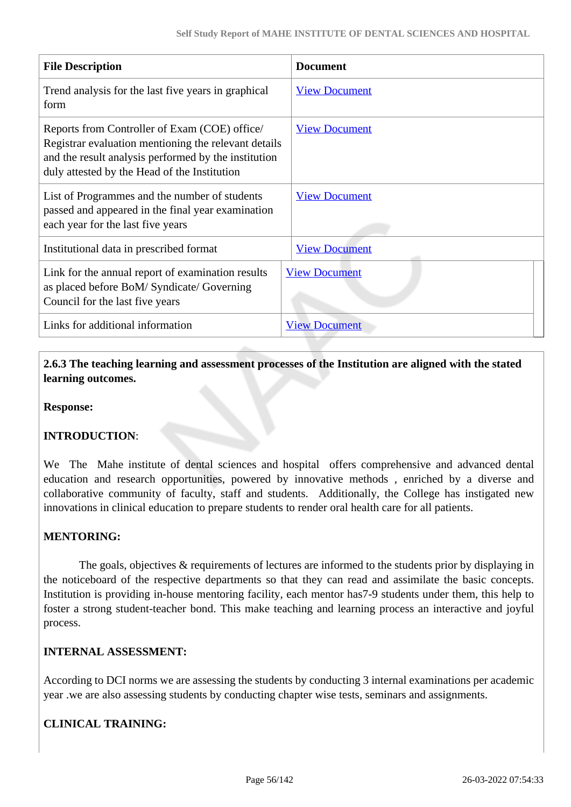| <b>File Description</b>                                                                                                                                                                                       | <b>Document</b>      |
|---------------------------------------------------------------------------------------------------------------------------------------------------------------------------------------------------------------|----------------------|
| Trend analysis for the last five years in graphical<br>form                                                                                                                                                   | <b>View Document</b> |
| Reports from Controller of Exam (COE) office/<br>Registrar evaluation mentioning the relevant details<br>and the result analysis performed by the institution<br>duly attested by the Head of the Institution | <b>View Document</b> |
| List of Programmes and the number of students<br>passed and appeared in the final year examination<br>each year for the last five years                                                                       | <b>View Document</b> |
| Institutional data in prescribed format                                                                                                                                                                       | <b>View Document</b> |
| Link for the annual report of examination results<br>as placed before BoM/Syndicate/Governing<br>Council for the last five years                                                                              | <b>View Document</b> |
| Links for additional information                                                                                                                                                                              | <b>View Document</b> |

## **2.6.3 The teaching learning and assessment processes of the Institution are aligned with the stated learning outcomes.**

**Response:** 

# **INTRODUCTION**:

We The Mahe institute of dental sciences and hospital offers comprehensive and advanced dental education and research opportunities, powered by innovative methods , enriched by a diverse and collaborative community of faculty, staff and students. Additionally, the College has instigated new innovations in clinical education to prepare students to render oral health care for all patients.

## **MENTORING:**

 The goals, objectives & requirements of lectures are informed to the students prior by displaying in the noticeboard of the respective departments so that they can read and assimilate the basic concepts. Institution is providing in-house mentoring facility, each mentor has7-9 students under them, this help to foster a strong student-teacher bond. This make teaching and learning process an interactive and joyful process.

## **INTERNAL ASSESSMENT:**

According to DCI norms we are assessing the students by conducting 3 internal examinations per academic year .we are also assessing students by conducting chapter wise tests, seminars and assignments.

## **CLINICAL TRAINING:**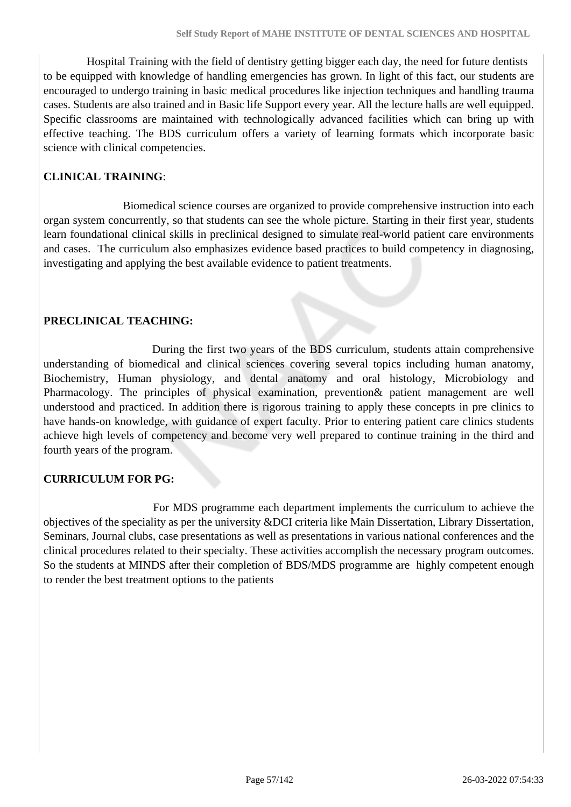Hospital Training with the field of dentistry getting bigger each day, the need for future dentists to be equipped with knowledge of handling emergencies has grown. In light of this fact, our students are encouraged to undergo training in basic medical procedures like injection techniques and handling trauma cases. Students are also trained and in Basic life Support every year. All the lecture halls are well equipped. Specific classrooms are maintained with technologically advanced facilities which can bring up with effective teaching. The BDS curriculum offers a variety of learning formats which incorporate basic science with clinical competencies.

## **CLINICAL TRAINING**:

 Biomedical science courses are organized to provide comprehensive instruction into each organ system concurrently, so that students can see the whole picture. Starting in their first year, students learn foundational clinical skills in preclinical designed to simulate real-world patient care environments and cases. The curriculum also emphasizes evidence based practices to build competency in diagnosing, investigating and applying the best available evidence to patient treatments.

### **PRECLINICAL TEACHING:**

 During the first two years of the BDS curriculum, students attain comprehensive understanding of biomedical and clinical sciences covering several topics including human anatomy, Biochemistry, Human physiology, and dental anatomy and oral histology, Microbiology and Pharmacology. The principles of physical examination, prevention& patient management are well understood and practiced. In addition there is rigorous training to apply these concepts in pre clinics to have hands-on knowledge, with guidance of expert faculty. Prior to entering patient care clinics students achieve high levels of competency and become very well prepared to continue training in the third and fourth years of the program.

## **CURRICULUM FOR PG:**

 For MDS programme each department implements the curriculum to achieve the objectives of the speciality as per the university &DCI criteria like Main Dissertation, Library Dissertation, Seminars, Journal clubs, case presentations as well as presentations in various national conferences and the clinical procedures related to their specialty. These activities accomplish the necessary program outcomes. So the students at MINDS after their completion of BDS/MDS programme are highly competent enough to render the best treatment options to the patients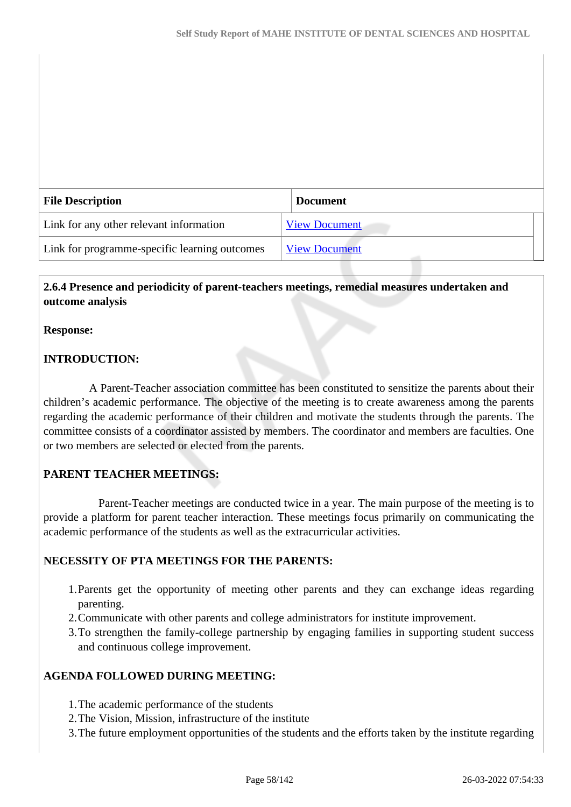| <b>File Description</b>                       | <b>Document</b>      |
|-----------------------------------------------|----------------------|
| Link for any other relevant information       | <b>View Document</b> |
| Link for programme-specific learning outcomes | <b>View Document</b> |

 **2.6.4 Presence and periodicity of parent-teachers meetings, remedial measures undertaken and outcome analysis** 

#### **Response:**

## **INTRODUCTION:**

 A Parent-Teacher association committee has been constituted to sensitize the parents about their children's academic performance. The objective of the meeting is to create awareness among the parents regarding the academic performance of their children and motivate the students through the parents. The committee consists of a coordinator assisted by members. The coordinator and members are faculties. One or two members are selected or elected from the parents.

## **PARENT TEACHER MEETINGS:**

 Parent-Teacher meetings are conducted twice in a year. The main purpose of the meeting is to provide a platform for parent teacher interaction. These meetings focus primarily on communicating the academic performance of the students as well as the extracurricular activities.

## **NECESSITY OF PTA MEETINGS FOR THE PARENTS:**

- 1.Parents get the opportunity of meeting other parents and they can exchange ideas regarding parenting.
- 2.Communicate with other parents and college administrators for institute improvement.
- 3.To strengthen the family-college partnership by engaging families in supporting student success and continuous college improvement.

## **AGENDA FOLLOWED DURING MEETING:**

- 1.The academic performance of the students
- 2.The Vision, Mission, infrastructure of the institute
- 3.The future employment opportunities of the students and the efforts taken by the institute regarding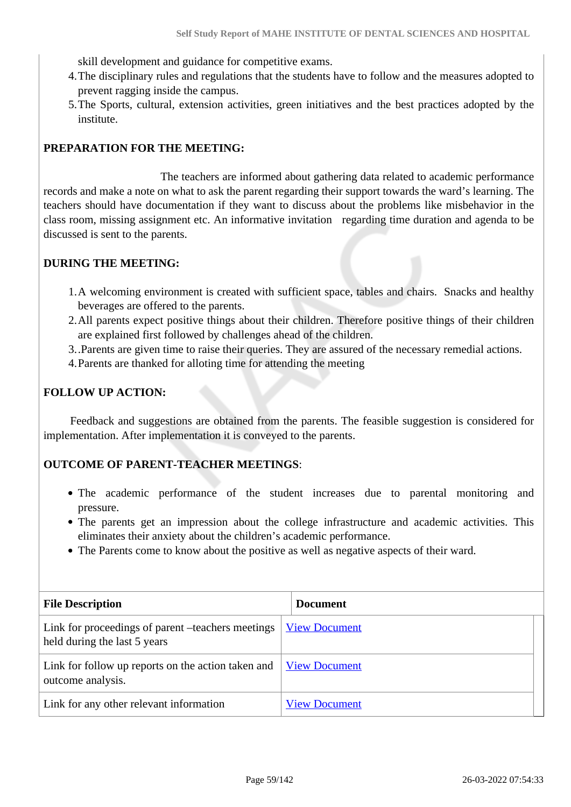skill development and guidance for competitive exams.

- 4.The disciplinary rules and regulations that the students have to follow and the measures adopted to prevent ragging inside the campus.
- 5.The Sports, cultural, extension activities, green initiatives and the best practices adopted by the institute.

#### **PREPARATION FOR THE MEETING:**

 The teachers are informed about gathering data related to academic performance records and make a note on what to ask the parent regarding their support towards the ward's learning. The teachers should have documentation if they want to discuss about the problems like misbehavior in the class room, missing assignment etc. An informative invitation regarding time duration and agenda to be discussed is sent to the parents.

#### **DURING THE MEETING:**

- 1.A welcoming environment is created with sufficient space, tables and chairs. Snacks and healthy beverages are offered to the parents.
- 2.All parents expect positive things about their children. Therefore positive things of their children are explained first followed by challenges ahead of the children.
- 3..Parents are given time to raise their queries. They are assured of the necessary remedial actions.
- 4.Parents are thanked for alloting time for attending the meeting

#### **FOLLOW UP ACTION:**

 Feedback and suggestions are obtained from the parents. The feasible suggestion is considered for implementation. After implementation it is conveyed to the parents.

#### **OUTCOME OF PARENT-TEACHER MEETINGS**:

- The academic performance of the student increases due to parental monitoring and pressure.
- The parents get an impression about the college infrastructure and academic activities. This eliminates their anxiety about the children's academic performance.
- The Parents come to know about the positive as well as negative aspects of their ward.

| <b>File Description</b>                                                           | <b>Document</b>      |
|-----------------------------------------------------------------------------------|----------------------|
| Link for proceedings of parent –teachers meetings<br>held during the last 5 years | <b>View Document</b> |
| Link for follow up reports on the action taken and<br>outcome analysis.           | <b>View Document</b> |
| Link for any other relevant information                                           | <b>View Document</b> |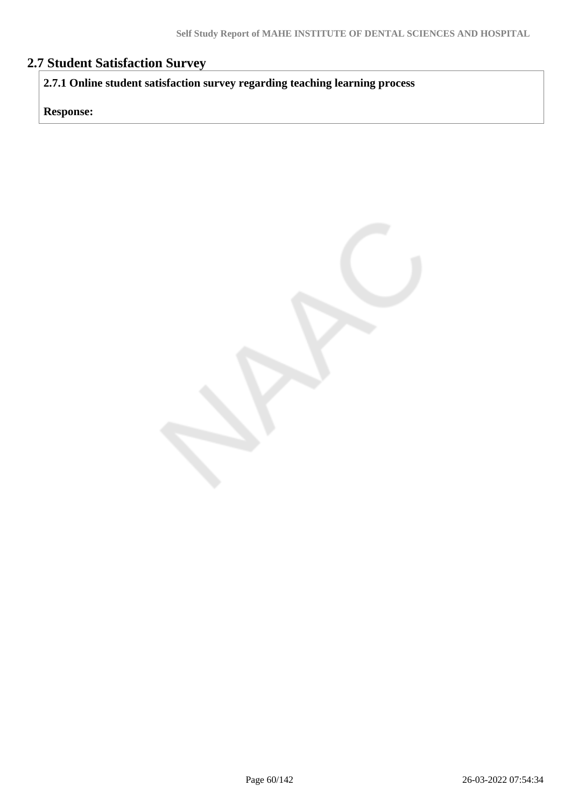# **2.7 Student Satisfaction Survey**

**2.7.1 Online student satisfaction survey regarding teaching learning process**

**Response:**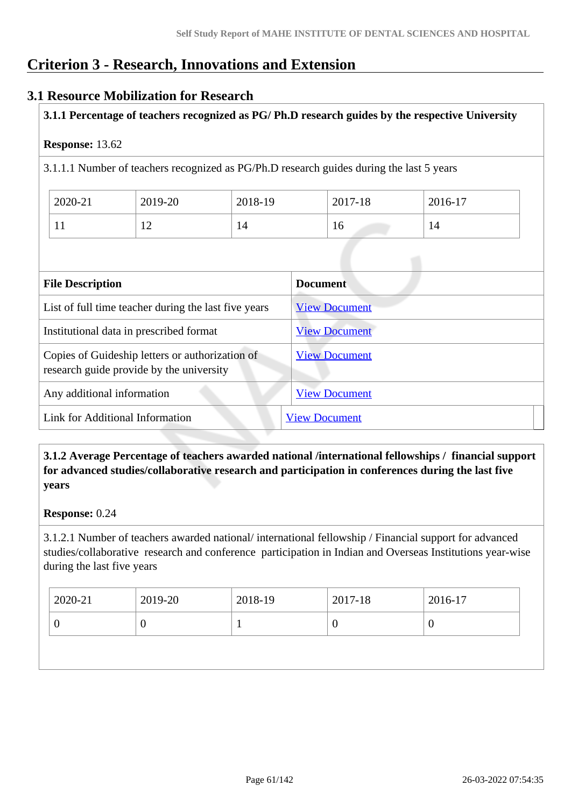# **Criterion 3 - Research, Innovations and Extension**

# **3.1 Resource Mobilization for Research**

**3.1.1 Percentage of teachers recognized as PG/ Ph.D research guides by the respective University**

## **Response:** 13.62

3.1.1.1 Number of teachers recognized as PG/Ph.D research guides during the last 5 years

| 2020-21      | 2019-20        | 2018-19 | 2017-18 | 2016-17 |
|--------------|----------------|---------|---------|---------|
| $\mathbf{r}$ | $\overline{1}$ | 14      | 10      | 14      |

| <b>File Description</b>                                                                     | <b>Document</b>      |
|---------------------------------------------------------------------------------------------|----------------------|
| List of full time teacher during the last five years                                        | <b>View Document</b> |
| Institutional data in prescribed format                                                     | <b>View Document</b> |
| Copies of Guideship letters or authorization of<br>research guide provide by the university | <b>View Document</b> |
| Any additional information                                                                  | <b>View Document</b> |
| Link for Additional Information                                                             | <b>View Document</b> |

## **3.1.2 Average Percentage of teachers awarded national /international fellowships / financial support for advanced studies/collaborative research and participation in conferences during the last five years**

## **Response:** 0.24

3.1.2.1 Number of teachers awarded national/ international fellowship / Financial support for advanced studies/collaborative research and conference participation in Indian and Overseas Institutions year-wise during the last five years

| 2020-21<br>2019-20<br>2018-19 | 2017-18 | 2016-17 |
|-------------------------------|---------|---------|
| - U                           |         | U       |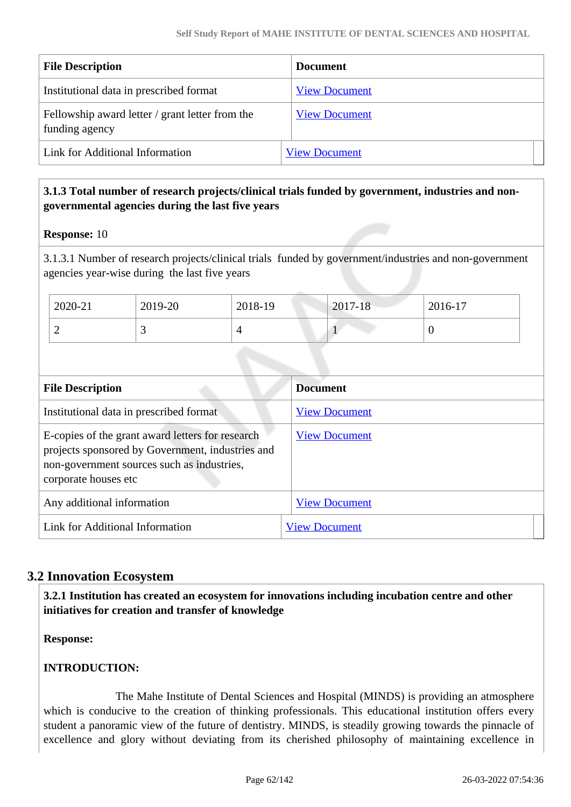| <b>File Description</b>                                           | <b>Document</b>      |
|-------------------------------------------------------------------|----------------------|
| Institutional data in prescribed format                           | <b>View Document</b> |
| Fellowship award letter / grant letter from the<br>funding agency | <b>View Document</b> |
| Link for Additional Information                                   | <b>View Document</b> |

### **3.1.3 Total number of research projects/clinical trials funded by government, industries and nongovernmental agencies during the last five years**

#### **Response:** 10

3.1.3.1 Number of research projects/clinical trials funded by government/industries and non-government agencies year-wise during the last five years

| 2020-21 | 2019-20 | 2018-19 | 2017-18 | 2016-17  |
|---------|---------|---------|---------|----------|
|         |         |         |         | $\theta$ |

| <b>File Description</b>                                                                                                                                                    | <b>Document</b>      |
|----------------------------------------------------------------------------------------------------------------------------------------------------------------------------|----------------------|
| Institutional data in prescribed format                                                                                                                                    | <b>View Document</b> |
| E-copies of the grant award letters for research<br>projects sponsored by Government, industries and<br>non-government sources such as industries,<br>corporate houses etc | <b>View Document</b> |
| Any additional information                                                                                                                                                 | <b>View Document</b> |
| Link for Additional Information                                                                                                                                            | <b>View Document</b> |

## **3.2 Innovation Ecosystem**

 **3.2.1 Institution has created an ecosystem for innovations including incubation centre and other initiatives for creation and transfer of knowledge**

**Response:** 

## **INTRODUCTION:**

 The Mahe Institute of Dental Sciences and Hospital (MINDS) is providing an atmosphere which is conducive to the creation of thinking professionals. This educational institution offers every student a panoramic view of the future of dentistry. MINDS, is steadily growing towards the pinnacle of excellence and glory without deviating from its cherished philosophy of maintaining excellence in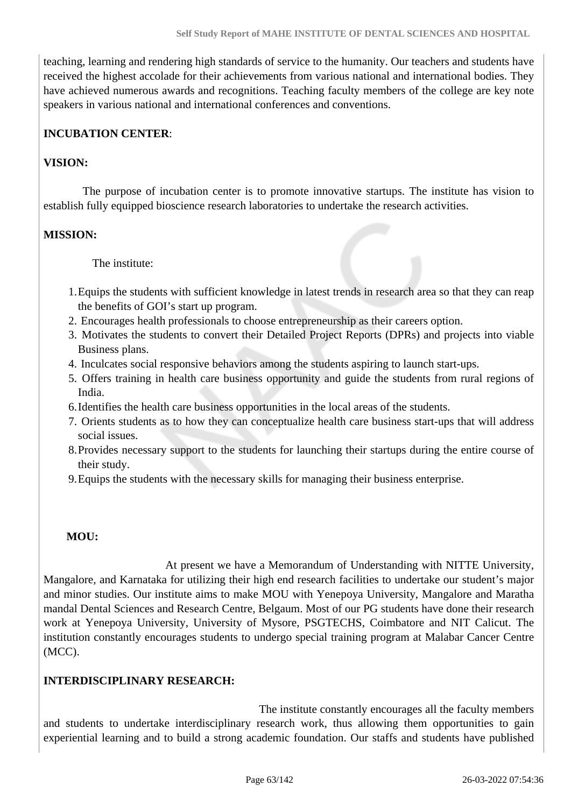teaching, learning and rendering high standards of service to the humanity. Our teachers and students have received the highest accolade for their achievements from various national and international bodies. They have achieved numerous awards and recognitions. Teaching faculty members of the college are key note speakers in various national and international conferences and conventions.

## **INCUBATION CENTER**:

### **VISION:**

 The purpose of incubation center is to promote innovative startups. The institute has vision to establish fully equipped bioscience research laboratories to undertake the research activities.

#### **MISSION:**

The institute:

- 1.Equips the students with sufficient knowledge in latest trends in research area so that they can reap the benefits of GOI's start up program.
- 2. Encourages health professionals to choose entrepreneurship as their careers option.
- 3. Motivates the students to convert their Detailed Project Reports (DPRs) and projects into viable Business plans.
- 4. Inculcates social responsive behaviors among the students aspiring to launch start-ups.
- 5. Offers training in health care business opportunity and guide the students from rural regions of India.
- 6.Identifies the health care business opportunities in the local areas of the students.
- 7. Orients students as to how they can conceptualize health care business start-ups that will address social issues.
- 8.Provides necessary support to the students for launching their startups during the entire course of their study.
- 9.Equips the students with the necessary skills for managing their business enterprise.

#### **MOU:**

 At present we have a Memorandum of Understanding with NITTE University, Mangalore, and Karnataka for utilizing their high end research facilities to undertake our student's major and minor studies. Our institute aims to make MOU with Yenepoya University, Mangalore and Maratha mandal Dental Sciences and Research Centre, Belgaum. Most of our PG students have done their research work at Yenepoya University, University of Mysore, PSGTECHS, Coimbatore and NIT Calicut. The institution constantly encourages students to undergo special training program at Malabar Cancer Centre (MCC).

#### **INTERDISCIPLINARY RESEARCH:**

 The institute constantly encourages all the faculty members and students to undertake interdisciplinary research work, thus allowing them opportunities to gain experiential learning and to build a strong academic foundation. Our staffs and students have published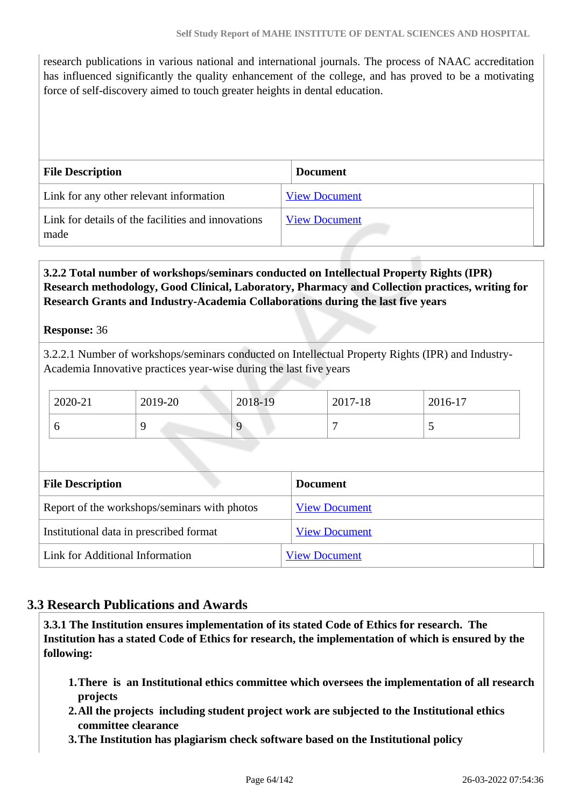research publications in various national and international journals. The process of NAAC accreditation has influenced significantly the quality enhancement of the college, and has proved to be a motivating force of self-discovery aimed to touch greater heights in dental education.

| <b>File Description</b>                                    | <b>Document</b>      |
|------------------------------------------------------------|----------------------|
| Link for any other relevant information                    | <b>View Document</b> |
| Link for details of the facilities and innovations<br>made | <b>View Document</b> |

## **3.2.2 Total number of workshops/seminars conducted on Intellectual Property Rights (IPR) Research methodology, Good Clinical, Laboratory, Pharmacy and Collection practices, writing for Research Grants and Industry-Academia Collaborations during the last five years**

**Response:** 36

3.2.2.1 Number of workshops/seminars conducted on Intellectual Property Rights (IPR) and Industry-Academia Innovative practices year-wise during the last five years

| 2020-21 | 2019-20 | 2018-19 | 2017-18 | 2016-17 |
|---------|---------|---------|---------|---------|
| U       |         |         |         |         |

| <b>File Description</b>                      | <b>Document</b>      |
|----------------------------------------------|----------------------|
| Report of the workshops/seminars with photos | <b>View Document</b> |
| Institutional data in prescribed format      | <b>View Document</b> |
| Link for Additional Information              | <b>View Document</b> |

## **3.3 Research Publications and Awards**

 **3.3.1 The Institution ensures implementation of its stated Code of Ethics for research. The Institution has a stated Code of Ethics for research, the implementation of which is ensured by the following:**

- **1.There is an Institutional ethics committee which oversees the implementation of all research projects**
- **2.All the projects including student project work are subjected to the Institutional ethics committee clearance**
- **3.The Institution has plagiarism check software based on the Institutional policy**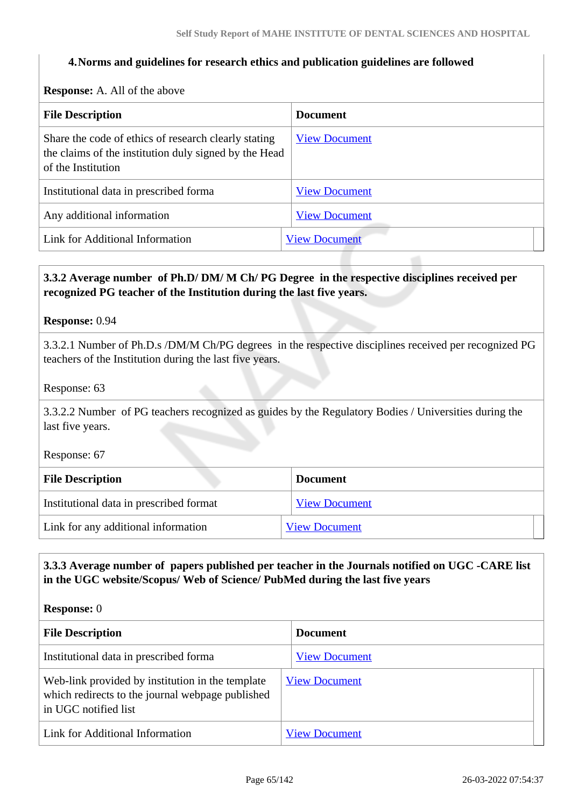#### **4.Norms and guidelines for research ethics and publication guidelines are followed**

**Response:** A. All of the above

| <b>Document</b>      |
|----------------------|
| <b>View Document</b> |
| <b>View Document</b> |
| <b>View Document</b> |
| <b>View Document</b> |
|                      |

### **3.3.2 Average number of Ph.D/ DM/ M Ch/ PG Degree in the respective disciplines received per recognized PG teacher of the Institution during the last five years.**

#### **Response:** 0.94

3.3.2.1 Number of Ph.D.s /DM/M Ch/PG degrees in the respective disciplines received per recognized PG teachers of the Institution during the last five years.

Response: 63

3.3.2.2 Number of PG teachers recognized as guides by the Regulatory Bodies / Universities during the last five years.

Response: 67

| <b>File Description</b>                 | <b>Document</b>      |  |
|-----------------------------------------|----------------------|--|
| Institutional data in prescribed format | <b>View Document</b> |  |
| Link for any additional information     | <b>View Document</b> |  |

### **3.3.3 Average number of papers published per teacher in the Journals notified on UGC -CARE list in the UGC website/Scopus/ Web of Science/ PubMed during the last five years**

#### **Response:** 0

| <b>File Description</b>                                                                                                      | <b>Document</b>      |
|------------------------------------------------------------------------------------------------------------------------------|----------------------|
| Institutional data in prescribed forma                                                                                       | <b>View Document</b> |
| Web-link provided by institution in the template<br>which redirects to the journal webpage published<br>in UGC notified list | <b>View Document</b> |
| Link for Additional Information                                                                                              | <b>View Document</b> |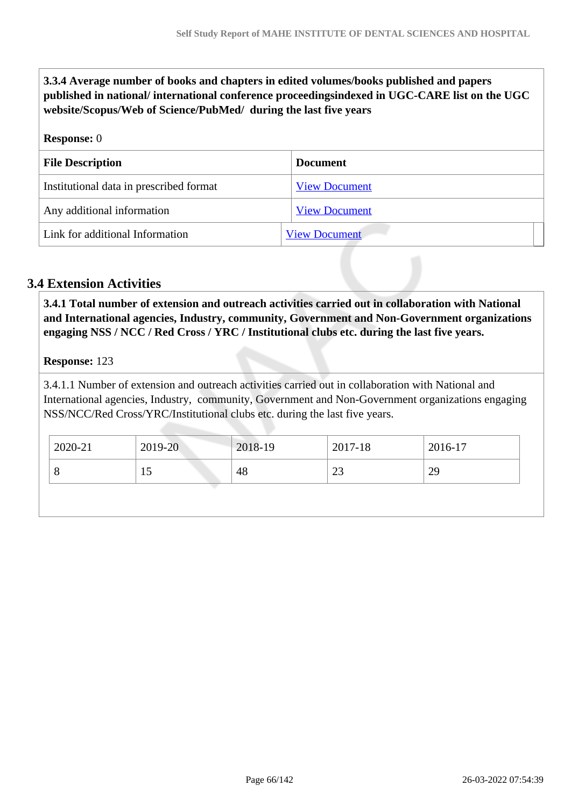**3.3.4 Average number of books and chapters in edited volumes/books published and papers published in national/ international conference proceedingsindexed in UGC-CARE list on the UGC website/Scopus/Web of Science/PubMed/ during the last five years**

#### **Response:** 0

| <b>File Description</b>                 | <b>Document</b>      |
|-----------------------------------------|----------------------|
| Institutional data in prescribed format | <b>View Document</b> |
| Any additional information              | <b>View Document</b> |
| Link for additional Information         | <b>View Document</b> |

## **3.4 Extension Activities**

 **3.4.1 Total number of extension and outreach activities carried out in collaboration with National and International agencies, Industry, community, Government and Non-Government organizations engaging NSS / NCC / Red Cross / YRC / Institutional clubs etc. during the last five years.**

#### **Response:** 123

3.4.1.1 Number of extension and outreach activities carried out in collaboration with National and International agencies, Industry, community, Government and Non-Government organizations engaging NSS/NCC/Red Cross/YRC/Institutional clubs etc. during the last five years.

| 2020-21 | 2019-20 | 2018-19 | 2017-18 | 2016-17 |
|---------|---------|---------|---------|---------|
| O       | 19      | 48      | ل ک     | 29      |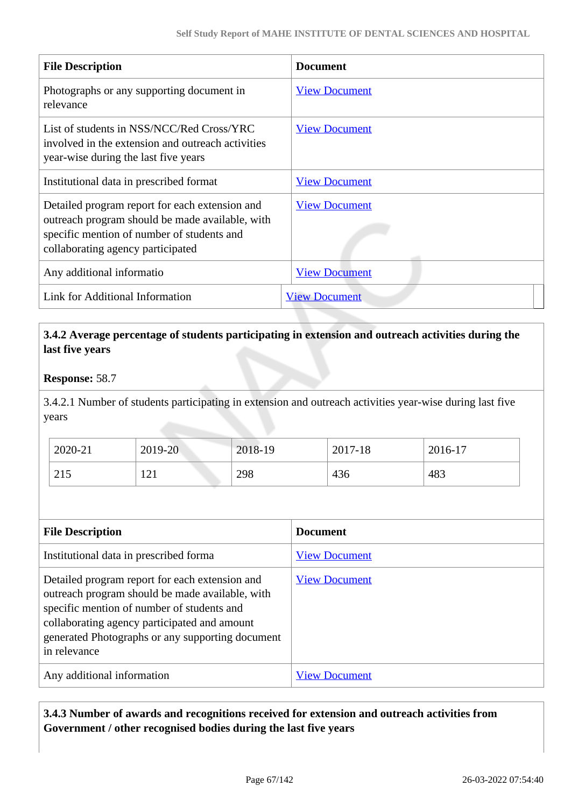| <b>File Description</b>                                                                                                                                                              | <b>Document</b>      |
|--------------------------------------------------------------------------------------------------------------------------------------------------------------------------------------|----------------------|
| Photographs or any supporting document in<br>relevance                                                                                                                               | <b>View Document</b> |
| List of students in NSS/NCC/Red Cross/YRC<br>involved in the extension and outreach activities<br>year-wise during the last five years                                               | <b>View Document</b> |
| Institutional data in prescribed format                                                                                                                                              | <b>View Document</b> |
| Detailed program report for each extension and<br>outreach program should be made available, with<br>specific mention of number of students and<br>collaborating agency participated | <b>View Document</b> |
| Any additional informatio                                                                                                                                                            | <b>View Document</b> |
| Link for Additional Information                                                                                                                                                      | <b>View Document</b> |

## **3.4.2 Average percentage of students participating in extension and outreach activities during the last five years**

#### **Response:** 58.7

3.4.2.1 Number of students participating in extension and outreach activities year-wise during last five years

| 2020-21 | $2019 - 20$ | 2018-19 | 2017-18 | 2016-17 |
|---------|-------------|---------|---------|---------|
| 215     | 121         | 298     | 436     | 483     |

| <b>File Description</b>                                                                                                                                                                                                                                             | <b>Document</b>      |
|---------------------------------------------------------------------------------------------------------------------------------------------------------------------------------------------------------------------------------------------------------------------|----------------------|
| Institutional data in prescribed forma                                                                                                                                                                                                                              | <b>View Document</b> |
| Detailed program report for each extension and<br>outreach program should be made available, with<br>specific mention of number of students and<br>collaborating agency participated and amount<br>generated Photographs or any supporting document<br>in relevance | <b>View Document</b> |
| Any additional information                                                                                                                                                                                                                                          | <b>View Document</b> |

### **3.4.3 Number of awards and recognitions received for extension and outreach activities from Government / other recognised bodies during the last five years**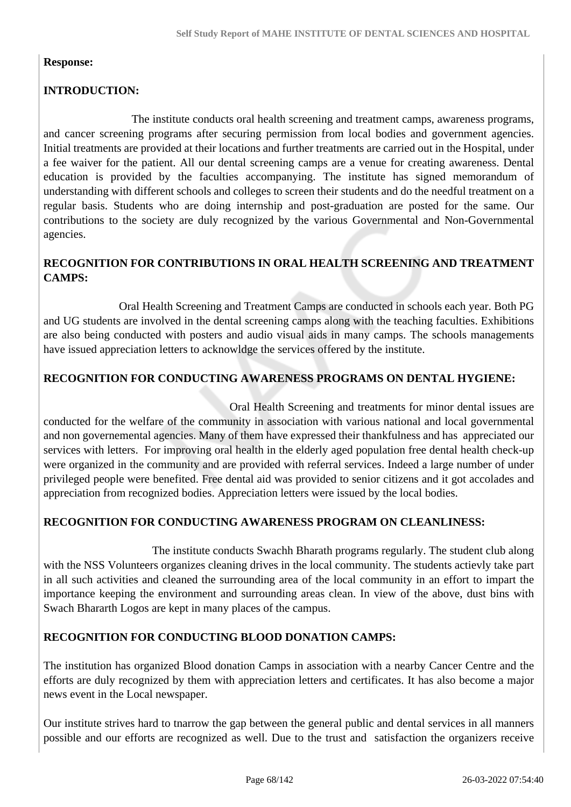#### **Response:**

## **INTRODUCTION:**

 The institute conducts oral health screening and treatment camps, awareness programs, and cancer screening programs after securing permission from local bodies and government agencies. Initial treatments are provided at their locations and further treatments are carried out in the Hospital, under a fee waiver for the patient. All our dental screening camps are a venue for creating awareness. Dental education is provided by the faculties accompanying. The institute has signed memorandum of understanding with different schools and colleges to screen their students and do the needful treatment on a regular basis. Students who are doing internship and post-graduation are posted for the same. Our contributions to the society are duly recognized by the various Governmental and Non-Governmental agencies.

## **RECOGNITION FOR CONTRIBUTIONS IN ORAL HEALTH SCREENING AND TREATMENT CAMPS:**

 Oral Health Screening and Treatment Camps are conducted in schools each year. Both PG and UG students are involved in the dental screening camps along with the teaching faculties. Exhibitions are also being conducted with posters and audio visual aids in many camps. The schools managements have issued appreciation letters to acknowldge the services offered by the institute.

## **RECOGNITION FOR CONDUCTING AWARENESS PROGRAMS ON DENTAL HYGIENE:**

 Oral Health Screening and treatments for minor dental issues are conducted for the welfare of the community in association with various national and local governmental and non governemental agencies. Many of them have expressed their thankfulness and has appreciated our services with letters. For improving oral health in the elderly aged population free dental health check-up were organized in the community and are provided with referral services. Indeed a large number of under privileged people were benefited. Free dental aid was provided to senior citizens and it got accolades and appreciation from recognized bodies. Appreciation letters were issued by the local bodies.

## **RECOGNITION FOR CONDUCTING AWARENESS PROGRAM ON CLEANLINESS:**

 The institute conducts Swachh Bharath programs regularly. The student club along with the NSS Volunteers organizes cleaning drives in the local community. The students actievly take part in all such activities and cleaned the surrounding area of the local community in an effort to impart the importance keeping the environment and surrounding areas clean. In view of the above, dust bins with Swach Bhararth Logos are kept in many places of the campus.

## **RECOGNITION FOR CONDUCTING BLOOD DONATION CAMPS:**

The institution has organized Blood donation Camps in association with a nearby Cancer Centre and the efforts are duly recognized by them with appreciation letters and certificates. It has also become a major news event in the Local newspaper.

Our institute strives hard to tnarrow the gap between the general public and dental services in all manners possible and our efforts are recognized as well. Due to the trust and satisfaction the organizers receive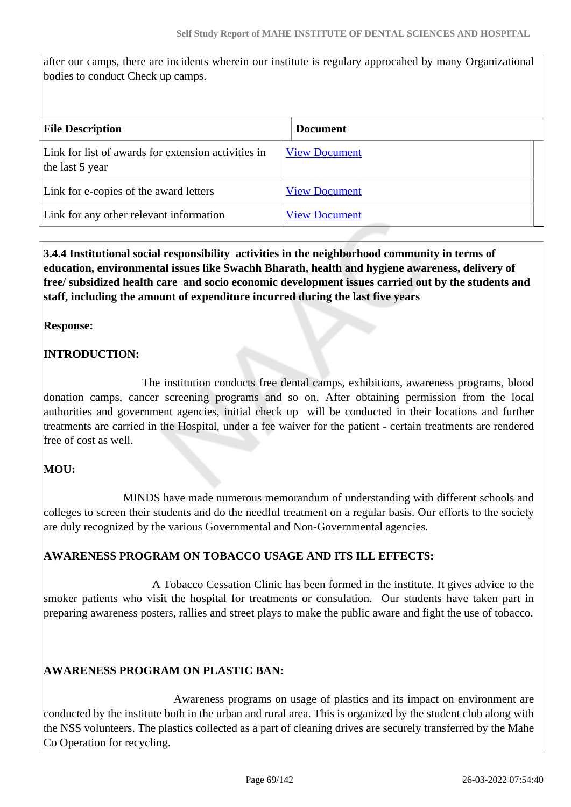after our camps, there are incidents wherein our institute is regulary approcahed by many Organizational bodies to conduct Check up camps.

| <b>File Description</b>                                                | <b>Document</b>      |  |
|------------------------------------------------------------------------|----------------------|--|
| Link for list of awards for extension activities in<br>the last 5 year | <b>View Document</b> |  |
| Link for e-copies of the award letters                                 | <b>View Document</b> |  |
| Link for any other relevant information                                | <b>View Document</b> |  |

 **3.4.4 Institutional social responsibility activities in the neighborhood community in terms of education, environmental issues like Swachh Bharath, health and hygiene awareness, delivery of free/ subsidized health care and socio economic development issues carried out by the students and staff, including the amount of expenditure incurred during the last five years** 

#### **Response:**

#### **INTRODUCTION:**

 The institution conducts free dental camps, exhibitions, awareness programs, blood donation camps, cancer screening programs and so on. After obtaining permission from the local authorities and government agencies, initial check up will be conducted in their locations and further treatments are carried in the Hospital, under a fee waiver for the patient - certain treatments are rendered free of cost as well.

## **MOU:**

 MINDS have made numerous memorandum of understanding with different schools and colleges to screen their students and do the needful treatment on a regular basis. Our efforts to the society are duly recognized by the various Governmental and Non-Governmental agencies.

## **AWARENESS PROGRAM ON TOBACCO USAGE AND ITS ILL EFFECTS:**

 A Tobacco Cessation Clinic has been formed in the institute. It gives advice to the smoker patients who visit the hospital for treatments or consulation. Our students have taken part in preparing awareness posters, rallies and street plays to make the public aware and fight the use of tobacco.

#### **AWARENESS PROGRAM ON PLASTIC BAN:**

 Awareness programs on usage of plastics and its impact on environment are conducted by the institute both in the urban and rural area. This is organized by the student club along with the NSS volunteers. The plastics collected as a part of cleaning drives are securely transferred by the Mahe Co Operation for recycling.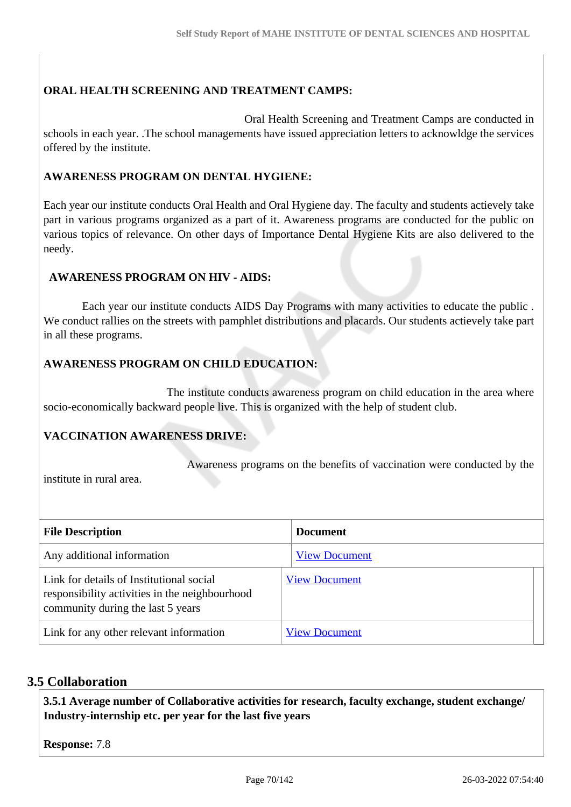# **ORAL HEALTH SCREENING AND TREATMENT CAMPS:**

 Oral Health Screening and Treatment Camps are conducted in schools in each year. .The school managements have issued appreciation letters to acknowldge the services offered by the institute.

## **AWARENESS PROGRAM ON DENTAL HYGIENE:**

Each year our institute conducts Oral Health and Oral Hygiene day. The faculty and students actievely take part in various programs organized as a part of it. Awareness programs are conducted for the public on various topics of relevance. On other days of Importance Dental Hygiene Kits are also delivered to the needy.

## **AWARENESS PROGRAM ON HIV - AIDS:**

 Each year our institute conducts AIDS Day Programs with many activities to educate the public . We conduct rallies on the streets with pamphlet distributions and placards. Our students actievely take part in all these programs.

## **AWARENESS PROGRAM ON CHILD EDUCATION:**

 The institute conducts awareness program on child education in the area where socio-economically backward people live. This is organized with the help of student club.

## **VACCINATION AWARENESS DRIVE:**

Awareness programs on the benefits of vaccination were conducted by the

institute in rural area.

| <b>File Description</b>                                                                                                         | <b>Document</b>      |
|---------------------------------------------------------------------------------------------------------------------------------|----------------------|
| Any additional information                                                                                                      | <b>View Document</b> |
| Link for details of Institutional social<br>responsibility activities in the neighbourhood<br>community during the last 5 years | <b>View Document</b> |
| Link for any other relevant information                                                                                         | <b>View Document</b> |

## **3.5 Collaboration**

 **3.5.1 Average number of Collaborative activities for research, faculty exchange, student exchange/ Industry-internship etc. per year for the last five years** 

**Response:** 7.8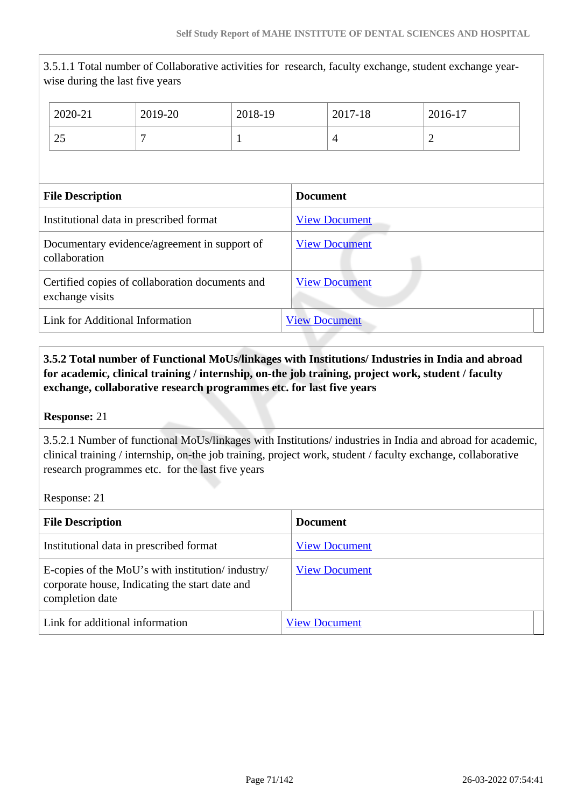3.5.1.1 Total number of Collaborative activities for research, faculty exchange, student exchange yearwise during the last five years 2020-21 2019-20 2018-19 2017-18 2016-17 25  $\begin{array}{|c|c|c|c|c|}\n\hline\n25 & 7 & 1 & 4 & 2 \\
\hline\n\end{array}$ **File Description Document** Institutional data in prescribed format [View Document](https://assessmentonline.naac.gov.in/storage/app/hei/SSR/111478/3.5.1_1648060875_7828.xlsx) Documentary evidence/agreement in support of collaboration **[View Document](https://assessmentonline.naac.gov.in/storage/app/hei/SSR/111478/3.5.1_1648095096_7828.pdf)** Certified copies of collaboration documents and exchange visits [View Document](https://assessmentonline.naac.gov.in/storage/app/hei/SSR/111478/3.5.1_1648091785_7828.pdf) Link for Additional Information [View Document](https://mahedentalcollege.org/research/collaborative-work)

## **3.5.2 Total number of Functional MoUs/linkages with Institutions/ Industries in India and abroad for academic, clinical training / internship, on-the job training, project work, student / faculty exchange, collaborative research programmes etc. for last five years**

#### **Response:** 21

3.5.2.1 Number of functional MoUs/linkages with Institutions/ industries in India and abroad for academic, clinical training / internship, on-the job training, project work, student / faculty exchange, collaborative research programmes etc. for the last five years

Response: 21

| <b>File Description</b>                                                                                               | <b>Document</b>      |
|-----------------------------------------------------------------------------------------------------------------------|----------------------|
| Institutional data in prescribed format                                                                               | <b>View Document</b> |
| E-copies of the MoU's with institution/industry/<br>corporate house, Indicating the start date and<br>completion date | <b>View Document</b> |
| Link for additional information                                                                                       | <b>View Document</b> |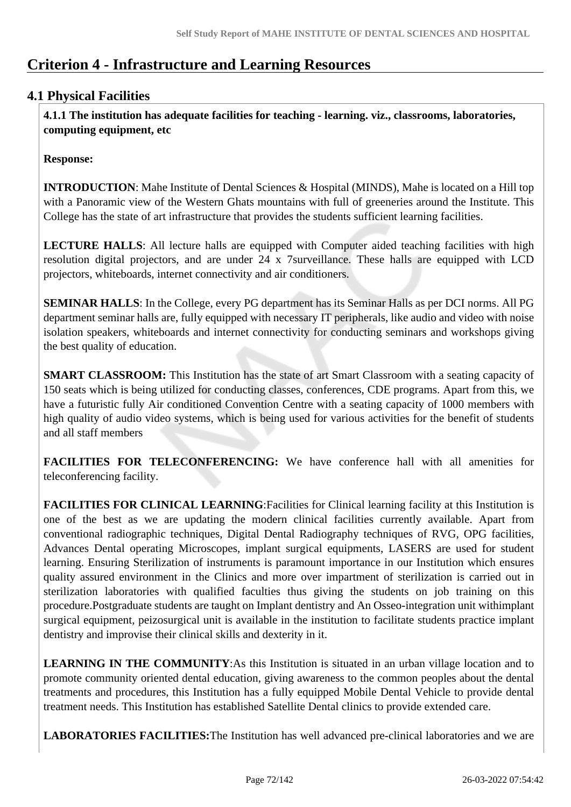# **Criterion 4 - Infrastructure and Learning Resources**

# **4.1 Physical Facilities**

 **4.1.1 The institution has adequate facilities for teaching - learning. viz., classrooms, laboratories, computing equipment, etc**

**Response:** 

**INTRODUCTION**: Mahe Institute of Dental Sciences & Hospital (MINDS), Mahe is located on a Hill top with a Panoramic view of the Western Ghats mountains with full of greeneries around the Institute. This College has the state of art infrastructure that provides the students sufficient learning facilities.

**LECTURE HALLS**: All lecture halls are equipped with Computer aided teaching facilities with high resolution digital projectors, and are under 24 x 7surveillance. These halls are equipped with LCD projectors, whiteboards, internet connectivity and air conditioners.

**SEMINAR HALLS**: In the College, every PG department has its Seminar Halls as per DCI norms. All PG department seminar halls are, fully equipped with necessary IT peripherals, like audio and video with noise isolation speakers, whiteboards and internet connectivity for conducting seminars and workshops giving the best quality of education.

**SMART CLASSROOM:** This Institution has the state of art Smart Classroom with a seating capacity of 150 seats which is being utilized for conducting classes, conferences, CDE programs. Apart from this, we have a futuristic fully Air conditioned Convention Centre with a seating capacity of 1000 members with high quality of audio video systems, which is being used for various activities for the benefit of students and all staff members

**FACILITIES FOR TELECONFERENCING:** We have conference hall with all amenities for teleconferencing facility.

FACILITIES FOR CLINICAL LEARNING: Facilities for Clinical learning facility at this Institution is one of the best as we are updating the modern clinical facilities currently available. Apart from conventional radiographic techniques, Digital Dental Radiography techniques of RVG, OPG facilities, Advances Dental operating Microscopes, implant surgical equipments, LASERS are used for student learning. Ensuring Sterilization of instruments is paramount importance in our Institution which ensures quality assured environment in the Clinics and more over impartment of sterilization is carried out in sterilization laboratories with qualified faculties thus giving the students on job training on this procedure.Postgraduate students are taught on Implant dentistry and An Osseo-integration unit withimplant surgical equipment, peizosurgical unit is available in the institution to facilitate students practice implant dentistry and improvise their clinical skills and dexterity in it.

**LEARNING IN THE COMMUNITY:** As this Institution is situated in an urban village location and to promote community oriented dental education, giving awareness to the common peoples about the dental treatments and procedures, this Institution has a fully equipped Mobile Dental Vehicle to provide dental treatment needs. This Institution has established Satellite Dental clinics to provide extended care.

**LABORATORIES FACILITIES:**The Institution has well advanced pre-clinical laboratories and we are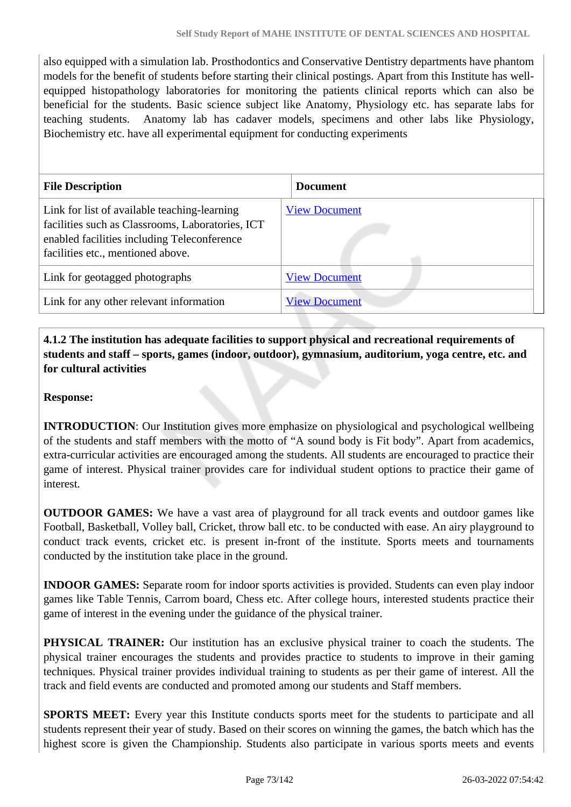also equipped with a simulation lab. Prosthodontics and Conservative Dentistry departments have phantom models for the benefit of students before starting their clinical postings. Apart from this Institute has wellequipped histopathology laboratories for monitoring the patients clinical reports which can also be beneficial for the students. Basic science subject like Anatomy, Physiology etc. has separate labs for teaching students. Anatomy lab has cadaver models, specimens and other labs like Physiology, Biochemistry etc. have all experimental equipment for conducting experiments

| <b>File Description</b>                                                                                                                                                              | <b>Document</b>      |
|--------------------------------------------------------------------------------------------------------------------------------------------------------------------------------------|----------------------|
| Link for list of available teaching-learning<br>facilities such as Classrooms, Laboratories, ICT<br>enabled facilities including Teleconference<br>facilities etc., mentioned above. | <b>View Document</b> |
| Link for geotagged photographs                                                                                                                                                       | <b>View Document</b> |
| Link for any other relevant information                                                                                                                                              | <b>View Document</b> |

## **4.1.2 The institution has adequate facilities to support physical and recreational requirements of students and staff – sports, games (indoor, outdoor), gymnasium, auditorium, yoga centre, etc. and for cultural activities**

**Response:** 

**INTRODUCTION**: Our Institution gives more emphasize on physiological and psychological wellbeing of the students and staff members with the motto of "A sound body is Fit body". Apart from academics, extra-curricular activities are encouraged among the students. All students are encouraged to practice their game of interest. Physical trainer provides care for individual student options to practice their game of interest.

**OUTDOOR GAMES:** We have a vast area of playground for all track events and outdoor games like Football, Basketball, Volley ball, Cricket, throw ball etc. to be conducted with ease. An airy playground to conduct track events, cricket etc. is present in-front of the institute. Sports meets and tournaments conducted by the institution take place in the ground.

**INDOOR GAMES:** Separate room for indoor sports activities is provided. Students can even play indoor games like Table Tennis, Carrom board, Chess etc. After college hours, interested students practice their game of interest in the evening under the guidance of the physical trainer.

**PHYSICAL TRAINER:** Our institution has an exclusive physical trainer to coach the students. The physical trainer encourages the students and provides practice to students to improve in their gaming techniques. Physical trainer provides individual training to students as per their game of interest. All the track and field events are conducted and promoted among our students and Staff members.

**SPORTS MEET:** Every year this Institute conducts sports meet for the students to participate and all students represent their year of study. Based on their scores on winning the games, the batch which has the highest score is given the Championship. Students also participate in various sports meets and events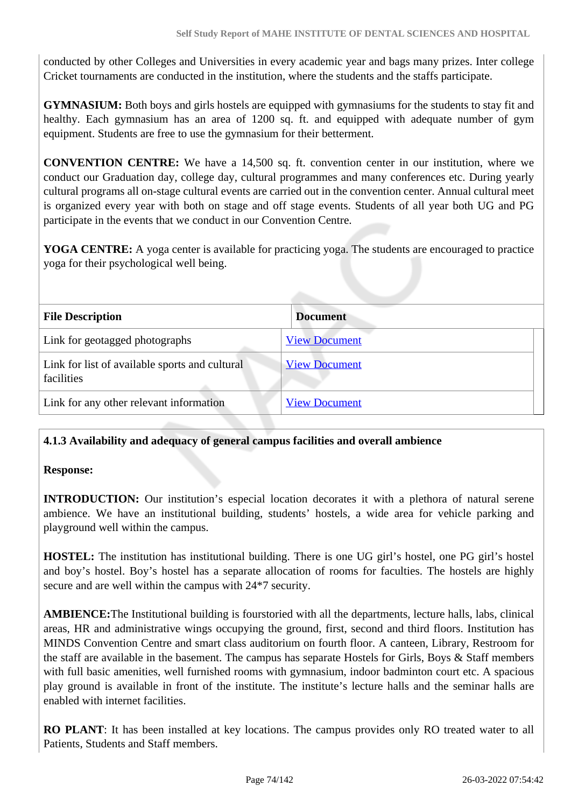conducted by other Colleges and Universities in every academic year and bags many prizes. Inter college Cricket tournaments are conducted in the institution, where the students and the staffs participate.

**GYMNASIUM:** Both boys and girls hostels are equipped with gymnasiums for the students to stay fit and healthy. Each gymnasium has an area of 1200 sq. ft. and equipped with adequate number of gym equipment. Students are free to use the gymnasium for their betterment.

**CONVENTION CENTRE:** We have a 14,500 sq. ft. convention center in our institution, where we conduct our Graduation day, college day, cultural programmes and many conferences etc. During yearly cultural programs all on-stage cultural events are carried out in the convention center. Annual cultural meet is organized every year with both on stage and off stage events. Students of all year both UG and PG participate in the events that we conduct in our Convention Centre.

**YOGA CENTRE:** A yoga center is available for practicing yoga. The students are encouraged to practice yoga for their psychological well being.

| <b>File Description</b>                                      | <b>Document</b>      |
|--------------------------------------------------------------|----------------------|
| Link for geotagged photographs                               | <b>View Document</b> |
| Link for list of available sports and cultural<br>facilities | <b>View Document</b> |
| Link for any other relevant information                      | <b>View Document</b> |

## **4.1.3 Availability and adequacy of general campus facilities and overall ambience**

#### **Response:**

**INTRODUCTION:** Our institution's especial location decorates it with a plethora of natural serene ambience. We have an institutional building, students' hostels, a wide area for vehicle parking and playground well within the campus.

**HOSTEL:** The institution has institutional building. There is one UG girl's hostel, one PG girl's hostel and boy's hostel. Boy's hostel has a separate allocation of rooms for faculties. The hostels are highly secure and are well within the campus with 24\*7 security.

**AMBIENCE:**The Institutional building is fourstoried with all the departments, lecture halls, labs, clinical areas, HR and administrative wings occupying the ground, first, second and third floors. Institution has MINDS Convention Centre and smart class auditorium on fourth floor. A canteen, Library, Restroom for the staff are available in the basement. The campus has separate Hostels for Girls, Boys & Staff members with full basic amenities, well furnished rooms with gymnasium, indoor badminton court etc. A spacious play ground is available in front of the institute. The institute's lecture halls and the seminar halls are enabled with internet facilities.

**RO PLANT**: It has been installed at key locations. The campus provides only RO treated water to all Patients, Students and Staff members.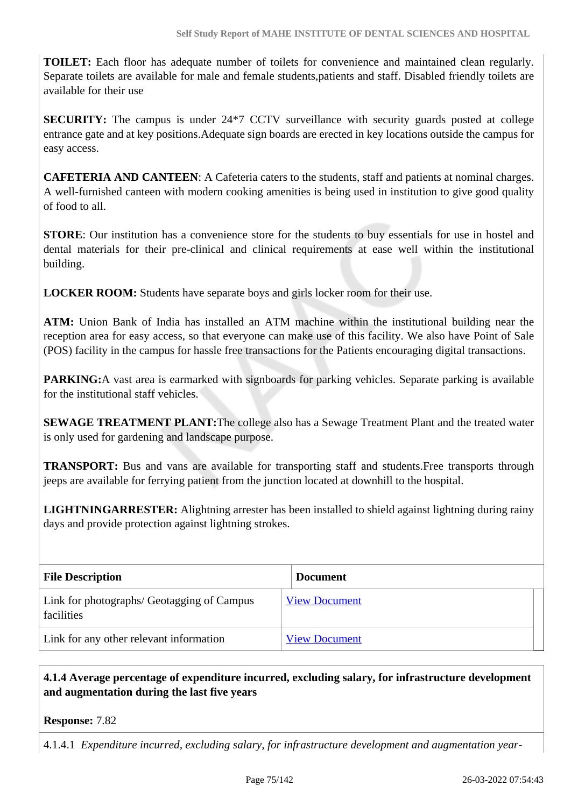**TOILET:** Each floor has adequate number of toilets for convenience and maintained clean regularly. Separate toilets are available for male and female students,patients and staff. Disabled friendly toilets are available for their use

**SECURITY:** The campus is under 24<sup>\*7</sup> CCTV surveillance with security guards posted at college entrance gate and at key positions.Adequate sign boards are erected in key locations outside the campus for easy access.

**CAFETERIA AND CANTEEN**: A Cafeteria caters to the students, staff and patients at nominal charges. A well-furnished canteen with modern cooking amenities is being used in institution to give good quality of food to all.

**STORE:** Our institution has a convenience store for the students to buy essentials for use in hostel and dental materials for their pre-clinical and clinical requirements at ease well within the institutional building.

**LOCKER ROOM:** Students have separate boys and girls locker room for their use.

**ATM:** Union Bank of India has installed an ATM machine within the institutional building near the reception area for easy access, so that everyone can make use of this facility. We also have Point of Sale (POS) facility in the campus for hassle free transactions for the Patients encouraging digital transactions.

**PARKING:**A vast area is earmarked with signboards for parking vehicles. Separate parking is available for the institutional staff vehicles.

**SEWAGE TREATMENT PLANT:**The college also has a Sewage Treatment Plant and the treated water is only used for gardening and landscape purpose.

**TRANSPORT:** Bus and vans are available for transporting staff and students.Free transports through jeeps are available for ferrying patient from the junction located at downhill to the hospital.

**LIGHTNINGARRESTER:** Alightning arrester has been installed to shield against lightning during rainy days and provide protection against lightning strokes.

| <b>File Description</b>                                  | <b>Document</b>      |
|----------------------------------------------------------|----------------------|
| Link for photographs/ Geotagging of Campus<br>facilities | <b>View Document</b> |
| Link for any other relevant information                  | <b>View Document</b> |

## **4.1.4 Average percentage of expenditure incurred, excluding salary, for infrastructure development and augmentation during the last five years**

**Response:** 7.82

4.1.4.1 *Expenditure incurred, excluding salary, for infrastructure development and augmentation year-*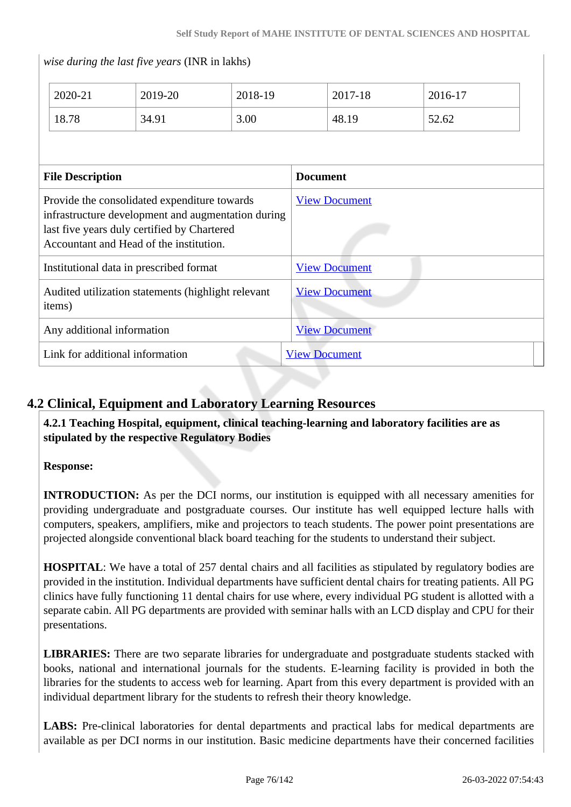|                                                                                                                                                                                              |                                            | wise during the last five years (INR in lakhs) |                      |                      |         |         |  |
|----------------------------------------------------------------------------------------------------------------------------------------------------------------------------------------------|--------------------------------------------|------------------------------------------------|----------------------|----------------------|---------|---------|--|
|                                                                                                                                                                                              | 2020-21                                    | 2019-20                                        | 2018-19              |                      | 2017-18 | 2016-17 |  |
|                                                                                                                                                                                              | 18.78                                      | 34.91                                          | 3.00                 |                      | 48.19   | 52.62   |  |
|                                                                                                                                                                                              |                                            |                                                |                      |                      |         |         |  |
|                                                                                                                                                                                              | <b>File Description</b><br><b>Document</b> |                                                |                      |                      |         |         |  |
| Provide the consolidated expenditure towards<br>infrastructure development and augmentation during<br>last five years duly certified by Chartered<br>Accountant and Head of the institution. |                                            |                                                | <b>View Document</b> |                      |         |         |  |
| Institutional data in prescribed format                                                                                                                                                      |                                            |                                                |                      | <b>View Document</b> |         |         |  |
| Audited utilization statements (highlight relevant<br>items)                                                                                                                                 |                                            | <b>View Document</b>                           |                      |                      |         |         |  |
| Any additional information                                                                                                                                                                   |                                            |                                                |                      | <b>View Document</b> |         |         |  |
| Link for additional information                                                                                                                                                              |                                            |                                                | <b>View Document</b> |                      |         |         |  |

# **4.2 Clinical, Equipment and Laboratory Learning Resources**

 **4.2.1 Teaching Hospital, equipment, clinical teaching-learning and laboratory facilities are as stipulated by the respective Regulatory Bodies** 

**Response:** 

**INTRODUCTION:** As per the DCI norms, our institution is equipped with all necessary amenities for providing undergraduate and postgraduate courses. Our institute has well equipped lecture halls with computers, speakers, amplifiers, mike and projectors to teach students. The power point presentations are projected alongside conventional black board teaching for the students to understand their subject.

**HOSPITAL**: We have a total of 257 dental chairs and all facilities as stipulated by regulatory bodies are provided in the institution. Individual departments have sufficient dental chairs for treating patients. All PG clinics have fully functioning 11 dental chairs for use where, every individual PG student is allotted with a separate cabin. All PG departments are provided with seminar halls with an LCD display and CPU for their presentations.

**LIBRARIES:** There are two separate libraries for undergraduate and postgraduate students stacked with books, national and international journals for the students. E-learning facility is provided in both the libraries for the students to access web for learning. Apart from this every department is provided with an individual department library for the students to refresh their theory knowledge.

**LABS:** Pre-clinical laboratories for dental departments and practical labs for medical departments are available as per DCI norms in our institution. Basic medicine departments have their concerned facilities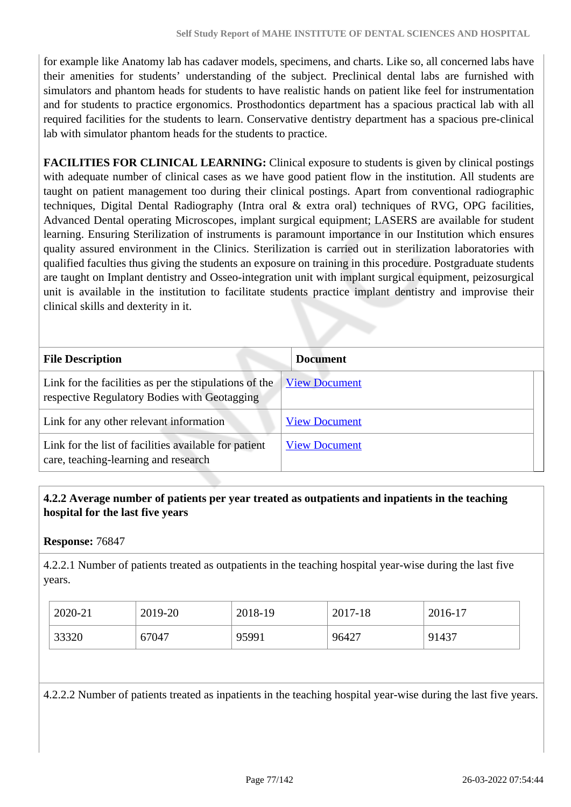for example like Anatomy lab has cadaver models, specimens, and charts. Like so, all concerned labs have their amenities for students' understanding of the subject. Preclinical dental labs are furnished with simulators and phantom heads for students to have realistic hands on patient like feel for instrumentation and for students to practice ergonomics. Prosthodontics department has a spacious practical lab with all required facilities for the students to learn. Conservative dentistry department has a spacious pre-clinical lab with simulator phantom heads for the students to practice.

**FACILITIES FOR CLINICAL LEARNING:** Clinical exposure to students is given by clinical postings with adequate number of clinical cases as we have good patient flow in the institution. All students are taught on patient management too during their clinical postings. Apart from conventional radiographic techniques, Digital Dental Radiography (Intra oral & extra oral) techniques of RVG, OPG facilities, Advanced Dental operating Microscopes, implant surgical equipment; LASERS are available for student learning. Ensuring Sterilization of instruments is paramount importance in our Institution which ensures quality assured environment in the Clinics. Sterilization is carried out in sterilization laboratories with qualified faculties thus giving the students an exposure on training in this procedure. Postgraduate students are taught on Implant dentistry and Osseo-integration unit with implant surgical equipment, peizosurgical unit is available in the institution to facilitate students practice implant dentistry and improvise their clinical skills and dexterity in it.

| <b>File Description</b>                                                                                | <b>Document</b>      |
|--------------------------------------------------------------------------------------------------------|----------------------|
| Link for the facilities as per the stipulations of the<br>respective Regulatory Bodies with Geotagging | <b>View Document</b> |
| Link for any other relevant information                                                                | <b>View Document</b> |
| Link for the list of facilities available for patient<br>care, teaching-learning and research          | <b>View Document</b> |

## **4.2.2 Average number of patients per year treated as outpatients and inpatients in the teaching hospital for the last five years**

#### **Response:** 76847

4.2.2.1 Number of patients treated as outpatients in the teaching hospital year-wise during the last five years.

| 2020-21 | 2019-20 | 2018-19 | 2017-18 | 2016-17 |
|---------|---------|---------|---------|---------|
| 33320   | 67047   | 95991   | 96427   | 91437   |

4.2.2.2 Number of patients treated as inpatients in the teaching hospital year-wise during the last five years.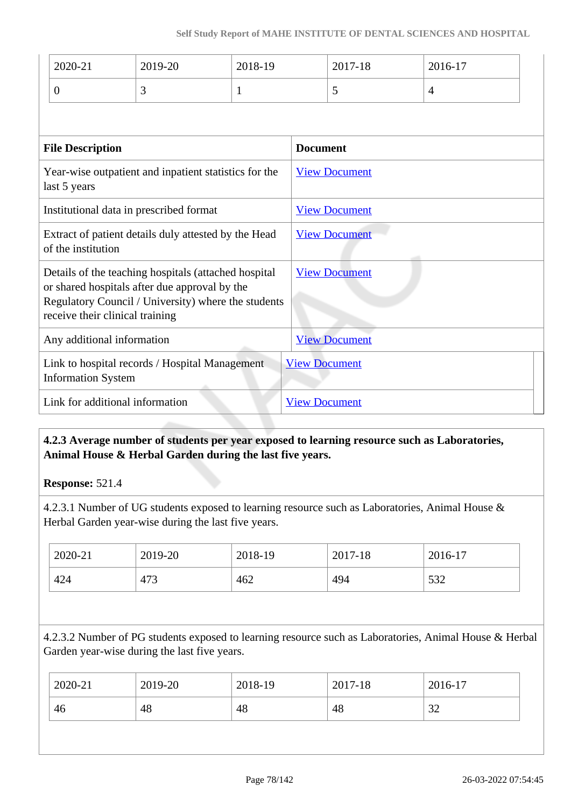| Year-wise outpatient and inpatient statistics for the |         |                 |  | <b>View Document</b> |         |  |
|-------------------------------------------------------|---------|-----------------|--|----------------------|---------|--|
| <b>File Description</b>                               |         | <b>Document</b> |  |                      |         |  |
|                                                       |         |                 |  |                      | 4       |  |
| 2020-21                                               | 2019-20 | 2018-19         |  | 2017-18              | 2016-17 |  |

| Year-wise outpatient and inpatient statistics for the<br>last 5 years                                                                                                                           | <b>View Document</b> |
|-------------------------------------------------------------------------------------------------------------------------------------------------------------------------------------------------|----------------------|
| Institutional data in prescribed format                                                                                                                                                         | <b>View Document</b> |
| Extract of patient details duly attested by the Head<br>of the institution                                                                                                                      | <b>View Document</b> |
| Details of the teaching hospitals (attached hospital<br>or shared hospitals after due approval by the<br>Regulatory Council / University) where the students<br>receive their clinical training | <b>View Document</b> |
| Any additional information                                                                                                                                                                      | <b>View Document</b> |
| Link to hospital records / Hospital Management<br><b>Information System</b>                                                                                                                     | <b>View Document</b> |
| Link for additional information                                                                                                                                                                 | <b>View Document</b> |

## **4.2.3 Average number of students per year exposed to learning resource such as Laboratories, Animal House & Herbal Garden during the last five years.**

**Response:** 521.4

4.2.3.1 Number of UG students exposed to learning resource such as Laboratories, Animal House & Herbal Garden year-wise during the last five years.

| 2020-21 | 2019-20 | 2018-19 | 2017-18 | 2016-17           |
|---------|---------|---------|---------|-------------------|
| 424     | 473     | 462     | 494     | $\epsilon$<br>JJZ |

4.2.3.2 Number of PG students exposed to learning resource such as Laboratories, Animal House & Herbal Garden year-wise during the last five years.

| 2020-21 | 2019-20 | 2018-19 | 2017-18 | 2016-17       |
|---------|---------|---------|---------|---------------|
| 46      | 48      | 48      | 48      | $\cap$<br>ے ت |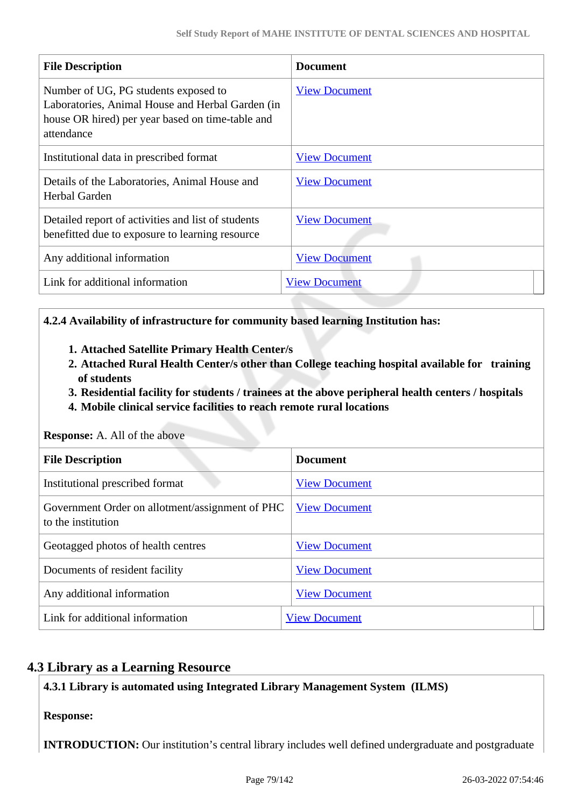| <b>File Description</b>                                                                                                                                    | <b>Document</b>      |
|------------------------------------------------------------------------------------------------------------------------------------------------------------|----------------------|
| Number of UG, PG students exposed to<br>Laboratories, Animal House and Herbal Garden (in<br>house OR hired) per year based on time-table and<br>attendance | <b>View Document</b> |
| Institutional data in prescribed format                                                                                                                    | <b>View Document</b> |
| Details of the Laboratories, Animal House and<br>Herbal Garden                                                                                             | <b>View Document</b> |
| Detailed report of activities and list of students<br>benefitted due to exposure to learning resource                                                      | <b>View Document</b> |
| Any additional information                                                                                                                                 | <b>View Document</b> |
| Link for additional information                                                                                                                            | <b>View Document</b> |

**4.2.4 Availability of infrastructure for community based learning Institution has:**

- **1. Attached Satellite Primary Health Center/s**
- **2. Attached Rural Health Center/s other than College teaching hospital available for training of students**
- **3. Residential facility for students / trainees at the above peripheral health centers / hospitals**
- **4. Mobile clinical service facilities to reach remote rural locations**

| <b>File Description</b>                                               | <b>Document</b>      |
|-----------------------------------------------------------------------|----------------------|
| Institutional prescribed format                                       | <b>View Document</b> |
| Government Order on allotment/assignment of PHC<br>to the institution | <b>View Document</b> |
| Geotagged photos of health centres                                    | <b>View Document</b> |
| Documents of resident facility                                        | <b>View Document</b> |
| Any additional information                                            | <b>View Document</b> |
| Link for additional information                                       | <b>View Document</b> |

# **4.3 Library as a Learning Resource**

**Response:** A. All of the above

**4.3.1 Library is automated using Integrated Library Management System (ILMS)**

**Response:** 

**INTRODUCTION:** Our institution's central library includes well defined undergraduate and postgraduate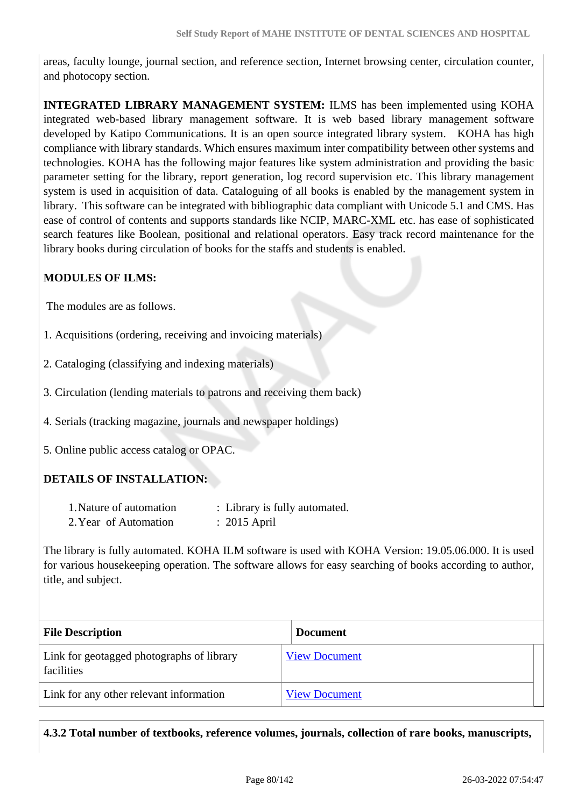areas, faculty lounge, journal section, and reference section, Internet browsing center, circulation counter, and photocopy section.

**INTEGRATED LIBRARY MANAGEMENT SYSTEM:** ILMS has been implemented using KOHA integrated web-based library management software. It is web based library management software developed by Katipo Communications. It is an open source integrated library system. KOHA has high compliance with library standards. Which ensures maximum inter compatibility between other systems and technologies. KOHA has the following major features like system administration and providing the basic parameter setting for the library, report generation, log record supervision etc. This library management system is used in acquisition of data. Cataloguing of all books is enabled by the management system in library. This software can be integrated with bibliographic data compliant with Unicode 5.1 and CMS. Has ease of control of contents and supports standards like NCIP, MARC-XML etc. has ease of sophisticated search features like Boolean, positional and relational operators. Easy track record maintenance for the library books during circulation of books for the staffs and students is enabled.

## **MODULES OF ILMS:**

The modules are as follows.

1. Acquisitions (ordering, receiving and invoicing materials)

2. Cataloging (classifying and indexing materials)

3. Circulation (lending materials to patrons and receiving them back)

4. Serials (tracking magazine, journals and newspaper holdings)

5. Online public access catalog or OPAC.

#### **DETAILS OF INSTALLATION:**

| 1. Nature of automation | : Library is fully automated. |
|-------------------------|-------------------------------|
| 2. Year of Automation   | $: 2015$ April                |

The library is fully automated. KOHA ILM software is used with KOHA Version: 19.05.06.000. It is used for various housekeeping operation. The software allows for easy searching of books according to author, title, and subject.

| <b>File Description</b>                                 | <b>Document</b>      |
|---------------------------------------------------------|----------------------|
| Link for geotagged photographs of library<br>facilities | <b>View Document</b> |
| Link for any other relevant information                 | <b>View Document</b> |

**4.3.2 Total number of textbooks, reference volumes, journals, collection of rare books, manuscripts,**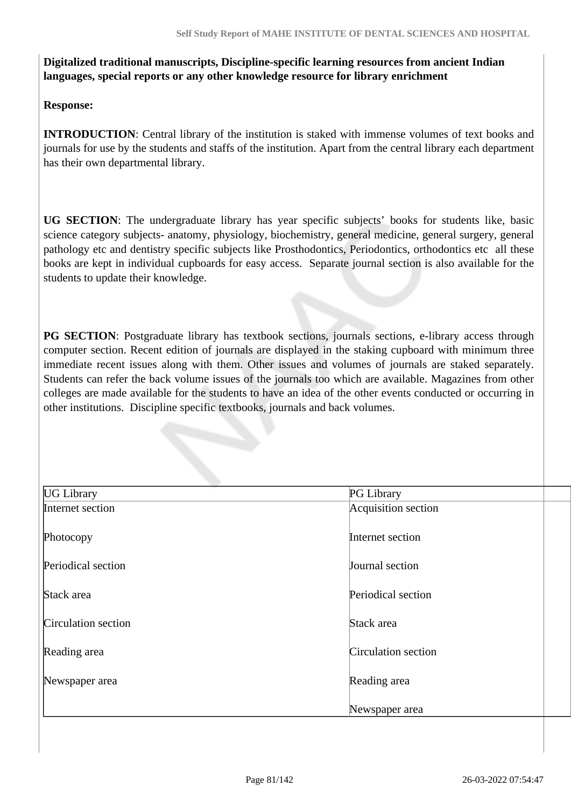## **Digitalized traditional manuscripts, Discipline-specific learning resources from ancient Indian languages, special reports or any other knowledge resource for library enrichment**

#### **Response:**

**INTRODUCTION**: Central library of the institution is staked with immense volumes of text books and journals for use by the students and staffs of the institution. Apart from the central library each department has their own departmental library.

**UG SECTION**: The undergraduate library has year specific subjects' books for students like, basic science category subjects- anatomy, physiology, biochemistry, general medicine, general surgery, general pathology etc and dentistry specific subjects like Prosthodontics, Periodontics, orthodontics etc all these books are kept in individual cupboards for easy access. Separate journal section is also available for the students to update their knowledge.

**PG SECTION:** Postgraduate library has textbook sections, journals sections, e-library access through computer section. Recent edition of journals are displayed in the staking cupboard with minimum three immediate recent issues along with them. Other issues and volumes of journals are staked separately. Students can refer the back volume issues of the journals too which are available. Magazines from other colleges are made available for the students to have an idea of the other events conducted or occurring in other institutions. Discipline specific textbooks, journals and back volumes.

| <b>UG Library</b><br><b>PG Library</b> |                     |  |
|----------------------------------------|---------------------|--|
| Internet section                       | Acquisition section |  |
| Photocopy                              | Internet section    |  |
| Periodical section                     | Journal section     |  |
| Stack area                             | Periodical section  |  |
| Circulation section                    | Stack area          |  |
| Reading area                           | Circulation section |  |
| Newspaper area                         | Reading area        |  |
|                                        | Newspaper area      |  |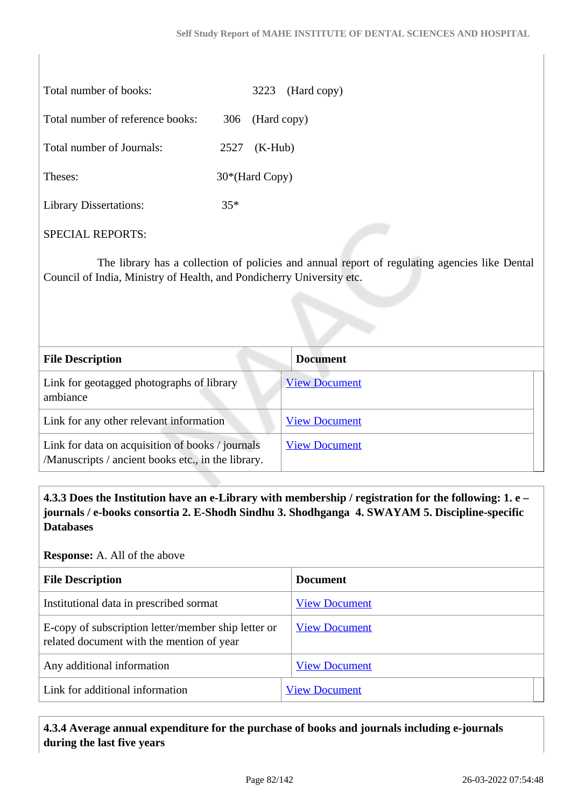| Total number of books:           | (Hard copy)<br>3223     |
|----------------------------------|-------------------------|
| Total number of reference books: | 306<br>(Hard copy)      |
| Total number of Journals:        | $(K-Hub)$<br>2527       |
| Theses:                          | $30*(\text{Hard Copy})$ |
| <b>Library Dissertations:</b>    | $35*$                   |
|                                  |                         |

SPECIAL REPORTS:

 The library has a collection of policies and annual report of regulating agencies like Dental Council of India, Ministry of Health, and Pondicherry University etc.

| <b>File Description</b>                                                                                | <b>Document</b>      |
|--------------------------------------------------------------------------------------------------------|----------------------|
| Link for geotagged photographs of library<br>ambiance                                                  | <b>View Document</b> |
| Link for any other relevant information                                                                | <b>View Document</b> |
| Link for data on acquisition of books / journals<br>/Manuscripts / ancient books etc., in the library. | <b>View Document</b> |

 **4.3.3 Does the Institution have an e-Library with membership / registration for the following: 1. e – journals / e-books consortia 2. E-Shodh Sindhu 3. Shodhganga 4. SWAYAM 5. Discipline-specific Databases**

#### **Response:** A. All of the above

| <b>File Description</b>                                                                          | <b>Document</b>      |
|--------------------------------------------------------------------------------------------------|----------------------|
| Institutional data in prescribed sormat                                                          | <b>View Document</b> |
| E-copy of subscription letter/member ship letter or<br>related document with the mention of year | <b>View Document</b> |
| Any additional information                                                                       | <b>View Document</b> |
| Link for additional information                                                                  | <b>View Document</b> |

 **4.3.4 Average annual expenditure for the purchase of books and journals including e-journals during the last five years**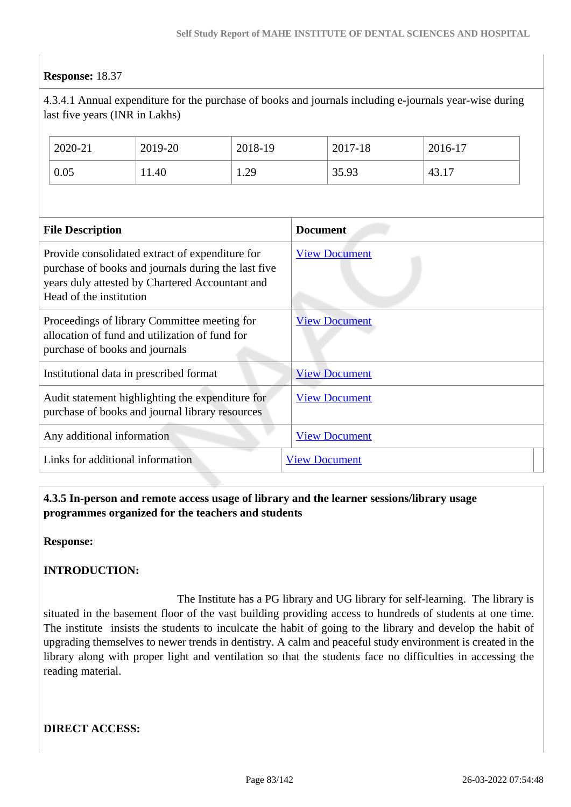#### **Response:** 18.37

4.3.4.1 Annual expenditure for the purchase of books and journals including e-journals year-wise during last five years (INR in Lakhs)

| 2020-21                                 | 2019-20                                                                                                                                                   | 2018-19 |                      | 2017-18              | 2016-17 |  |
|-----------------------------------------|-----------------------------------------------------------------------------------------------------------------------------------------------------------|---------|----------------------|----------------------|---------|--|
| 0.05                                    | 11.40                                                                                                                                                     | 1.29    |                      | 35.93                | 43.17   |  |
|                                         |                                                                                                                                                           |         |                      |                      |         |  |
| <b>File Description</b>                 |                                                                                                                                                           |         | <b>Document</b>      |                      |         |  |
| Head of the institution                 | Provide consolidated extract of expenditure for<br>purchase of books and journals during the last five<br>years duly attested by Chartered Accountant and |         |                      | <b>View Document</b> |         |  |
| purchase of books and journals          | Proceedings of library Committee meeting for<br>allocation of fund and utilization of fund for                                                            |         |                      | <b>View Document</b> |         |  |
| Institutional data in prescribed format |                                                                                                                                                           |         |                      | <b>View Document</b> |         |  |
|                                         | Audit statement highlighting the expenditure for<br>purchase of books and journal library resources                                                       |         |                      | <b>View Document</b> |         |  |
| Any additional information              |                                                                                                                                                           |         |                      | <b>View Document</b> |         |  |
| Links for additional information        |                                                                                                                                                           |         | <b>View Document</b> |                      |         |  |

#### **4.3.5 In-person and remote access usage of library and the learner sessions/library usage programmes organized for the teachers and students**

**Response:** 

## **INTRODUCTION:**

 The Institute has a PG library and UG library for self-learning. The library is situated in the basement floor of the vast building providing access to hundreds of students at one time. The institute insists the students to inculcate the habit of going to the library and develop the habit of upgrading themselves to newer trends in dentistry. A calm and peaceful study environment is created in the library along with proper light and ventilation so that the students face no difficulties in accessing the reading material.

#### **DIRECT ACCESS:**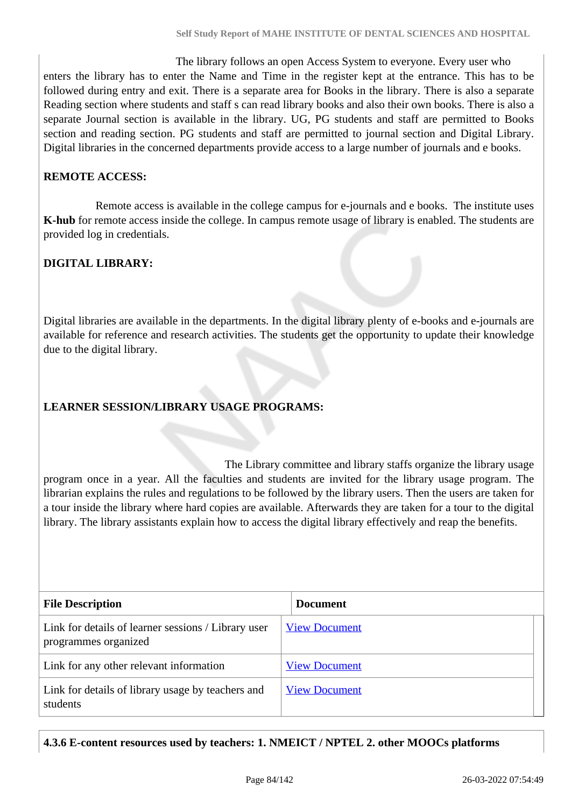The library follows an open Access System to everyone. Every user who enters the library has to enter the Name and Time in the register kept at the entrance. This has to be followed during entry and exit. There is a separate area for Books in the library. There is also a separate Reading section where students and staff s can read library books and also their own books. There is also a separate Journal section is available in the library. UG, PG students and staff are permitted to Books section and reading section. PG students and staff are permitted to journal section and Digital Library. Digital libraries in the concerned departments provide access to a large number of journals and e books.

#### **REMOTE ACCESS:**

 Remote access is available in the college campus for e-journals and e books. The institute uses **K-hub** for remote access inside the college. In campus remote usage of library is enabled. The students are provided log in credentials.

#### **DIGITAL LIBRARY:**

Digital libraries are available in the departments. In the digital library plenty of e-books and e-journals are available for reference and research activities. The students get the opportunity to update their knowledge due to the digital library.

#### **LEARNER SESSION/LIBRARY USAGE PROGRAMS:**

 The Library committee and library staffs organize the library usage program once in a year. All the faculties and students are invited for the library usage program. The librarian explains the rules and regulations to be followed by the library users. Then the users are taken for a tour inside the library where hard copies are available. Afterwards they are taken for a tour to the digital library. The library assistants explain how to access the digital library effectively and reap the benefits.

| <b>File Description</b>                                                     | <b>Document</b>      |
|-----------------------------------------------------------------------------|----------------------|
| Link for details of learner sessions / Library user<br>programmes organized | <b>View Document</b> |
| Link for any other relevant information                                     | <b>View Document</b> |
| Link for details of library usage by teachers and<br>students               | <b>View Document</b> |

**4.3.6 E-content resources used by teachers: 1. NMEICT / NPTEL 2. other MOOCs platforms**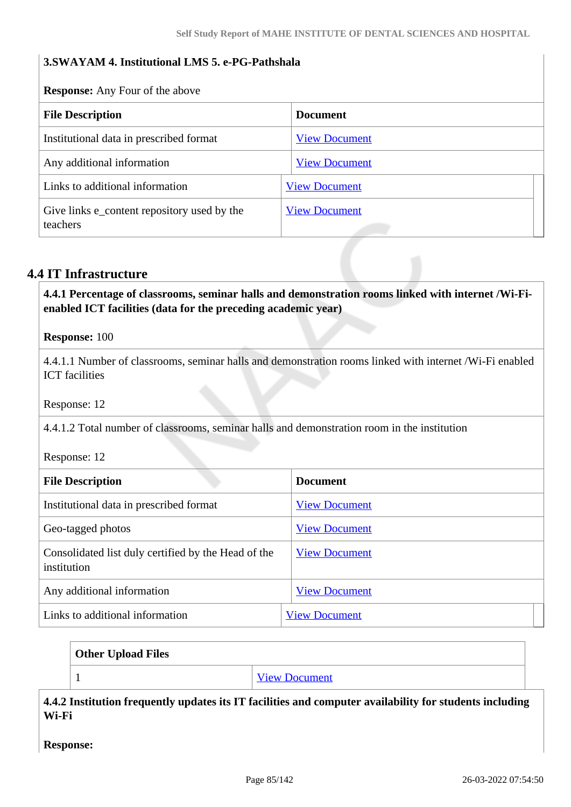## **3.SWAYAM 4. Institutional LMS 5. e-PG-Pathshala**

**Response:** Any Four of the above

| <b>File Description</b>                                 | <b>Document</b>      |  |
|---------------------------------------------------------|----------------------|--|
| Institutional data in prescribed format                 | <b>View Document</b> |  |
| Any additional information                              | <b>View Document</b> |  |
| Links to additional information                         | <b>View Document</b> |  |
| Give links e_content repository used by the<br>teachers | <b>View Document</b> |  |

#### **4.4 IT Infrastructure**

 **4.4.1 Percentage of classrooms, seminar halls and demonstration rooms linked with internet /Wi-Fienabled ICT facilities (data for the preceding academic year)**

**Response:** 100

4.4.1.1 Number of classrooms, seminar halls and demonstration rooms linked with internet /Wi-Fi enabled ICT facilities

Response: 12

4.4.1.2 Total number of classrooms, seminar halls and demonstration room in the institution

Response: 12

| <b>File Description</b>                                            | <b>Document</b>      |
|--------------------------------------------------------------------|----------------------|
| Institutional data in prescribed format                            | <b>View Document</b> |
| Geo-tagged photos                                                  | <b>View Document</b> |
| Consolidated list duly certified by the Head of the<br>institution | <b>View Document</b> |
| Any additional information                                         | <b>View Document</b> |
| Links to additional information                                    | <b>View Document</b> |

| <b>Other Upload Files</b> |                      |
|---------------------------|----------------------|
| . .                       | <b>View Document</b> |

 **4.4.2 Institution frequently updates its IT facilities and computer availability for students including Wi-Fi**

**Response:**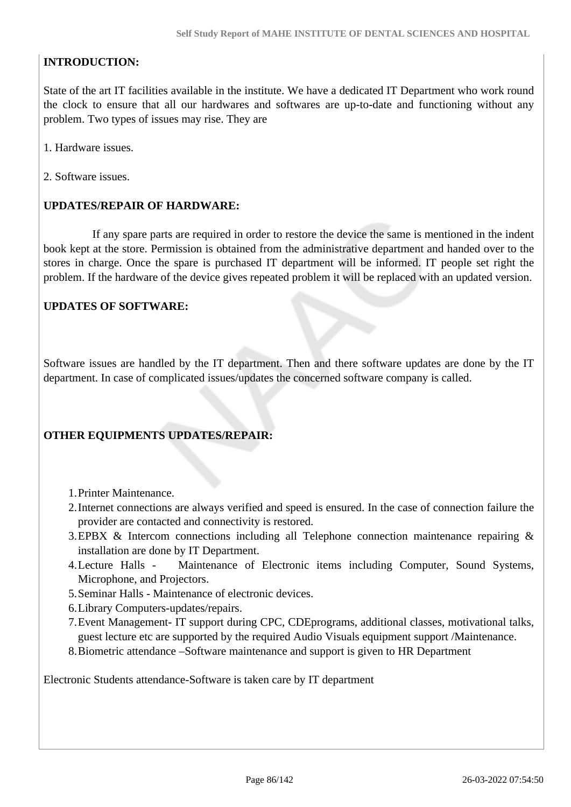# **INTRODUCTION:**

State of the art IT facilities available in the institute. We have a dedicated IT Department who work round the clock to ensure that all our hardwares and softwares are up-to-date and functioning without any problem. Two types of issues may rise. They are

1. Hardware issues.

2. Software issues.

#### **UPDATES/REPAIR OF HARDWARE:**

 If any spare parts are required in order to restore the device the same is mentioned in the indent book kept at the store. Permission is obtained from the administrative department and handed over to the stores in charge. Once the spare is purchased IT department will be informed. IT people set right the problem. If the hardware of the device gives repeated problem it will be replaced with an updated version.

#### **UPDATES OF SOFTWARE:**

Software issues are handled by the IT department. Then and there software updates are done by the IT department. In case of complicated issues/updates the concerned software company is called.

## **OTHER EQUIPMENTS UPDATES/REPAIR:**

- 1.Printer Maintenance.
- 2.Internet connections are always verified and speed is ensured. In the case of connection failure the provider are contacted and connectivity is restored.
- 3.EPBX & Intercom connections including all Telephone connection maintenance repairing & installation are done by IT Department.
- 4.Lecture Halls Maintenance of Electronic items including Computer, Sound Systems, Microphone, and Projectors.
- 5.Seminar Halls Maintenance of electronic devices.
- 6.Library Computers-updates/repairs.
- 7.Event Management- IT support during CPC, CDEprograms, additional classes, motivational talks, guest lecture etc are supported by the required Audio Visuals equipment support /Maintenance.
- 8.Biometric attendance –Software maintenance and support is given to HR Department

Electronic Students attendance-Software is taken care by IT department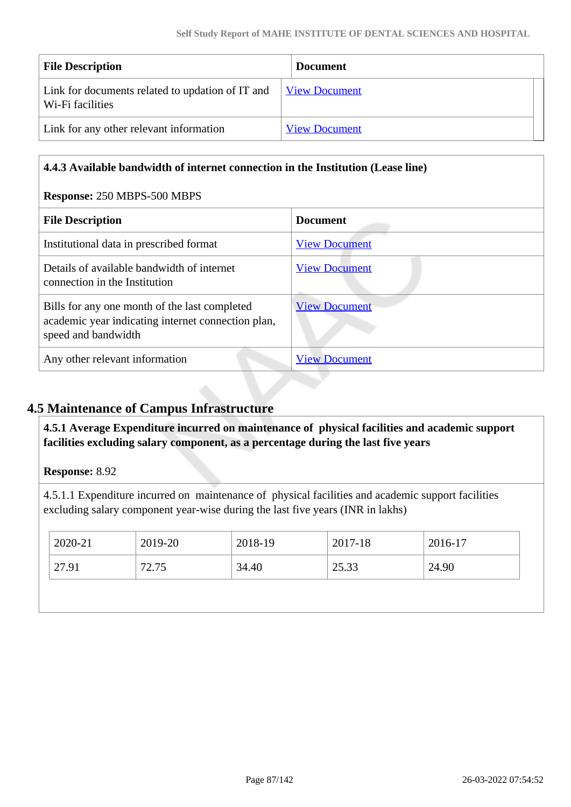| <b>File Description</b>                                              | <b>Document</b>      |  |
|----------------------------------------------------------------------|----------------------|--|
| Link for documents related to updation of IT and<br>Wi-Fi facilities | <b>View Document</b> |  |
| Link for any other relevant information                              | <b>View Document</b> |  |

#### **4.4.3 Available bandwidth of internet connection in the Institution (Lease line)**

#### **Response:** 250 MBPS-500 MBPS

| <b>File Description</b>                                                                                                    | <b>Document</b>      |
|----------------------------------------------------------------------------------------------------------------------------|----------------------|
| Institutional data in prescribed format                                                                                    | <b>View Document</b> |
| Details of available bandwidth of internet<br>connection in the Institution                                                | <b>View Document</b> |
| Bills for any one month of the last completed<br>academic year indicating internet connection plan,<br>speed and bandwidth | <b>View Document</b> |
| Any other relevant information                                                                                             | <b>View Document</b> |

# **4.5 Maintenance of Campus Infrastructure**

 **4.5.1 Average Expenditure incurred on maintenance of physical facilities and academic support facilities excluding salary component, as a percentage during the last five years**

**Response:** 8.92

4.5.1.1 Expenditure incurred on maintenance of physical facilities and academic support facilities excluding salary component year-wise during the last five years (INR in lakhs)

| 2020-21 | 2019-20 | 2018-19 | 2017-18 | 2016-17 |
|---------|---------|---------|---------|---------|
| 27.91   | 72.75   | 34.40   | 25.33   | 24.90   |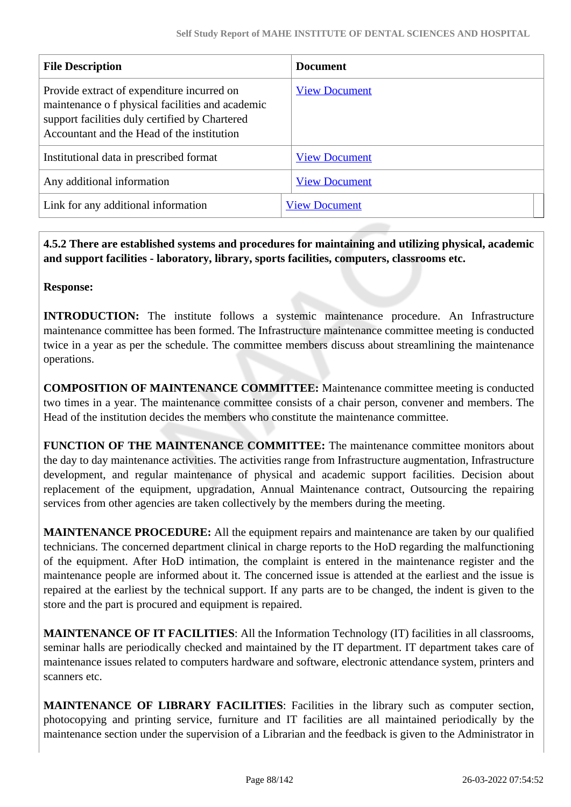| <b>File Description</b>                                                                                                                                                                        | <b>Document</b>      |  |
|------------------------------------------------------------------------------------------------------------------------------------------------------------------------------------------------|----------------------|--|
| Provide extract of expenditure incurred on<br>maintenance o f physical facilities and academic<br>support facilities duly certified by Chartered<br>Accountant and the Head of the institution | <b>View Document</b> |  |
| Institutional data in prescribed format                                                                                                                                                        | <b>View Document</b> |  |
| Any additional information                                                                                                                                                                     | <b>View Document</b> |  |
| Link for any additional information                                                                                                                                                            | <b>View Document</b> |  |

 **4.5.2 There are established systems and procedures for maintaining and utilizing physical, academic and support facilities - laboratory, library, sports facilities, computers, classrooms etc.**

**Response:** 

**INTRODUCTION:** The institute follows a systemic maintenance procedure. An Infrastructure maintenance committee has been formed. The Infrastructure maintenance committee meeting is conducted twice in a year as per the schedule. The committee members discuss about streamlining the maintenance operations.

**COMPOSITION OF MAINTENANCE COMMITTEE:** Maintenance committee meeting is conducted two times in a year. The maintenance committee consists of a chair person, convener and members. The Head of the institution decides the members who constitute the maintenance committee.

**FUNCTION OF THE MAINTENANCE COMMITTEE:** The maintenance committee monitors about the day to day maintenance activities. The activities range from Infrastructure augmentation, Infrastructure development, and regular maintenance of physical and academic support facilities. Decision about replacement of the equipment, upgradation, Annual Maintenance contract, Outsourcing the repairing services from other agencies are taken collectively by the members during the meeting.

**MAINTENANCE PROCEDURE:** All the equipment repairs and maintenance are taken by our qualified technicians. The concerned department clinical in charge reports to the HoD regarding the malfunctioning of the equipment. After HoD intimation, the complaint is entered in the maintenance register and the maintenance people are informed about it. The concerned issue is attended at the earliest and the issue is repaired at the earliest by the technical support. If any parts are to be changed, the indent is given to the store and the part is procured and equipment is repaired.

**MAINTENANCE OF IT FACILITIES**: All the Information Technology (IT) facilities in all classrooms, seminar halls are periodically checked and maintained by the IT department. IT department takes care of maintenance issues related to computers hardware and software, electronic attendance system, printers and scanners etc.

**MAINTENANCE OF LIBRARY FACILITIES**: Facilities in the library such as computer section, photocopying and printing service, furniture and IT facilities are all maintained periodically by the maintenance section under the supervision of a Librarian and the feedback is given to the Administrator in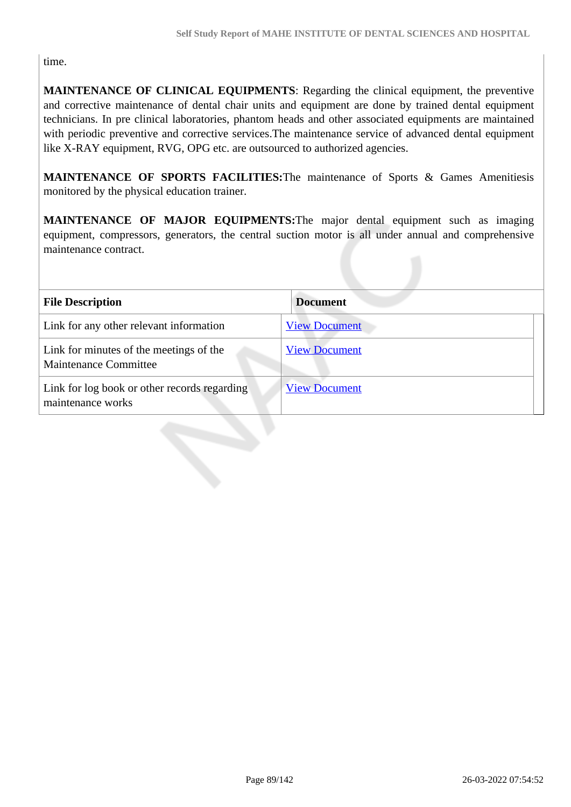time.

**MAINTENANCE OF CLINICAL EQUIPMENTS**: Regarding the clinical equipment, the preventive and corrective maintenance of dental chair units and equipment are done by trained dental equipment technicians. In pre clinical laboratories, phantom heads and other associated equipments are maintained with periodic preventive and corrective services.The maintenance service of advanced dental equipment like X-RAY equipment, RVG, OPG etc. are outsourced to authorized agencies.

**MAINTENANCE OF SPORTS FACILITIES:**The maintenance of Sports & Games Amenitiesis monitored by the physical education trainer.

**MAINTENANCE OF MAJOR EQUIPMENTS:**The major dental equipment such as imaging equipment, compressors, generators, the central suction motor is all under annual and comprehensive maintenance contract.

| <b>File Description</b>                                                 | <b>Document</b>      |  |
|-------------------------------------------------------------------------|----------------------|--|
| Link for any other relevant information                                 | <b>View Document</b> |  |
| Link for minutes of the meetings of the<br><b>Maintenance Committee</b> | <b>View Document</b> |  |
| Link for log book or other records regarding<br>maintenance works       | <b>View Document</b> |  |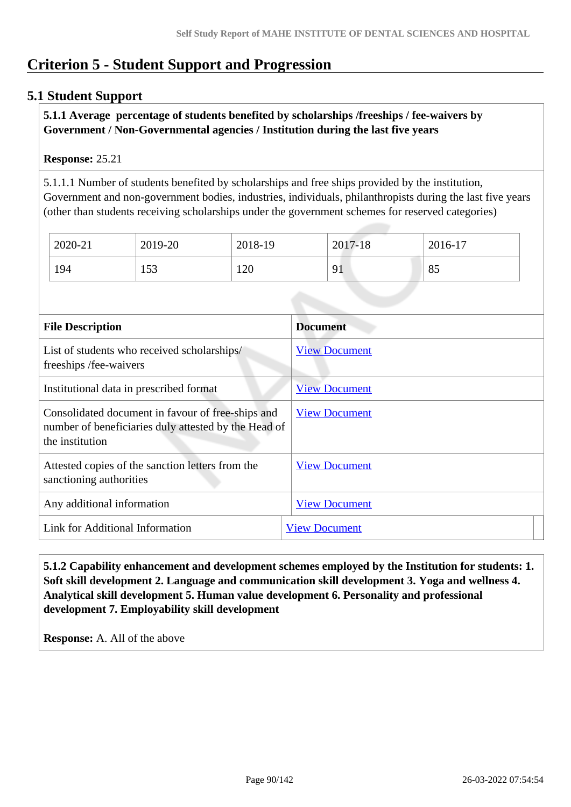# **Criterion 5 - Student Support and Progression**

# **5.1 Student Support**

 **5.1.1 Average percentage of students benefited by scholarships /freeships / fee-waivers by Government / Non-Governmental agencies / Institution during the last five years**

**Response:** 25.21

5.1.1.1 Number of students benefited by scholarships and free ships provided by the institution, Government and non-government bodies, industries, individuals, philanthropists during the last five years (other than students receiving scholarships under the government schemes for reserved categories)

| 2020-21 | 2019-20     | 2018-19 | 2017-18 | 2016-17 |
|---------|-------------|---------|---------|---------|
| 194     | 52<br>1 J J | 120     | 91      | 85      |

| <b>File Description</b>                                                                                                      | <b>Document</b>      |  |
|------------------------------------------------------------------------------------------------------------------------------|----------------------|--|
| List of students who received scholarships/<br>freeships /fee-waivers                                                        | <b>View Document</b> |  |
| Institutional data in prescribed format                                                                                      | <b>View Document</b> |  |
| Consolidated document in favour of free-ships and<br>number of beneficiaries duly attested by the Head of<br>the institution | <b>View Document</b> |  |
| Attested copies of the sanction letters from the<br>sanctioning authorities                                                  | <b>View Document</b> |  |
| Any additional information                                                                                                   | <b>View Document</b> |  |
| Link for Additional Information                                                                                              | <b>View Document</b> |  |

 **5.1.2 Capability enhancement and development schemes employed by the Institution for students: 1. Soft skill development 2. Language and communication skill development 3. Yoga and wellness 4. Analytical skill development 5. Human value development 6. Personality and professional development 7. Employability skill development**

**Response:** A. All of the above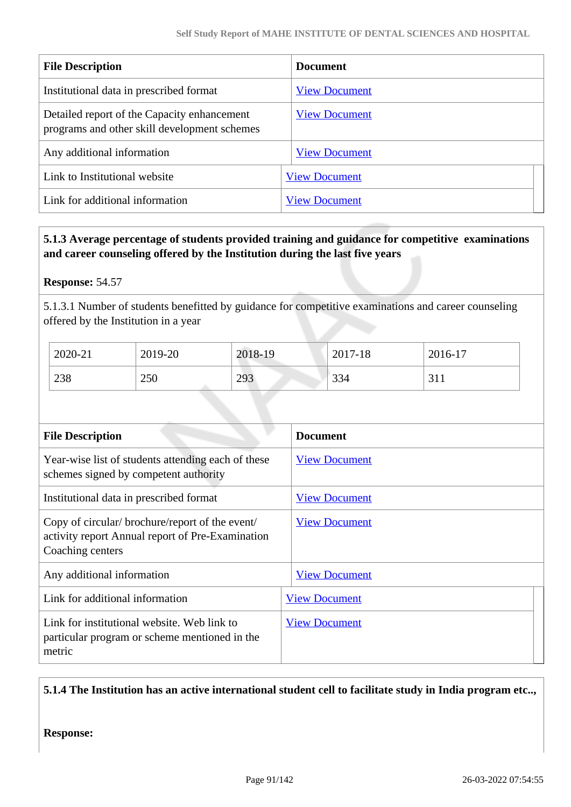| <b>File Description</b>                                                                     | <b>Document</b>      |  |
|---------------------------------------------------------------------------------------------|----------------------|--|
| Institutional data in prescribed format                                                     | <b>View Document</b> |  |
| Detailed report of the Capacity enhancement<br>programs and other skill development schemes | <b>View Document</b> |  |
| Any additional information                                                                  | <b>View Document</b> |  |
| Link to Institutional website                                                               | <b>View Document</b> |  |
| Link for additional information                                                             | <b>View Document</b> |  |

 **5.1.3 Average percentage of students provided training and guidance for competitive examinations and career counseling offered by the Institution during the last five years**

**Response:** 54.57

5.1.3.1 Number of students benefitted by guidance for competitive examinations and career counseling offered by the Institution in a year

| 2020-21 | 2019-20 | 2018-19 | 2017-18 | 2016-17      |
|---------|---------|---------|---------|--------------|
| 238     | 250     | 293     | 334     | $-21$<br>JII |

| <b>File Description</b>                                                                                                 | <b>Document</b>      |  |
|-------------------------------------------------------------------------------------------------------------------------|----------------------|--|
| Year-wise list of students attending each of these<br>schemes signed by competent authority                             | <b>View Document</b> |  |
| Institutional data in prescribed format                                                                                 | <b>View Document</b> |  |
| Copy of circular/ brochure/report of the event/<br>activity report Annual report of Pre-Examination<br>Coaching centers | <b>View Document</b> |  |
| Any additional information                                                                                              | <b>View Document</b> |  |
| Link for additional information                                                                                         | <b>View Document</b> |  |
| Link for institutional website. Web link to<br>particular program or scheme mentioned in the<br>metric                  | <b>View Document</b> |  |

**5.1.4 The Institution has an active international student cell to facilitate study in India program etc..,**

**Response:**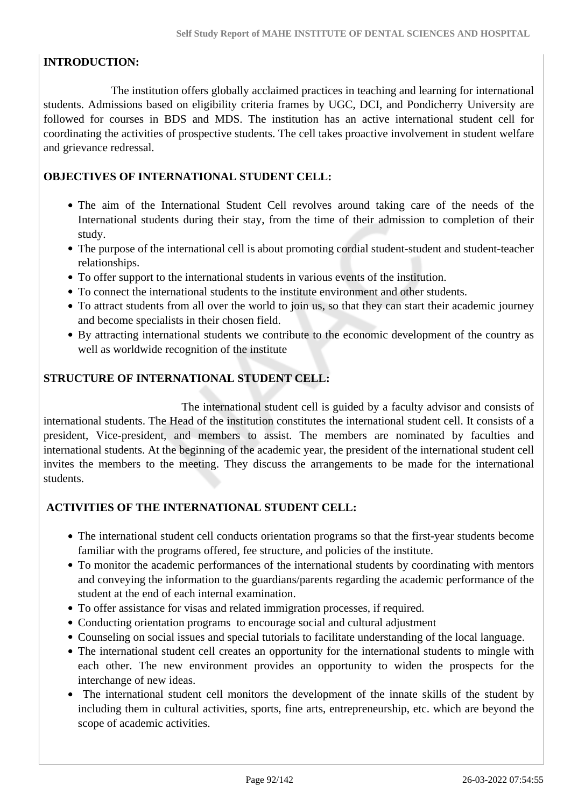# **INTRODUCTION:**

 The institution offers globally acclaimed practices in teaching and learning for international students. Admissions based on eligibility criteria frames by UGC, DCI, and Pondicherry University are followed for courses in BDS and MDS. The institution has an active international student cell for coordinating the activities of prospective students. The cell takes proactive involvement in student welfare and grievance redressal.

## **OBJECTIVES OF INTERNATIONAL STUDENT CELL:**

- The aim of the International Student Cell revolves around taking care of the needs of the International students during their stay, from the time of their admission to completion of their study.
- The purpose of the international cell is about promoting cordial student-student and student-teacher relationships.
- To offer support to the international students in various events of the institution.
- To connect the international students to the institute environment and other students.
- To attract students from all over the world to join us, so that they can start their academic journey and become specialists in their chosen field.
- By attracting international students we contribute to the economic development of the country as well as worldwide recognition of the institute

# **STRUCTURE OF INTERNATIONAL STUDENT CELL:**

 The international student cell is guided by a faculty advisor and consists of international students. The Head of the institution constitutes the international student cell. It consists of a president, Vice-president, and members to assist. The members are nominated by faculties and international students. At the beginning of the academic year, the president of the international student cell invites the members to the meeting. They discuss the arrangements to be made for the international students.

## **ACTIVITIES OF THE INTERNATIONAL STUDENT CELL:**

- The international student cell conducts orientation programs so that the first-year students become familiar with the programs offered, fee structure, and policies of the institute.
- To monitor the academic performances of the international students by coordinating with mentors and conveying the information to the guardians/parents regarding the academic performance of the student at the end of each internal examination.
- To offer assistance for visas and related immigration processes, if required.
- Conducting orientation programs to encourage social and cultural adjustment
- Counseling on social issues and special tutorials to facilitate understanding of the local language.
- The international student cell creates an opportunity for the international students to mingle with each other. The new environment provides an opportunity to widen the prospects for the interchange of new ideas.
- The international student cell monitors the development of the innate skills of the student by including them in cultural activities, sports, fine arts, entrepreneurship, etc. which are beyond the scope of academic activities.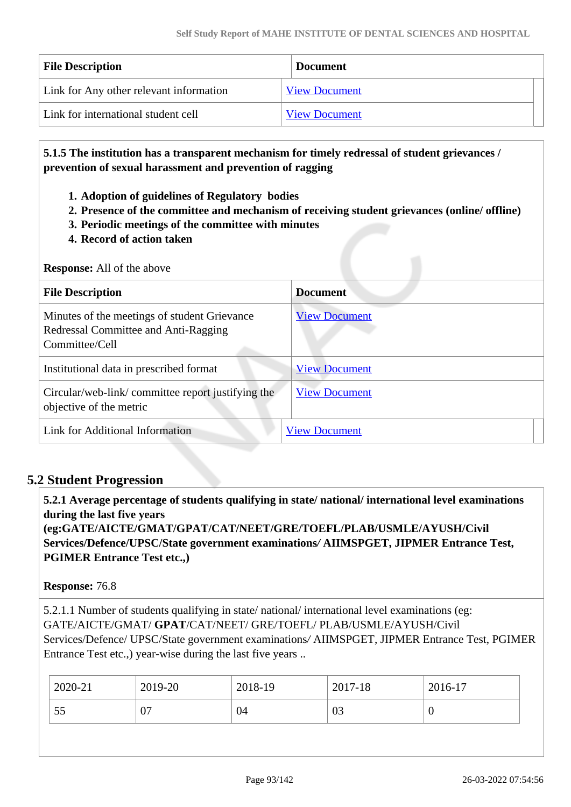| <b>File Description</b>                 | <b>Document</b>      |  |
|-----------------------------------------|----------------------|--|
| Link for Any other relevant information | <b>View Document</b> |  |
| Link for international student cell     | <b>View Document</b> |  |

 **5.1.5 The institution has a transparent mechanism for timely redressal of student grievances / prevention of sexual harassment and prevention of ragging**

- **1. Adoption of guidelines of Regulatory bodies**
- **2. Presence of the committee and mechanism of receiving student grievances (online/ offline)**
- **3. Periodic meetings of the committee with minutes**
- **4. Record of action taken**

**Response:** All of the above

| <b>File Description</b>                                                                                | <b>Document</b>      |  |
|--------------------------------------------------------------------------------------------------------|----------------------|--|
| Minutes of the meetings of student Grievance<br>Redressal Committee and Anti-Ragging<br>Committee/Cell | <b>View Document</b> |  |
| Institutional data in prescribed format                                                                | <b>View Document</b> |  |
| Circular/web-link/committee report justifying the<br>objective of the metric                           | <b>View Document</b> |  |
| Link for Additional Information                                                                        | <b>View Document</b> |  |

## **5.2 Student Progression**

 **5.2.1 Average percentage of students qualifying in state/ national/ international level examinations during the last five years**

**(eg:GATE/AICTE/GMAT/GPAT/CAT/NEET/GRE/TOEFL/PLAB/USMLE/AYUSH/Civil Services/Defence/UPSC/State government examinations***/* **AIIMSPGET, JIPMER Entrance Test, PGIMER Entrance Test etc.,)**

**Response:** 76.8

5.2.1.1 Number of students qualifying in state/ national/ international level examinations (eg: GATE/AICTE/GMAT/ **GPAT**/CAT/NEET/ GRE/TOEFL/ PLAB/USMLE/AYUSH/Civil Services/Defence/ UPSC/State government examinations*/* AIIMSPGET, JIPMER Entrance Test, PGIMER Entrance Test etc.,) year-wise during the last five years ..

| 2020-21 | 2019-20  | 2018-19 | 2017-18 | 2016-17          |
|---------|----------|---------|---------|------------------|
| 55      | ⌒冖<br>v, | 04      | 03      | $\boldsymbol{0}$ |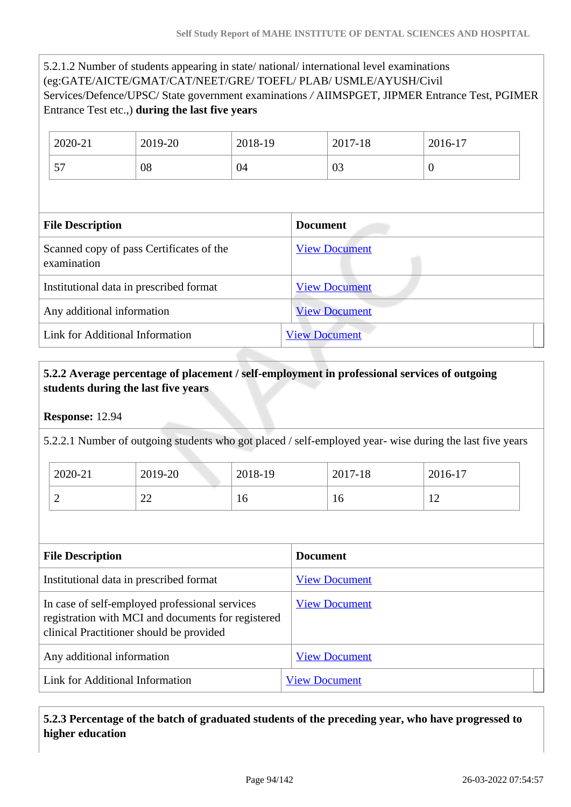## 5.2.1.2 Number of students appearing in state/ national/ international level examinations (eg:GATE/AICTE/GMAT/CAT/NEET/GRE/ TOEFL/ PLAB/ USMLE/AYUSH/Civil Services/Defence/UPSC/ State government examinations */* AIIMSPGET, JIPMER Entrance Test, PGIMER Entrance Test etc.,) **during the last five years**

|                                                         | 2020-21<br>57 | 2019-20<br>08 | 2018-19<br>04        |                      | 2017-18<br>03 |  | 2016-17<br>$\theta$ |  |
|---------------------------------------------------------|---------------|---------------|----------------------|----------------------|---------------|--|---------------------|--|
| <b>File Description</b>                                 |               |               | <b>Document</b>      |                      |               |  |                     |  |
| Scanned copy of pass Certificates of the<br>examination |               |               |                      | <b>View Document</b> |               |  |                     |  |
| Institutional data in prescribed format                 |               |               |                      | <b>View Document</b> |               |  |                     |  |
| Any additional information                              |               |               | <b>View Document</b> |                      |               |  |                     |  |
| Link for Additional Information                         |               |               | <b>View Document</b> |                      |               |  |                     |  |

## **5.2.2 Average percentage of placement / self-employment in professional services of outgoing students during the last five years**

**Response:** 12.94

5.2.2.1 Number of outgoing students who got placed / self-employed year- wise during the last five years

| 2020-21 | 2019-20         | 2018-19 | 2017-18 | 2016-17                          |
|---------|-----------------|---------|---------|----------------------------------|
| ∼       | <b>00</b><br>∠∠ | 16      | 16      | 1 <sub>0</sub><br>$\overline{1}$ |

| <b>File Description</b>                                                                                                                          | <b>Document</b>      |
|--------------------------------------------------------------------------------------------------------------------------------------------------|----------------------|
| Institutional data in prescribed format                                                                                                          | <b>View Document</b> |
| In case of self-employed professional services<br>registration with MCI and documents for registered<br>clinical Practitioner should be provided | <b>View Document</b> |
| Any additional information                                                                                                                       | <b>View Document</b> |
| Link for Additional Information                                                                                                                  | <b>View Document</b> |

## **5.2.3 Percentage of the batch of graduated students of the preceding year, who have progressed to higher education**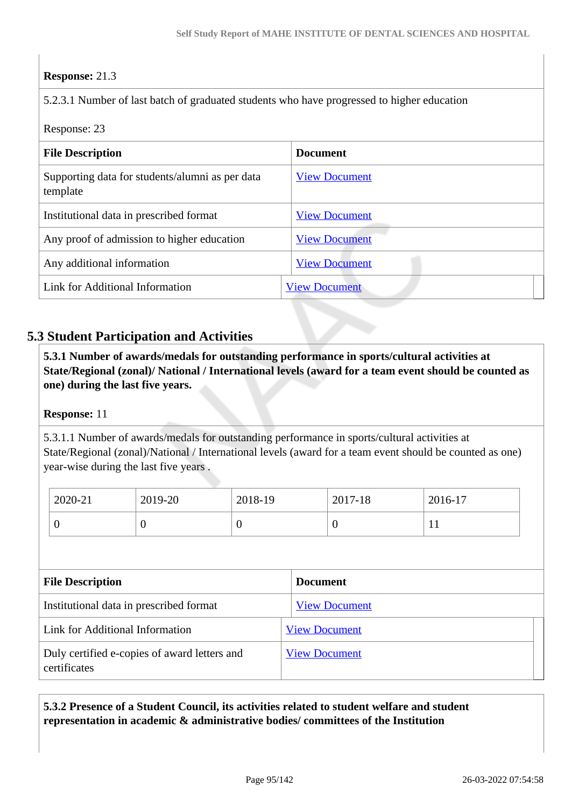# **Response:** 21.3

5.2.3.1 Number of last batch of graduated students who have progressed to higher education

#### Response: 23

| <b>File Description</b>                                     | <b>Document</b>      |
|-------------------------------------------------------------|----------------------|
| Supporting data for students/alumni as per data<br>template | <b>View Document</b> |
| Institutional data in prescribed format                     | <b>View Document</b> |
| Any proof of admission to higher education                  | <b>View Document</b> |
| Any additional information                                  | <b>View Document</b> |
| Link for Additional Information                             | <b>View Document</b> |

# **5.3 Student Participation and Activities**

 **5.3.1 Number of awards/medals for outstanding performance in sports/cultural activities at State/Regional (zonal)/ National / International levels (award for a team event should be counted as one) during the last five years.**

#### **Response:** 11

5.3.1.1 Number of awards/medals for outstanding performance in sports/cultural activities at State/Regional (zonal)/National / International levels (award for a team event should be counted as one) year-wise during the last five years .

| 2020-21 | 2019-20 | 2018-19 | 2017-18 | 2016-17      |
|---------|---------|---------|---------|--------------|
|         | ν       | v       | ິ       | $\mathbf{1}$ |

| <b>File Description</b>                                      | <b>Document</b>      |
|--------------------------------------------------------------|----------------------|
| Institutional data in prescribed format                      | <b>View Document</b> |
| Link for Additional Information                              | <b>View Document</b> |
| Duly certified e-copies of award letters and<br>certificates | <b>View Document</b> |

#### **5.3.2 Presence of a Student Council, its activities related to student welfare and student representation in academic & administrative bodies/ committees of the Institution**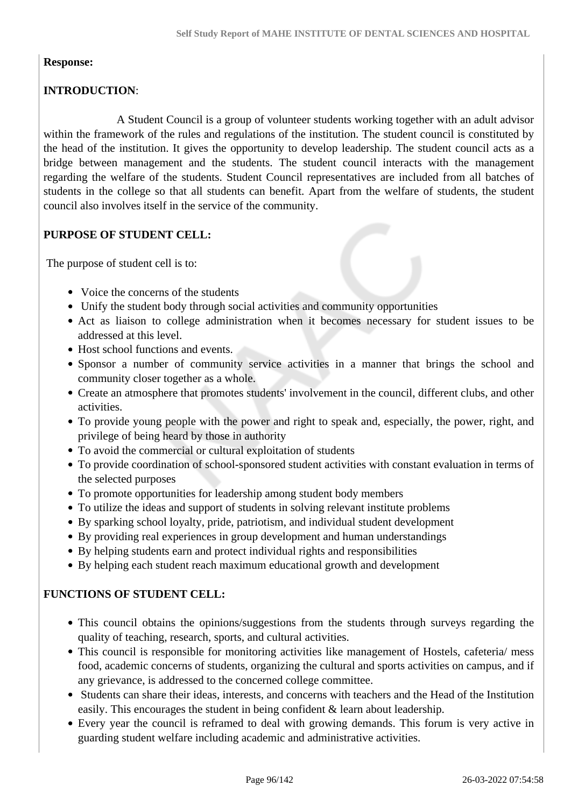#### **Response:**

## **INTRODUCTION**:

 A Student Council is a group of volunteer students working together with an adult advisor within the framework of the rules and regulations of the institution. The student council is constituted by the head of the institution. It gives the opportunity to develop leadership. The student council acts as a bridge between management and the students. The student council interacts with the management regarding the welfare of the students. Student Council representatives are included from all batches of students in the college so that all students can benefit. Apart from the welfare of students, the student council also involves itself in the service of the community.

## **PURPOSE OF STUDENT CELL:**

The purpose of student cell is to:

- Voice the concerns of the students
- Unify the student body through social activities and community opportunities
- Act as liaison to college administration when it becomes necessary for student issues to be addressed at this level.
- Host school functions and events.
- Sponsor a number of community service activities in a manner that brings the school and community closer together as a whole.
- Create an atmosphere that promotes students' involvement in the council, different clubs, and other activities.
- To provide young people with the power and right to speak and, especially, the power, right, and privilege of being heard by those in authority
- To avoid the commercial or cultural exploitation of students
- To provide coordination of school-sponsored student activities with constant evaluation in terms of the selected purposes
- To promote opportunities for leadership among student body members
- To utilize the ideas and support of students in solving relevant institute problems
- By sparking school loyalty, pride, patriotism, and individual student development
- By providing real experiences in group development and human understandings
- By helping students earn and protect individual rights and responsibilities
- By helping each student reach maximum educational growth and development

## **FUNCTIONS OF STUDENT CELL:**

- This council obtains the opinions/suggestions from the students through surveys regarding the quality of teaching, research, sports, and cultural activities.
- This council is responsible for monitoring activities like management of Hostels, cafeteria/ mess food, academic concerns of students, organizing the cultural and sports activities on campus, and if any grievance, is addressed to the concerned college committee.
- Students can share their ideas, interests, and concerns with teachers and the Head of the Institution easily. This encourages the student in being confident & learn about leadership.
- Every year the council is reframed to deal with growing demands. This forum is very active in guarding student welfare including academic and administrative activities.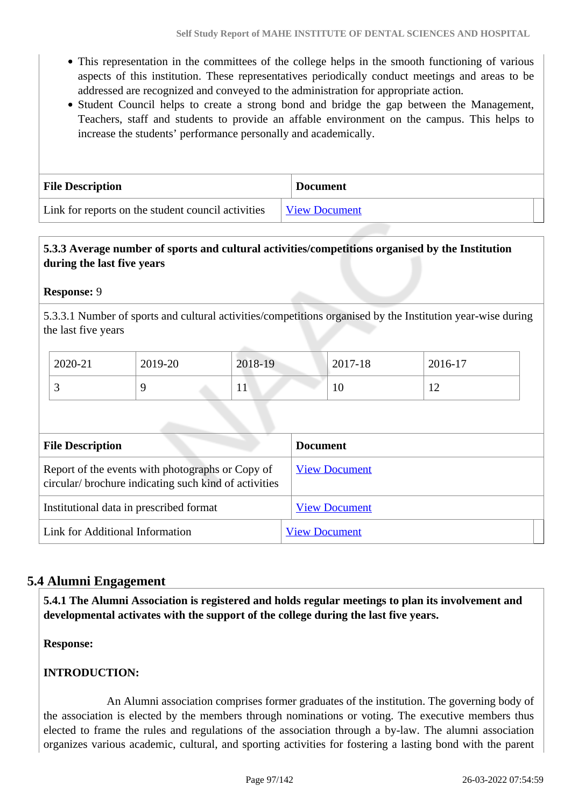- This representation in the committees of the college helps in the smooth functioning of various aspects of this institution. These representatives periodically conduct meetings and areas to be addressed are recognized and conveyed to the administration for appropriate action.
- Student Council helps to create a strong bond and bridge the gap between the Management, Teachers, staff and students to provide an affable environment on the campus. This helps to increase the students' performance personally and academically.

| <b>File Description</b>                            | <b>Document</b>      |
|----------------------------------------------------|----------------------|
| Link for reports on the student council activities | <b>View Document</b> |

## **5.3.3 Average number of sports and cultural activities/competitions organised by the Institution during the last five years**

#### **Response:** 9

5.3.3.1 Number of sports and cultural activities/competitions organised by the Institution year-wise during the last five years

| 2020-21 | 2019-20 | 2018-19 | 2017-18 | 2016-17     |
|---------|---------|---------|---------|-------------|
|         |         | 1 L     | 10      | $\sim$<br>∸ |

| <b>File Description</b>                                                                                  | <b>Document</b>      |  |
|----------------------------------------------------------------------------------------------------------|----------------------|--|
| Report of the events with photographs or Copy of<br>circular/brochure indicating such kind of activities | <b>View Document</b> |  |
| Institutional data in prescribed format                                                                  | <b>View Document</b> |  |
| Link for Additional Information                                                                          | <b>View Document</b> |  |

# **5.4 Alumni Engagement**

 **5.4.1 The Alumni Association is registered and holds regular meetings to plan its involvement and developmental activates with the support of the college during the last five years.** 

**Response:** 

## **INTRODUCTION:**

 An Alumni association comprises former graduates of the institution. The governing body of the association is elected by the members through nominations or voting. The executive members thus elected to frame the rules and regulations of the association through a by-law. The alumni association organizes various academic, cultural, and sporting activities for fostering a lasting bond with the parent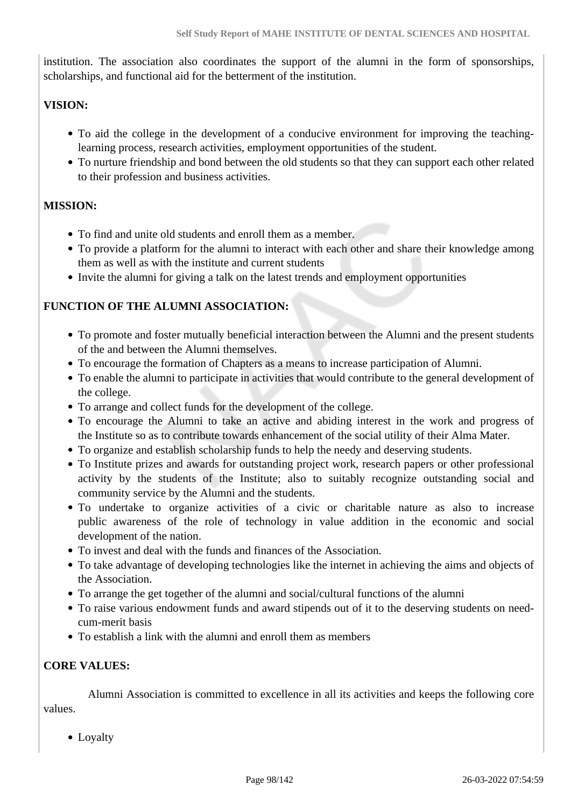institution. The association also coordinates the support of the alumni in the form of sponsorships, scholarships, and functional aid for the betterment of the institution.

#### **VISION:**

- To aid the college in the development of a conducive environment for improving the teachinglearning process, research activities, employment opportunities of the student.
- To nurture friendship and bond between the old students so that they can support each other related to their profession and business activities.

## **MISSION:**

- To find and unite old students and enroll them as a member.
- To provide a platform for the alumni to interact with each other and share their knowledge among them as well as with the institute and current students
- Invite the alumni for giving a talk on the latest trends and employment opportunities

## **FUNCTION OF THE ALUMNI ASSOCIATION:**

- To promote and foster mutually beneficial interaction between the Alumni and the present students of the and between the Alumni themselves.
- To encourage the formation of Chapters as a means to increase participation of Alumni.
- To enable the alumni to participate in activities that would contribute to the general development of the college.
- To arrange and collect funds for the development of the college.
- To encourage the Alumni to take an active and abiding interest in the work and progress of the Institute so as to contribute towards enhancement of the social utility of their Alma Mater.
- To organize and establish scholarship funds to help the needy and deserving students.
- To Institute prizes and awards for outstanding project work, research papers or other professional activity by the students of the Institute; also to suitably recognize outstanding social and community service by the Alumni and the students.
- To undertake to organize activities of a civic or charitable nature as also to increase public awareness of the role of technology in value addition in the economic and social development of the nation.
- To invest and deal with the funds and finances of the Association.
- To take advantage of developing technologies like the internet in achieving the aims and objects of the Association.
- To arrange the get together of the alumni and social/cultural functions of the alumni
- To raise various endowment funds and award stipends out of it to the deserving students on needcum-merit basis
- To establish a link with the alumni and enroll them as members

## **CORE VALUES:**

 Alumni Association is committed to excellence in all its activities and keeps the following core values.

• Loyalty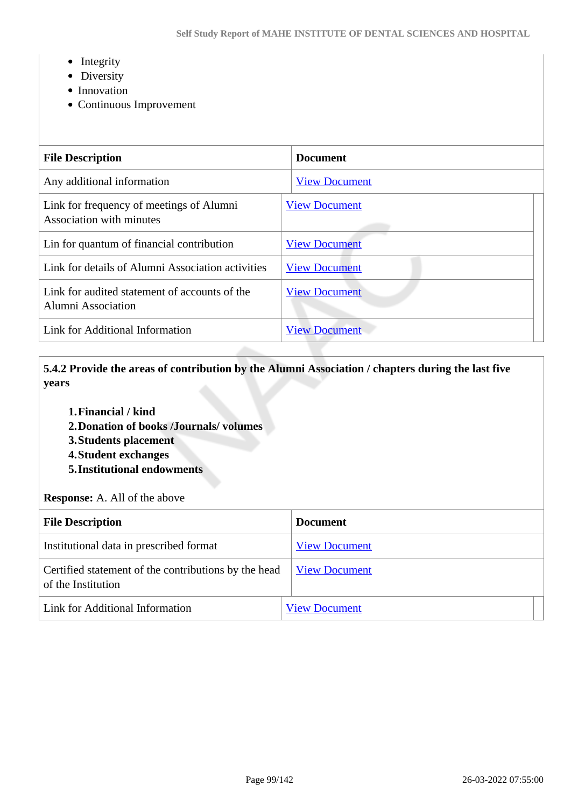- Integrity
- Diversity
- Innovation
- Continuous Improvement

| <b>File Description</b>                                              | <b>Document</b>      |
|----------------------------------------------------------------------|----------------------|
| Any additional information                                           | <b>View Document</b> |
| Link for frequency of meetings of Alumni<br>Association with minutes | <b>View Document</b> |
| Lin for quantum of financial contribution                            | <b>View Document</b> |
| Link for details of Alumni Association activities                    | <b>View Document</b> |
| Link for audited statement of accounts of the<br>Alumni Association  | <b>View Document</b> |
| Link for Additional Information                                      | <b>View Document</b> |

 **5.4.2 Provide the areas of contribution by the Alumni Association / chapters during the last five years**

- **1.Financial / kind**
- **2.Donation of books /Journals/ volumes**
- **3.Students placement**
- **4.Student exchanges**
- **5.Institutional endowments**

**Response:** A. All of the above

| <b>File Description</b>                                                    | <b>Document</b>      |
|----------------------------------------------------------------------------|----------------------|
| Institutional data in prescribed format                                    | <b>View Document</b> |
| Certified statement of the contributions by the head<br>of the Institution | <b>View Document</b> |
| Link for Additional Information                                            | <b>View Document</b> |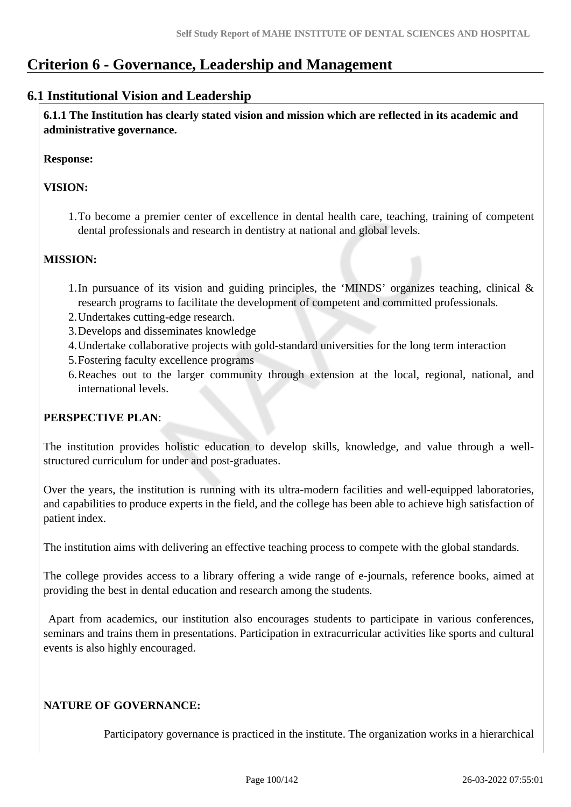# **Criterion 6 - Governance, Leadership and Management**

# **6.1 Institutional Vision and Leadership**

 **6.1.1 The Institution has clearly stated vision and mission which are reflected in its academic and administrative governance.**

## **Response:**

# **VISION:**

1.To become a premier center of excellence in dental health care, teaching, training of competent dental professionals and research in dentistry at national and global levels.

## **MISSION:**

- 1.In pursuance of its vision and guiding principles, the 'MINDS' organizes teaching, clinical & research programs to facilitate the development of competent and committed professionals.
- 2.Undertakes cutting-edge research.
- 3.Develops and disseminates knowledge
- 4.Undertake collaborative projects with gold-standard universities for the long term interaction
- 5.Fostering faculty excellence programs
- 6.Reaches out to the larger community through extension at the local, regional, national, and international levels.

# **PERSPECTIVE PLAN**:

The institution provides holistic education to develop skills, knowledge, and value through a wellstructured curriculum for under and post-graduates.

Over the years, the institution is running with its ultra-modern facilities and well-equipped laboratories, and capabilities to produce experts in the field, and the college has been able to achieve high satisfaction of patient index.

The institution aims with delivering an effective teaching process to compete with the global standards.

The college provides access to a library offering a wide range of e-journals, reference books, aimed at providing the best in dental education and research among the students.

 Apart from academics, our institution also encourages students to participate in various conferences, seminars and trains them in presentations. Participation in extracurricular activities like sports and cultural events is also highly encouraged.

# **NATURE OF GOVERNANCE:**

Participatory governance is practiced in the institute. The organization works in a hierarchical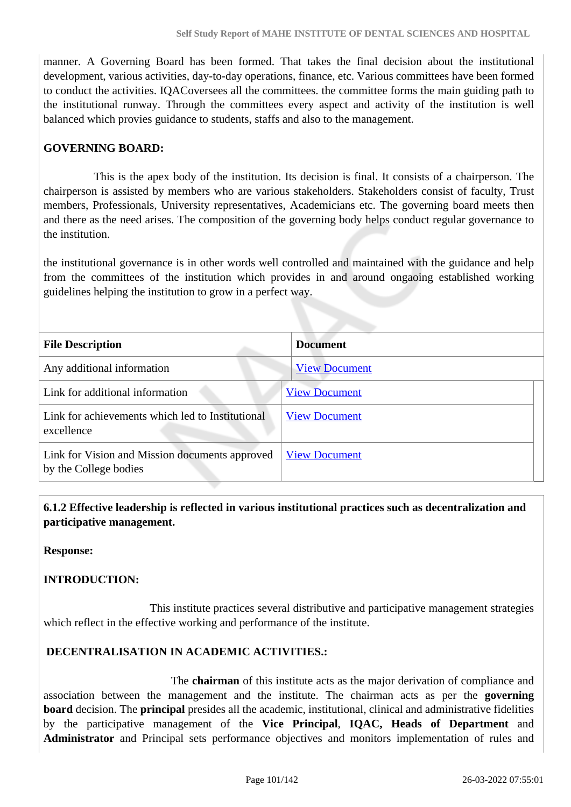manner. A Governing Board has been formed. That takes the final decision about the institutional development, various activities, day-to-day operations, finance, etc. Various committees have been formed to conduct the activities. IQACoversees all the committees. the committee forms the main guiding path to the institutional runway. Through the committees every aspect and activity of the institution is well balanced which provies guidance to students, staffs and also to the management.

#### **GOVERNING BOARD:**

 This is the apex body of the institution. Its decision is final. It consists of a chairperson. The chairperson is assisted by members who are various stakeholders. Stakeholders consist of faculty, Trust members, Professionals, University representatives, Academicians etc. The governing board meets then and there as the need arises. The composition of the governing body helps conduct regular governance to the institution.

the institutional governance is in other words well controlled and maintained with the guidance and help from the committees of the institution which provides in and around ongaoing established working guidelines helping the institution to grow in a perfect way.

| <b>File Description</b>                                                 | <b>Document</b>      |  |
|-------------------------------------------------------------------------|----------------------|--|
| Any additional information                                              | <b>View Document</b> |  |
| Link for additional information                                         | <b>View Document</b> |  |
| Link for achievements which led to Institutional<br>excellence          | <b>View Document</b> |  |
| Link for Vision and Mission documents approved<br>by the College bodies | <b>View Document</b> |  |

 **6.1.2 Effective leadership is reflected in various institutional practices such as decentralization and participative management.**

**Response:** 

## **INTRODUCTION:**

 This institute practices several distributive and participative management strategies which reflect in the effective working and performance of the institute.

## **DECENTRALISATION IN ACADEMIC ACTIVITIES.:**

 The **chairman** of this institute acts as the major derivation of compliance and association between the management and the institute. The chairman acts as per the **governing board** decision. The **principal** presides all the academic, institutional, clinical and administrative fidelities by the participative management of the **Vice Principal**, **IQAC, Heads of Department** and **Administrator** and Principal sets performance objectives and monitors implementation of rules and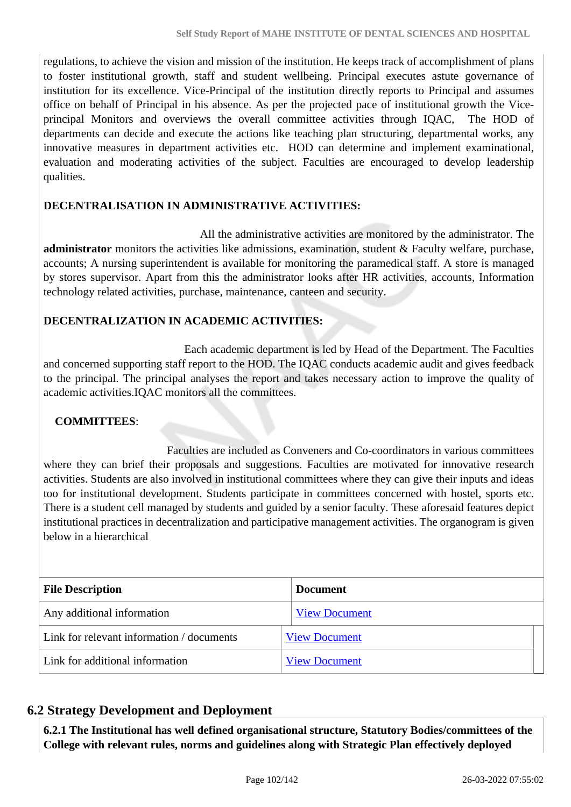regulations, to achieve the vision and mission of the institution. He keeps track of accomplishment of plans to foster institutional growth, staff and student wellbeing. Principal executes astute governance of institution for its excellence. Vice-Principal of the institution directly reports to Principal and assumes office on behalf of Principal in his absence. As per the projected pace of institutional growth the Viceprincipal Monitors and overviews the overall committee activities through IQAC, The HOD of departments can decide and execute the actions like teaching plan structuring, departmental works, any innovative measures in department activities etc. HOD can determine and implement examinational, evaluation and moderating activities of the subject. Faculties are encouraged to develop leadership qualities.

## **DECENTRALISATION IN ADMINISTRATIVE ACTIVITIES:**

 All the administrative activities are monitored by the administrator. The **administrator** monitors the activities like admissions, examination, student & Faculty welfare, purchase, accounts; A nursing superintendent is available for monitoring the paramedical staff. A store is managed by stores supervisor. Apart from this the administrator looks after HR activities, accounts, Information technology related activities, purchase, maintenance, canteen and security.

## **DECENTRALIZATION IN ACADEMIC ACTIVITIES:**

 Each academic department is led by Head of the Department. The Faculties and concerned supporting staff report to the HOD. The IQAC conducts academic audit and gives feedback to the principal. The principal analyses the report and takes necessary action to improve the quality of academic activities.IQAC monitors all the committees.

## **COMMITTEES**:

 Faculties are included as Conveners and Co-coordinators in various committees where they can brief their proposals and suggestions. Faculties are motivated for innovative research activities. Students are also involved in institutional committees where they can give their inputs and ideas too for institutional development. Students participate in committees concerned with hostel, sports etc. There is a student cell managed by students and guided by a senior faculty. These aforesaid features depict institutional practices in decentralization and participative management activities. The organogram is given below in a hierarchical

| <b>File Description</b>                   | <b>Document</b>      |
|-------------------------------------------|----------------------|
| Any additional information                | <b>View Document</b> |
| Link for relevant information / documents | <b>View Document</b> |
| Link for additional information           | <b>View Document</b> |

# **6.2 Strategy Development and Deployment**

 **6.2.1 The Institutional has well defined organisational structure, Statutory Bodies/committees of the College with relevant rules, norms and guidelines along with Strategic Plan effectively deployed**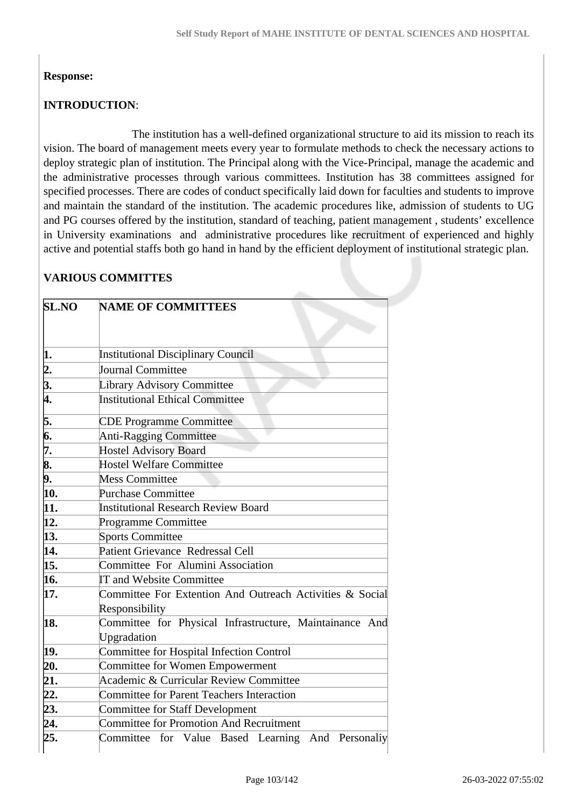## **Response:**

## **INTRODUCTION**:

 The institution has a well-defined organizational structure to aid its mission to reach its vision. The board of management meets every year to formulate methods to check the necessary actions to deploy strategic plan of institution. The Principal along with the Vice-Principal, manage the academic and the administrative processes through various committees. Institution has 38 committees assigned for specified processes. There are codes of conduct specifically laid down for faculties and students to improve and maintain the standard of the institution. The academic procedures like, admission of students to UG and PG courses offered by the institution, standard of teaching, patient management , students' excellence in University examinations and administrative procedures like recruitment of experienced and highly active and potential staffs both go hand in hand by the efficient deployment of institutional strategic plan.

## **VARIOUS COMMITTES**

| <b>SL.NO</b>          | <b>NAME OF COMMITTEES</b>                                |  |
|-----------------------|----------------------------------------------------------|--|
|                       |                                                          |  |
|                       |                                                          |  |
| 1.                    | <b>Institutional Disciplinary Council</b>                |  |
|                       | Journal Committee                                        |  |
| $\frac{2}{3}$ .<br>4. | <b>Library Advisory Committee</b>                        |  |
|                       | <b>Institutional Ethical Committee</b>                   |  |
| 5.                    | <b>CDE Programme Committee</b>                           |  |
| 6.                    | <b>Anti-Ragging Committee</b>                            |  |
| 7.                    | <b>Hostel Advisory Board</b>                             |  |
| 8.                    | <b>Hostel Welfare Committee</b>                          |  |
| 9.                    | <b>Mess Committee</b>                                    |  |
| 10.                   | <b>Purchase Committee</b>                                |  |
| 11.                   | <b>Institutional Research Review Board</b>               |  |
| 12.                   | Programme Committee                                      |  |
| 13.                   | <b>Sports Committee</b>                                  |  |
| 14.                   | Patient Grievance Redressal Cell                         |  |
| 15.                   | Committee For Alumini Association                        |  |
| 16.                   | IT and Website Committee                                 |  |
| 17.                   | Committee For Extention And Outreach Activities & Social |  |
|                       | Responsibility                                           |  |
| 18.                   | Committee for Physical Infrastructure, Maintainance And  |  |
|                       | Upgradation                                              |  |
| 19.                   | Committee for Hospital Infection Control                 |  |
| 20.                   | Committee for Women Empowerment                          |  |
| 21.                   | Academic & Curricular Review Committee                   |  |
| 22.                   | <b>Committee for Parent Teachers Interaction</b>         |  |
| 23.                   | <b>Committee for Staff Development</b>                   |  |
| 24.                   | <b>Committee for Promotion And Recruitment</b>           |  |
| 25.                   | Committee for Value Based Learning And Personaliy        |  |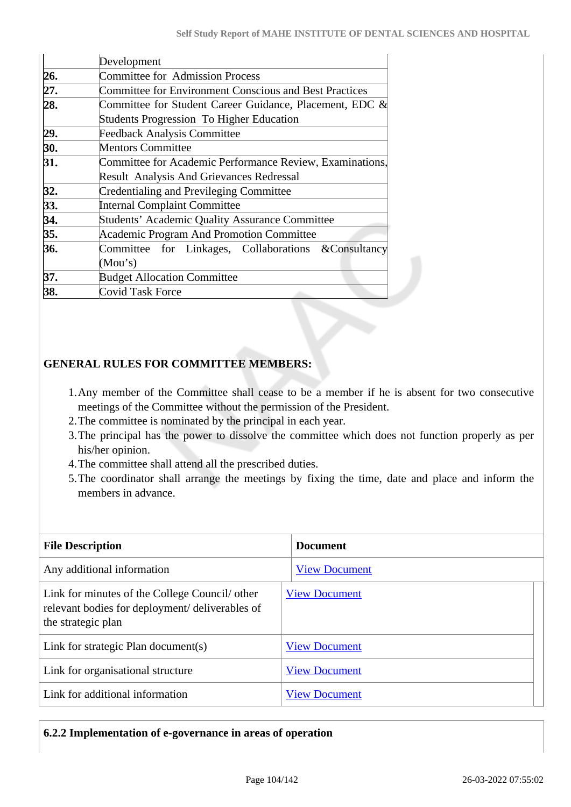|     | Development                                                   |
|-----|---------------------------------------------------------------|
| 26. | <b>Committee for Admission Process</b>                        |
| 27. | <b>Committee for Environment Conscious and Best Practices</b> |
| 28. | Committee for Student Career Guidance, Placement, EDC &       |
|     | <b>Students Progression To Higher Education</b>               |
| 29. | <b>Feedback Analysis Committee</b>                            |
| 30. | <b>Mentors Committee</b>                                      |
| 31. | Committee for Academic Performance Review, Examinations,      |
|     | <b>Result Analysis And Grievances Redressal</b>               |
| 32. | <b>Credentialing and Previleging Committee</b>                |
| 33. | <b>Internal Complaint Committee</b>                           |
| 34. | <b>Students' Academic Quality Assurance Committee</b>         |
| 35. | <b>Academic Program And Promotion Committee</b>               |
| 36. | Committee for Linkages, Collaborations & Consultancy          |
|     | (Mou's)                                                       |
| 37. | <b>Budget Allocation Committee</b>                            |
| 38. | <b>Covid Task Force</b>                                       |

#### **GENERAL RULES FOR COMMITTEE MEMBERS:**

- 1.Any member of the Committee shall cease to be a member if he is absent for two consecutive meetings of the Committee without the permission of the President.
- 2.The committee is nominated by the principal in each year.
- 3.The principal has the power to dissolve the committee which does not function properly as per his/her opinion.
- 4.The committee shall attend all the prescribed duties.
- 5.The coordinator shall arrange the meetings by fixing the time, date and place and inform the members in advance.

| <b>File Description</b>                                                                                                 | <b>Document</b>      |
|-------------------------------------------------------------------------------------------------------------------------|----------------------|
| Any additional information                                                                                              | <b>View Document</b> |
| Link for minutes of the College Council/ other<br>relevant bodies for deployment/ deliverables of<br>the strategic plan | <b>View Document</b> |
| Link for strategic Plan document(s)                                                                                     | <b>View Document</b> |
| Link for organisational structure                                                                                       | <b>View Document</b> |
| Link for additional information                                                                                         | <b>View Document</b> |

#### **6.2.2 Implementation of e-governance in areas of operation**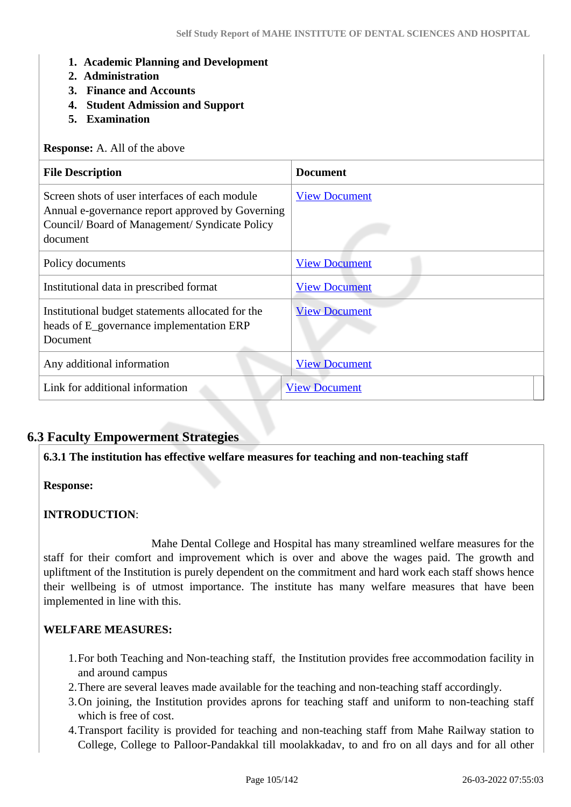- **1. Academic Planning and Development**
- **2. Administration**
- **3. Finance and Accounts**
- **4. Student Admission and Support**
- **5. Examination**

**Response:** A. All of the above

| <b>File Description</b>                                                                                                                                        | <b>Document</b>      |
|----------------------------------------------------------------------------------------------------------------------------------------------------------------|----------------------|
| Screen shots of user interfaces of each module<br>Annual e-governance report approved by Governing<br>Council/Board of Management/Syndicate Policy<br>document | <b>View Document</b> |
| Policy documents                                                                                                                                               | <b>View Document</b> |
| Institutional data in prescribed format                                                                                                                        | <b>View Document</b> |
| Institutional budget statements allocated for the<br>heads of E_governance implementation ERP<br>Document                                                      | <b>View Document</b> |
| Any additional information                                                                                                                                     | <b>View Document</b> |
| Link for additional information                                                                                                                                | <b>View Document</b> |

# **6.3 Faculty Empowerment Strategies**

#### **6.3.1 The institution has effective welfare measures for teaching and non-teaching staff**

#### **Response:**

#### **INTRODUCTION**:

 Mahe Dental College and Hospital has many streamlined welfare measures for the staff for their comfort and improvement which is over and above the wages paid. The growth and upliftment of the Institution is purely dependent on the commitment and hard work each staff shows hence their wellbeing is of utmost importance. The institute has many welfare measures that have been implemented in line with this.

#### **WELFARE MEASURES:**

- 1.For both Teaching and Non-teaching staff, the Institution provides free accommodation facility in and around campus
- 2.There are several leaves made available for the teaching and non-teaching staff accordingly.
- 3.On joining, the Institution provides aprons for teaching staff and uniform to non-teaching staff which is free of cost.
- 4.Transport facility is provided for teaching and non-teaching staff from Mahe Railway station to College, College to Palloor-Pandakkal till moolakkadav, to and fro on all days and for all other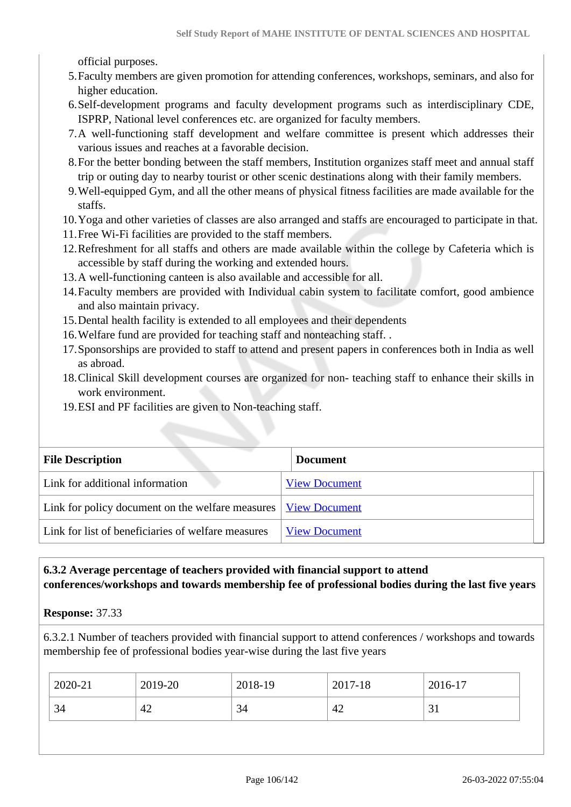official purposes.

- 5.Faculty members are given promotion for attending conferences, workshops, seminars, and also for higher education.
- 6.Self-development programs and faculty development programs such as interdisciplinary CDE, ISPRP, National level conferences etc. are organized for faculty members.
- 7.A well-functioning staff development and welfare committee is present which addresses their various issues and reaches at a favorable decision.
- 8.For the better bonding between the staff members, Institution organizes staff meet and annual staff trip or outing day to nearby tourist or other scenic destinations along with their family members.
- 9.Well-equipped Gym, and all the other means of physical fitness facilities are made available for the staffs.
- 10.Yoga and other varieties of classes are also arranged and staffs are encouraged to participate in that.
- 11.Free Wi-Fi facilities are provided to the staff members.
- 12.Refreshment for all staffs and others are made available within the college by Cafeteria which is accessible by staff during the working and extended hours.
- 13.A well-functioning canteen is also available and accessible for all.
- 14.Faculty members are provided with Individual cabin system to facilitate comfort, good ambience and also maintain privacy.
- 15.Dental health facility is extended to all employees and their dependents
- 16.Welfare fund are provided for teaching staff and nonteaching staff. .
- 17.Sponsorships are provided to staff to attend and present papers in conferences both in India as well as abroad.
- 18.Clinical Skill development courses are organized for non- teaching staff to enhance their skills in work environment.
- 19.ESI and PF facilities are given to Non-teaching staff.

| <b>File Description</b>                                               | <b>Document</b>      |
|-----------------------------------------------------------------------|----------------------|
| Link for additional information                                       | <b>View Document</b> |
| Link for policy document on the welfare measures <u>View Document</u> |                      |
| Link for list of beneficiaries of welfare measures                    | <b>View Document</b> |

#### **6.3.2 Average percentage of teachers provided with financial support to attend conferences/workshops and towards membership fee of professional bodies during the last five years**

#### **Response:** 37.33

6.3.2.1 Number of teachers provided with financial support to attend conferences / workshops and towards membership fee of professional bodies year-wise during the last five years

| 2020-21 | 2019-20 | 2018-19 | 2017-18 | $2016-17$    |
|---------|---------|---------|---------|--------------|
| 34      | 42      | 34      | 42      | $\sim$<br>JI |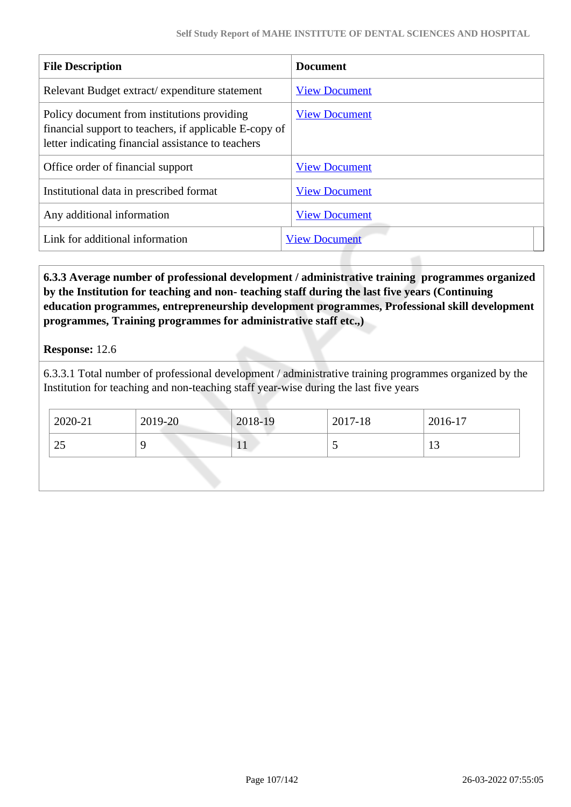| <b>File Description</b>                                                                                                                                     | <b>Document</b>      |
|-------------------------------------------------------------------------------------------------------------------------------------------------------------|----------------------|
| Relevant Budget extract/expenditure statement                                                                                                               | <b>View Document</b> |
| Policy document from institutions providing<br>financial support to teachers, if applicable E-copy of<br>letter indicating financial assistance to teachers | <b>View Document</b> |
| Office order of financial support                                                                                                                           | <b>View Document</b> |
| Institutional data in prescribed format                                                                                                                     | <b>View Document</b> |
| Any additional information                                                                                                                                  | <b>View Document</b> |
| Link for additional information                                                                                                                             | <b>View Document</b> |

## **6.3.3 Average number of professional development / administrative training programmes organized by the Institution for teaching and non- teaching staff during the last five years (Continuing education programmes, entrepreneurship development programmes, Professional skill development programmes, Training programmes for administrative staff etc.,)**

**Response:** 12.6

6.3.3.1 Total number of professional development / administrative training programmes organized by the Institution for teaching and non-teaching staff year-wise during the last five years

| 2016-17          | 2017-18 | 2018-19 | 2019-20 | 2020-21 |
|------------------|---------|---------|---------|---------|
| $\sqrt{2}$<br>IJ | ັ       | 11      |         | 25      |
|                  |         |         |         |         |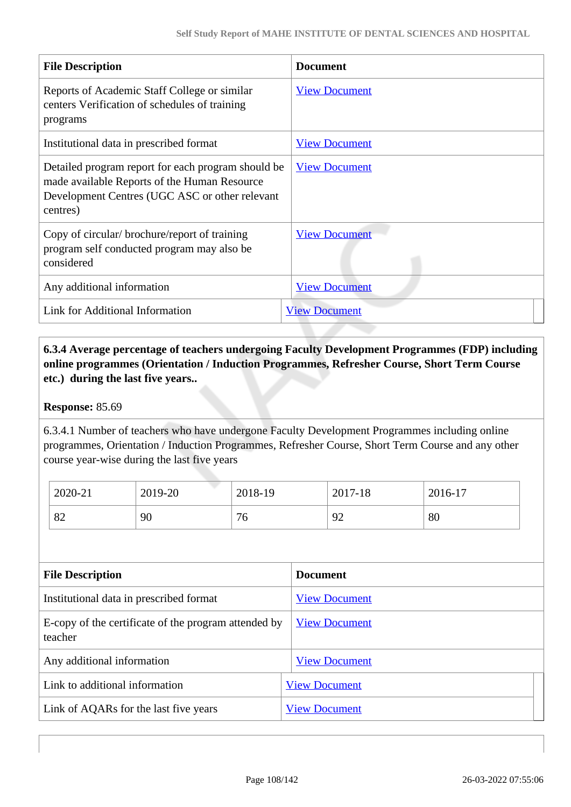| <b>File Description</b>                                                                                                                                          | <b>Document</b>      |
|------------------------------------------------------------------------------------------------------------------------------------------------------------------|----------------------|
| Reports of Academic Staff College or similar<br>centers Verification of schedules of training<br>programs                                                        | <b>View Document</b> |
| Institutional data in prescribed format                                                                                                                          | <b>View Document</b> |
| Detailed program report for each program should be<br>made available Reports of the Human Resource<br>Development Centres (UGC ASC or other relevant<br>centres) | <b>View Document</b> |
| Copy of circular/brochure/report of training<br>program self conducted program may also be<br>considered                                                         | <b>View Document</b> |
| Any additional information                                                                                                                                       | <b>View Document</b> |
| Link for Additional Information                                                                                                                                  | <b>View Document</b> |

## **6.3.4 Average percentage of teachers undergoing Faculty Development Programmes (FDP) including online programmes (Orientation / Induction Programmes, Refresher Course, Short Term Course etc.) during the last five years..**

#### **Response:** 85.69

6.3.4.1 Number of teachers who have undergone Faculty Development Programmes including online programmes, Orientation / Induction Programmes, Refresher Course, Short Term Course and any other course year-wise during the last five years

| 2020-21 | 2019-20 | 2018-19 | 2017-18        | 2016-17 |
|---------|---------|---------|----------------|---------|
| 82      | 90      | 76      | $\Omega$<br>৴∠ | 80      |

| <b>File Description</b>                                         | <b>Document</b>      |
|-----------------------------------------------------------------|----------------------|
| Institutional data in prescribed format                         | <b>View Document</b> |
| E-copy of the certificate of the program attended by<br>teacher | <b>View Document</b> |
| Any additional information                                      | <b>View Document</b> |
| Link to additional information                                  | <b>View Document</b> |
| Link of AQARs for the last five years                           | <b>View Document</b> |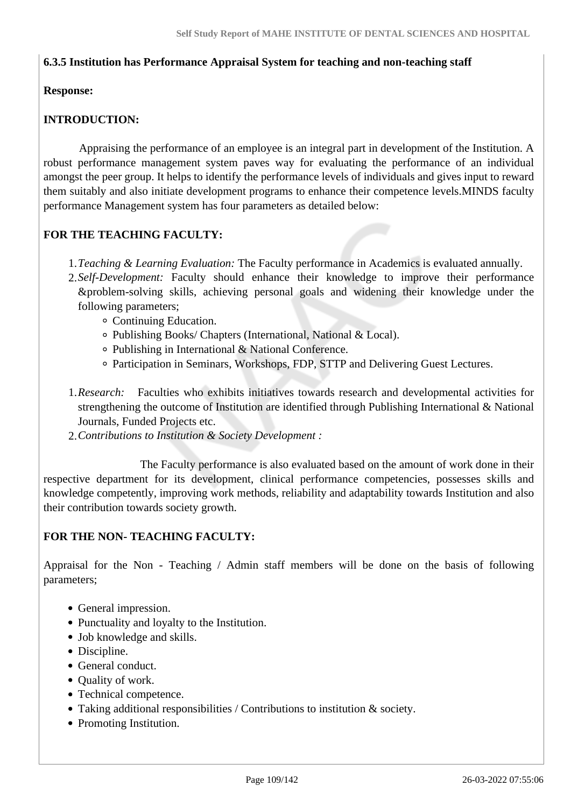#### **6.3.5 Institution has Performance Appraisal System for teaching and non-teaching staff**

#### **Response:**

# **INTRODUCTION:**

 Appraising the performance of an employee is an integral part in development of the Institution. A robust performance management system paves way for evaluating the performance of an individual amongst the peer group. It helps to identify the performance levels of individuals and gives input to reward them suitably and also initiate development programs to enhance their competence levels.MINDS faculty performance Management system has four parameters as detailed below:

# **FOR THE TEACHING FACULTY:**

- 1.*Teaching & Learning Evaluation:* The Faculty performance in Academics is evaluated annually.
- 2.*Self-Development:* Faculty should enhance their knowledge to improve their performance &problem-solving skills, achieving personal goals and widening their knowledge under the following parameters;
	- Continuing Education.
	- Publishing Books/ Chapters (International, National & Local).
	- Publishing in International & National Conference.
	- Participation in Seminars, Workshops, FDP, STTP and Delivering Guest Lectures.
- 1.*Research:* Faculties who exhibits initiatives towards research and developmental activities for strengthening the outcome of Institution are identified through Publishing International & National Journals, Funded Projects etc.
- 2.*Contributions to Institution & Society Development :*

 The Faculty performance is also evaluated based on the amount of work done in their respective department for its development, clinical performance competencies, possesses skills and knowledge competently, improving work methods, reliability and adaptability towards Institution and also their contribution towards society growth.

# **FOR THE NON- TEACHING FACULTY:**

Appraisal for the Non - Teaching / Admin staff members will be done on the basis of following parameters;

- General impression.
- Punctuality and loyalty to the Institution.
- Job knowledge and skills.
- Discipline.
- General conduct.
- Quality of work.
- Technical competence.
- Taking additional responsibilities / Contributions to institution & society.
- Promoting Institution.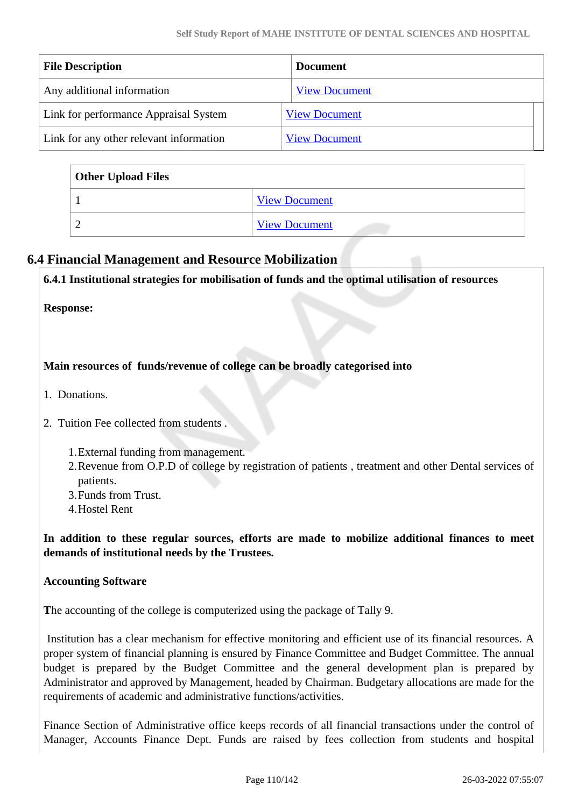| <b>File Description</b>                 | <b>Document</b>      |
|-----------------------------------------|----------------------|
| Any additional information              | <b>View Document</b> |
| Link for performance Appraisal System   | <b>View Document</b> |
| Link for any other relevant information | <b>View Document</b> |

| <b>Other Upload Files</b> |                      |
|---------------------------|----------------------|
|                           | <b>View Document</b> |
|                           | <b>View Document</b> |

# **6.4 Financial Management and Resource Mobilization**

**6.4.1 Institutional strategies for mobilisation of funds and the optimal utilisation of resources**

**Response:** 

# **Main resources of funds/revenue of college can be broadly categorised into**

1. Donations.

- 2. Tuition Fee collected from students .
	- 1.External funding from management.
	- 2.Revenue from O.P.D of college by registration of patients , treatment and other Dental services of patients.
	- 3.Funds from Trust.
	- 4.Hostel Rent

**In addition to these regular sources, efforts are made to mobilize additional finances to meet demands of institutional needs by the Trustees.** 

#### **Accounting Software**

**T**he accounting of the college is computerized using the package of Tally 9.

 Institution has a clear mechanism for effective monitoring and efficient use of its financial resources. A proper system of financial planning is ensured by Finance Committee and Budget Committee. The annual budget is prepared by the Budget Committee and the general development plan is prepared by Administrator and approved by Management, headed by Chairman. Budgetary allocations are made for the requirements of academic and administrative functions/activities.

Finance Section of Administrative office keeps records of all financial transactions under the control of Manager, Accounts Finance Dept. Funds are raised by fees collection from students and hospital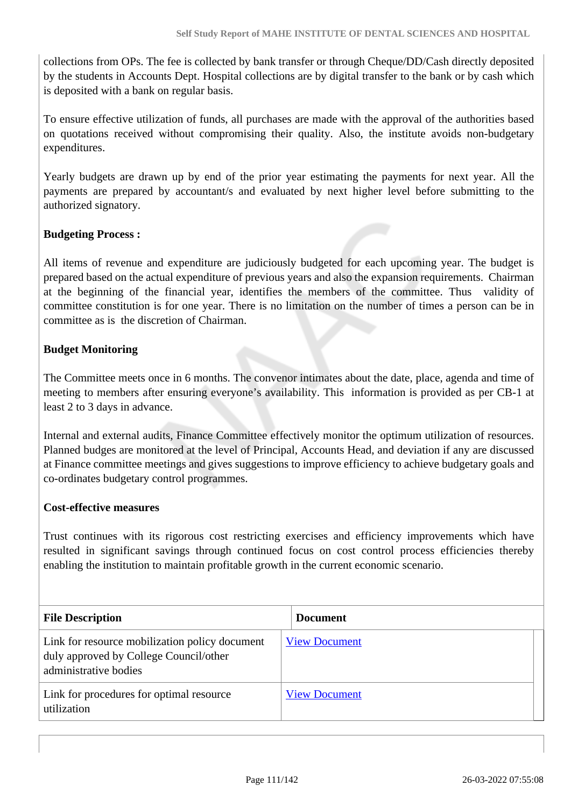collections from OPs. The fee is collected by bank transfer or through Cheque/DD/Cash directly deposited by the students in Accounts Dept. Hospital collections are by digital transfer to the bank or by cash which is deposited with a bank on regular basis.

To ensure effective utilization of funds, all purchases are made with the approval of the authorities based on quotations received without compromising their quality. Also, the institute avoids non-budgetary expenditures.

Yearly budgets are drawn up by end of the prior year estimating the payments for next year. All the payments are prepared by accountant/s and evaluated by next higher level before submitting to the authorized signatory.

#### **Budgeting Process :**

All items of revenue and expenditure are judiciously budgeted for each upcoming year. The budget is prepared based on the actual expenditure of previous years and also the expansion requirements. Chairman at the beginning of the financial year, identifies the members of the committee. Thus validity of committee constitution is for one year. There is no limitation on the number of times a person can be in committee as is the discretion of Chairman.

### **Budget Monitoring**

The Committee meets once in 6 months. The convenor intimates about the date, place, agenda and time of meeting to members after ensuring everyone's availability. This information is provided as per CB-1 at least 2 to 3 days in advance.

Internal and external audits, Finance Committee effectively monitor the optimum utilization of resources. Planned budges are monitored at the level of Principal, Accounts Head, and deviation if any are discussed at Finance committee meetings and gives suggestions to improve efficiency to achieve budgetary goals and co-ordinates budgetary control programmes.

#### **Cost-effective measures**

Trust continues with its rigorous cost restricting exercises and efficiency improvements which have resulted in significant savings through continued focus on cost control process efficiencies thereby enabling the institution to maintain profitable growth in the current economic scenario.

| <b>File Description</b>                                                                                           | <b>Document</b>      |
|-------------------------------------------------------------------------------------------------------------------|----------------------|
| Link for resource mobilization policy document<br>duly approved by College Council/other<br>administrative bodies | <b>View Document</b> |
| Link for procedures for optimal resource<br>utilization                                                           | <b>View Document</b> |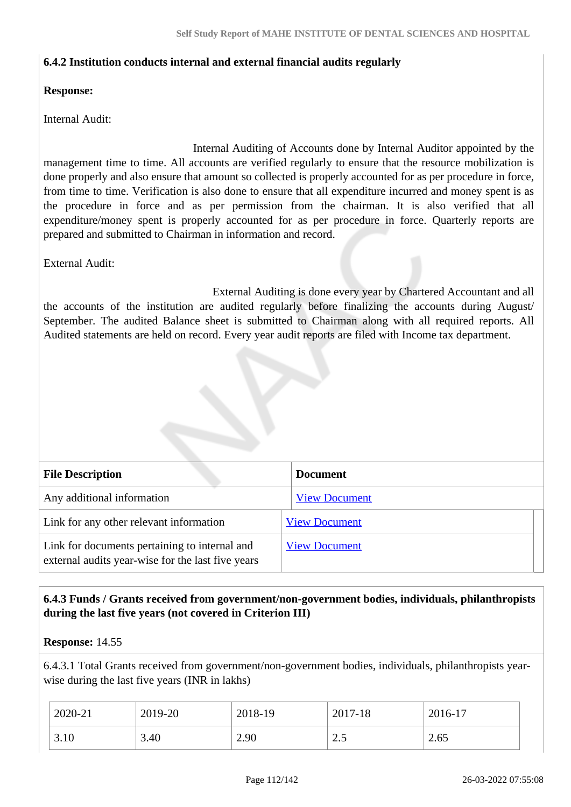#### **6.4.2 Institution conducts internal and external financial audits regularly**

#### **Response:**

Internal Audit:

 Internal Auditing of Accounts done by Internal Auditor appointed by the management time to time. All accounts are verified regularly to ensure that the resource mobilization is done properly and also ensure that amount so collected is properly accounted for as per procedure in force, from time to time. Verification is also done to ensure that all expenditure incurred and money spent is as the procedure in force and as per permission from the chairman. It is also verified that all expenditure/money spent is properly accounted for as per procedure in force. Quarterly reports are prepared and submitted to Chairman in information and record.

External Audit:

 External Auditing is done every year by Chartered Accountant and all the accounts of the institution are audited regularly before finalizing the accounts during August/ September. The audited Balance sheet is submitted to Chairman along with all required reports. All Audited statements are held on record. Every year audit reports are filed with Income tax department.

| <b>File Description</b>                                                                            | <b>Document</b>      |
|----------------------------------------------------------------------------------------------------|----------------------|
| Any additional information                                                                         | <b>View Document</b> |
| Link for any other relevant information                                                            | <b>View Document</b> |
| Link for documents pertaining to internal and<br>external audits year-wise for the last five years | <b>View Document</b> |

# **6.4.3 Funds / Grants received from government/non-government bodies, individuals, philanthropists during the last five years (not covered in Criterion III)**

#### **Response:** 14.55

6.4.3.1 Total Grants received from government/non-government bodies, individuals, philanthropists yearwise during the last five years (INR in lakhs)

| 2020-21 | 2019-20 | 2018-19 | 2017-18 | 2016-17 |
|---------|---------|---------|---------|---------|
| 3.10    | 3.40    | 2.90    | ں ، ب   | 2.65    |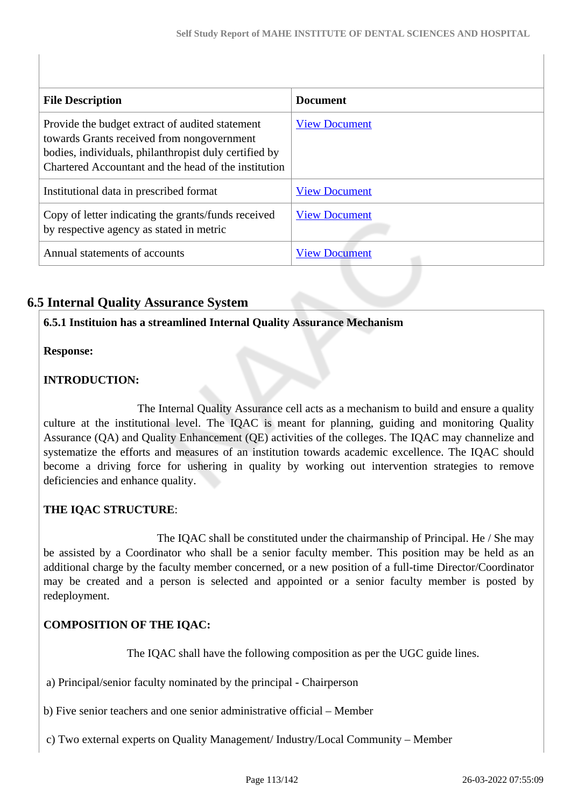| <b>File Description</b>                                                                                                                                                                                        | <b>Document</b>      |
|----------------------------------------------------------------------------------------------------------------------------------------------------------------------------------------------------------------|----------------------|
| Provide the budget extract of audited statement<br>towards Grants received from nongovernment<br>bodies, individuals, philanthropist duly certified by<br>Chartered Accountant and the head of the institution | <b>View Document</b> |
| Institutional data in prescribed format                                                                                                                                                                        | <b>View Document</b> |
| Copy of letter indicating the grants/funds received<br>by respective agency as stated in metric                                                                                                                | <b>View Document</b> |
| Annual statements of accounts                                                                                                                                                                                  | <b>View Document</b> |

# **6.5 Internal Quality Assurance System**

# **6.5.1 Instituion has a streamlined Internal Quality Assurance Mechanism**

#### **Response:**

#### **INTRODUCTION:**

 The Internal Quality Assurance cell acts as a mechanism to build and ensure a quality culture at the institutional level. The IQAC is meant for planning, guiding and monitoring Quality Assurance (QA) and Quality Enhancement (QE) activities of the colleges. The IQAC may channelize and systematize the efforts and measures of an institution towards academic excellence. The IQAC should become a driving force for ushering in quality by working out intervention strategies to remove deficiencies and enhance quality.

#### **THE IQAC STRUCTURE**:

 The IQAC shall be constituted under the chairmanship of Principal. He / She may be assisted by a Coordinator who shall be a senior faculty member. This position may be held as an additional charge by the faculty member concerned, or a new position of a full-time Director/Coordinator may be created and a person is selected and appointed or a senior faculty member is posted by redeployment.

#### **COMPOSITION OF THE IQAC:**

The IQAC shall have the following composition as per the UGC guide lines.

a) Principal/senior faculty nominated by the principal - Chairperson

b) Five senior teachers and one senior administrative official – Member

c) Two external experts on Quality Management/ Industry/Local Community – Member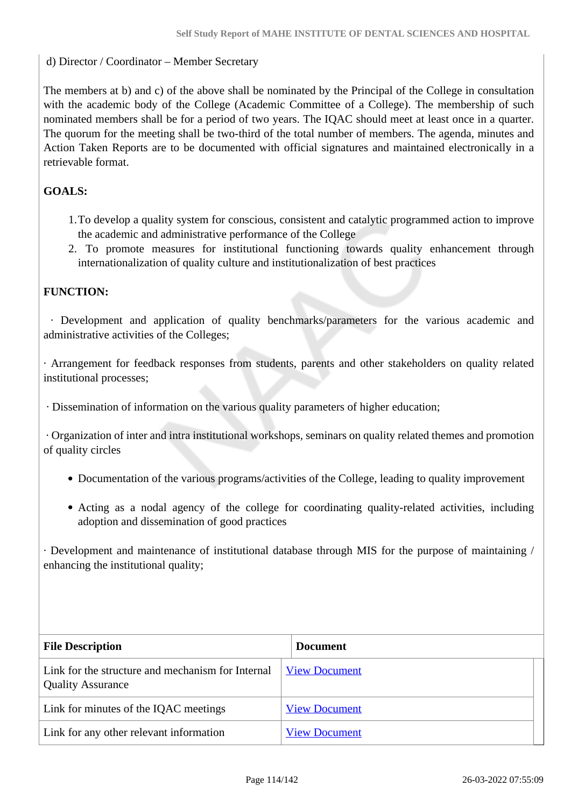d) Director / Coordinator – Member Secretary

The members at b) and c) of the above shall be nominated by the Principal of the College in consultation with the academic body of the College (Academic Committee of a College). The membership of such nominated members shall be for a period of two years. The IQAC should meet at least once in a quarter. The quorum for the meeting shall be two-third of the total number of members. The agenda, minutes and Action Taken Reports are to be documented with official signatures and maintained electronically in a retrievable format.

#### **GOALS:**

- 1.To develop a quality system for conscious, consistent and catalytic programmed action to improve the academic and administrative performance of the College
- 2. To promote measures for institutional functioning towards quality enhancement through internationalization of quality culture and institutionalization of best practices

#### **FUNCTION:**

 · Development and application of quality benchmarks/parameters for the various academic and administrative activities of the Colleges;

· Arrangement for feedback responses from students, parents and other stakeholders on quality related institutional processes;

· Dissemination of information on the various quality parameters of higher education;

 · Organization of inter and intra institutional workshops, seminars on quality related themes and promotion of quality circles

- Documentation of the various programs/activities of the College, leading to quality improvement
- Acting as a nodal agency of the college for coordinating quality-related activities, including adoption and dissemination of good practices

· Development and maintenance of institutional database through MIS for the purpose of maintaining / enhancing the institutional quality;

| <b>File Description</b>                                                       | <b>Document</b>      |
|-------------------------------------------------------------------------------|----------------------|
| Link for the structure and mechanism for Internal<br><b>Quality Assurance</b> | <b>View Document</b> |
| Link for minutes of the IQAC meetings                                         | <b>View Document</b> |
| Link for any other relevant information                                       | <b>View Document</b> |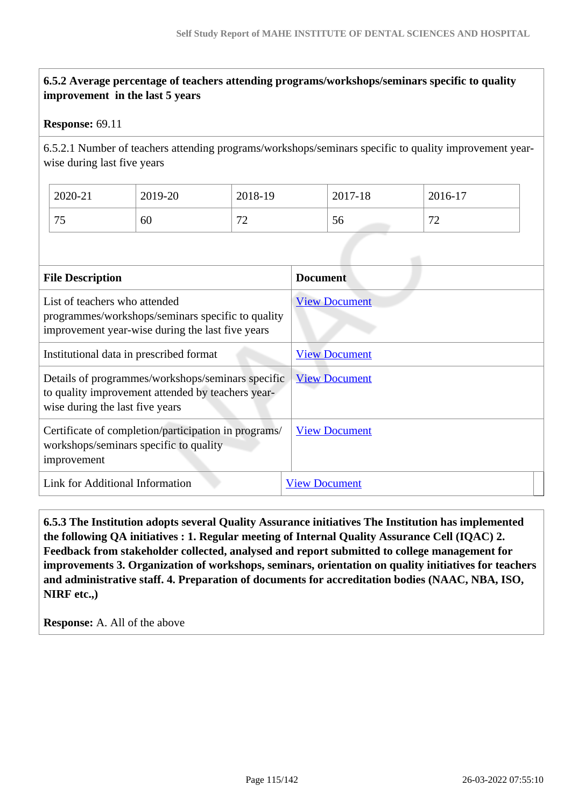# **6.5.2 Average percentage of teachers attending programs/workshops/seminars specific to quality improvement in the last 5 years**

#### **Response:** 69.11

6.5.2.1 Number of teachers attending programs/workshops/seminars specific to quality improvement yearwise during last five years

| 2020-21   | 2019-20 | 2018-19                       | 2017-18 | 2016-17           |
|-----------|---------|-------------------------------|---------|-------------------|
| コピ<br>ر ، | 60      | $\overline{\phantom{a}}$<br>∼ | Эb      | $\mathbf{z}$<br>∼ |

| <b>File Description</b>                                                                                                                   | <b>Document</b>      |
|-------------------------------------------------------------------------------------------------------------------------------------------|----------------------|
| List of teachers who attended<br>programmes/workshops/seminars specific to quality<br>improvement year-wise during the last five years    | <b>View Document</b> |
| Institutional data in prescribed format                                                                                                   | <b>View Document</b> |
| Details of programmes/workshops/seminars specific<br>to quality improvement attended by teachers year-<br>wise during the last five years | <b>View Document</b> |
| Certificate of completion/participation in programs/<br>workshops/seminars specific to quality<br>improvement                             | <b>View Document</b> |
| Link for Additional Information                                                                                                           | <b>View Document</b> |

 **6.5.3 The Institution adopts several Quality Assurance initiatives The Institution has implemented the following QA initiatives : 1. Regular meeting of Internal Quality Assurance Cell (IQAC) 2. Feedback from stakeholder collected, analysed and report submitted to college management for improvements 3. Organization of workshops, seminars, orientation on quality initiatives for teachers and administrative staff. 4. Preparation of documents for accreditation bodies (NAAC, NBA, ISO, NIRF etc.,)** 

**Response:** A. All of the above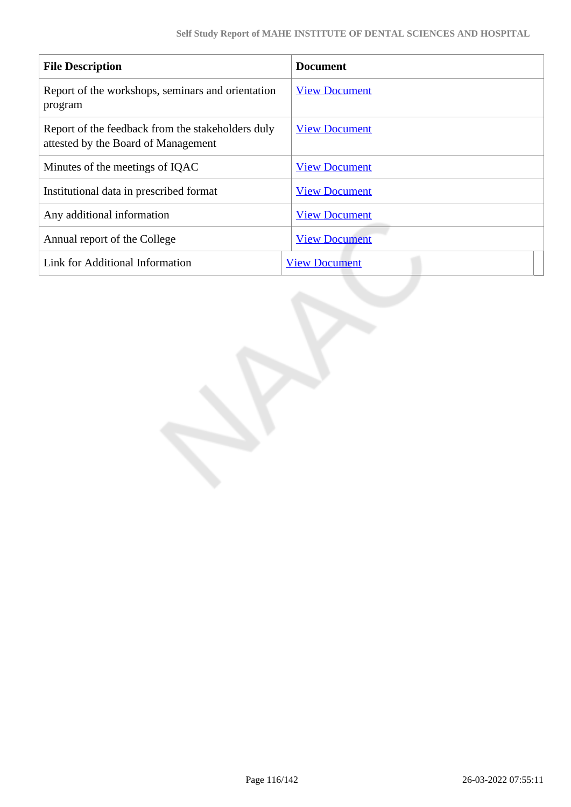| <b>File Description</b>                                                                  | <b>Document</b>      |
|------------------------------------------------------------------------------------------|----------------------|
| Report of the workshops, seminars and orientation<br>program                             | <b>View Document</b> |
| Report of the feedback from the stakeholders duly<br>attested by the Board of Management | <b>View Document</b> |
| Minutes of the meetings of IQAC                                                          | <b>View Document</b> |
| Institutional data in prescribed format                                                  | <b>View Document</b> |
| Any additional information                                                               | <b>View Document</b> |
| Annual report of the College                                                             | <b>View Document</b> |
| Link for Additional Information                                                          | <b>View Document</b> |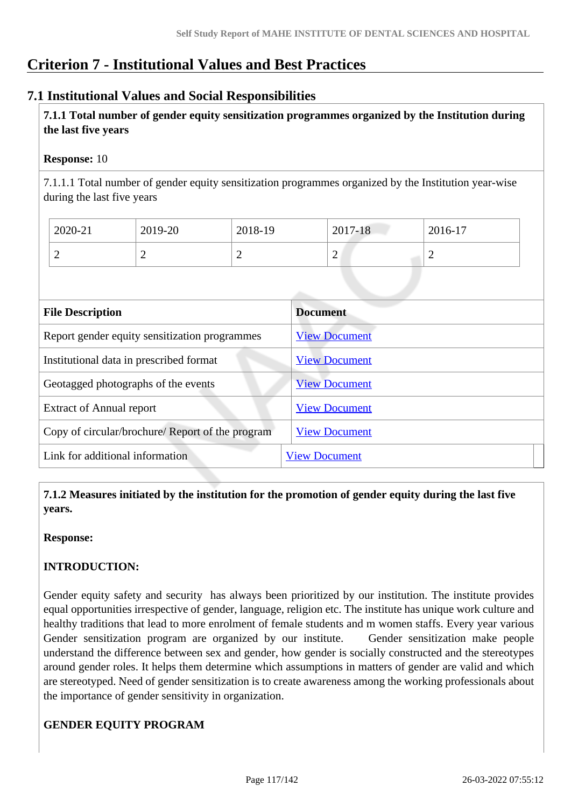# **Criterion 7 - Institutional Values and Best Practices**

# **7.1 Institutional Values and Social Responsibilities**

 **7.1.1 Total number of gender equity sensitization programmes organized by the Institution during the last five years** 

# **Response:** 10

7.1.1.1 Total number of gender equity sensitization programmes organized by the Institution year-wise during the last five years

| 2020-21 | 2019-20 | 2018-19 | 2017-18 | 2016-17 |
|---------|---------|---------|---------|---------|
|         | ∼       | ∸       | ⌒<br>∼  | ∽       |

| <b>File Description</b>                          | <b>Document</b>      |
|--------------------------------------------------|----------------------|
| Report gender equity sensitization programmes    | <b>View Document</b> |
| Institutional data in prescribed format          | <b>View Document</b> |
| Geotagged photographs of the events              | <b>View Document</b> |
| <b>Extract of Annual report</b>                  | <b>View Document</b> |
| Copy of circular/brochure/ Report of the program | <b>View Document</b> |
| Link for additional information                  | <b>View Document</b> |

 **7.1.2 Measures initiated by the institution for the promotion of gender equity during the last five years.**

# **Response:**

# **INTRODUCTION:**

Gender equity safety and security has always been prioritized by our institution. The institute provides equal opportunities irrespective of gender, language, religion etc. The institute has unique work culture and healthy traditions that lead to more enrolment of female students and m women staffs. Every year various Gender sensitization program are organized by our institute. Gender sensitization make people understand the difference between sex and gender, how gender is socially constructed and the stereotypes around gender roles. It helps them determine which assumptions in matters of gender are valid and which are stereotyped. Need of gender sensitization is to create awareness among the working professionals about the importance of gender sensitivity in organization.

# **GENDER EQUITY PROGRAM**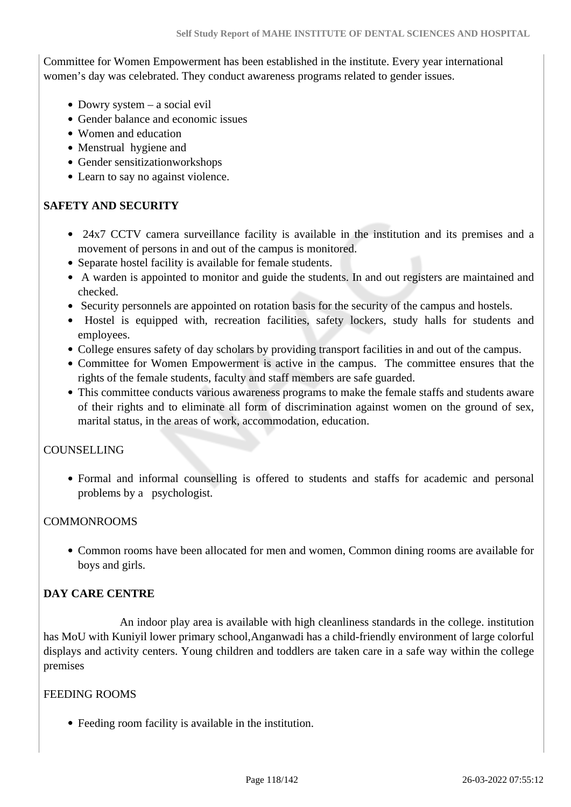Committee for Women Empowerment has been established in the institute. Every year international women's day was celebrated. They conduct awareness programs related to gender issues.

- Dowry system a social evil
- Gender balance and economic issues
- Women and education
- Menstrual hygiene and
- Gender sensitizationworkshops
- Learn to say no against violence.

#### **SAFETY AND SECURITY**

- 24x7 CCTV camera surveillance facility is available in the institution and its premises and a movement of persons in and out of the campus is monitored.
- Separate hostel facility is available for female students.
- A warden is appointed to monitor and guide the students. In and out registers are maintained and checked.
- Security personnels are appointed on rotation basis for the security of the campus and hostels.
- Hostel is equipped with, recreation facilities, safety lockers, study halls for students and employees.
- College ensures safety of day scholars by providing transport facilities in and out of the campus.
- Committee for Women Empowerment is active in the campus. The committee ensures that the rights of the female students, faculty and staff members are safe guarded.
- This committee conducts various awareness programs to make the female staffs and students aware of their rights and to eliminate all form of discrimination against women on the ground of sex, marital status, in the areas of work, accommodation, education.

# COUNSELLING

Formal and informal counselling is offered to students and staffs for academic and personal problems by a psychologist.

# **COMMONROOMS**

Common rooms have been allocated for men and women, Common dining rooms are available for boys and girls.

# **DAY CARE CENTRE**

 An indoor play area is available with high cleanliness standards in the college. institution has MoU with Kuniyil lower primary school,Anganwadi has a child-friendly environment of large colorful displays and activity centers. Young children and toddlers are taken care in a safe way within the college premises

#### FEEDING ROOMS

Feeding room facility is available in the institution.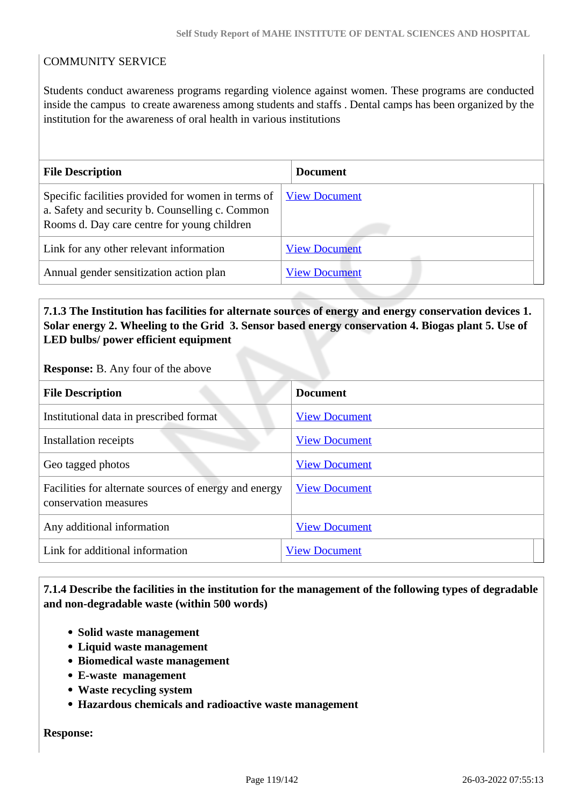#### COMMUNITY SERVICE

Students conduct awareness programs regarding violence against women. These programs are conducted inside the campus to create awareness among students and staffs . Dental camps has been organized by the institution for the awareness of oral health in various institutions

| <b>File Description</b><br><b>Document</b><br>Specific facilities provided for women in terms of<br><b>View Document</b><br>a. Safety and security b. Counselling c. Common<br>Rooms d. Day care centre for young children<br>Link for any other relevant information<br><b>View Document</b> |                                         |                      |
|-----------------------------------------------------------------------------------------------------------------------------------------------------------------------------------------------------------------------------------------------------------------------------------------------|-----------------------------------------|----------------------|
|                                                                                                                                                                                                                                                                                               |                                         |                      |
|                                                                                                                                                                                                                                                                                               |                                         |                      |
|                                                                                                                                                                                                                                                                                               |                                         |                      |
|                                                                                                                                                                                                                                                                                               | Annual gender sensitization action plan | <b>View Document</b> |

 **7.1.3 The Institution has facilities for alternate sources of energy and energy conservation devices 1. Solar energy 2. Wheeling to the Grid 3. Sensor based energy conservation 4. Biogas plant 5. Use of LED bulbs/ power efficient equipment**

**Response:** B. Any four of the above

| <b>File Description</b>                                                        | <b>Document</b>      |
|--------------------------------------------------------------------------------|----------------------|
| Institutional data in prescribed format                                        | <b>View Document</b> |
| <b>Installation receipts</b>                                                   | <b>View Document</b> |
| Geo tagged photos                                                              | <b>View Document</b> |
| Facilities for alternate sources of energy and energy<br>conservation measures | <b>View Document</b> |
| Any additional information                                                     | <b>View Document</b> |
| Link for additional information                                                | <b>View Document</b> |

### **7.1.4 Describe the facilities in the institution for the management of the following types of degradable and non-degradable waste (within 500 words)**

- **Solid waste management**
- **Liquid waste management**
- **Biomedical waste management**
- **E-waste management**
- **Waste recycling system**
- **Hazardous chemicals and radioactive waste management**

**Response:**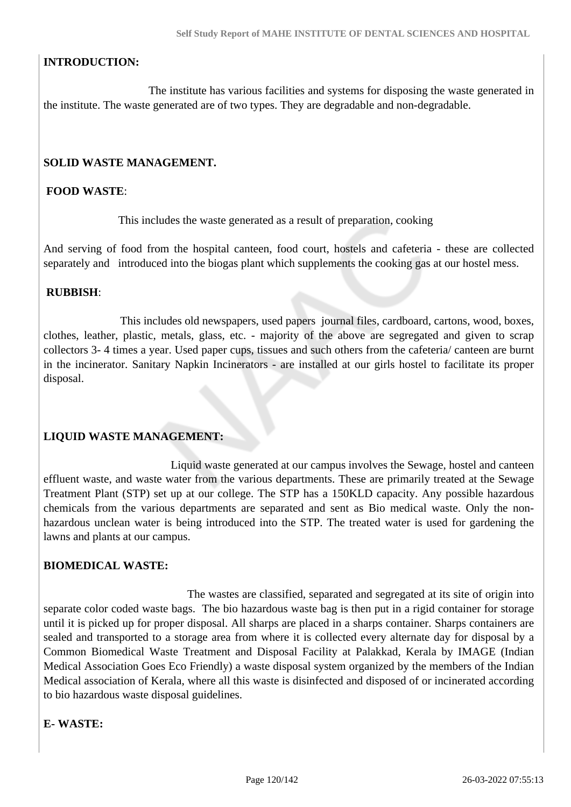# **INTRODUCTION:**

 The institute has various facilities and systems for disposing the waste generated in the institute. The waste generated are of two types. They are degradable and non-degradable.

# **SOLID WASTE MANAGEMENT.**

# **FOOD WASTE**:

This includes the waste generated as a result of preparation, cooking

And serving of food from the hospital canteen, food court, hostels and cafeteria - these are collected separately and introduced into the biogas plant which supplements the cooking gas at our hostel mess.

#### **RUBBISH**:

 This includes old newspapers, used papers journal files, cardboard, cartons, wood, boxes, clothes, leather, plastic, metals, glass, etc. - majority of the above are segregated and given to scrap collectors 3- 4 times a year. Used paper cups, tissues and such others from the cafeteria/ canteen are burnt in the incinerator. Sanitary Napkin Incinerators - are installed at our girls hostel to facilitate its proper disposal.

# **LIQUID WASTE MANAGEMENT:**

 Liquid waste generated at our campus involves the Sewage, hostel and canteen effluent waste, and waste water from the various departments. These are primarily treated at the Sewage Treatment Plant (STP) set up at our college. The STP has a 150KLD capacity. Any possible hazardous chemicals from the various departments are separated and sent as Bio medical waste. Only the nonhazardous unclean water is being introduced into the STP. The treated water is used for gardening the lawns and plants at our campus.

#### **BIOMEDICAL WASTE:**

 The wastes are classified, separated and segregated at its site of origin into separate color coded waste bags. The bio hazardous waste bag is then put in a rigid container for storage until it is picked up for proper disposal. All sharps are placed in a sharps container. Sharps containers are sealed and transported to a storage area from where it is collected every alternate day for disposal by a Common Biomedical Waste Treatment and Disposal Facility at Palakkad, Kerala by IMAGE (Indian Medical Association Goes Eco Friendly) a waste disposal system organized by the members of the Indian Medical association of Kerala, where all this waste is disinfected and disposed of or incinerated according to bio hazardous waste disposal guidelines.

# **E- WASTE:**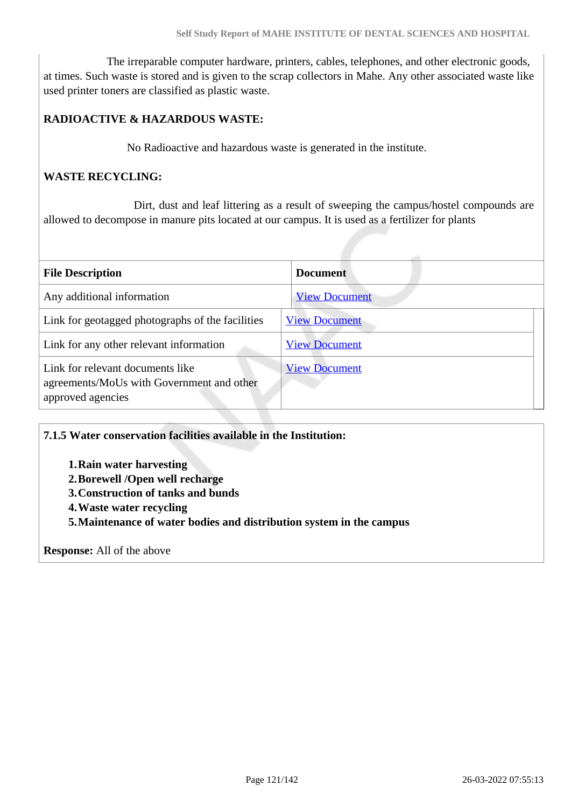The irreparable computer hardware, printers, cables, telephones, and other electronic goods, at times. Such waste is stored and is given to the scrap collectors in Mahe. Any other associated waste like used printer toners are classified as plastic waste.

# **RADIOACTIVE & HAZARDOUS WASTE:**

No Radioactive and hazardous waste is generated in the institute.

# **WASTE RECYCLING:**

 Dirt, dust and leaf littering as a result of sweeping the campus/hostel compounds are allowed to decompose in manure pits located at our campus. It is used as a fertilizer for plants

| <b>File Description</b>                                                                            | <b>Document</b>      |
|----------------------------------------------------------------------------------------------------|----------------------|
| Any additional information                                                                         | <b>View Document</b> |
| Link for geotagged photographs of the facilities                                                   | <b>View Document</b> |
| Link for any other relevant information                                                            | <b>View Document</b> |
| Link for relevant documents like<br>agreements/MoUs with Government and other<br>approved agencies | <b>View Document</b> |

**7.1.5 Water conservation facilities available in the Institution:**

- **1.Rain water harvesting**
- **2.Borewell /Open well recharge**
- **3.Construction of tanks and bunds**
- **4.Waste water recycling**
- **5.Maintenance of water bodies and distribution system in the campus**

**Response:** All of the above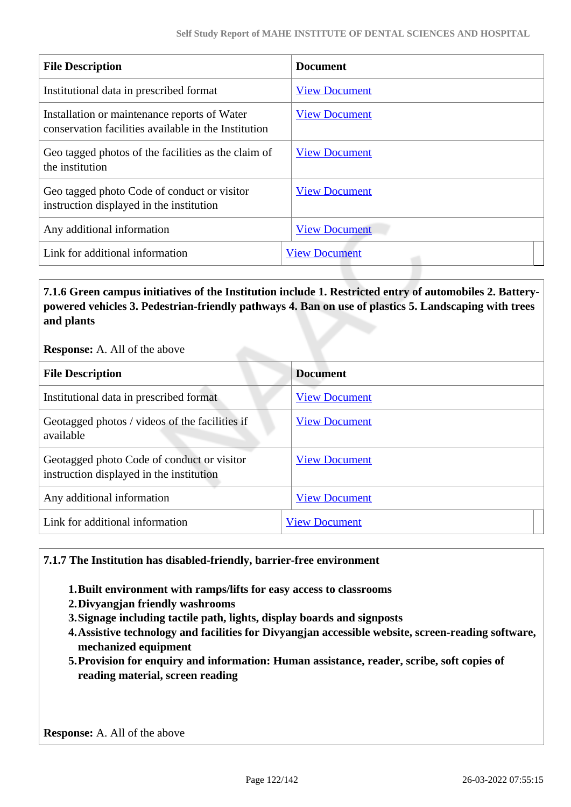| <b>File Description</b>                                                                              | <b>Document</b>      |
|------------------------------------------------------------------------------------------------------|----------------------|
| Institutional data in prescribed format                                                              | <b>View Document</b> |
| Installation or maintenance reports of Water<br>conservation facilities available in the Institution | <b>View Document</b> |
| Geo tagged photos of the facilities as the claim of<br>the institution                               | <b>View Document</b> |
| Geo tagged photo Code of conduct or visitor<br>instruction displayed in the institution              | <b>View Document</b> |
| Any additional information                                                                           | <b>View Document</b> |
| Link for additional information                                                                      | <b>View Document</b> |

# **7.1.6 Green campus initiatives of the Institution include 1. Restricted entry of automobiles 2. Batterypowered vehicles 3. Pedestrian-friendly pathways 4. Ban on use of plastics 5. Landscaping with trees and plants**

**Response:** A. All of the above

| <b>File Description</b>                                                                | <b>Document</b>      |
|----------------------------------------------------------------------------------------|----------------------|
| Institutional data in prescribed format                                                | <b>View Document</b> |
| Geotagged photos / videos of the facilities if<br>available                            | <b>View Document</b> |
| Geotagged photo Code of conduct or visitor<br>instruction displayed in the institution | <b>View Document</b> |
| Any additional information                                                             | <b>View Document</b> |
| Link for additional information                                                        | <b>View Document</b> |

#### **7.1.7 The Institution has disabled-friendly, barrier-free environment**

- **1.Built environment with ramps/lifts for easy access to classrooms**
- **2.Divyangjan friendly washrooms**
- **3.Signage including tactile path, lights, display boards and signposts**
- **4.Assistive technology and facilities for Divyangjan accessible website, screen-reading software, mechanized equipment**
- **5.Provision for enquiry and information: Human assistance, reader, scribe, soft copies of reading material, screen reading**

**Response:** A. All of the above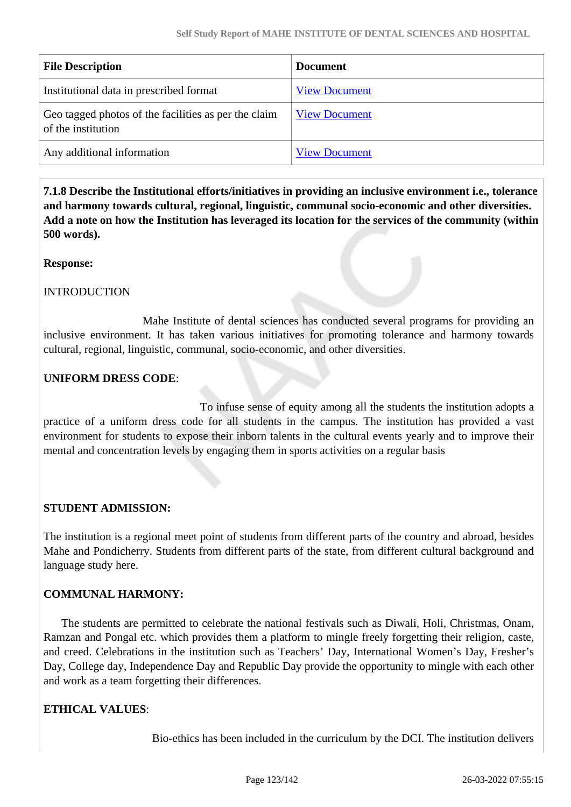| <b>File Description</b>                                                    | <b>Document</b>      |
|----------------------------------------------------------------------------|----------------------|
| Institutional data in prescribed format                                    | <b>View Document</b> |
| Geo tagged photos of the facilities as per the claim<br>of the institution | <b>View Document</b> |
| Any additional information                                                 | <b>View Document</b> |

 **7.1.8 Describe the Institutional efforts/initiatives in providing an inclusive environment i.e., tolerance and harmony towards cultural, regional, linguistic, communal socio-economic and other diversities. Add a note on how the Institution has leveraged its location for the services of the community (within 500 words).**

#### **Response:**

INTRODUCTION

 Mahe Institute of dental sciences has conducted several programs for providing an inclusive environment. It has taken various initiatives for promoting tolerance and harmony towards cultural, regional, linguistic, communal, socio-economic, and other diversities.

# **UNIFORM DRESS CODE**:

 To infuse sense of equity among all the students the institution adopts a practice of a uniform dress code for all students in the campus. The institution has provided a vast environment for students to expose their inborn talents in the cultural events yearly and to improve their mental and concentration levels by engaging them in sports activities on a regular basis

#### **STUDENT ADMISSION:**

The institution is a regional meet point of students from different parts of the country and abroad, besides Mahe and Pondicherry. Students from different parts of the state, from different cultural background and language study here.

# **COMMUNAL HARMONY:**

 The students are permitted to celebrate the national festivals such as Diwali, Holi, Christmas, Onam, Ramzan and Pongal etc. which provides them a platform to mingle freely forgetting their religion, caste, and creed. Celebrations in the institution such as Teachers' Day, International Women's Day, Fresher's Day, College day, Independence Day and Republic Day provide the opportunity to mingle with each other and work as a team forgetting their differences.

#### **ETHICAL VALUES**:

Bio-ethics has been included in the curriculum by the DCI. The institution delivers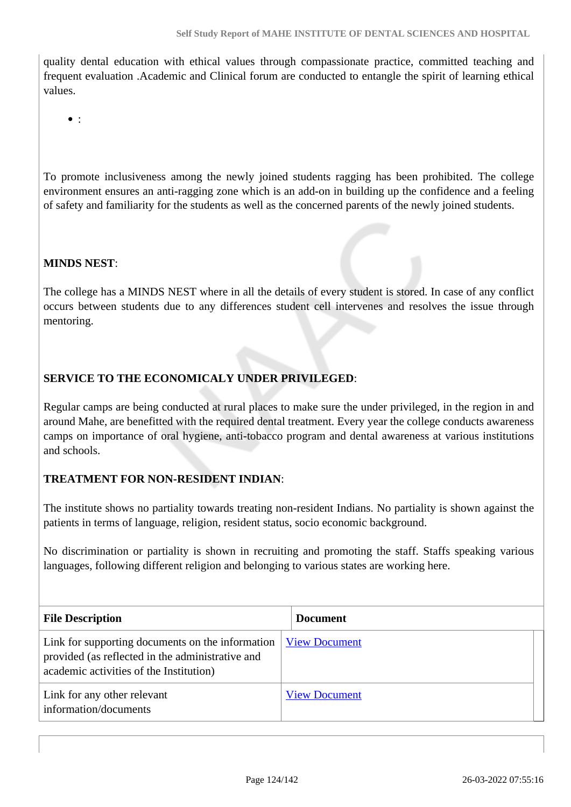quality dental education with ethical values through compassionate practice, committed teaching and frequent evaluation .Academic and Clinical forum are conducted to entangle the spirit of learning ethical values.

 $\bullet$  :

To promote inclusiveness among the newly joined students ragging has been prohibited. The college environment ensures an anti-ragging zone which is an add-on in building up the confidence and a feeling of safety and familiarity for the students as well as the concerned parents of the newly joined students.

### **MINDS NEST**:

The college has a MINDS NEST where in all the details of every student is stored. In case of any conflict occurs between students due to any differences student cell intervenes and resolves the issue through mentoring.

# **SERVICE TO THE ECONOMICALY UNDER PRIVILEGED**:

Regular camps are being conducted at rural places to make sure the under privileged, in the region in and around Mahe, are benefitted with the required dental treatment. Every year the college conducts awareness camps on importance of oral hygiene, anti-tobacco program and dental awareness at various institutions and schools.

#### **TREATMENT FOR NON-RESIDENT INDIAN**:

The institute shows no partiality towards treating non-resident Indians. No partiality is shown against the patients in terms of language, religion, resident status, socio economic background.

No discrimination or partiality is shown in recruiting and promoting the staff. Staffs speaking various languages, following different religion and belonging to various states are working here.

| <b>File Description</b>                                                                                                                         | <b>Document</b>      |
|-------------------------------------------------------------------------------------------------------------------------------------------------|----------------------|
| Link for supporting documents on the information<br>provided (as reflected in the administrative and<br>academic activities of the Institution) | <b>View Document</b> |
| Link for any other relevant<br>information/documents                                                                                            | <b>View Document</b> |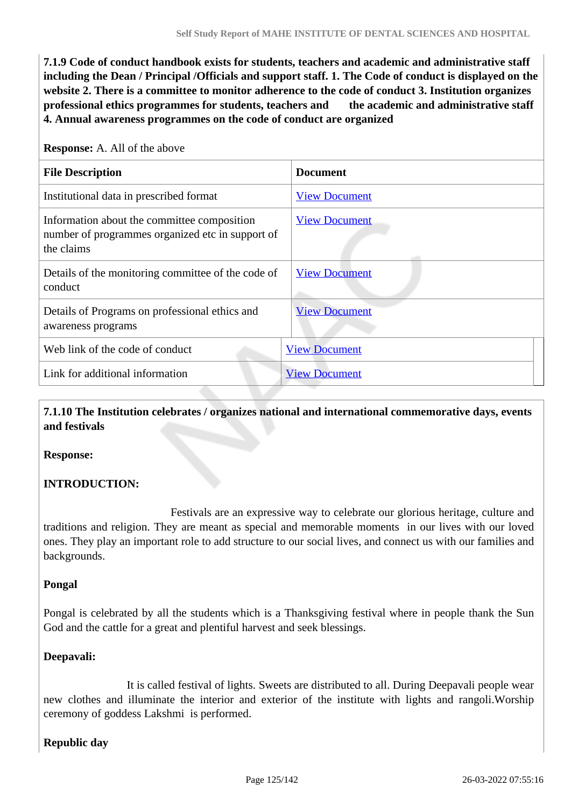**7.1.9 Code of conduct handbook exists for students, teachers and academic and administrative staff including the Dean / Principal /Officials and support staff. 1. The Code of conduct is displayed on the website 2. There is a committee to monitor adherence to the code of conduct 3. Institution organizes professional ethics programmes for students, teachers and the academic and administrative staff 4. Annual awareness programmes on the code of conduct are organized**

| <b>File Description</b>                                                                                       | <b>Document</b>      |
|---------------------------------------------------------------------------------------------------------------|----------------------|
| Institutional data in prescribed format                                                                       | <b>View Document</b> |
| Information about the committee composition<br>number of programmes organized etc in support of<br>the claims | <b>View Document</b> |
| Details of the monitoring committee of the code of<br>conduct                                                 | <b>View Document</b> |
| Details of Programs on professional ethics and<br>awareness programs                                          | <b>View Document</b> |
| Web link of the code of conduct                                                                               | <b>View Document</b> |
| Link for additional information                                                                               | <b>View Document</b> |
|                                                                                                               |                      |

**Response:** A. All of the above

### **7.1.10 The Institution celebrates / organizes national and international commemorative days, events and festivals**

#### **Response:**

# **INTRODUCTION:**

 Festivals are an expressive way to celebrate our glorious heritage, culture and traditions and religion. They are meant as special and memorable moments in our lives with our loved ones. They play an important role to add structure to our social lives, and connect us with our families and backgrounds.

#### **Pongal**

Pongal is celebrated by all the students which is a Thanksgiving festival where in people thank the Sun God and the cattle for a great and plentiful harvest and seek blessings.

#### **Deepavali:**

 It is called festival of lights. Sweets are distributed to all. During Deepavali people wear new clothes and illuminate the interior and exterior of the institute with lights and rangoli.Worship ceremony of goddess Lakshmi is performed.

# **Republic day**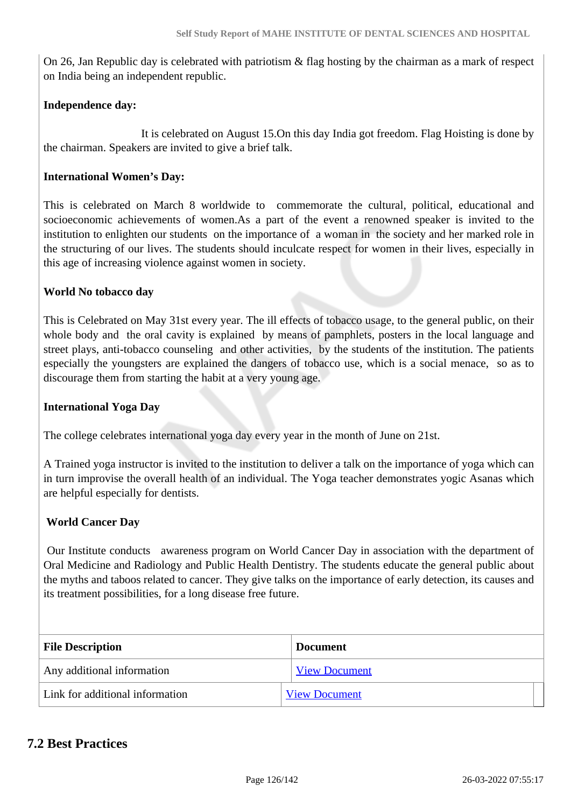On 26, Jan Republic day is celebrated with patriotism  $\&$  flag hosting by the chairman as a mark of respect on India being an independent republic.

#### **Independence day:**

 It is celebrated on August 15.On this day India got freedom. Flag Hoisting is done by the chairman. Speakers are invited to give a brief talk.

#### **International Women's Day:**

This is celebrated on March 8 worldwide to commemorate the cultural, political, educational and socioeconomic achievements of women.As a part of the event a renowned speaker is invited to the institution to enlighten our students on the importance of a woman in the society and her marked role in the structuring of our lives. The students should inculcate respect for women in their lives, especially in this age of increasing violence against women in society.

#### **World No tobacco day**

This is Celebrated on May 31st every year. The ill effects of tobacco usage, to the general public, on their whole body and the oral cavity is explained by means of pamphlets, posters in the local language and street plays, anti-tobacco counseling and other activities, by the students of the institution. The patients especially the youngsters are explained the dangers of tobacco use, which is a social menace, so as to discourage them from starting the habit at a very young age.

#### **International Yoga Day**

The college celebrates international yoga day every year in the month of June on 21st.

A Trained yoga instructor is invited to the institution to deliver a talk on the importance of yoga which can in turn improvise the overall health of an individual. The Yoga teacher demonstrates yogic Asanas which are helpful especially for dentists.

#### **World Cancer Day**

 Our Institute conducts awareness program on World Cancer Day in association with the department of Oral Medicine and Radiology and Public Health Dentistry. The students educate the general public about the myths and taboos related to cancer. They give talks on the importance of early detection, its causes and its treatment possibilities, for a long disease free future.

| <b>File Description</b>         | <b>Document</b>      |
|---------------------------------|----------------------|
| Any additional information      | <b>View Document</b> |
| Link for additional information | <b>View Document</b> |

# **7.2 Best Practices**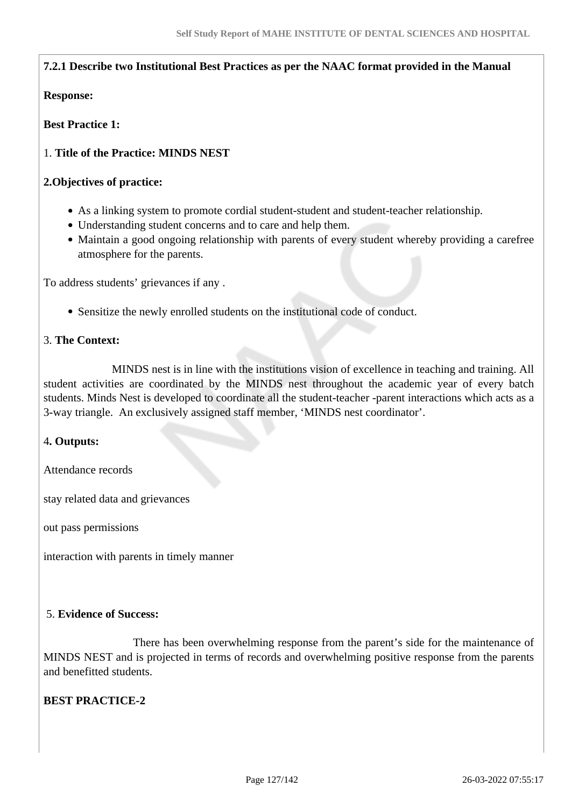#### **7.2.1 Describe two Institutional Best Practices as per the NAAC format provided in the Manual**

**Response:** 

**Best Practice 1:**

#### 1. **Title of the Practice: MINDS NEST**

#### **2.Objectives of practice:**

- As a linking system to promote cordial student-student and student-teacher relationship.
- Understanding student concerns and to care and help them.
- Maintain a good ongoing relationship with parents of every student whereby providing a carefree atmosphere for the parents.

To address students' grievances if any .

Sensitize the newly enrolled students on the institutional code of conduct.

#### 3. **The Context:**

 MINDS nest is in line with the institutions vision of excellence in teaching and training. All student activities are coordinated by the MINDS nest throughout the academic year of every batch students. Minds Nest is developed to coordinate all the student-teacher -parent interactions which acts as a 3-way triangle. An exclusively assigned staff member, 'MINDS nest coordinator'.

#### 4**. Outputs:**

Attendance records

stay related data and grievances

out pass permissions

interaction with parents in timely manner

#### 5. **Evidence of Success:**

 There has been overwhelming response from the parent's side for the maintenance of MINDS NEST and is projected in terms of records and overwhelming positive response from the parents and benefitted students.

#### **BEST PRACTICE-2**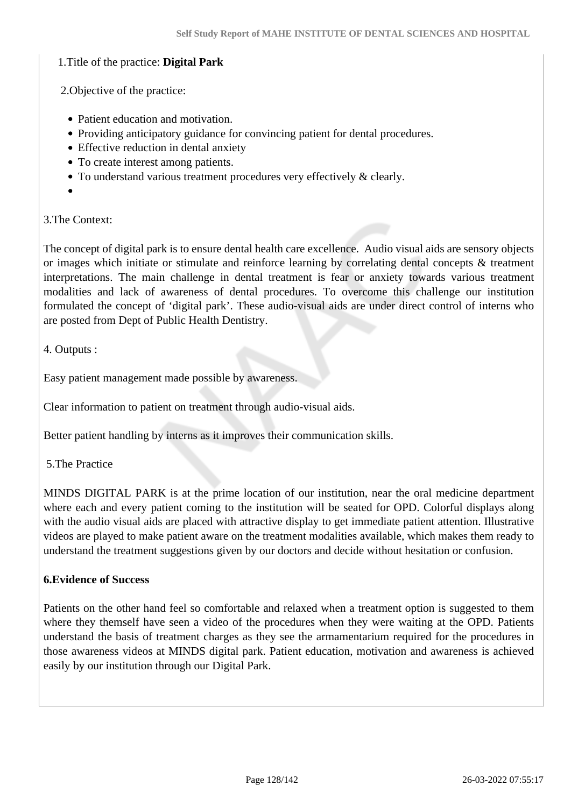#### 1.Title of the practice: **Digital Park**

2.Objective of the practice:

- Patient education and motivation.
- Providing anticipatory guidance for convincing patient for dental procedures.
- Effective reduction in dental anxiety
- To create interest among patients.
- To understand various treatment procedures very effectively & clearly.
- 

3.The Context:

The concept of digital park is to ensure dental health care excellence. Audio visual aids are sensory objects or images which initiate or stimulate and reinforce learning by correlating dental concepts & treatment interpretations. The main challenge in dental treatment is fear or anxiety towards various treatment modalities and lack of awareness of dental procedures. To overcome this challenge our institution formulated the concept of 'digital park'. These audio-visual aids are under direct control of interns who are posted from Dept of Public Health Dentistry.

4. Outputs :

Easy patient management made possible by awareness.

Clear information to patient on treatment through audio-visual aids.

Better patient handling by interns as it improves their communication skills.

5.The Practice

MINDS DIGITAL PARK is at the prime location of our institution, near the oral medicine department where each and every patient coming to the institution will be seated for OPD. Colorful displays along with the audio visual aids are placed with attractive display to get immediate patient attention. Illustrative videos are played to make patient aware on the treatment modalities available, which makes them ready to understand the treatment suggestions given by our doctors and decide without hesitation or confusion.

#### **6.Evidence of Success**

Patients on the other hand feel so comfortable and relaxed when a treatment option is suggested to them where they themself have seen a video of the procedures when they were waiting at the OPD. Patients understand the basis of treatment charges as they see the armamentarium required for the procedures in those awareness videos at MINDS digital park. Patient education, motivation and awareness is achieved easily by our institution through our Digital Park.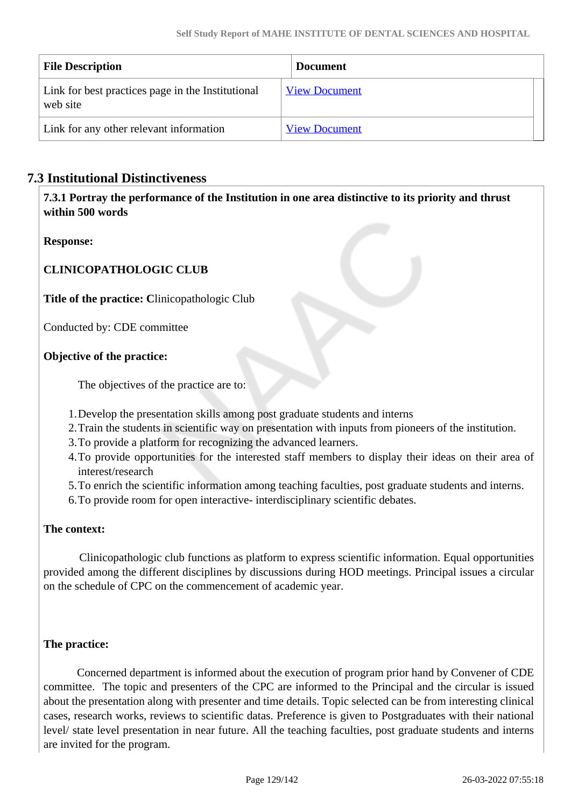| <b>File Description</b>                                       | <b>Document</b>      |
|---------------------------------------------------------------|----------------------|
| Link for best practices page in the Institutional<br>web site | <b>View Document</b> |
| Link for any other relevant information                       | <b>View Document</b> |

# **7.3 Institutional Distinctiveness**

 **7.3.1 Portray the performance of the Institution in one area distinctive to its priority and thrust within 500 words**

**Response:** 

# **CLINICOPATHOLOGIC CLUB**

**Title of the practice: C**linicopathologic Club

Conducted by: CDE committee

#### **Objective of the practice:**

The objectives of the practice are to:

- 1.Develop the presentation skills among post graduate students and interns
- 2.Train the students in scientific way on presentation with inputs from pioneers of the institution.
- 3.To provide a platform for recognizing the advanced learners.
- 4.To provide opportunities for the interested staff members to display their ideas on their area of interest/research
- 5.To enrich the scientific information among teaching faculties, post graduate students and interns.
- 6.To provide room for open interactive- interdisciplinary scientific debates.

#### **The context:**

 Clinicopathologic club functions as platform to express scientific information. Equal opportunities provided among the different disciplines by discussions during HOD meetings. Principal issues a circular on the schedule of CPC on the commencement of academic year.

#### **The practice:**

 Concerned department is informed about the execution of program prior hand by Convener of CDE committee. The topic and presenters of the CPC are informed to the Principal and the circular is issued about the presentation along with presenter and time details. Topic selected can be from interesting clinical cases, research works, reviews to scientific datas. Preference is given to Postgraduates with their national level/ state level presentation in near future. All the teaching faculties, post graduate students and interns are invited for the program.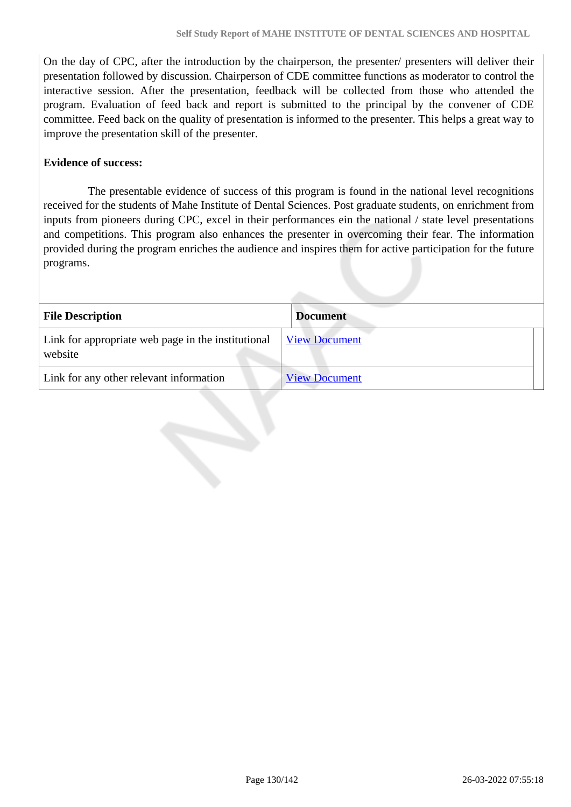On the day of CPC, after the introduction by the chairperson, the presenter/ presenters will deliver their presentation followed by discussion. Chairperson of CDE committee functions as moderator to control the interactive session. After the presentation, feedback will be collected from those who attended the program. Evaluation of feed back and report is submitted to the principal by the convener of CDE committee. Feed back on the quality of presentation is informed to the presenter. This helps a great way to improve the presentation skill of the presenter.

#### **Evidence of success:**

 The presentable evidence of success of this program is found in the national level recognitions received for the students of Mahe Institute of Dental Sciences. Post graduate students, on enrichment from inputs from pioneers during CPC, excel in their performances ein the national / state level presentations and competitions. This program also enhances the presenter in overcoming their fear. The information provided during the program enriches the audience and inspires them for active participation for the future programs.

| <b>File Description</b>                                       | <b>Document</b>      |
|---------------------------------------------------------------|----------------------|
| Link for appropriate web page in the institutional<br>website | <b>View Document</b> |
| Link for any other relevant information                       | <b>View Document</b> |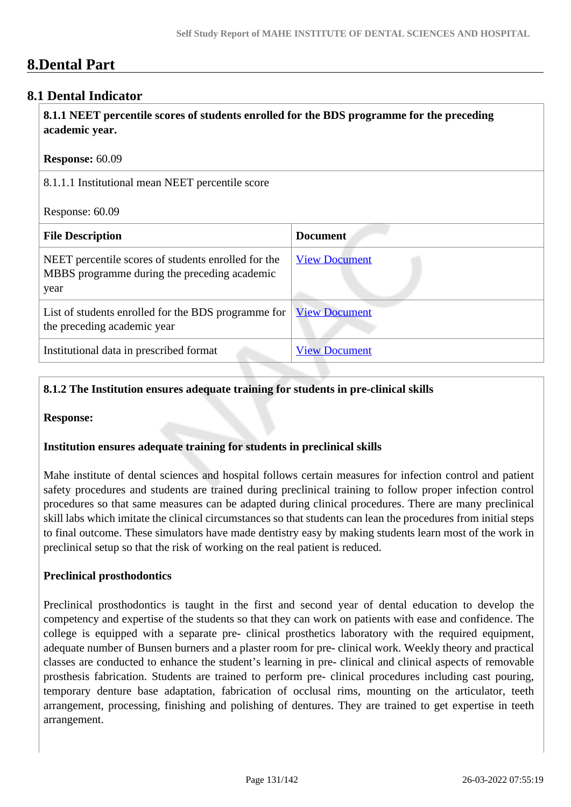# **8.Dental Part**

# **8.1 Dental Indicator**

 **8.1.1 NEET percentile scores of students enrolled for the BDS programme for the preceding academic year.**

#### **Response:** 60.09

8.1.1.1 Institutional mean NEET percentile score

Response: 60.09

| <b>File Description</b>                                                                                     | <b>Document</b>      |
|-------------------------------------------------------------------------------------------------------------|----------------------|
| NEET percentile scores of students enrolled for the<br>MBBS programme during the preceding academic<br>year | <b>View Document</b> |
| List of students enrolled for the BDS programme for<br>the preceding academic year                          | <b>View Document</b> |
| Institutional data in prescribed format                                                                     | <b>View Document</b> |

### **8.1.2 The Institution ensures adequate training for students in pre-clinical skills**

**Response:** 

#### **Institution ensures adequate training for students in preclinical skills**

Mahe institute of dental sciences and hospital follows certain measures for infection control and patient safety procedures and students are trained during preclinical training to follow proper infection control procedures so that same measures can be adapted during clinical procedures. There are many preclinical skill labs which imitate the clinical circumstances so that students can lean the procedures from initial steps to final outcome. These simulators have made dentistry easy by making students learn most of the work in preclinical setup so that the risk of working on the real patient is reduced.

#### **Preclinical prosthodontics**

Preclinical prosthodontics is taught in the first and second year of dental education to develop the competency and expertise of the students so that they can work on patients with ease and confidence. The college is equipped with a separate pre- clinical prosthetics laboratory with the required equipment, adequate number of Bunsen burners and a plaster room for pre- clinical work. Weekly theory and practical classes are conducted to enhance the student's learning in pre- clinical and clinical aspects of removable prosthesis fabrication. Students are trained to perform pre- clinical procedures including cast pouring, temporary denture base adaptation, fabrication of occlusal rims, mounting on the articulator, teeth arrangement, processing, finishing and polishing of dentures. They are trained to get expertise in teeth arrangement.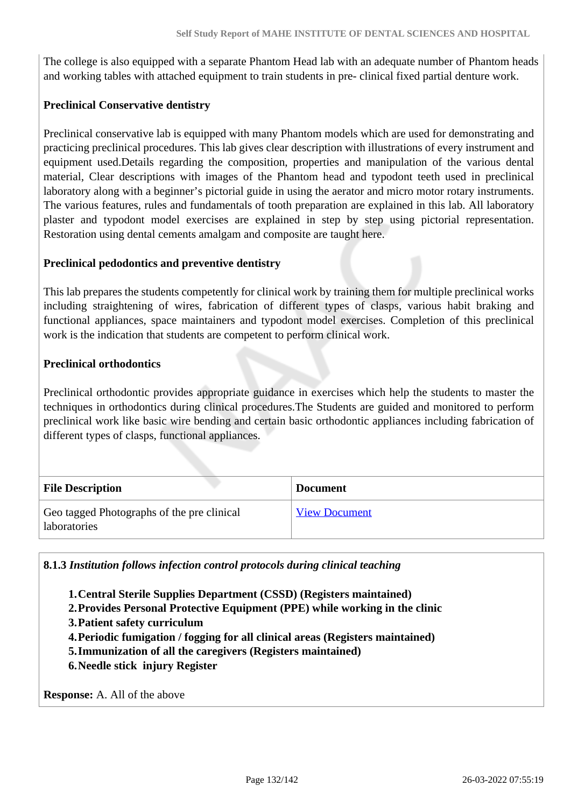The college is also equipped with a separate Phantom Head lab with an adequate number of Phantom heads and working tables with attached equipment to train students in pre- clinical fixed partial denture work.

#### **Preclinical Conservative dentistry**

Preclinical conservative lab is equipped with many Phantom models which are used for demonstrating and practicing preclinical procedures. This lab gives clear description with illustrations of every instrument and equipment used.Details regarding the composition, properties and manipulation of the various dental material, Clear descriptions with images of the Phantom head and typodont teeth used in preclinical laboratory along with a beginner's pictorial guide in using the aerator and micro motor rotary instruments. The various features, rules and fundamentals of tooth preparation are explained in this lab. All laboratory plaster and typodont model exercises are explained in step by step using pictorial representation. Restoration using dental cements amalgam and composite are taught here.

### **Preclinical pedodontics and preventive dentistry**

This lab prepares the students competently for clinical work by training them for multiple preclinical works including straightening of wires, fabrication of different types of clasps, various habit braking and functional appliances, space maintainers and typodont model exercises. Completion of this preclinical work is the indication that students are competent to perform clinical work.

#### **Preclinical orthodontics**

Preclinical orthodontic provides appropriate guidance in exercises which help the students to master the techniques in orthodontics during clinical procedures.The Students are guided and monitored to perform preclinical work like basic wire bending and certain basic orthodontic appliances including fabrication of different types of clasps, functional appliances.

| <b>File Description</b>                                    | <b>Document</b>      |
|------------------------------------------------------------|----------------------|
| Geo tagged Photographs of the pre clinical<br>laboratories | <b>View Document</b> |

#### **8.1.3** *Institution follows infection control protocols during clinical teaching*

**1.Central Sterile Supplies Department (CSSD) (Registers maintained)**

- **2.Provides Personal Protective Equipment (PPE) while working in the clinic**
- **3.Patient safety curriculum**
- **4.Periodic fumigation / fogging for all clinical areas (Registers maintained)**
- **5.Immunization of all the caregivers (Registers maintained)**
- **6.Needle stick injury Register**

**Response:** A. All of the above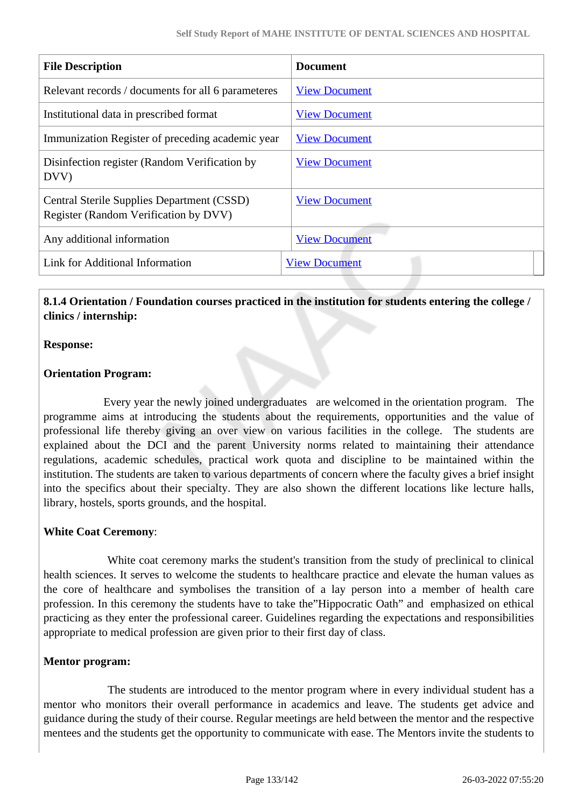| <b>File Description</b>                                                                    | <b>Document</b>      |
|--------------------------------------------------------------------------------------------|----------------------|
| Relevant records / documents for all 6 parameteres                                         | <b>View Document</b> |
| Institutional data in prescribed format                                                    | <b>View Document</b> |
| Immunization Register of preceding academic year                                           | <b>View Document</b> |
| Disinfection register (Random Verification by<br>DVV)                                      | <b>View Document</b> |
| <b>Central Sterile Supplies Department (CSSD)</b><br>Register (Random Verification by DVV) | <b>View Document</b> |
| Any additional information                                                                 | <b>View Document</b> |
| Link for Additional Information                                                            | <b>View Document</b> |

# **8.1.4 Orientation / Foundation courses practiced in the institution for students entering the college / clinics / internship:**

#### **Response:**

### **Orientation Program:**

 Every year the newly joined undergraduates are welcomed in the orientation program. The programme aims at introducing the students about the requirements, opportunities and the value of professional life thereby giving an over view on various facilities in the college. The students are explained about the DCI and the parent University norms related to maintaining their attendance regulations, academic schedules, practical work quota and discipline to be maintained within the institution. The students are taken to various departments of concern where the faculty gives a brief insight into the specifics about their specialty. They are also shown the different locations like lecture halls, library, hostels, sports grounds, and the hospital.

# **White Coat Ceremony**:

 White coat ceremony marks the student's transition from the study of preclinical to clinical health sciences. It serves to welcome the students to healthcare practice and elevate the human values as the core of healthcare and symbolises the transition of a lay person into a member of health care profession. In this ceremony the students have to take the"Hippocratic Oath" and emphasized on ethical practicing as they enter the professional career. Guidelines regarding the expectations and responsibilities appropriate to medical profession are given prior to their first day of class.

#### **Mentor program:**

 The students are introduced to the mentor program where in every individual student has a mentor who monitors their overall performance in academics and leave. The students get advice and guidance during the study of their course. Regular meetings are held between the mentor and the respective mentees and the students get the opportunity to communicate with ease. The Mentors invite the students to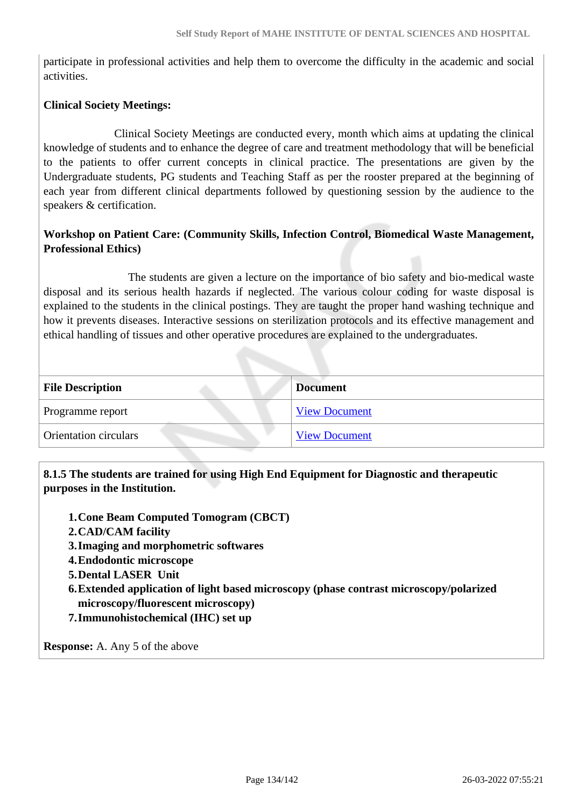participate in professional activities and help them to overcome the difficulty in the academic and social activities.

### **Clinical Society Meetings:**

 Clinical Society Meetings are conducted every, month which aims at updating the clinical knowledge of students and to enhance the degree of care and treatment methodology that will be beneficial to the patients to offer current concepts in clinical practice. The presentations are given by the Undergraduate students, PG students and Teaching Staff as per the rooster prepared at the beginning of each year from different clinical departments followed by questioning session by the audience to the speakers & certification.

# **Workshop on Patient Care: (Community Skills, Infection Control, Biomedical Waste Management, Professional Ethics)**

 The students are given a lecture on the importance of bio safety and bio-medical waste disposal and its serious health hazards if neglected. The various colour coding for waste disposal is explained to the students in the clinical postings. They are taught the proper hand washing technique and how it prevents diseases. Interactive sessions on sterilization protocols and its effective management and ethical handling of tissues and other operative procedures are explained to the undergraduates.

| <b>File Description</b>      | <b>Document</b>      |
|------------------------------|----------------------|
| Programme report             | <b>View Document</b> |
| <b>Orientation circulars</b> | <b>View Document</b> |

 **8.1.5 The students are trained for using High End Equipment for Diagnostic and therapeutic purposes in the Institution.**

- **1.Cone Beam Computed Tomogram (CBCT)**
- **2.CAD/CAM facility**
- **3.Imaging and morphometric softwares**
- **4.Endodontic microscope**
- **5.Dental LASER Unit**
- **6.Extended application of light based microscopy (phase contrast microscopy/polarized microscopy/fluorescent microscopy)**
- **7.Immunohistochemical (IHC) set up**

**Response:** A. Any 5 of the above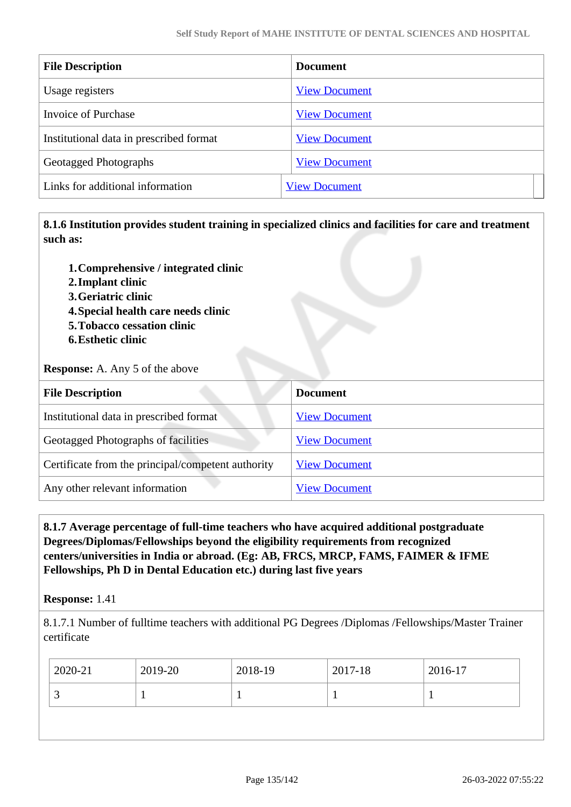| <b>File Description</b>                 | <b>Document</b>      |
|-----------------------------------------|----------------------|
| Usage registers                         | <b>View Document</b> |
| Invoice of Purchase                     | <b>View Document</b> |
| Institutional data in prescribed format | <b>View Document</b> |
| Geotagged Photographs                   | <b>View Document</b> |
| Links for additional information        | <b>View Document</b> |

 **8.1.6 Institution provides student training in specialized clinics and facilities for care and treatment such as:**

- **1.Comprehensive / integrated clinic**
- **2.Implant clinic**
- **3.Geriatric clinic**
- **4.Special health care needs clinic**
- **5.Tobacco cessation clinic**
- **6.Esthetic clinic**

**Response:** A. Any 5 of the above

| <b>File Description</b>                            | <b>Document</b>      |
|----------------------------------------------------|----------------------|
| Institutional data in prescribed format            | <b>View Document</b> |
| Geotagged Photographs of facilities                | <b>View Document</b> |
| Certificate from the principal/competent authority | <b>View Document</b> |
| Any other relevant information                     | <b>View Document</b> |

# **8.1.7 Average percentage of full-time teachers who have acquired additional postgraduate Degrees/Diplomas/Fellowships beyond the eligibility requirements from recognized centers/universities in India or abroad. (Eg: AB, FRCS, MRCP, FAMS, FAIMER & IFME Fellowships, Ph D in Dental Education etc.) during last five years**

**Response:** 1.41

8.1.7.1 Number of fulltime teachers with additional PG Degrees /Diplomas /Fellowships/Master Trainer certificate

| $2020 - 21$<br>$2019-20$ | 2018-19 | 2017-18 | 2016-17 |
|--------------------------|---------|---------|---------|
| ັ                        |         |         |         |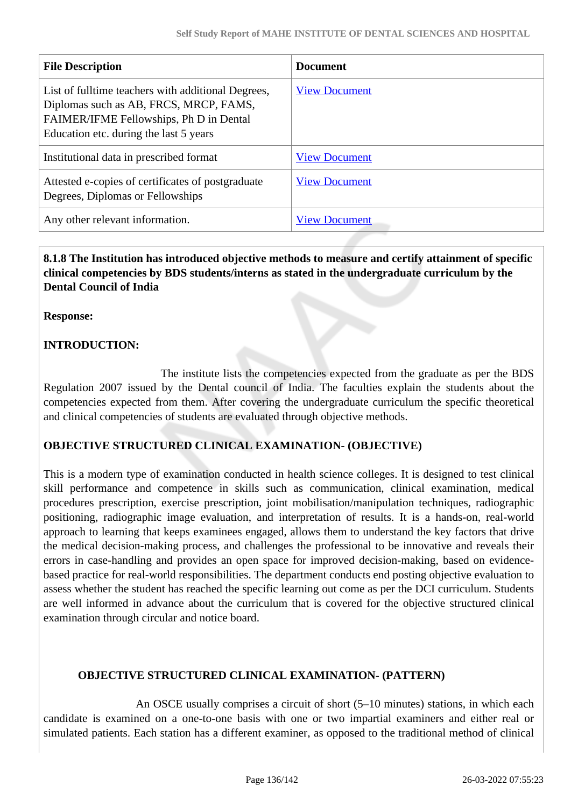| <b>File Description</b>                                                                                                                                                           | <b>Document</b>      |
|-----------------------------------------------------------------------------------------------------------------------------------------------------------------------------------|----------------------|
| List of fulltime teachers with additional Degrees,<br>Diplomas such as AB, FRCS, MRCP, FAMS,<br>FAIMER/IFME Fellowships, Ph D in Dental<br>Education etc. during the last 5 years | <b>View Document</b> |
| Institutional data in prescribed format                                                                                                                                           | <b>View Document</b> |
| Attested e-copies of certificates of postgraduate<br>Degrees, Diplomas or Fellowships                                                                                             | <b>View Document</b> |
| Any other relevant information.                                                                                                                                                   | <b>View Document</b> |

# **8.1.8 The Institution has introduced objective methods to measure and certify attainment of specific clinical competencies by BDS students/interns as stated in the undergraduate curriculum by the Dental Council of India**

#### **Response:**

# **INTRODUCTION:**

 The institute lists the competencies expected from the graduate as per the BDS Regulation 2007 issued by the Dental council of India. The faculties explain the students about the competencies expected from them. After covering the undergraduate curriculum the specific theoretical and clinical competencies of students are evaluated through objective methods.

#### **OBJECTIVE STRUCTURED CLINICAL EXAMINATION- (OBJECTIVE)**

This is a modern type of examination conducted in health science colleges. It is designed to test clinical skill performance and competence in skills such as communication, clinical examination, medical procedures prescription, exercise prescription, joint mobilisation/manipulation techniques, radiographic positioning, radiographic image evaluation, and interpretation of results. It is a hands-on, real-world approach to learning that keeps examinees engaged, allows them to understand the key factors that drive the medical decision-making process, and challenges the professional to be innovative and reveals their errors in case-handling and provides an open space for improved decision-making, based on evidencebased practice for real-world responsibilities. The department conducts end posting objective evaluation to assess whether the student has reached the specific learning out come as per the DCI curriculum. Students are well informed in advance about the curriculum that is covered for the objective structured clinical examination through circular and notice board.

#### **OBJECTIVE STRUCTURED CLINICAL EXAMINATION- (PATTERN)**

 An OSCE usually comprises a circuit of short (5–10 minutes) stations, in which each candidate is examined on a one-to-one basis with one or two impartial examiners and either real or simulated patients. Each station has a different examiner, as opposed to the traditional method of clinical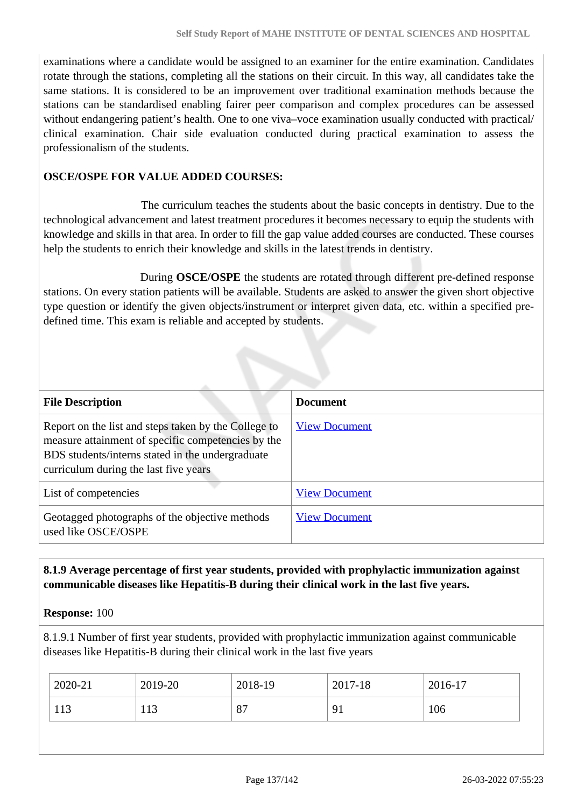examinations where a candidate would be assigned to an examiner for the entire examination. Candidates rotate through the stations, completing all the stations on their circuit. In this way, all candidates take the same stations. It is considered to be an improvement over traditional examination methods because the stations can be standardised enabling fairer peer comparison and complex procedures can be assessed without endangering patient's health. One to one viva–voce examination usually conducted with practical/ clinical examination. Chair side evaluation conducted during practical examination to assess the professionalism of the students.

# **OSCE/OSPE FOR VALUE ADDED COURSES:**

 The curriculum teaches the students about the basic concepts in dentistry. Due to the technological advancement and latest treatment procedures it becomes necessary to equip the students with knowledge and skills in that area. In order to fill the gap value added courses are conducted. These courses help the students to enrich their knowledge and skills in the latest trends in dentistry.

 During **OSCE/OSPE** the students are rotated through different pre-defined response stations. On every station patients will be available. Students are asked to answer the given short objective type question or identify the given objects/instrument or interpret given data, etc. within a specified predefined time. This exam is reliable and accepted by students.

| <b>File Description</b>                                                                                                                                                                                 | <b>Document</b>      |
|---------------------------------------------------------------------------------------------------------------------------------------------------------------------------------------------------------|----------------------|
| Report on the list and steps taken by the College to<br>measure attainment of specific competencies by the<br>BDS students/interns stated in the undergraduate<br>curriculum during the last five years | <b>View Document</b> |
| List of competencies                                                                                                                                                                                    | <b>View Document</b> |
| Geotagged photographs of the objective methods<br>used like OSCE/OSPE                                                                                                                                   | <b>View Document</b> |

### **8.1.9 Average percentage of first year students, provided with prophylactic immunization against communicable diseases like Hepatitis-B during their clinical work in the last five years.**

#### **Response:** 100

8.1.9.1 Number of first year students, provided with prophylactic immunization against communicable diseases like Hepatitis-B during their clinical work in the last five years

| 2020-21 | 2019-20               | 2018-19 | 2017-18             | 2016-17 |
|---------|-----------------------|---------|---------------------|---------|
| 113     | $\overline{1}$<br>11J | 87      | Q <sub>1</sub><br>╯ | 106     |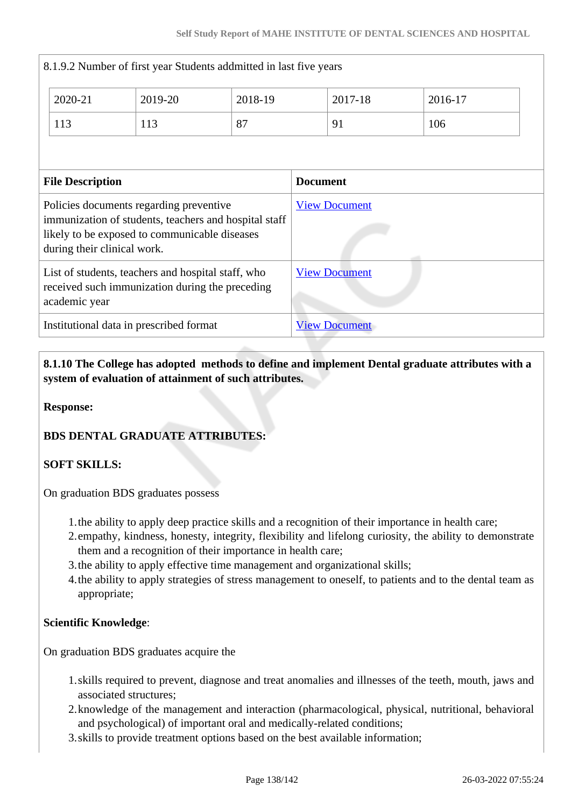|                                                                                                                                                                                  | 8.1.9.2 Number of first year Students addmitted in last five years |                      |                      |                      |    |     |
|----------------------------------------------------------------------------------------------------------------------------------------------------------------------------------|--------------------------------------------------------------------|----------------------|----------------------|----------------------|----|-----|
| 2020-21<br>2018-19<br>2019-20                                                                                                                                                    |                                                                    |                      | 2017-18              | 2016-17              |    |     |
|                                                                                                                                                                                  | 113                                                                | 113                  | 87                   |                      | 91 | 106 |
|                                                                                                                                                                                  |                                                                    |                      |                      |                      |    |     |
|                                                                                                                                                                                  | <b>File Description</b><br><b>Document</b>                         |                      |                      |                      |    |     |
| Policies documents regarding preventive<br>immunization of students, teachers and hospital staff<br>likely to be exposed to communicable diseases<br>during their clinical work. |                                                                    |                      | <b>View Document</b> |                      |    |     |
| List of students, teachers and hospital staff, who<br>received such immunization during the preceding<br>academic year                                                           |                                                                    | <b>View Document</b> |                      |                      |    |     |
| Institutional data in prescribed format                                                                                                                                          |                                                                    |                      |                      | <b>View Document</b> |    |     |

# **8.1.10 The College has adopted methods to define and implement Dental graduate attributes with a system of evaluation of attainment of such attributes.**

**Response:** 

# **BDS DENTAL GRADUATE ATTRIBUTES:**

# **SOFT SKILLS:**

On graduation BDS graduates possess

- 1.the ability to apply deep practice skills and a recognition of their importance in health care;
- 2.empathy, kindness, honesty, integrity, flexibility and lifelong curiosity, the ability to demonstrate them and a recognition of their importance in health care;
- 3.the ability to apply effective time management and organizational skills;
- 4.the ability to apply strategies of stress management to oneself, to patients and to the dental team as appropriate;

#### **Scientific Knowledge**:

On graduation BDS graduates acquire the

- 1.skills required to prevent, diagnose and treat anomalies and illnesses of the teeth, mouth, jaws and associated structures;
- 2.knowledge of the management and interaction (pharmacological, physical, nutritional, behavioral and psychological) of important oral and medically-related conditions;
- 3.skills to provide treatment options based on the best available information;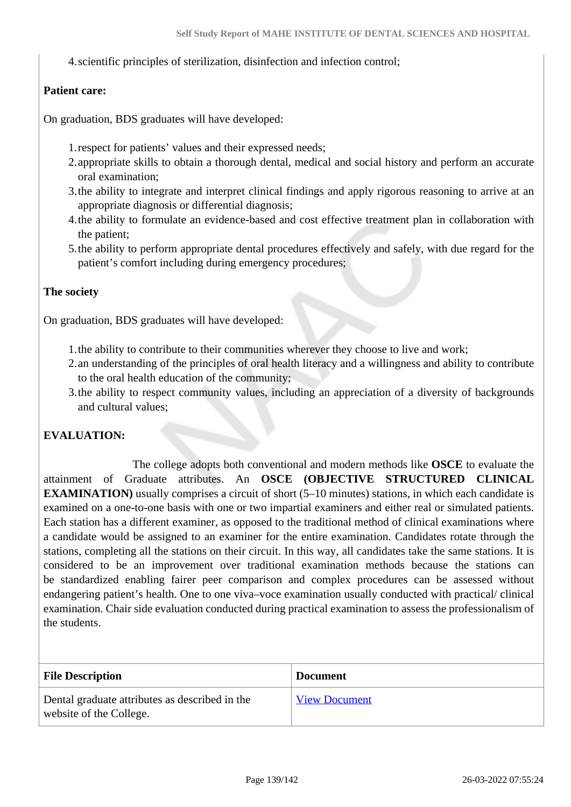4.scientific principles of sterilization, disinfection and infection control;

### **Patient care:**

On graduation, BDS graduates will have developed:

- 1.respect for patients' values and their expressed needs;
- 2.appropriate skills to obtain a thorough dental, medical and social history and perform an accurate oral examination;
- 3.the ability to integrate and interpret clinical findings and apply rigorous reasoning to arrive at an appropriate diagnosis or differential diagnosis;
- 4.the ability to formulate an evidence-based and cost effective treatment plan in collaboration with the patient;
- 5.the ability to perform appropriate dental procedures effectively and safely, with due regard for the patient's comfort including during emergency procedures;

#### **The society**

On graduation, BDS graduates will have developed:

- 1.the ability to contribute to their communities wherever they choose to live and work;
- 2.an understanding of the principles of oral health literacy and a willingness and ability to contribute to the oral health education of the community;
- 3.the ability to respect community values, including an appreciation of a diversity of backgrounds and cultural values;

# **EVALUATION:**

 The college adopts both conventional and modern methods like **OSCE** to evaluate the attainment of Graduate attributes. An **OSCE (OBJECTIVE STRUCTURED CLINICAL EXAMINATION**) usually comprises a circuit of short (5–10 minutes) stations, in which each candidate is examined on a one-to-one basis with one or two impartial examiners and either real or simulated patients. Each station has a different examiner, as opposed to the traditional method of clinical examinations where a candidate would be assigned to an examiner for the entire examination. Candidates rotate through the stations, completing all the stations on their circuit. In this way, all candidates take the same stations. It is considered to be an improvement over traditional examination methods because the stations can be standardized enabling fairer peer comparison and complex procedures can be assessed without endangering patient's health. One to one viva–voce examination usually conducted with practical/ clinical examination. Chair side evaluation conducted during practical examination to assess the professionalism of the students.

| <b>File Description</b>                                                   | <b>Document</b>      |
|---------------------------------------------------------------------------|----------------------|
| Dental graduate attributes as described in the<br>website of the College. | <b>View Document</b> |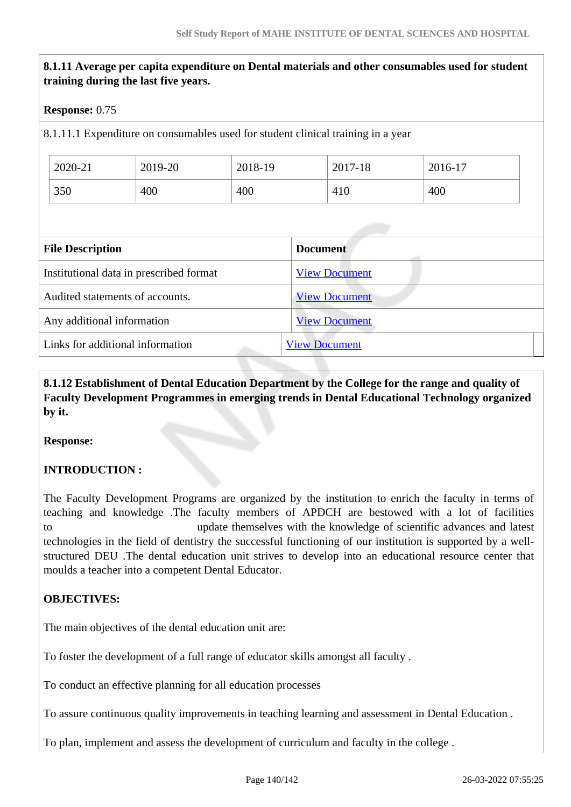# **8.1.11 Average per capita expenditure on Dental materials and other consumables used for student training during the last five years.**

#### **Response:** 0.75

8.1.11.1 Expenditure on consumables used for student clinical training in a year

| 2020-21 | 2019-20 | 2018-19 | 2017-18 | 2016-17 |
|---------|---------|---------|---------|---------|
| 350     | 400     | 400     | 410     | 400     |

| <b>File Description</b>                 | <b>Document</b>      |
|-----------------------------------------|----------------------|
| Institutional data in prescribed format | <b>View Document</b> |
| Audited statements of accounts.         | <b>View Document</b> |
| Any additional information              | <b>View Document</b> |
| Links for additional information        | <b>View Document</b> |

 **8.1.12 Establishment of Dental Education Department by the College for the range and quality of Faculty Development Programmes in emerging trends in Dental Educational Technology organized by it.**

#### **Response:**

# **INTRODUCTION :**

The Faculty Development Programs are organized by the institution to enrich the faculty in terms of teaching and knowledge .The faculty members of APDCH are bestowed with a lot of facilities to update themselves with the knowledge of scientific advances and latest technologies in the field of dentistry the successful functioning of our institution is supported by a wellstructured DEU .The dental education unit strives to develop into an educational resource center that moulds a teacher into a competent Dental Educator.

#### **OBJECTIVES:**

The main objectives of the dental education unit are:

To foster the development of a full range of educator skills amongst all faculty .

To conduct an effective planning for all education processes

To assure continuous quality improvements in teaching learning and assessment in Dental Education .

To plan, implement and assess the development of curriculum and faculty in the college .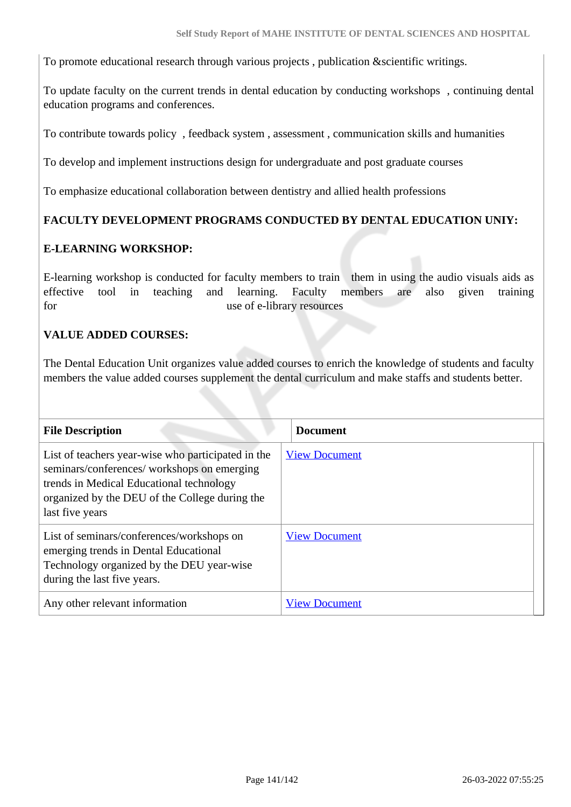To promote educational research through various projects , publication &scientific writings.

To update faculty on the current trends in dental education by conducting workshops , continuing dental education programs and conferences.

To contribute towards policy , feedback system , assessment , communication skills and humanities

To develop and implement instructions design for undergraduate and post graduate courses

To emphasize educational collaboration between dentistry and allied health professions

#### **FACULTY DEVELOPMENT PROGRAMS CONDUCTED BY DENTAL EDUCATION UNIY:**

### **E-LEARNING WORKSHOP:**

E-learning workshop is conducted for faculty members to train them in using the audio visuals aids as effective tool in teaching and learning. Faculty members are also given training for use of e-library resources

### **VALUE ADDED COURSES:**

The Dental Education Unit organizes value added courses to enrich the knowledge of students and faculty members the value added courses supplement the dental curriculum and make staffs and students better.

| <b>File Description</b>                                                                                                                                                                                            | <b>Document</b>      |
|--------------------------------------------------------------------------------------------------------------------------------------------------------------------------------------------------------------------|----------------------|
| List of teachers year-wise who participated in the<br>seminars/conferences/ workshops on emerging<br>trends in Medical Educational technology<br>organized by the DEU of the College during the<br>last five years | <b>View Document</b> |
| List of seminars/conferences/workshops on<br>emerging trends in Dental Educational<br>Technology organized by the DEU year-wise<br>during the last five years.                                                     | <b>View Document</b> |
| Any other relevant information                                                                                                                                                                                     | <b>View Document</b> |